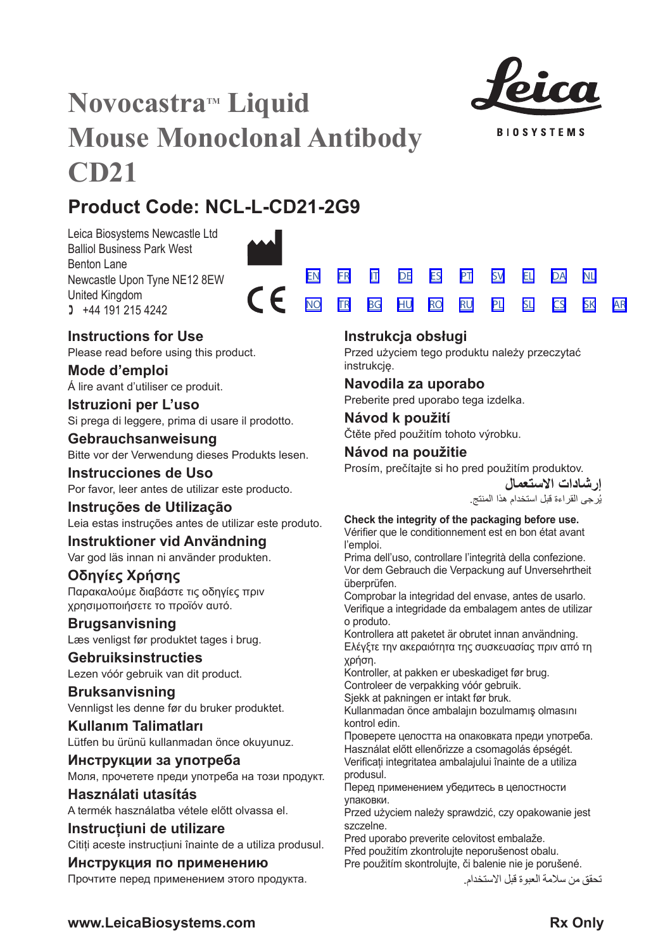

[SV](#page-20-0) [EL](#page-23-0) [DA](#page-26-0) [PL](#page-50-0) [SL](#page-53-0) [CS](#page-56-0) [NL](#page-29-0)

[SK](#page-59-0) [AR](#page-62-0)

**Novocastra™ Liquid Mouse Monoclonal Antibody CD21**

 $\epsilon$ 

# **Product Code: NCL-L-CD21-2G9**

Leica Biosystems Newcastle Ltd Balliol Business Park West Benton Lane Newcastle Upon Tyne NE12 8EW United Kingdom  $1 +44 191 215 4242$ 

## **Instructions for Use**

Please read before using this product.

## **Mode d'emploi**

Á lire avant d'utiliser ce produit. **Istruzioni per L'uso** Si prega di leggere, prima di usare il prodotto.

## **Gebrauchsanweisung**

Bitte vor der Verwendung dieses Produkts lesen.

**Instrucciones de Uso** Por favor, leer antes de utilizar este producto.

## **Instruções de Utilização**

Leia estas instruções antes de utilizar este produto.

## **Instruktioner vid Användning**

Var god läs innan ni använder produkten.

## **Οδηγίες Χρήσης**

Παρακαλούμε διαβάστε τις οδηγίες πριν χρησιμοποιήσετε το προϊόν αυτό.

## **Brugsanvisning** Læs venligst før produktet tages i brug.

**Gebruiksinstructies** Lezen vóór gebruik van dit product.

## **Bruksanvisning**

Vennligst les denne før du bruker produktet.

**Kullanım Talimatları** Lütfen bu ürünü kullanmadan önce okuyunuz.

## **Инструкции за употреба** Моля, прочетете преди употреба на този продукт.

## **Használati utasítás**

A termék használatba vétele előtt olvassa el.

## **Instrucțiuni de utilizare**

Citiți aceste instrucțiuni înainte de a utiliza produsul.

## **Инструкция по применению**

Прочтите перед применением этого продукта.

## **Instrukcja obsługi**

[EN](#page-2-0) [FR](#page-5-0) [IT](#page-8-0) [DE](#page-11-0) [ES](#page-14-0) [PT](#page-17-0) <u>[NO](#page-32-0) [TR](#page-35-0) [BG](#page-38-0) [HU](#page-41-0) [RO](#page-44-0) [RU](#page-47-0)</u>

> Przed użyciem tego produktu należy przeczytać instrukcję.

## **Navodila za uporabo**

Preberite pred uporabo tega izdelka.

## **Návod k použití**

Čtěte před použitím tohoto výrobku.

## **Návod na použitie**

Prosím, prečítajte si ho pred použitím produktov.

**إرشادات االستعمال** ُرجى القراءة قبل استخدام هذا المنتج. ي

## **Check the integrity of the packaging before use.**

Vérifier que le conditionnement est en bon état avant l'emploi.

Prima dell'uso, controllare l'integrità della confezione. Vor dem Gebrauch die Verpackung auf Unversehrtheit überprüfen.

Comprobar la integridad del envase, antes de usarlo. Verifique a integridade da embalagem antes de utilizar o produto.

Kontrollera att paketet är obrutet innan användning. Ελέγξτε την ακεραιότητα της συσκευασίας πριν από τη χρήση.

Kontroller, at pakken er ubeskadiget før brug. Controleer de verpakking vóór gebruik.

Sjekk at pakningen er intakt før bruk.

Kullanmadan önce ambalajın bozulmamış olmasını kontrol edin.

Проверете целостта на опаковката преди употреба. Használat előtt ellenőrizze a csomagolás épségét. Verificați integritatea ambalajului înainte de a utiliza

produsul. Перед применением убедитесь в целостности упаковки.

Przed użyciem należy sprawdzić, czy opakowanie jest szczelne.

Pred uporabo preverite celovitost embalaže. Před použitím zkontrolujte neporušenost obalu. Pre použitím skontrolujte, či balenie nie je porušené.

تحقق من سالمة العبوة قبل االستخدام.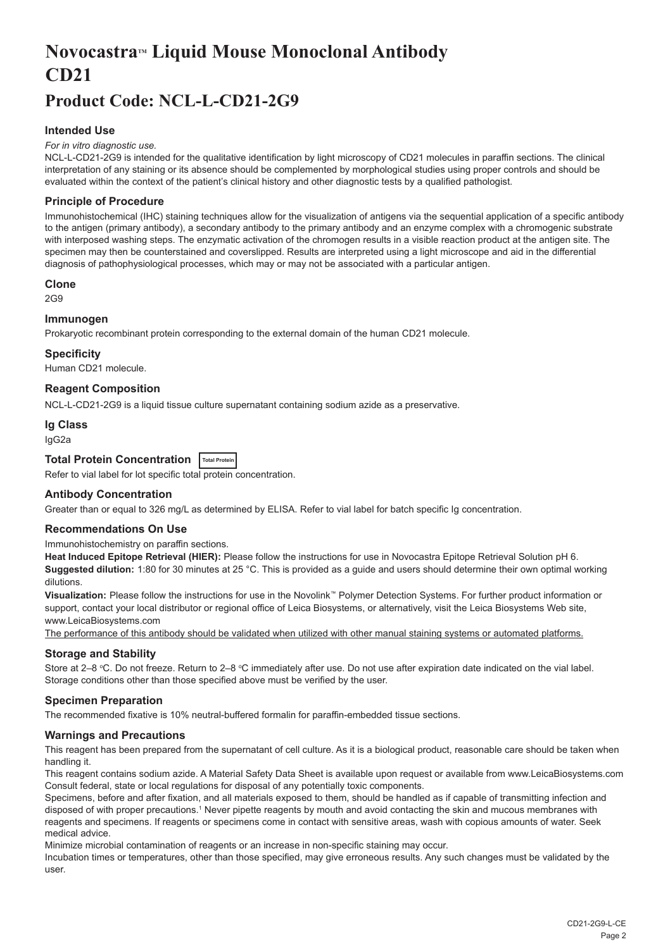# <span id="page-2-0"></span>**NovocastraTM Liquid Mouse Monoclonal Antibody CD21**

## **Product Code: NCL-L-CD21-2G9**

## **Intended Use**

#### *For in vitro diagnostic use.*

NCL-L-CD21-2G9 is intended for the qualitative identification by light microscopy of CD21 molecules in paraffin sections. The clinical interpretation of any staining or its absence should be complemented by morphological studies using proper controls and should be evaluated within the context of the patient's clinical history and other diagnostic tests by a qualified pathologist.

## **Principle of Procedure**

Immunohistochemical (IHC) staining techniques allow for the visualization of antigens via the sequential application of a specific antibody to the antigen (primary antibody), a secondary antibody to the primary antibody and an enzyme complex with a chromogenic substrate with interposed washing steps. The enzymatic activation of the chromogen results in a visible reaction product at the antigen site. The specimen may then be counterstained and coverslipped. Results are interpreted using a light microscope and aid in the differential diagnosis of pathophysiological processes, which may or may not be associated with a particular antigen.

#### **Clone**

2G<sub>9</sub>

## **Immunogen**

Prokaryotic recombinant protein corresponding to the external domain of the human CD21 molecule.

#### **Specificity**

Human CD21 molecule.

#### **Reagent Composition**

NCL-L-CD21-2G9 is a liquid tissue culture supernatant containing sodium azide as a preservative.

## **Ig Class**

IgG2a

## **Total Protein Concentration Total Protein**

Refer to vial label for lot specific total protein concentration.

## **Antibody Concentration**

Greater than or equal to 326 mg/L as determined by ELISA. Refer to vial label for batch specific Ig concentration.

## **Recommendations On Use**

Immunohistochemistry on paraffin sections.

**Heat Induced Epitope Retrieval (HIER):** Please follow the instructions for use in Novocastra Epitope Retrieval Solution pH 6. **Suggested dilution:** 1:80 for 30 minutes at 25 °C. This is provided as a guide and users should determine their own optimal working dilutions.

**Visualization:** Please follow the instructions for use in the Novolink™ Polymer Detection Systems. For further product information or support, contact your local distributor or regional office of Leica Biosystems, or alternatively, visit the Leica Biosystems Web site, www.LeicaBiosystems.com

The performance of this antibody should be validated when utilized with other manual staining systems or automated platforms.

## **Storage and Stability**

Store at 2–8 ℃. Do not freeze. Return to 2–8 ℃ immediately after use. Do not use after expiration date indicated on the vial label. Storage conditions other than those specified above must be verified by the user.

## **Specimen Preparation**

The recommended fixative is 10% neutral-buffered formalin for paraffin-embedded tissue sections.

#### **Warnings and Precautions**

This reagent has been prepared from the supernatant of cell culture. As it is a biological product, reasonable care should be taken when handling it.

This reagent contains sodium azide. A Material Safety Data Sheet is available upon request or available from www.LeicaBiosystems.com Consult federal, state or local regulations for disposal of any potentially toxic components.

Specimens, before and after fixation, and all materials exposed to them, should be handled as if capable of transmitting infection and disposed of with proper precautions.1 Never pipette reagents by mouth and avoid contacting the skin and mucous membranes with reagents and specimens. If reagents or specimens come in contact with sensitive areas, wash with copious amounts of water. Seek medical advice.

Minimize microbial contamination of reagents or an increase in non-specific staining may occur.

Incubation times or temperatures, other than those specified, may give erroneous results. Any such changes must be validated by the user.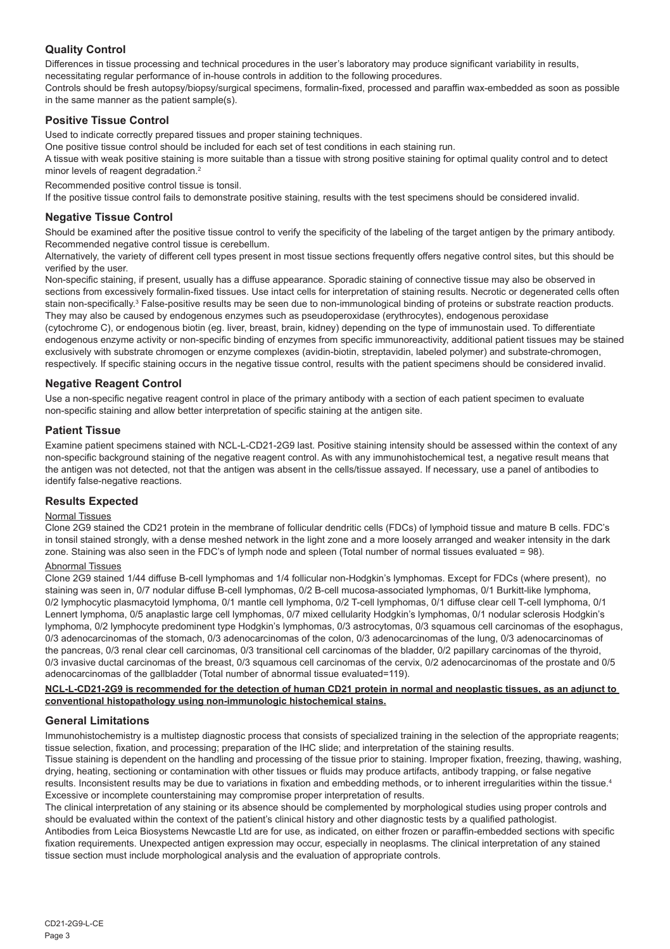## **Quality Control**

Differences in tissue processing and technical procedures in the user's laboratory may produce significant variability in results, necessitating regular performance of in-house controls in addition to the following procedures.

Controls should be fresh autopsy/biopsy/surgical specimens, formalin-fixed, processed and paraffin wax-embedded as soon as possible in the same manner as the patient sample(s).

## **Positive Tissue Control**

Used to indicate correctly prepared tissues and proper staining techniques.

One positive tissue control should be included for each set of test conditions in each staining run.

A tissue with weak positive staining is more suitable than a tissue with strong positive staining for optimal quality control and to detect minor levels of reagent degradation.<sup>2</sup>

Recommended positive control tissue is tonsil.

If the positive tissue control fails to demonstrate positive staining, results with the test specimens should be considered invalid.

## **Negative Tissue Control**

Should be examined after the positive tissue control to verify the specificity of the labeling of the target antigen by the primary antibody. Recommended negative control tissue is cerebellum.

Alternatively, the variety of different cell types present in most tissue sections frequently offers negative control sites, but this should be verified by the user.

Non-specific staining, if present, usually has a diffuse appearance. Sporadic staining of connective tissue may also be observed in sections from excessively formalin-fixed tissues. Use intact cells for interpretation of staining results. Necrotic or degenerated cells often stain non-specifically.<sup>3</sup> False-positive results may be seen due to non-immunological binding of proteins or substrate reaction products. They may also be caused by endogenous enzymes such as pseudoperoxidase (erythrocytes), endogenous peroxidase

(cytochrome C), or endogenous biotin (eg. liver, breast, brain, kidney) depending on the type of immunostain used. To differentiate endogenous enzyme activity or non-specific binding of enzymes from specific immunoreactivity, additional patient tissues may be stained exclusively with substrate chromogen or enzyme complexes (avidin-biotin, streptavidin, labeled polymer) and substrate-chromogen, respectively. If specific staining occurs in the negative tissue control, results with the patient specimens should be considered invalid.

## **Negative Reagent Control**

Use a non-specific negative reagent control in place of the primary antibody with a section of each patient specimen to evaluate non-specific staining and allow better interpretation of specific staining at the antigen site.

## **Patient Tissue**

Examine patient specimens stained with NCL-L-CD21-2G9 last. Positive staining intensity should be assessed within the context of any non-specific background staining of the negative reagent control. As with any immunohistochemical test, a negative result means that the antigen was not detected, not that the antigen was absent in the cells/tissue assayed. If necessary, use a panel of antibodies to identify false-negative reactions.

## **Results Expected**

## Normal Tissues

Clone 2G9 stained the CD21 protein in the membrane of follicular dendritic cells (FDCs) of lymphoid tissue and mature B cells. FDC's in tonsil stained strongly, with a dense meshed network in the light zone and a more loosely arranged and weaker intensity in the dark zone. Staining was also seen in the FDC's of lymph node and spleen (Total number of normal tissues evaluated = 98).

## Abnormal Tissues

Clone 2G9 stained 1/44 diffuse B-cell lymphomas and 1/4 follicular non-Hodgkin's lymphomas. Except for FDCs (where present), no staining was seen in, 0/7 nodular diffuse B-cell lymphomas, 0/2 B-cell mucosa-associated lymphomas, 0/1 Burkitt-like lymphoma, 0/2 lymphocytic plasmacytoid lymphoma, 0/1 mantle cell lymphoma, 0/2 T-cell lymphomas, 0/1 diffuse clear cell T-cell lymphoma, 0/1 Lennert lymphoma, 0/5 anaplastic large cell lymphomas, 0/7 mixed cellularity Hodgkin's lymphomas, 0/1 nodular sclerosis Hodgkin's lymphoma, 0/2 lymphocyte predominent type Hodgkin's lymphomas, 0/3 astrocytomas, 0/3 squamous cell carcinomas of the esophagus, 0/3 adenocarcinomas of the stomach, 0/3 adenocarcinomas of the colon, 0/3 adenocarcinomas of the lung, 0/3 adenocarcinomas of the pancreas, 0/3 renal clear cell carcinomas, 0/3 transitional cell carcinomas of the bladder, 0/2 papillary carcinomas of the thyroid, 0/3 invasive ductal carcinomas of the breast, 0/3 squamous cell carcinomas of the cervix, 0/2 adenocarcinomas of the prostate and 0/5 adenocarcinomas of the gallbladder (Total number of abnormal tissue evaluated=119).

**NCL-L-CD21-2G9 is recommended for the detection of human CD21 protein in normal and neoplastic tissues, as an adjunct to conventional histopathology using non-immunologic histochemical stains.**

## **General Limitations**

Immunohistochemistry is a multistep diagnostic process that consists of specialized training in the selection of the appropriate reagents; tissue selection, fixation, and processing; preparation of the IHC slide; and interpretation of the staining results.

Tissue staining is dependent on the handling and processing of the tissue prior to staining. Improper fixation, freezing, thawing, washing, drying, heating, sectioning or contamination with other tissues or fluids may produce artifacts, antibody trapping, or false negative results. Inconsistent results may be due to variations in fixation and embedding methods, or to inherent irregularities within the tissue.<sup>4</sup> Excessive or incomplete counterstaining may compromise proper interpretation of results.

The clinical interpretation of any staining or its absence should be complemented by morphological studies using proper controls and should be evaluated within the context of the patient's clinical history and other diagnostic tests by a qualified pathologist.

Antibodies from Leica Biosystems Newcastle Ltd are for use, as indicated, on either frozen or paraffin-embedded sections with specific fixation requirements. Unexpected antigen expression may occur, especially in neoplasms. The clinical interpretation of any stained tissue section must include morphological analysis and the evaluation of appropriate controls.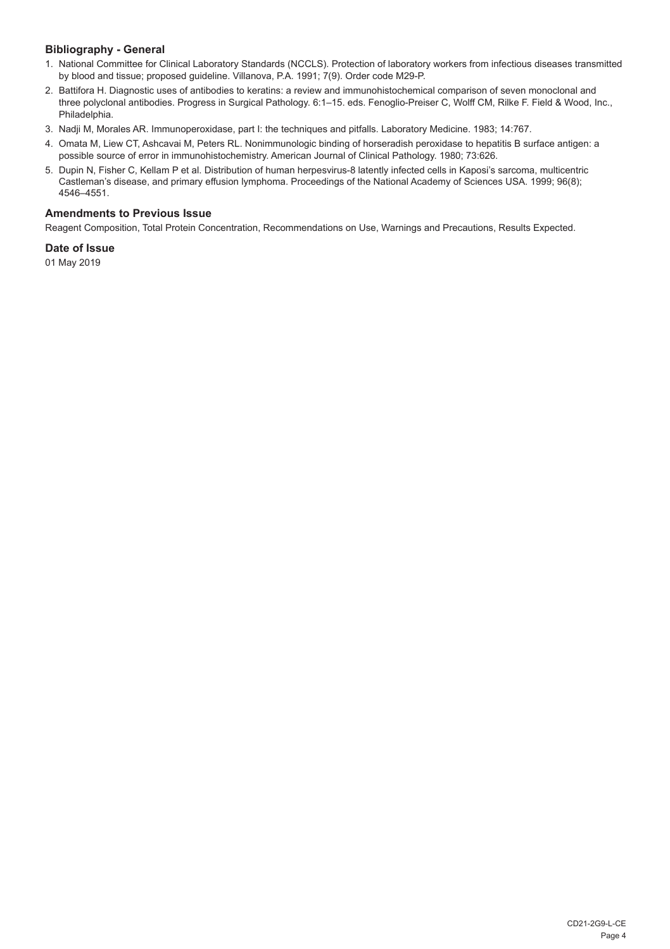## **Bibliography - General**

- 1. National Committee for Clinical Laboratory Standards (NCCLS). Protection of laboratory workers from infectious diseases transmitted by blood and tissue; proposed guideline. Villanova, P.A. 1991; 7(9). Order code M29-P.
- 2. Battifora H. Diagnostic uses of antibodies to keratins: a review and immunohistochemical comparison of seven monoclonal and three polyclonal antibodies. Progress in Surgical Pathology. 6:1–15. eds. Fenoglio-Preiser C, Wolff CM, Rilke F. Field & Wood, Inc., Philadelphia.
- 3. Nadji M, Morales AR. Immunoperoxidase, part I: the techniques and pitfalls. Laboratory Medicine. 1983; 14:767.
- 4. Omata M, Liew CT, Ashcavai M, Peters RL. Nonimmunologic binding of horseradish peroxidase to hepatitis B surface antigen: a possible source of error in immunohistochemistry. American Journal of Clinical Pathology. 1980; 73:626.
- 5. Dupin N, Fisher C, Kellam P et al. Distribution of human herpesvirus-8 latently infected cells in Kaposi's sarcoma, multicentric Castleman's disease, and primary effusion lymphoma. Proceedings of the National Academy of Sciences USA. 1999; 96(8); 4546–4551.

## **Amendments to Previous Issue**

Reagent Composition, Total Protein Concentration, Recommendations on Use, Warnings and Precautions, Results Expected.

## **Date of Issue**

01 May 2019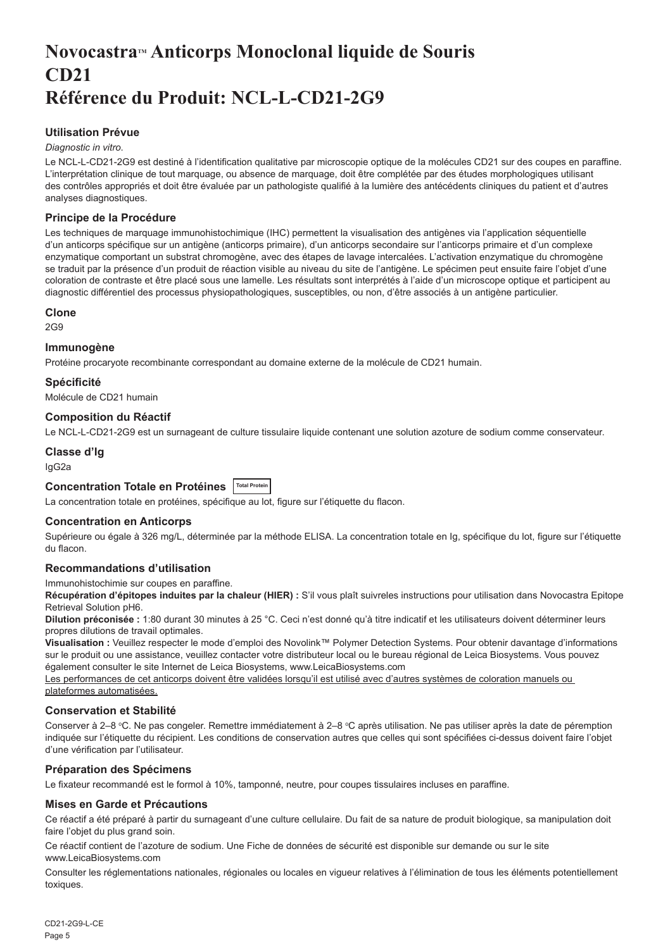# <span id="page-5-0"></span>**NovocastraTM Anticorps Monoclonal liquide de Souris CD21 Référence du Produit: NCL-L-CD21-2G9**

## **Utilisation Prévue**

#### *Diagnostic in vitro*.

Le NCL-L-CD21-2G9 est destiné à l'identification qualitative par microscopie optique de la molécules CD21 sur des coupes en paraffine. L'interprétation clinique de tout marquage, ou absence de marquage, doit être complétée par des études morphologiques utilisant des contrôles appropriés et doit être évaluée par un pathologiste qualifié à la lumière des antécédents cliniques du patient et d'autres analyses diagnostiques.

## **Principe de la Procédure**

Les techniques de marquage immunohistochimique (IHC) permettent la visualisation des antigènes via l'application séquentielle d'un anticorps spécifique sur un antigène (anticorps primaire), d'un anticorps secondaire sur l'anticorps primaire et d'un complexe enzymatique comportant un substrat chromogène, avec des étapes de lavage intercalées. L'activation enzymatique du chromogène se traduit par la présence d'un produit de réaction visible au niveau du site de l'antigène. Le spécimen peut ensuite faire l'objet d'une coloration de contraste et être placé sous une lamelle. Les résultats sont interprétés à l'aide d'un microscope optique et participent au diagnostic différentiel des processus physiopathologiques, susceptibles, ou non, d'être associés à un antigène particulier.

#### **Clone**

 $2C9$ 

## **Immunogène**

Protéine procaryote recombinante correspondant au domaine externe de la molécule de CD21 humain.

## **Spécificité**

Molécule de CD21 humain

## **Composition du Réactif**

Le NCL-L-CD21-2G9 est un surnageant de culture tissulaire liquide contenant une solution azoture de sodium comme conservateur.

## **Classe d'Ig**

IgG2a

## **Concentration Totale en Protéines Total Protein**

La concentration totale en protéines, spécifique au lot, figure sur l'étiquette du flacon.

## **Concentration en Anticorps**

Supérieure ou égale à 326 mg/L, déterminée par la méthode ELISA. La concentration totale en Ig, spécifique du lot, figure sur l'étiquette du flacon.

## **Recommandations d'utilisation**

Immunohistochimie sur coupes en paraffine.

**Récupération d'épitopes induites par la chaleur (HIER) :** S'il vous plaît suivreles instructions pour utilisation dans Novocastra Epitope Retrieval Solution pH6.

**Dilution préconisée :** 1:80 durant 30 minutes à 25 °C. Ceci n'est donné qu'à titre indicatif et les utilisateurs doivent déterminer leurs propres dilutions de travail optimales.

**Visualisation :** Veuillez respecter le mode d'emploi des Novolink™ Polymer Detection Systems. Pour obtenir davantage d'informations sur le produit ou une assistance, veuillez contacter votre distributeur local ou le bureau régional de Leica Biosystems. Vous pouvez également consulter le site Internet de Leica Biosystems, www.LeicaBiosystems.com

Les performances de cet anticorps doivent être validées lorsqu'il est utilisé avec d'autres systèmes de coloration manuels ou plateformes automatisées.

#### **Conservation et Stabilité**

Conserver à 2–8 °C. Ne pas congeler. Remettre immédiatement à 2–8 °C après utilisation. Ne pas utiliser après la date de péremption indiquée sur l'étiquette du récipient. Les conditions de conservation autres que celles qui sont spécifiées ci-dessus doivent faire l'objet d'une vérification par l'utilisateur.

## **Préparation des Spécimens**

Le fixateur recommandé est le formol à 10%, tamponné, neutre, pour coupes tissulaires incluses en paraffine.

## **Mises en Garde et Précautions**

Ce réactif a été préparé à partir du surnageant d'une culture cellulaire. Du fait de sa nature de produit biologique, sa manipulation doit faire l'obiet du plus grand soin.

Ce réactif contient de l'azoture de sodium. Une Fiche de données de sécurité est disponible sur demande ou sur le site www.LeicaBiosystems.com

Consulter les réglementations nationales, régionales ou locales en vigueur relatives à l'élimination de tous les éléments potentiellement toxiques.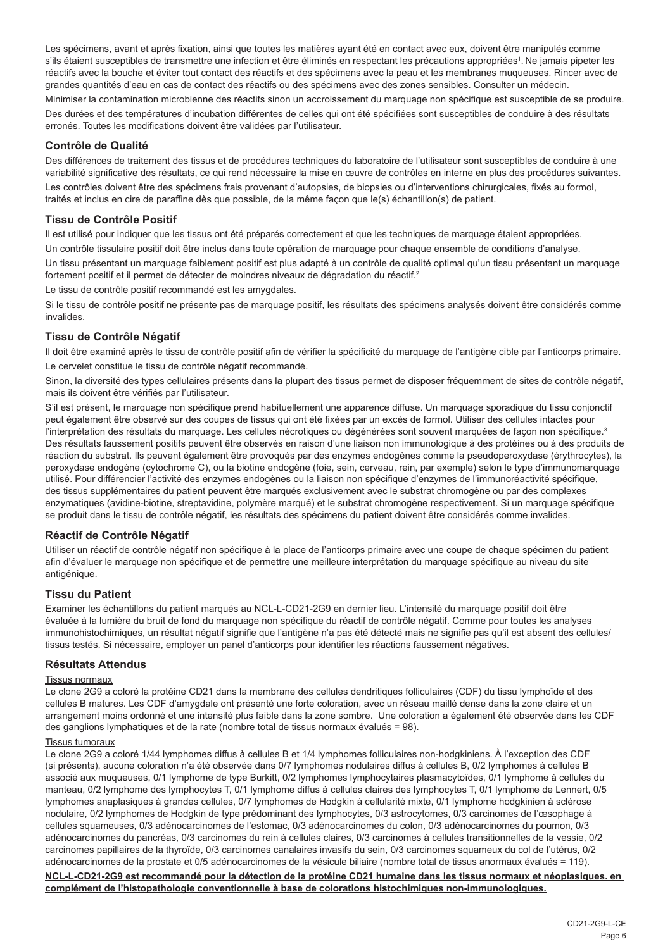Les spécimens, avant et après fixation, ainsi que toutes les matières ayant été en contact avec eux, doivent être manipulés comme s'ils étaient susceptibles de transmettre une infection et être éliminés en respectant les précautions appropriées<sup>1</sup>. Ne jamais pipeter les réactifs avec la bouche et éviter tout contact des réactifs et des spécimens avec la peau et les membranes muqueuses. Rincer avec de grandes quantités d'eau en cas de contact des réactifs ou des spécimens avec des zones sensibles. Consulter un médecin.

Minimiser la contamination microbienne des réactifs sinon un accroissement du marquage non spécifique est susceptible de se produire. Des durées et des températures d'incubation différentes de celles qui ont été spécifiées sont susceptibles de conduire à des résultats erronés. Toutes les modifications doivent être validées par l'utilisateur.

## **Contrôle de Qualité**

Des différences de traitement des tissus et de procédures techniques du laboratoire de l'utilisateur sont susceptibles de conduire à une variabilité significative des résultats, ce qui rend nécessaire la mise en œuvre de contrôles en interne en plus des procédures suivantes.

Les contrôles doivent être des spécimens frais provenant d'autopsies, de biopsies ou d'interventions chirurgicales, fixés au formol, traités et inclus en cire de paraffine dès que possible, de la même façon que le(s) échantillon(s) de patient.

## **Tissu de Contrôle Positif**

Il est utilisé pour indiquer que les tissus ont été préparés correctement et que les techniques de marquage étaient appropriées. Un contrôle tissulaire positif doit être inclus dans toute opération de marquage pour chaque ensemble de conditions d'analyse. Un tissu présentant un marquage faiblement positif est plus adapté à un contrôle de qualité optimal qu'un tissu présentant un marquage fortement positif et il permet de détecter de moindres niveaux de dégradation du réactif.<sup>2</sup>

Le tissu de contrôle positif recommandé est les amygdales.

Si le tissu de contrôle positif ne présente pas de marquage positif, les résultats des spécimens analysés doivent être considérés comme invalides.

## **Tissu de Contrôle Négatif**

Il doit être examiné après le tissu de contrôle positif afin de vérifier la spécificité du marquage de l'antigène cible par l'anticorps primaire. Le cervelet constitue le tissu de contrôle négatif recommandé.

Sinon, la diversité des types cellulaires présents dans la plupart des tissus permet de disposer fréquemment de sites de contrôle négatif, mais ils doivent être vérifiés par l'utilisateur.

S'il est présent, le marquage non spécifique prend habituellement une apparence diffuse. Un marquage sporadique du tissu conjonctif peut également être observé sur des coupes de tissus qui ont été fixées par un excès de formol. Utiliser des cellules intactes pour l'interprétation des résultats du marquage. Les cellules nécrotiques ou dégénérées sont souvent marquées de façon non spécifique.<sup>3</sup> Des résultats faussement positifs peuvent être observés en raison d'une liaison non immunologique à des protéines ou à des produits de réaction du substrat. Ils peuvent également être provoqués par des enzymes endogènes comme la pseudoperoxydase (érythrocytes), la peroxydase endogène (cytochrome C), ou la biotine endogène (foie, sein, cerveau, rein, par exemple) selon le type d'immunomarquage utilisé. Pour différencier l'activité des enzymes endogènes ou la liaison non spécifique d'enzymes de l'immunoréactivité spécifique, des tissus supplémentaires du patient peuvent être marqués exclusivement avec le substrat chromogène ou par des complexes enzymatiques (avidine-biotine, streptavidine, polymère marqué) et le substrat chromogène respectivement. Si un marquage spécifique se produit dans le tissu de contrôle négatif, les résultats des spécimens du patient doivent être considérés comme invalides.

## **Réactif de Contrôle Négatif**

Utiliser un réactif de contrôle négatif non spécifique à la place de l'anticorps primaire avec une coupe de chaque spécimen du patient afin d'évaluer le marquage non spécifique et de permettre une meilleure interprétation du marquage spécifique au niveau du site antigénique.

## **Tissu du Patient**

Examiner les échantillons du patient marqués au NCL-L-CD21-2G9 en dernier lieu. L'intensité du marquage positif doit être évaluée à la lumière du bruit de fond du marquage non spécifique du réactif de contrôle négatif. Comme pour toutes les analyses immunohistochimiques, un résultat négatif signifie que l'antigène n'a pas été détecté mais ne signifie pas qu'il est absent des cellules/ tissus testés. Si nécessaire, employer un panel d'anticorps pour identifier les réactions faussement négatives.

## **Résultats Attendus**

#### Tissus normaux

Le clone 2G9 a coloré la protéine CD21 dans la membrane des cellules dendritiques folliculaires (CDF) du tissu lymphoïde et des cellules B matures. Les CDF d'amygdale ont présenté une forte coloration, avec un réseau maillé dense dans la zone claire et un arrangement moins ordonné et une intensité plus faible dans la zone sombre. Une coloration a également été observée dans les CDF des ganglions lymphatiques et de la rate (nombre total de tissus normaux évalués = 98).

## Tissus tumoraux

Le clone 2G9 a coloré 1/44 lymphomes diffus à cellules B et 1/4 lymphomes folliculaires non-hodgkiniens. À l'exception des CDF (si présents), aucune coloration n'a été observée dans 0/7 lymphomes nodulaires diffus à cellules B, 0/2 lymphomes à cellules B associé aux muqueuses, 0/1 lymphome de type Burkitt, 0/2 lymphomes lymphocytaires plasmacytoïdes, 0/1 lymphome à cellules du manteau, 0/2 lymphome des lymphocytes T, 0/1 lymphome diffus à cellules claires des lymphocytes T, 0/1 lymphome de Lennert, 0/5 lymphomes anaplasiques à grandes cellules, 0/7 lymphomes de Hodgkin à cellularité mixte, 0/1 lymphome hodgkinien à sclérose nodulaire, 0/2 lymphomes de Hodgkin de type prédominant des lymphocytes, 0/3 astrocytomes, 0/3 carcinomes de l'œsophage à cellules squameuses, 0/3 adénocarcinomes de l'estomac, 0/3 adénocarcinomes du colon, 0/3 adénocarcinomes du poumon, 0/3 adénocarcinomes du pancréas, 0/3 carcinomes du rein à cellules claires, 0/3 carcinomes à cellules transitionnelles de la vessie, 0/2 carcinomes papillaires de la thyroïde, 0/3 carcinomes canalaires invasifs du sein, 0/3 carcinomes squameux du col de l'utérus, 0/2 adénocarcinomes de la prostate et 0/5 adénocarcinomes de la vésicule biliaire (nombre total de tissus anormaux évalués = 119).

**NCL-L-CD21-2G9 est recommandé pour la détection de la protéine CD21 humaine dans les tissus normaux et néoplasiques. en complément de l'histopathologie conventionnelle à base de colorations histochimiques non-immunologiques.**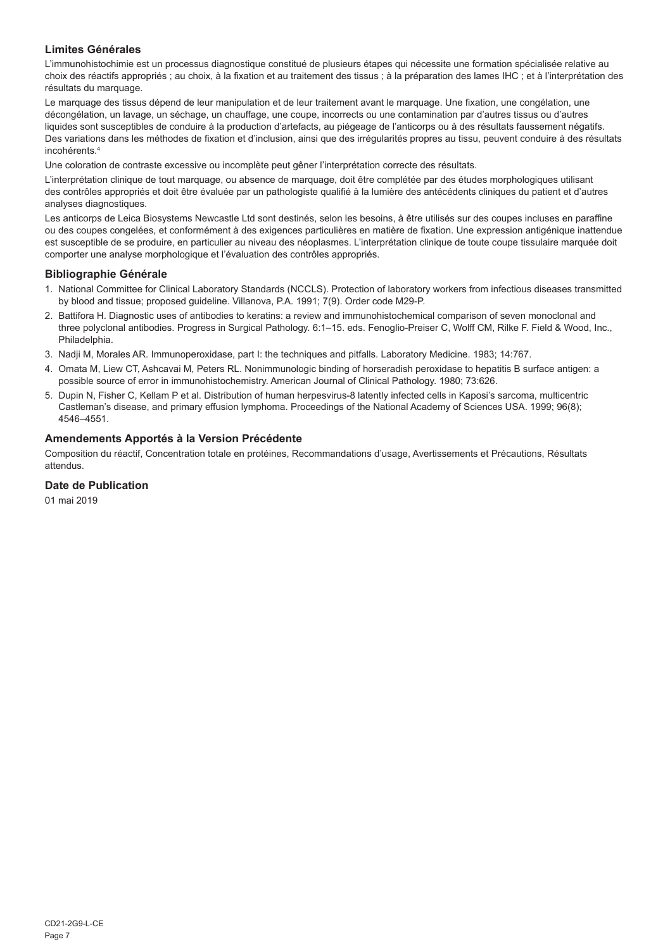## **Limites Générales**

L'immunohistochimie est un processus diagnostique constitué de plusieurs étapes qui nécessite une formation spécialisée relative au choix des réactifs appropriés ; au choix, à la fixation et au traitement des tissus ; à la préparation des lames IHC ; et à l'interprétation des résultats du marquage.

Le marquage des tissus dépend de leur manipulation et de leur traitement avant le marquage. Une fixation, une congélation, une décongélation, un lavage, un séchage, un chauffage, une coupe, incorrects ou une contamination par d'autres tissus ou d'autres liquides sont susceptibles de conduire à la production d'artefacts, au piégeage de l'anticorps ou à des résultats faussement négatifs. Des variations dans les méthodes de fixation et d'inclusion, ainsi que des irrégularités propres au tissu, peuvent conduire à des résultats incohérents<sup>4</sup>

Une coloration de contraste excessive ou incomplète peut gêner l'interprétation correcte des résultats.

L'interprétation clinique de tout marquage, ou absence de marquage, doit être complétée par des études morphologiques utilisant des contrôles appropriés et doit être évaluée par un pathologiste qualifié à la lumière des antécédents cliniques du patient et d'autres analyses diagnostiques.

Les anticorps de Leica Biosystems Newcastle Ltd sont destinés, selon les besoins, à être utilisés sur des coupes incluses en paraffine ou des coupes congelées, et conformément à des exigences particulières en matière de fixation. Une expression antigénique inattendue est susceptible de se produire, en particulier au niveau des néoplasmes. L'interprétation clinique de toute coupe tissulaire marquée doit comporter une analyse morphologique et l'évaluation des contrôles appropriés.

#### **Bibliographie Générale**

- 1. National Committee for Clinical Laboratory Standards (NCCLS). Protection of laboratory workers from infectious diseases transmitted by blood and tissue; proposed guideline. Villanova, P.A. 1991; 7(9). Order code M29-P.
- 2. Battifora H. Diagnostic uses of antibodies to keratins: a review and immunohistochemical comparison of seven monoclonal and three polyclonal antibodies. Progress in Surgical Pathology. 6:1–15. eds. Fenoglio-Preiser C, Wolff CM, Rilke F. Field & Wood, Inc., Philadelphia.
- 3. Nadji M, Morales AR. Immunoperoxidase, part I: the techniques and pitfalls. Laboratory Medicine. 1983; 14:767.
- 4. Omata M, Liew CT, Ashcavai M, Peters RL. Nonimmunologic binding of horseradish peroxidase to hepatitis B surface antigen: a possible source of error in immunohistochemistry. American Journal of Clinical Pathology. 1980; 73:626.
- 5. Dupin N, Fisher C, Kellam P et al. Distribution of human herpesvirus-8 latently infected cells in Kaposi's sarcoma, multicentric Castleman's disease, and primary effusion lymphoma. Proceedings of the National Academy of Sciences USA. 1999; 96(8); 4546–4551.

## **Amendements Apportés à la Version Précédente**

Composition du réactif, Concentration totale en protéines, Recommandations d'usage, Avertissements et Précautions, Résultats attendus.

## **Date de Publication**

01 mai 2019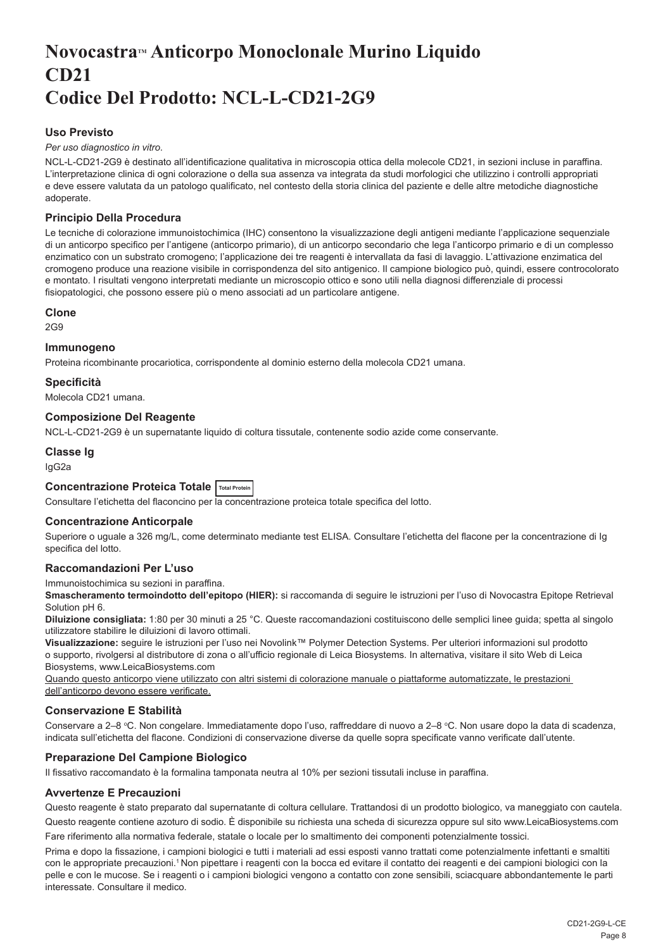# <span id="page-8-0"></span>Novocastra<sup>™</sup> Anticorpo Monoclonale Murino Liquido **CD21 Codice Del Prodotto: NCL-L-CD21-2G9**

## **Uso Previsto**

#### *Per uso diagnostico in vitro*.

NCL-L-CD21-2G9 è destinato all'identificazione qualitativa in microscopia ottica della molecole CD21, in sezioni incluse in paraffina. L'interpretazione clinica di ogni colorazione o della sua assenza va integrata da studi morfologici che utilizzino i controlli appropriati e deve essere valutata da un patologo qualificato, nel contesto della storia clinica del paziente e delle altre metodiche diagnostiche adoperate.

## **Principio Della Procedura**

Le tecniche di colorazione immunoistochimica (IHC) consentono la visualizzazione degli antigeni mediante l'applicazione sequenziale di un anticorpo specifico per l'antigene (anticorpo primario), di un anticorpo secondario che lega l'anticorpo primario e di un complesso enzimatico con un substrato cromogeno; l'applicazione dei tre reagenti è intervallata da fasi di lavaggio. L'attivazione enzimatica del cromogeno produce una reazione visibile in corrispondenza del sito antigenico. Il campione biologico può, quindi, essere controcolorato e montato. I risultati vengono interpretati mediante un microscopio ottico e sono utili nella diagnosi differenziale di processi fisiopatologici, che possono essere più o meno associati ad un particolare antigene.

#### **Clone**

 $2C9$ 

## **Immunogeno**

Proteina ricombinante procariotica, corrispondente al dominio esterno della molecola CD21 umana.

## **Specificità**

Molecola CD21 umana.

#### **Composizione Del Reagente**

NCL-L-CD21-2G9 è un supernatante liquido di coltura tissutale, contenente sodio azide come conservante.

## **Classe Ig**

IgG2a

## **Concentrazione Proteica Totale Total Protein**

Consultare l'etichetta del flaconcino per la concentrazione proteica totale specifica del lotto.

## **Concentrazione Anticorpale**

Superiore o uguale a 326 mg/L, come determinato mediante test ELISA. Consultare l'etichetta del flacone per la concentrazione di Ig specifica del lotto.

## **Raccomandazioni Per L'uso**

Immunoistochimica su sezioni in paraffina.

**Smascheramento termoindotto dell'epitopo (HIER):** si raccomanda di seguire le istruzioni per l'uso di Novocastra Epitope Retrieval Solution pH 6.

**Diluizione consigliata:** 1:80 per 30 minuti a 25 °C. Queste raccomandazioni costituiscono delle semplici linee guida; spetta al singolo utilizzatore stabilire le diluizioni di lavoro ottimali.

**Visualizzazione:** seguire le istruzioni per l'uso nei Novolink™ Polymer Detection Systems. Per ulteriori informazioni sul prodotto o supporto, rivolgersi al distributore di zona o all'ufficio regionale di Leica Biosystems. In alternativa, visitare il sito Web di Leica Biosystems, www.LeicaBiosystems.com

Quando questo anticorpo viene utilizzato con altri sistemi di colorazione manuale o piattaforme automatizzate, le prestazioni dell'anticorpo devono essere verificate.

#### **Conservazione E Stabilità**

Conservare a 2–8 °C. Non congelare. Immediatamente dopo l'uso, raffreddare di nuovo a 2–8 °C. Non usare dopo la data di scadenza, indicata sull'etichetta del flacone. Condizioni di conservazione diverse da quelle sopra specificate vanno verificate dall'utente.

## **Preparazione Del Campione Biologico**

Il fissativo raccomandato è la formalina tamponata neutra al 10% per sezioni tissutali incluse in paraffina.

## **Avvertenze E Precauzioni**

Questo reagente è stato preparato dal supernatante di coltura cellulare. Trattandosi di un prodotto biologico, va maneggiato con cautela.

Questo reagente contiene azoturo di sodio. È disponibile su richiesta una scheda di sicurezza oppure sul sito www.LeicaBiosystems.com Fare riferimento alla normativa federale, statale o locale per lo smaltimento dei componenti potenzialmente tossici.

Prima e dopo la fissazione, i campioni biologici e tutti i materiali ad essi esposti vanno trattati come potenzialmente infettanti e smaltiti con le appropriate precauzioni.<sup>1</sup> Non pipettare i reagenti con la bocca ed evitare il contatto dei reagenti e dei campioni biologici con la pelle e con le mucose. Se i reagenti o i campioni biologici vengono a contatto con zone sensibili, sciacquare abbondantemente le parti interessate. Consultare il medico.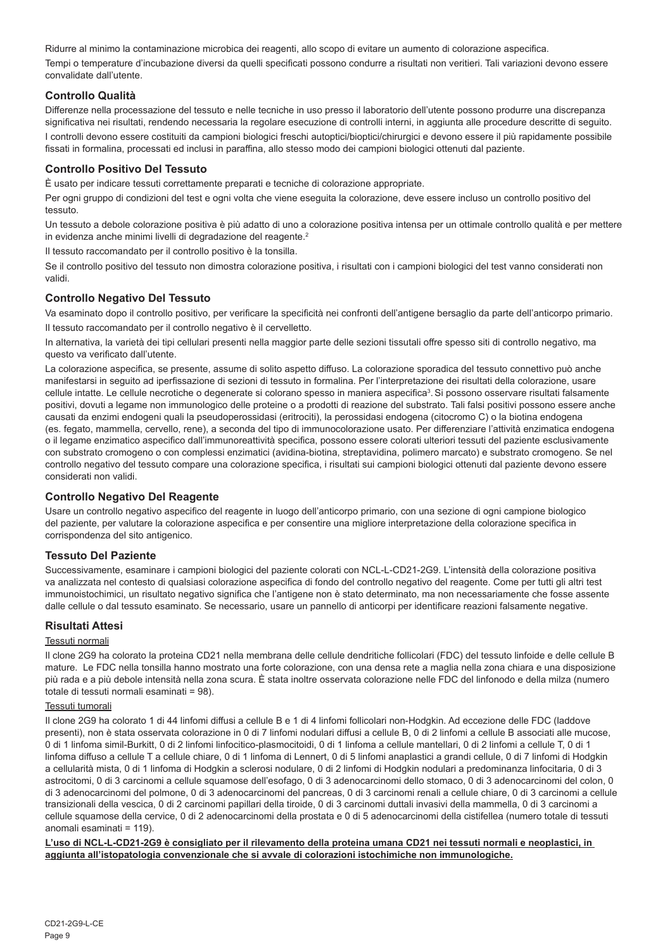Ridurre al minimo la contaminazione microbica dei reagenti, allo scopo di evitare un aumento di colorazione aspecifica. Tempi o temperature d'incubazione diversi da quelli specificati possono condurre a risultati non veritieri. Tali variazioni devono essere convalidate dall'utente.

## **Controllo Qualità**

Differenze nella processazione del tessuto e nelle tecniche in uso presso il laboratorio dell'utente possono produrre una discrepanza significativa nei risultati, rendendo necessaria la regolare esecuzione di controlli interni, in aggiunta alle procedure descritte di seguito. I controlli devono essere costituiti da campioni biologici freschi autoptici/bioptici/chirurgici e devono essere il più rapidamente possibile fissati in formalina, processati ed inclusi in paraffina, allo stesso modo dei campioni biologici ottenuti dal paziente.

## **Controllo Positivo Del Tessuto**

È usato per indicare tessuti correttamente preparati e tecniche di colorazione appropriate.

Per ogni gruppo di condizioni del test e ogni volta che viene eseguita la colorazione, deve essere incluso un controllo positivo del tessuto.

Un tessuto a debole colorazione positiva è più adatto di uno a colorazione positiva intensa per un ottimale controllo qualità e per mettere in evidenza anche minimi livelli di degradazione del reagente.<sup>2</sup>

Il tessuto raccomandato per il controllo positivo è la tonsilla.

Se il controllo positivo del tessuto non dimostra colorazione positiva, i risultati con i campioni biologici del test vanno considerati non validi.

## **Controllo Negativo Del Tessuto**

Va esaminato dopo il controllo positivo, per verificare la specificità nei confronti dell'antigene bersaglio da parte dell'anticorpo primario. Il tessuto raccomandato per il controllo negativo è il cervelletto.

In alternativa, la varietà dei tipi cellulari presenti nella maggior parte delle sezioni tissutali offre spesso siti di controllo negativo, ma questo va verificato dall'utente.

La colorazione aspecifica, se presente, assume di solito aspetto diffuso. La colorazione sporadica del tessuto connettivo può anche manifestarsi in seguito ad iperfissazione di sezioni di tessuto in formalina. Per l'interpretazione dei risultati della colorazione, usare cellule intatte. Le cellule necrotiche o degenerate si colorano spesso in maniera aspecifica<sup>3</sup>. Si possono osservare risultati falsamente positivi, dovuti a legame non immunologico delle proteine o a prodotti di reazione del substrato. Tali falsi positivi possono essere anche causati da enzimi endogeni quali la pseudoperossidasi (eritrociti), la perossidasi endogena (citocromo C) o la biotina endogena (es. fegato, mammella, cervello, rene), a seconda del tipo di immunocolorazione usato. Per differenziare l'attività enzimatica endogena o il legame enzimatico aspecifico dall'immunoreattività specifica, possono essere colorati ulteriori tessuti del paziente esclusivamente con substrato cromogeno o con complessi enzimatici (avidina-biotina, streptavidina, polimero marcato) e substrato cromogeno. Se nel controllo negativo del tessuto compare una colorazione specifica, i risultati sui campioni biologici ottenuti dal paziente devono essere considerati non validi.

## **Controllo Negativo Del Reagente**

Usare un controllo negativo aspecifico del reagente in luogo dell'anticorpo primario, con una sezione di ogni campione biologico del paziente, per valutare la colorazione aspecifica e per consentire una migliore interpretazione della colorazione specifica in corrispondenza del sito antigenico.

#### **Tessuto Del Paziente**

Successivamente, esaminare i campioni biologici del paziente colorati con NCL-L-CD21-2G9. L'intensità della colorazione positiva va analizzata nel contesto di qualsiasi colorazione aspecifica di fondo del controllo negativo del reagente. Come per tutti gli altri test immunoistochimici, un risultato negativo significa che l'antigene non è stato determinato, ma non necessariamente che fosse assente dalle cellule o dal tessuto esaminato. Se necessario, usare un pannello di anticorpi per identificare reazioni falsamente negative.

## **Risultati Attesi**

#### Tessuti normali

Il clone 2G9 ha colorato la proteina CD21 nella membrana delle cellule dendritiche follicolari (FDC) del tessuto linfoide e delle cellule B mature. Le FDC nella tonsilla hanno mostrato una forte colorazione, con una densa rete a maglia nella zona chiara e una disposizione più rada e a più debole intensità nella zona scura. È stata inoltre osservata colorazione nelle FDC del linfonodo e della milza (numero totale di tessuti normali esaminati = 98).

## Tessuti tumorali

Il clone 2G9 ha colorato 1 di 44 linfomi diffusi a cellule B e 1 di 4 linfomi follicolari non-Hodgkin. Ad eccezione delle FDC (laddove presenti), non è stata osservata colorazione in 0 di 7 linfomi nodulari diffusi a cellule B, 0 di 2 linfomi a cellule B associati alle mucose, 0 di 1 linfoma simil-Burkitt, 0 di 2 linfomi linfocitico-plasmocitoidi, 0 di 1 linfoma a cellule mantellari, 0 di 2 linfomi a cellule T, 0 di 1 linfoma diffuso a cellule T a cellule chiare, 0 di 1 linfoma di Lennert, 0 di 5 linfomi anaplastici a grandi cellule, 0 di 7 linfomi di Hodgkin a cellularità mista, 0 di 1 linfoma di Hodgkin a sclerosi nodulare, 0 di 2 linfomi di Hodgkin nodulari a predominanza linfocitaria, 0 di 3 astrocitomi, 0 di 3 carcinomi a cellule squamose dell'esofago, 0 di 3 adenocarcinomi dello stomaco, 0 di 3 adenocarcinomi del colon, 0 di 3 adenocarcinomi del polmone, 0 di 3 adenocarcinomi del pancreas, 0 di 3 carcinomi renali a cellule chiare, 0 di 3 carcinomi a cellule transizionali della vescica, 0 di 2 carcinomi papillari della tiroide, 0 di 3 carcinomi duttali invasivi della mammella, 0 di 3 carcinomi a cellule squamose della cervice, 0 di 2 adenocarcinomi della prostata e 0 di 5 adenocarcinomi della cistifellea (numero totale di tessuti anomali esaminati = 119).

**L'uso di NCL-L-CD21-2G9 è consigliato per il rilevamento della proteina umana CD21 nei tessuti normali e neoplastici, in aggiunta all'istopatologia convenzionale che si avvale di colorazioni istochimiche non immunologiche.**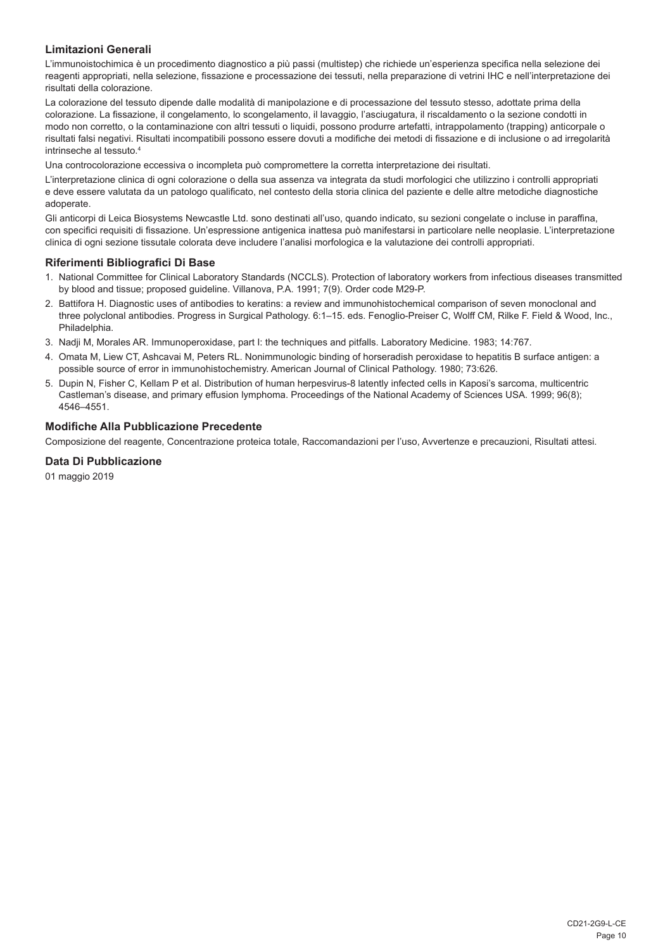## **Limitazioni Generali**

L'immunoistochimica è un procedimento diagnostico a più passi (multistep) che richiede un'esperienza specifica nella selezione dei reagenti appropriati, nella selezione, fissazione e processazione dei tessuti, nella preparazione di vetrini IHC e nell'interpretazione dei risultati della colorazione.

La colorazione del tessuto dipende dalle modalità di manipolazione e di processazione del tessuto stesso, adottate prima della colorazione. La fissazione, il congelamento, lo scongelamento, il lavaggio, l'asciugatura, il riscaldamento o la sezione condotti in modo non corretto, o la contaminazione con altri tessuti o liquidi, possono produrre artefatti, intrappolamento (trapping) anticorpale o risultati falsi negativi. Risultati incompatibili possono essere dovuti a modifiche dei metodi di fissazione e di inclusione o ad irregolarità intrinseche al tessuto.4

Una controcolorazione eccessiva o incompleta può compromettere la corretta interpretazione dei risultati.

L'interpretazione clinica di ogni colorazione o della sua assenza va integrata da studi morfologici che utilizzino i controlli appropriati e deve essere valutata da un patologo qualificato, nel contesto della storia clinica del paziente e delle altre metodiche diagnostiche adoperate.

Gli anticorpi di Leica Biosystems Newcastle Ltd. sono destinati all'uso, quando indicato, su sezioni congelate o incluse in paraffina, con specifici requisiti di fissazione. Un'espressione antigenica inattesa può manifestarsi in particolare nelle neoplasie. L'interpretazione clinica di ogni sezione tissutale colorata deve includere l'analisi morfologica e la valutazione dei controlli appropriati.

## **Riferimenti Bibliografici Di Base**

- 1. National Committee for Clinical Laboratory Standards (NCCLS). Protection of laboratory workers from infectious diseases transmitted by blood and tissue; proposed guideline. Villanova, P.A. 1991; 7(9). Order code M29-P.
- 2. Battifora H. Diagnostic uses of antibodies to keratins: a review and immunohistochemical comparison of seven monoclonal and three polyclonal antibodies. Progress in Surgical Pathology. 6:1–15. eds. Fenoglio-Preiser C, Wolff CM, Rilke F. Field & Wood, Inc., Philadelphia.
- 3. Nadji M, Morales AR. Immunoperoxidase, part I: the techniques and pitfalls. Laboratory Medicine. 1983; 14:767.
- 4. Omata M, Liew CT, Ashcavai M, Peters RL. Nonimmunologic binding of horseradish peroxidase to hepatitis B surface antigen: a possible source of error in immunohistochemistry. American Journal of Clinical Pathology. 1980; 73:626.
- 5. Dupin N, Fisher C, Kellam P et al. Distribution of human herpesvirus-8 latently infected cells in Kaposi's sarcoma, multicentric Castleman's disease, and primary effusion lymphoma. Proceedings of the National Academy of Sciences USA. 1999; 96(8); 4546–4551.

## **Modifiche Alla Pubblicazione Precedente**

Composizione del reagente, Concentrazione proteica totale, Raccomandazioni per l'uso, Avvertenze e precauzioni, Risultati attesi.

## **Data Di Pubblicazione**

01 maggio 2019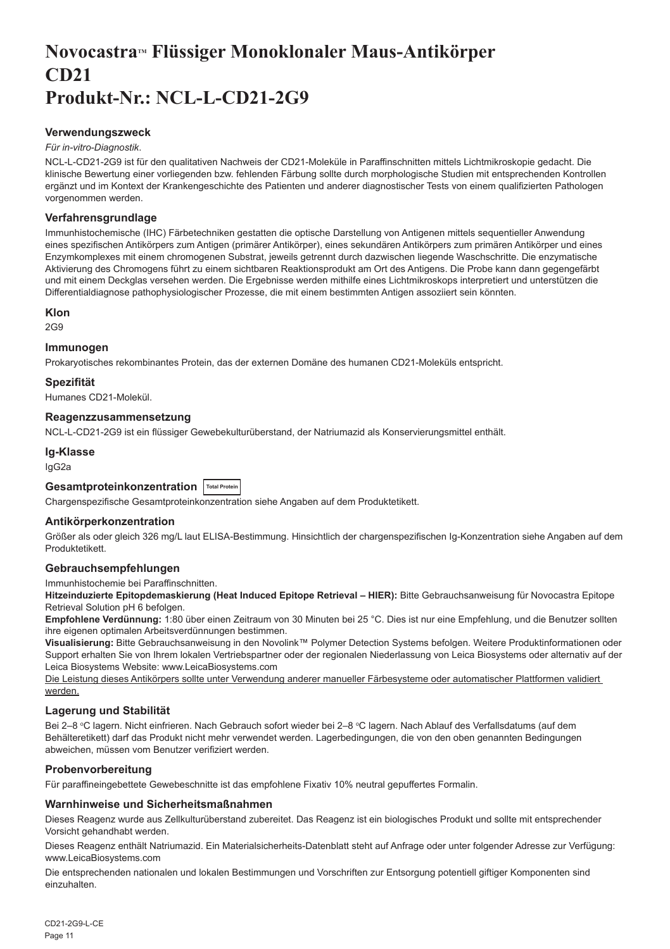# <span id="page-11-0"></span>Novocastra™ Flüssiger Monoklonaler Maus-Antikörper **CD21 Produkt-Nr.: NCL-L-CD21-2G9**

## **Verwendungszweck**

#### *Für in-vitro-Diagnostik*.

NCL-L-CD21-2G9 ist für den qualitativen Nachweis der CD21-Moleküle in Paraffinschnitten mittels Lichtmikroskopie gedacht. Die klinische Bewertung einer vorliegenden bzw. fehlenden Färbung sollte durch morphologische Studien mit entsprechenden Kontrollen ergänzt und im Kontext der Krankengeschichte des Patienten und anderer diagnostischer Tests von einem qualifizierten Pathologen vorgenommen werden.

#### **Verfahrensgrundlage**

Immunhistochemische (IHC) Färbetechniken gestatten die optische Darstellung von Antigenen mittels sequentieller Anwendung eines spezifischen Antikörpers zum Antigen (primärer Antikörper), eines sekundären Antikörpers zum primären Antikörper und eines Enzymkomplexes mit einem chromogenen Substrat, jeweils getrennt durch dazwischen liegende Waschschritte. Die enzymatische Aktivierung des Chromogens führt zu einem sichtbaren Reaktionsprodukt am Ort des Antigens. Die Probe kann dann gegengefärbt und mit einem Deckglas versehen werden. Die Ergebnisse werden mithilfe eines Lichtmikroskops interpretiert und unterstützen die Differentialdiagnose pathophysiologischer Prozesse, die mit einem bestimmten Antigen assoziiert sein könnten.

#### **Klon**

 $2C9$ 

## **Immunogen**

Prokaryotisches rekombinantes Protein, das der externen Domäne des humanen CD21-Moleküls entspricht.

## **Spezifität**

Humanes CD21-Molekül.

#### **Reagenzzusammensetzung**

NCL-L-CD21-2G9 ist ein flüssiger Gewebekulturüberstand, der Natriumazid als Konservierungsmittel enthält.

## **Ig-Klasse**

IgG2a

## **Gesamtproteinkonzentration Total Protein**

Chargenspezifische Gesamtproteinkonzentration siehe Angaben auf dem Produktetikett.

## **Antikörperkonzentration**

Größer als oder gleich 326 mg/L laut ELISA-Bestimmung. Hinsichtlich der chargenspezifischen Ig-Konzentration siehe Angaben auf dem Produktetikett.

## **Gebrauchsempfehlungen**

Immunhistochemie bei Paraffinschnitten.

**Hitzeinduzierte Epitopdemaskierung (Heat Induced Epitope Retrieval – HIER):** Bitte Gebrauchsanweisung für Novocastra Epitope Retrieval Solution pH 6 befolgen.

**Empfohlene Verdünnung:** 1:80 über einen Zeitraum von 30 Minuten bei 25 °C. Dies ist nur eine Empfehlung, und die Benutzer sollten ihre eigenen optimalen Arbeitsverdünnungen bestimmen.

**Visualisierung:** Bitte Gebrauchsanweisung in den Novolink™ Polymer Detection Systems befolgen. Weitere Produktinformationen oder Support erhalten Sie von Ihrem lokalen Vertriebspartner oder der regionalen Niederlassung von Leica Biosystems oder alternativ auf der Leica Biosystems Website: www.LeicaBiosystems.com

Die Leistung dieses Antikörpers sollte unter Verwendung anderer manueller Färbesysteme oder automatischer Plattformen validiert werden.

## **Lagerung und Stabilität**

Bei 2–8 °C lagern. Nicht einfrieren. Nach Gebrauch sofort wieder bei 2–8 °C lagern. Nach Ablauf des Verfallsdatums (auf dem Behälteretikett) darf das Produkt nicht mehr verwendet werden. Lagerbedingungen, die von den oben genannten Bedingungen abweichen, müssen vom Benutzer verifiziert werden.

## **Probenvorbereitung**

Für paraffineingebettete Gewebeschnitte ist das empfohlene Fixativ 10% neutral gepuffertes Formalin.

## **Warnhinweise und Sicherheitsmaßnahmen**

Dieses Reagenz wurde aus Zellkulturüberstand zubereitet. Das Reagenz ist ein biologisches Produkt und sollte mit entsprechender Vorsicht gehandhabt werden.

Dieses Reagenz enthält Natriumazid. Ein Materialsicherheits-Datenblatt steht auf Anfrage oder unter folgender Adresse zur Verfügung: www.LeicaBiosystems.com

Die entsprechenden nationalen und lokalen Bestimmungen und Vorschriften zur Entsorgung potentiell giftiger Komponenten sind einzuhalten.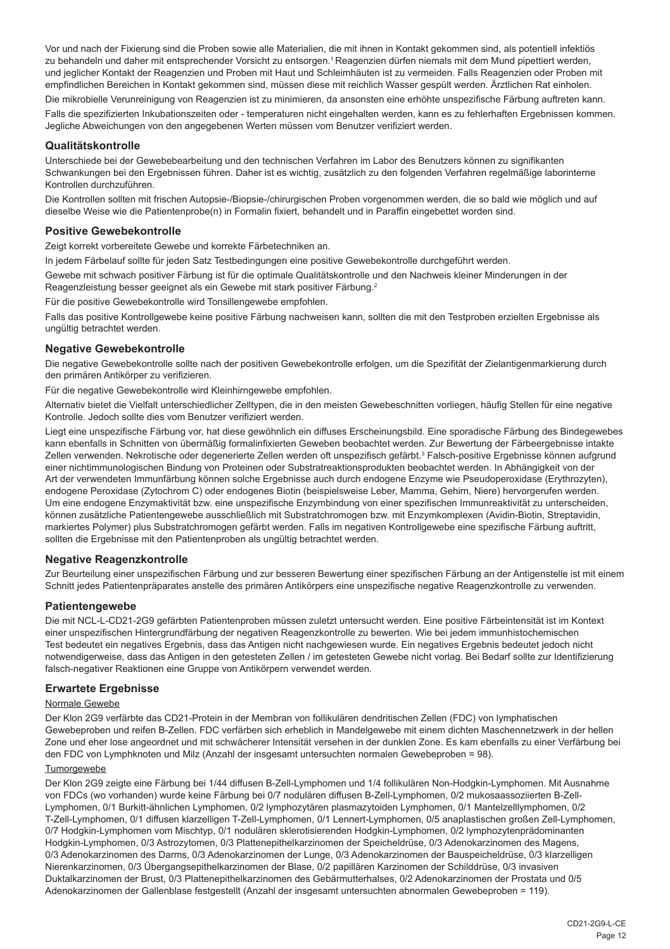Vor und nach der Fixierung sind die Proben sowie alle Materialien, die mit ihnen in Kontakt gekommen sind, als potentiell infektiös zu behandeln und daher mit entsprechender Vorsicht zu entsorgen.<sup>1</sup> Reagenzien dürfen niemals mit dem Mund pipettiert werden, und jeglicher Kontakt der Reagenzien und Proben mit Haut und Schleimhäuten ist zu vermeiden. Falls Reagenzien oder Proben mit empfindlichen Bereichen in Kontakt gekommen sind, müssen diese mit reichlich Wasser gespült werden. Ärztlichen Rat einholen.

Die mikrobielle Verunreinigung von Reagenzien ist zu minimieren, da ansonsten eine erhöhte unspezifische Färbung auftreten kann. Falls die spezifizierten Inkubationszeiten oder - temperaturen nicht eingehalten werden, kann es zu fehlerhaften Ergebnissen kommen. Jegliche Abweichungen von den angegebenen Werten müssen vom Benutzer verifiziert werden.

## **Qualitätskontrolle**

Unterschiede bei der Gewebebearbeitung und den technischen Verfahren im Labor des Benutzers können zu signifikanten Schwankungen bei den Ergebnissen führen. Daher ist es wichtig, zusätzlich zu den folgenden Verfahren regelmäßige laborinterne Kontrollen durchzuführen.

Die Kontrollen sollten mit frischen Autopsie-/Biopsie-/chirurgischen Proben vorgenommen werden, die so bald wie möglich und auf dieselbe Weise wie die Patientenprobe(n) in Formalin fixiert, behandelt und in Paraffin eingebettet worden sind.

## **Positive Gewebekontrolle**

Zeigt korrekt vorbereitete Gewebe und korrekte Färbetechniken an.

In jedem Färbelauf sollte für jeden Satz Testbedingungen eine positive Gewebekontrolle durchgeführt werden.

Gewebe mit schwach positiver Färbung ist für die optimale Qualitätskontrolle und den Nachweis kleiner Minderungen in der Reagenzleistung besser geeignet als ein Gewebe mit stark positiver Färbung.<sup>2</sup>

Für die positive Gewebekontrolle wird Tonsillengewebe empfohlen.

Falls das positive Kontrollgewebe keine positive Färbung nachweisen kann, sollten die mit den Testproben erzielten Ergebnisse als ungültig betrachtet werden.

## **Negative Gewebekontrolle**

Die negative Gewebekontrolle sollte nach der positiven Gewebekontrolle erfolgen, um die Spezifität der Zielantigenmarkierung durch den primären Antikörper zu verifizieren.

Für die negative Gewebekontrolle wird Kleinhirngewebe empfohlen.

Alternativ bietet die Vielfalt unterschiedlicher Zelltypen, die in den meisten Gewebeschnitten vorliegen, häufig Stellen für eine negative Kontrolle. Jedoch sollte dies vom Benutzer verifiziert werden.

Liegt eine unspezifische Färbung vor, hat diese gewöhnlich ein diffuses Erscheinungsbild. Eine sporadische Färbung des Bindegewebes kann ebenfalls in Schnitten von übermäßig formalinfixierten Geweben beobachtet werden. Zur Bewertung der Färbeergebnisse intakte Zellen verwenden. Nekrotische oder degenerierte Zellen werden oft unspezifisch gefärbt.<sup>3</sup> Falsch-positive Ergebnisse können aufgrund einer nichtimmunologischen Bindung von Proteinen oder Substratreaktionsprodukten beobachtet werden. In Abhängigkeit von der Art der verwendeten Immunfärbung können solche Ergebnisse auch durch endogene Enzyme wie Pseudoperoxidase (Erythrozyten), endogene Peroxidase (Zytochrom C) oder endogenes Biotin (beispielsweise Leber, Mamma, Gehirn, Niere) hervorgerufen werden. Um eine endogene Enzymaktivität bzw. eine unspezifische Enzymbindung von einer spezifischen Immunreaktivität zu unterscheiden, können zusätzliche Patientengewebe ausschließlich mit Substratchromogen bzw. mit Enzymkomplexen (Avidin-Biotin, Streptavidin, markiertes Polymer) plus Substratchromogen gefärbt werden. Falls im negativen Kontrollgewebe eine spezifische Färbung auftritt, sollten die Ergebnisse mit den Patientenproben als ungültig betrachtet werden.

## **Negative Reagenzkontrolle**

Zur Beurteilung einer unspezifischen Färbung und zur besseren Bewertung einer spezifischen Färbung an der Antigenstelle ist mit einem Schnitt jedes Patientenpräparates anstelle des primären Antikörpers eine unspezifische negative Reagenzkontrolle zu verwenden.

## **Patientengewebe**

Die mit NCL-L-CD21-2G9 gefärbten Patientenproben müssen zuletzt untersucht werden. Eine positive Färbeintensität ist im Kontext einer unspezifischen Hintergrundfärbung der negativen Reagenzkontrolle zu bewerten. Wie bei jedem immunhistochemischen Test bedeutet ein negatives Ergebnis, dass das Antigen nicht nachgewiesen wurde. Ein negatives Ergebnis bedeutet jedoch nicht notwendigerweise, dass das Antigen in den getesteten Zellen / im getesteten Gewebe nicht vorlag. Bei Bedarf sollte zur Identifizierung falsch-negativer Reaktionen eine Gruppe von Antikörpern verwendet werden.

## **Erwartete Ergebnisse**

## Normale Gewebe

Der Klon 2G9 verfärbte das CD21-Protein in der Membran von follikulären dendritischen Zellen (FDC) von lymphatischen Gewebeproben und reifen B-Zellen. FDC verfärben sich erheblich in Mandelgewebe mit einem dichten Maschennetzwerk in der hellen Zone und eher lose angeordnet und mit schwächerer Intensität versehen in der dunklen Zone. Es kam ebenfalls zu einer Verfärbung bei den FDC von Lymphknoten und Milz (Anzahl der insgesamt untersuchten normalen Gewebeproben = 98).

## Tumorgewebe

Der Klon 2G9 zeigte eine Färbung bei 1/44 diffusen B-Zell-Lymphomen und 1/4 follikulären Non-Hodgkin-Lymphomen. Mit Ausnahme von FDCs (wo vorhanden) wurde keine Färbung bei 0/7 nodulären diffusen B-Zell-Lymphomen, 0/2 mukosaassoziierten B-Zell-Lymphomen, 0/1 Burkitt-ähnlichen Lymphomen, 0/2 lymphozytären plasmazytoiden Lymphomen, 0/1 Mantelzelllymphomen, 0/2 T-Zell-Lymphomen, 0/1 diffusen klarzelligen T-Zell-Lymphomen, 0/1 Lennert-Lymphomen, 0/5 anaplastischen großen Zell-Lymphomen, 0/7 Hodgkin-Lymphomen vom Mischtyp, 0/1 nodulären sklerotisierenden Hodgkin-Lymphomen, 0/2 lymphozytenprädominanten Hodgkin-Lymphomen, 0/3 Astrozytomen, 0/3 Plattenepithelkarzinomen der Speicheldrüse, 0/3 Adenokarzinomen des Magens, 0/3 Adenokarzinomen des Darms, 0/3 Adenokarzinomen der Lunge, 0/3 Adenokarzinomen der Bauspeicheldrüse, 0/3 klarzelligen Nierenkarzinomen, 0/3 Übergangsepithelkarzinomen der Blase, 0/2 papillären Karzinomen der Schilddrüse, 0/3 invasiven Duktalkarzinomen der Brust, 0/3 Plattenepithelkarzinomen des Gebärmutterhalses, 0/2 Adenokarzinomen der Prostata und 0/5 Adenokarzinomen der Gallenblase festgestellt (Anzahl der insgesamt untersuchten abnormalen Gewebeproben = 119).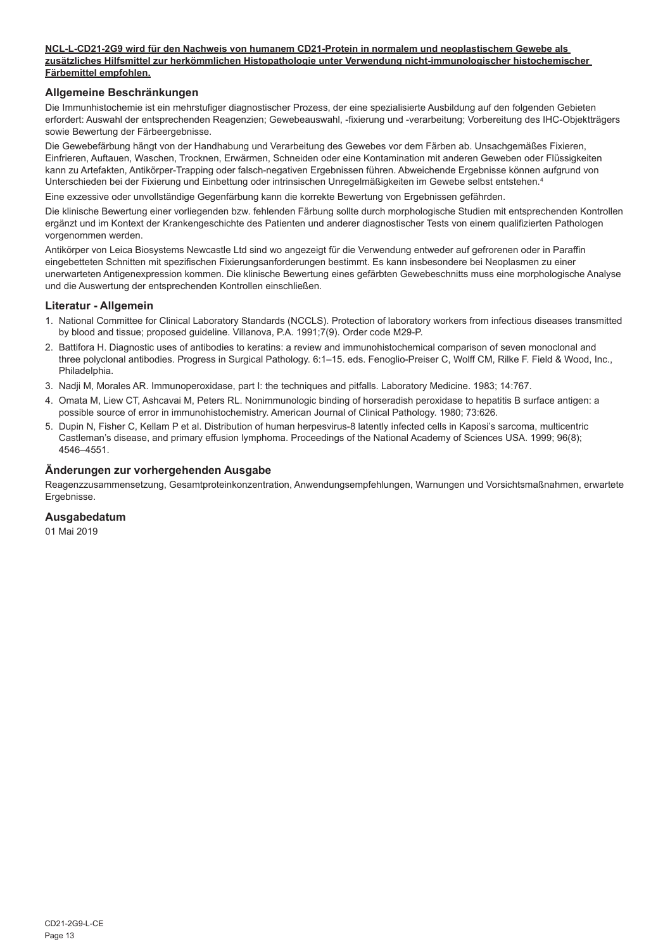## **NCL-L-CD21-2G9 wird für den Nachweis von humanem CD21-Protein in normalem und neoplastischem Gewebe als zusätzliches Hilfsmittel zur herkömmlichen Histopathologie unter Verwendung nicht-immunologischer histochemischer Färbemittel empfohlen.**

## **Allgemeine Beschränkungen**

Die Immunhistochemie ist ein mehrstufiger diagnostischer Prozess, der eine spezialisierte Ausbildung auf den folgenden Gebieten erfordert: Auswahl der entsprechenden Reagenzien; Gewebeauswahl, -fixierung und -verarbeitung; Vorbereitung des IHC-Objektträgers sowie Bewertung der Färbeergebnisse.

Die Gewebefärbung hängt von der Handhabung und Verarbeitung des Gewebes vor dem Färben ab. Unsachgemäßes Fixieren, Einfrieren, Auftauen, Waschen, Trocknen, Erwärmen, Schneiden oder eine Kontamination mit anderen Geweben oder Flüssigkeiten kann zu Artefakten, Antikörper-Trapping oder falsch-negativen Ergebnissen führen. Abweichende Ergebnisse können aufgrund von Unterschieden bei der Fixierung und Einbettung oder intrinsischen Unregelmäßigkeiten im Gewebe selbst entstehen.4

Eine exzessive oder unvollständige Gegenfärbung kann die korrekte Bewertung von Ergebnissen gefährden.

Die klinische Bewertung einer vorliegenden bzw. fehlenden Färbung sollte durch morphologische Studien mit entsprechenden Kontrollen ergänzt und im Kontext der Krankengeschichte des Patienten und anderer diagnostischer Tests von einem qualifizierten Pathologen vorgenommen werden.

Antikörper von Leica Biosystems Newcastle Ltd sind wo angezeigt für die Verwendung entweder auf gefrorenen oder in Paraffin eingebetteten Schnitten mit spezifischen Fixierungsanforderungen bestimmt. Es kann insbesondere bei Neoplasmen zu einer unerwarteten Antigenexpression kommen. Die klinische Bewertung eines gefärbten Gewebeschnitts muss eine morphologische Analyse und die Auswertung der entsprechenden Kontrollen einschließen.

## **Literatur - Allgemein**

- 1. National Committee for Clinical Laboratory Standards (NCCLS). Protection of laboratory workers from infectious diseases transmitted by blood and tissue; proposed guideline. Villanova, P.A. 1991;7(9). Order code M29-P.
- 2. Battifora H. Diagnostic uses of antibodies to keratins: a review and immunohistochemical comparison of seven monoclonal and three polyclonal antibodies. Progress in Surgical Pathology. 6:1–15. eds. Fenoglio-Preiser C, Wolff CM, Rilke F. Field & Wood, Inc., Philadelphia.
- 3. Nadji M, Morales AR. Immunoperoxidase, part I: the techniques and pitfalls. Laboratory Medicine. 1983; 14:767.
- 4. Omata M, Liew CT, Ashcavai M, Peters RL. Nonimmunologic binding of horseradish peroxidase to hepatitis B surface antigen: a possible source of error in immunohistochemistry. American Journal of Clinical Pathology. 1980; 73:626.
- 5. Dupin N, Fisher C, Kellam P et al. Distribution of human herpesvirus-8 latently infected cells in Kaposi's sarcoma, multicentric Castleman's disease, and primary effusion lymphoma. Proceedings of the National Academy of Sciences USA. 1999; 96(8); 4546–4551.

## **Änderungen zur vorhergehenden Ausgabe**

Reagenzzusammensetzung, Gesamtproteinkonzentration, Anwendungsempfehlungen, Warnungen und Vorsichtsmaßnahmen, erwartete Ergebnisse.

## **Ausgabedatum**

01 Mai 2019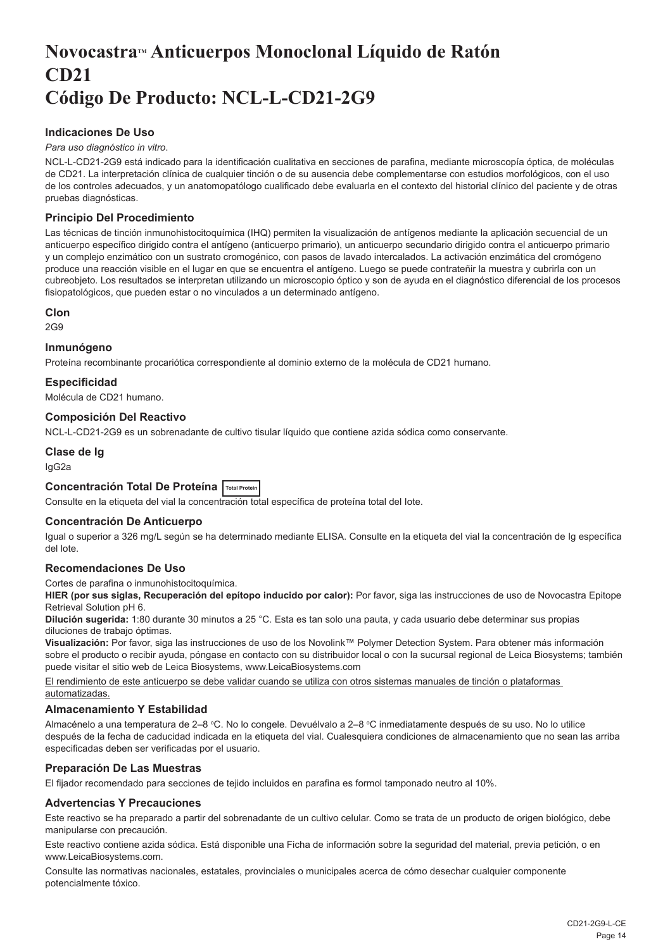# <span id="page-14-0"></span>**NovocastraTM Anticuerpos Monoclonal Líquido de Ratón CD21 Código De Producto: NCL-L-CD21-2G9**

## **Indicaciones De Uso**

#### *Para uso diagnóstico in vitro*.

NCL-L-CD21-2G9 está indicado para la identificación cualitativa en secciones de parafina, mediante microscopía óptica, de moléculas de CD21. La interpretación clínica de cualquier tinción o de su ausencia debe complementarse con estudios morfológicos, con el uso de los controles adecuados, y un anatomopatólogo cualificado debe evaluarla en el contexto del historial clínico del paciente y de otras pruebas diagnósticas.

## **Principio Del Procedimiento**

Las técnicas de tinción inmunohistocitoquímica (IHQ) permiten la visualización de antígenos mediante la aplicación secuencial de un anticuerpo específico dirigido contra el antígeno (anticuerpo primario), un anticuerpo secundario dirigido contra el anticuerpo primario y un complejo enzimático con un sustrato cromogénico, con pasos de lavado intercalados. La activación enzimática del cromógeno produce una reacción visible en el lugar en que se encuentra el antígeno. Luego se puede contrateñir la muestra y cubrirla con un cubreobjeto. Los resultados se interpretan utilizando un microscopio óptico y son de ayuda en el diagnóstico diferencial de los procesos fisiopatológicos, que pueden estar o no vinculados a un determinado antígeno.

## **Clon**

 $2C9$ 

## **Inmunógeno**

Proteína recombinante procariótica correspondiente al dominio externo de la molécula de CD21 humano.

## **Especificidad**

Molécula de CD21 humano.

## **Composición Del Reactivo**

NCL-L-CD21-2G9 es un sobrenadante de cultivo tisular líquido que contiene azida sódica como conservante.

## **Clase de Ig**

IgG2a

## **Concentración Total De Proteína Total Protein**

Consulte en la etiqueta del vial la concentración total específica de proteína total del Iote.

## **Concentración De Anticuerpo**

Igual o superior a 326 mg/L según se ha determinado mediante ELISA. Consulte en la etiqueta del vial la concentración de Ig específica del lote.

## **Recomendaciones De Uso**

Cortes de parafina o inmunohistocitoquímica.

**HIER (por sus siglas, Recuperación del epítopo inducido por calor):** Por favor, siga las instrucciones de uso de Novocastra Epitope Retrieval Solution pH 6.

**Dilución sugerida:** 1:80 durante 30 minutos a 25 °C. Esta es tan solo una pauta, y cada usuario debe determinar sus propias diluciones de trabajo óptimas.

**Visualización:** Por favor, siga las instrucciones de uso de los Novolink™ Polymer Detection System. Para obtener más información sobre el producto o recibir ayuda, póngase en contacto con su distribuidor local o con la sucursal regional de Leica Biosystems; también puede visitar el sitio web de Leica Biosystems, www.LeicaBiosystems.com

El rendimiento de este anticuerpo se debe validar cuando se utiliza con otros sistemas manuales de tinción o plataformas automatizadas.

#### **Almacenamiento Y Estabilidad**

Almacénelo a una temperatura de 2–8 °C. No lo congele. Devuélvalo a 2–8 °C inmediatamente después de su uso. No lo utilice después de la fecha de caducidad indicada en la etiqueta del vial. Cualesquiera condiciones de almacenamiento que no sean las arriba especificadas deben ser verificadas por el usuario.

## **Preparación De Las Muestras**

El fijador recomendado para secciones de tejido incluidos en parafina es formol tamponado neutro al 10%.

## **Advertencias Y Precauciones**

Este reactivo se ha preparado a partir del sobrenadante de un cultivo celular. Como se trata de un producto de origen biológico, debe manipularse con precaución.

Este reactivo contiene azida sódica. Está disponible una Ficha de información sobre la seguridad del material, previa petición, o en www.LeicaBiosystems.com.

Consulte las normativas nacionales, estatales, provinciales o municipales acerca de cómo desechar cualquier componente potencialmente tóxico.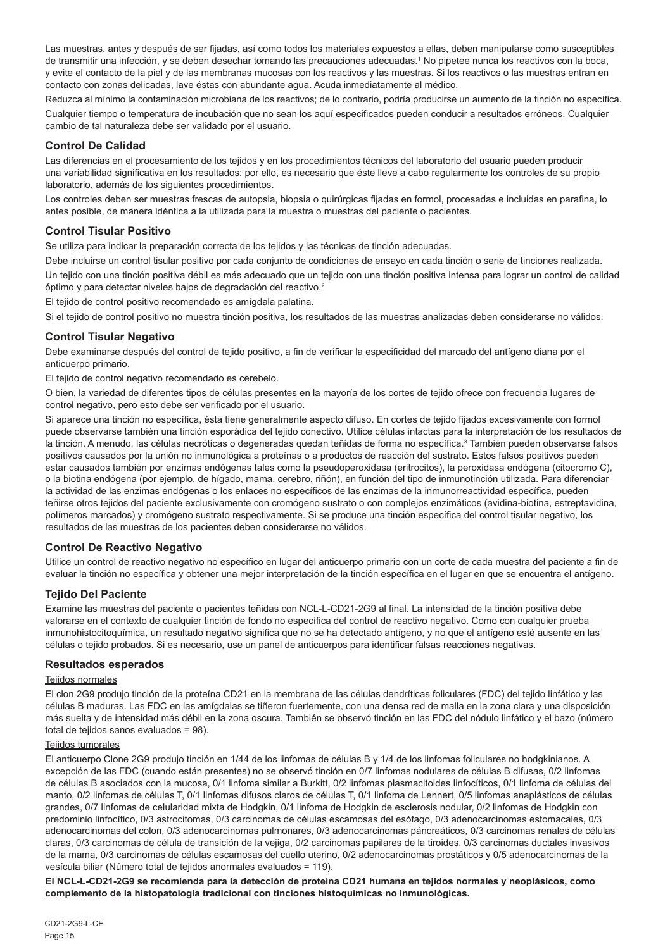Las muestras, antes y después de ser fijadas, así como todos los materiales expuestos a ellas, deben manipularse como susceptibles de transmitir una infección, y se deben desechar tomando las precauciones adecuadas.<sup>1</sup> No pipetee nunca los reactivos con la boca, y evite el contacto de la piel y de las membranas mucosas con los reactivos y las muestras. Si los reactivos o las muestras entran en contacto con zonas delicadas, lave éstas con abundante agua. Acuda inmediatamente al médico.

Reduzca al mínimo la contaminación microbiana de los reactivos; de lo contrario, podría producirse un aumento de la tinción no específica. Cualquier tiempo o temperatura de incubación que no sean los aquí especificados pueden conducir a resultados erróneos. Cualquier cambio de tal naturaleza debe ser validado por el usuario.

## **Control De Calidad**

Las diferencias en el procesamiento de los tejidos y en los procedimientos técnicos del laboratorio del usuario pueden producir una variabilidad significativa en los resultados; por ello, es necesario que éste lleve a cabo regularmente los controles de su propio laboratorio, además de los siguientes procedimientos.

Los controles deben ser muestras frescas de autopsia, biopsia o quirúrgicas fijadas en formol, procesadas e incluidas en parafina, lo antes posible, de manera idéntica a la utilizada para la muestra o muestras del paciente o pacientes.

## **Control Tisular Positivo**

Se utiliza para indicar la preparación correcta de los tejidos y las técnicas de tinción adecuadas.

Debe incluirse un control tisular positivo por cada conjunto de condiciones de ensayo en cada tinción o serie de tinciones realizada. Un tejido con una tinción positiva débil es más adecuado que un tejido con una tinción positiva intensa para lograr un control de calidad óptimo y para detectar niveles bajos de degradación del reactivo.<sup>2</sup>

El tejido de control positivo recomendado es amígdala palatina.

Si el tejido de control positivo no muestra tinción positiva, los resultados de las muestras analizadas deben considerarse no válidos.

## **Control Tisular Negativo**

Debe examinarse después del control de tejido positivo, a fin de verificar la especificidad del marcado del antígeno diana por el anticuerpo primario.

El tejido de control negativo recomendado es cerebelo.

O bien, la variedad de diferentes tipos de células presentes en la mayoría de los cortes de tejido ofrece con frecuencia lugares de control negativo, pero esto debe ser verificado por el usuario.

Si aparece una tinción no específica, ésta tiene generalmente aspecto difuso. En cortes de tejido fijados excesivamente con formol puede observarse también una tinción esporádica del tejido conectivo. Utilice células intactas para la interpretación de los resultados de la tinción. A menudo, las células necróticas o degeneradas quedan teñidas de forma no específica.<sup>3</sup> También pueden observarse falsos positivos causados por la unión no inmunológica a proteínas o a productos de reacción del sustrato. Estos falsos positivos pueden estar causados también por enzimas endógenas tales como la pseudoperoxidasa (eritrocitos), la peroxidasa endógena (citocromo C), o la biotina endógena (por ejemplo, de hígado, mama, cerebro, riñón), en función del tipo de inmunotinción utilizada. Para diferenciar la actividad de las enzimas endógenas o los enlaces no específicos de las enzimas de la inmunorreactividad específica, pueden teñirse otros tejidos del paciente exclusivamente con cromógeno sustrato o con complejos enzimáticos (avidina-biotina, estreptavidina, polímeros marcados) y cromógeno sustrato respectivamente. Si se produce una tinción específica del control tisular negativo, los resultados de las muestras de los pacientes deben considerarse no válidos.

## **Control De Reactivo Negativo**

Utilice un control de reactivo negativo no específico en lugar del anticuerpo primario con un corte de cada muestra del paciente a fin de evaluar la tinción no específica y obtener una mejor interpretación de la tinción específica en el lugar en que se encuentra el antígeno.

## **Tejido Del Paciente**

Examine las muestras del paciente o pacientes teñidas con NCL-L-CD21-2G9 al final. La intensidad de la tinción positiva debe valorarse en el contexto de cualquier tinción de fondo no específica del control de reactivo negativo. Como con cualquier prueba inmunohistocitoquímica, un resultado negativo significa que no se ha detectado antígeno, y no que el antígeno esté ausente en las células o tejido probados. Si es necesario, use un panel de anticuerpos para identificar falsas reacciones negativas.

## **Resultados esperados**

#### Teiidos normales

El clon 2G9 produjo tinción de la proteína CD21 en la membrana de las células dendríticas foliculares (FDC) del tejido linfático y las células B maduras. Las FDC en las amígdalas se tiñeron fuertemente, con una densa red de malla en la zona clara y una disposición más suelta y de intensidad más débil en la zona oscura. También se observó tinción en las FDC del nódulo linfático y el bazo (número total de tejidos sanos evaluados = 98).

## Tejidos tumorales

El anticuerpo Clone 2G9 produjo tinción en 1/44 de los linfomas de células B y 1/4 de los linfomas foliculares no hodgkinianos. A excepción de las FDC (cuando están presentes) no se observó tinción en 0/7 linfomas nodulares de células B difusas, 0/2 linfomas de células B asociados con la mucosa, 0/1 linfoma similar a Burkitt, 0/2 linfomas plasmacitoides linfocíticos, 0/1 linfoma de células del manto, 0/2 linfomas de células T, 0/1 linfomas difusos claros de células T, 0/1 linfoma de Lennert, 0/5 linfomas anaplásticos de células grandes, 0/7 linfomas de celularidad mixta de Hodgkin, 0/1 linfoma de Hodgkin de esclerosis nodular, 0/2 linfomas de Hodgkin con predominio linfocítico, 0/3 astrocitomas, 0/3 carcinomas de células escamosas del esófago, 0/3 adenocarcinomas estomacales, 0/3 adenocarcinomas del colon, 0/3 adenocarcinomas pulmonares, 0/3 adenocarcinomas páncreáticos, 0/3 carcinomas renales de células claras, 0/3 carcinomas de célula de transición de la vejiga, 0/2 carcinomas papilares de la tiroides, 0/3 carcinomas ductales invasivos de la mama, 0/3 carcinomas de células escamosas del cuello uterino, 0/2 adenocarcinomas prostáticos y 0/5 adenocarcinomas de la vesícula biliar (Número total de tejidos anormales evaluados = 119).

**El NCL-L-CD21-2G9 se recomienda para la detección de proteína CD21 humana en tejidos normales y neoplásicos, como complemento de la histopatología tradicional con tinciones histoquímicas no inmunológicas.**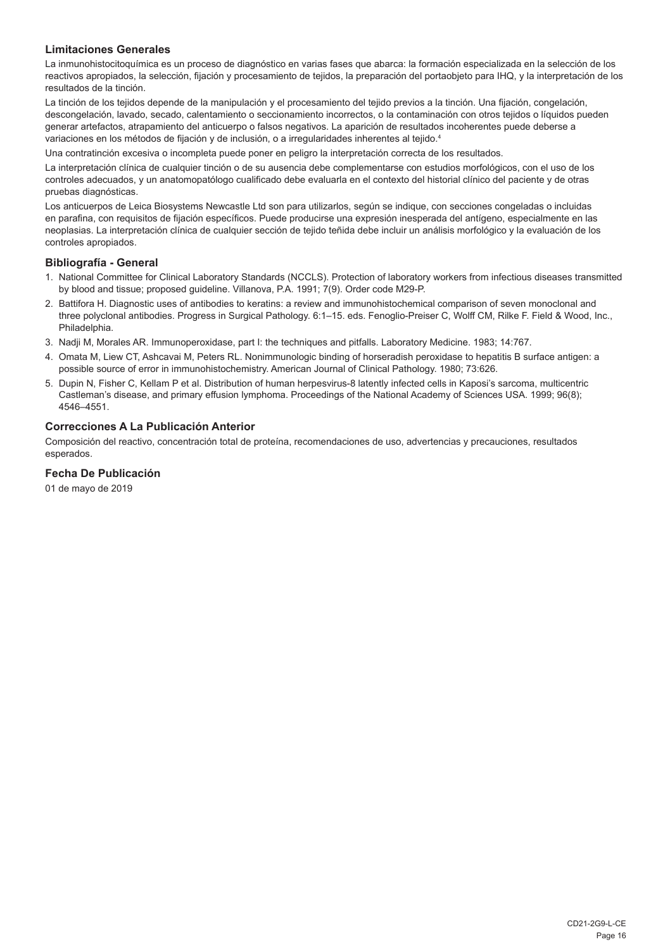## **Limitaciones Generales**

La inmunohistocitoquímica es un proceso de diagnóstico en varias fases que abarca: la formación especializada en la selección de los reactivos apropiados, la selección, fijación y procesamiento de tejidos, la preparación del portaobjeto para IHQ, y la interpretación de los resultados de la tinción.

La tinción de los tejidos depende de la manipulación y el procesamiento del tejido previos a la tinción. Una fijación, congelación, descongelación, lavado, secado, calentamiento o seccionamiento incorrectos, o la contaminación con otros tejidos o líquidos pueden generar artefactos, atrapamiento del anticuerpo o falsos negativos. La aparición de resultados incoherentes puede deberse a variaciones en los métodos de fijación y de inclusión, o a irregularidades inherentes al tejido.<sup>4</sup>

Una contratinción excesiva o incompleta puede poner en peligro la interpretación correcta de los resultados.

La interpretación clínica de cualquier tinción o de su ausencia debe complementarse con estudios morfológicos, con el uso de los controles adecuados, y un anatomopatólogo cualificado debe evaluarla en el contexto del historial clínico del paciente y de otras pruebas diagnósticas.

Los anticuerpos de Leica Biosystems Newcastle Ltd son para utilizarlos, según se indique, con secciones congeladas o incluidas en parafina, con requisitos de fijación específicos. Puede producirse una expresión inesperada del antígeno, especialmente en las neoplasias. La interpretación clínica de cualquier sección de tejido teñida debe incluir un análisis morfológico y la evaluación de los controles apropiados.

## **Bibliografía - General**

- 1. National Committee for Clinical Laboratory Standards (NCCLS). Protection of laboratory workers from infectious diseases transmitted by blood and tissue; proposed guideline. Villanova, P.A. 1991; 7(9). Order code M29-P.
- 2. Battifora H. Diagnostic uses of antibodies to keratins: a review and immunohistochemical comparison of seven monoclonal and three polyclonal antibodies. Progress in Surgical Pathology. 6:1–15. eds. Fenoglio-Preiser C, Wolff CM, Rilke F. Field & Wood, Inc., Philadelphia.
- 3. Nadji M, Morales AR. Immunoperoxidase, part I: the techniques and pitfalls. Laboratory Medicine. 1983; 14:767.
- 4. Omata M, Liew CT, Ashcavai M, Peters RL. Nonimmunologic binding of horseradish peroxidase to hepatitis B surface antigen: a possible source of error in immunohistochemistry. American Journal of Clinical Pathology. 1980; 73:626.
- 5. Dupin N, Fisher C, Kellam P et al. Distribution of human herpesvirus-8 latently infected cells in Kaposi's sarcoma, multicentric Castleman's disease, and primary effusion lymphoma. Proceedings of the National Academy of Sciences USA. 1999; 96(8); 4546–4551.

## **Correcciones A La Publicación Anterior**

Composición del reactivo, concentración total de proteína, recomendaciones de uso, advertencias y precauciones, resultados esperados.

## **Fecha De Publicación**

01 de mayo de 2019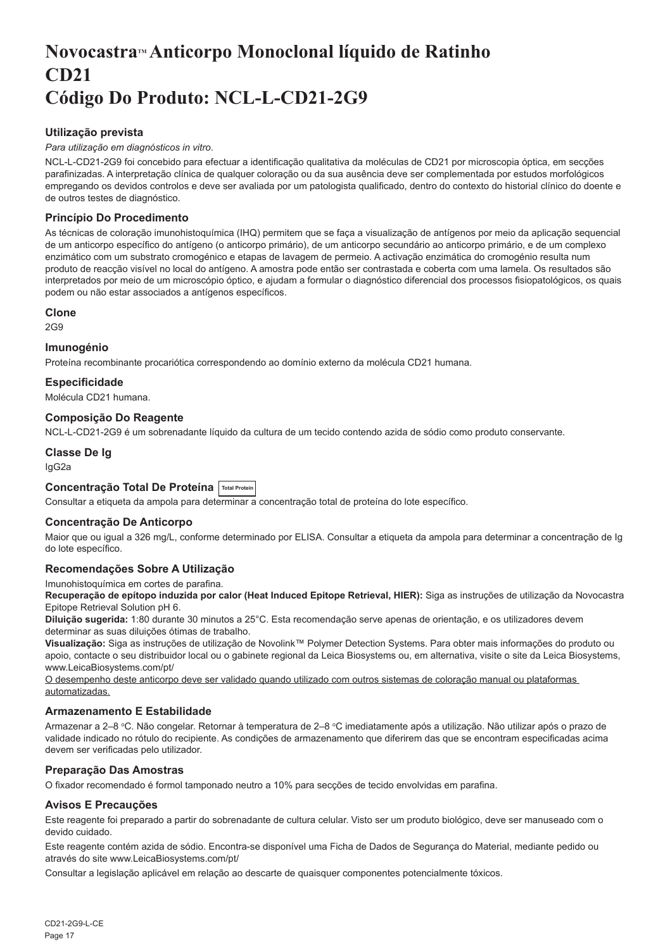# <span id="page-17-0"></span>**NovocastraTM Anticorpo Monoclonal líquido de Ratinho CD21 Código Do Produto: NCL-L-CD21-2G9**

## **Utilização prevista**

#### *Para utilização em diagnósticos in vitro*.

NCL-L-CD21-2G9 foi concebido para efectuar a identificação qualitativa da moléculas de CD21 por microscopia óptica, em secções parafinizadas. A interpretação clínica de qualquer coloração ou da sua ausência deve ser complementada por estudos morfológicos empregando os devidos controlos e deve ser avaliada por um patologista qualificado, dentro do contexto do historial clínico do doente e de outros testes de diagnóstico.

## **Princípio Do Procedimento**

As técnicas de coloração imunohistoquímica (IHQ) permitem que se faça a visualização de antígenos por meio da aplicação sequencial de um anticorpo específico do antígeno (o anticorpo primário), de um anticorpo secundário ao anticorpo primário, e de um complexo enzimático com um substrato cromogénico e etapas de lavagem de permeio. A activação enzimática do cromogénio resulta num produto de reacção visível no local do antígeno. A amostra pode então ser contrastada e coberta com uma lamela. Os resultados são interpretados por meio de um microscópio óptico, e ajudam a formular o diagnóstico diferencial dos processos fisiopatológicos, os quais podem ou não estar associados a antígenos específicos.

## **Clone**

 $2C9$ 

## **Imunogénio**

Proteína recombinante procariótica correspondendo ao domínio externo da molécula CD21 humana.

## **Especificidade**

Molécula CD21 humana.

## **Composição Do Reagente**

NCL-L-CD21-2G9 é um sobrenadante líquido da cultura de um tecido contendo azida de sódio como produto conservante.

## **Classe De Ig**

IgG2a

## **Concentração Total De Proteína Total Protein**

Consultar a etiqueta da ampola para determinar a concentração total de proteína do lote específico.

## **Concentração De Anticorpo**

Maior que ou igual a 326 mg/L, conforme determinado por ELISA. Consultar a etiqueta da ampola para determinar a concentração de Ig do lote específico.

## **Recomendações Sobre A Utilização**

Imunohistoquímica em cortes de parafina.

**Recuperação de epítopo induzida por calor (Heat Induced Epitope Retrieval, HIER):** Siga as instruções de utilização da Novocastra Epitope Retrieval Solution pH 6.

**Diluição sugerida:** 1:80 durante 30 minutos a 25°C. Esta recomendação serve apenas de orientação, e os utilizadores devem determinar as suas diluições ótimas de trabalho.

**Visualização:** Siga as instruções de utilização de Novolink™ Polymer Detection Systems. Para obter mais informações do produto ou apoio, contacte o seu distribuidor local ou o gabinete regional da Leica Biosystems ou, em alternativa, visite o site da Leica Biosystems, www.LeicaBiosystems.com/pt/

O desempenho deste anticorpo deve ser validado quando utilizado com outros sistemas de coloração manual ou plataformas automatizadas.

#### **Armazenamento E Estabilidade**

Armazenar a 2–8 °C. Não congelar. Retornar à temperatura de 2–8 °C imediatamente após a utilização. Não utilizar após o prazo de validade indicado no rótulo do recipiente. As condições de armazenamento que diferirem das que se encontram especificadas acima devem ser verificadas pelo utilizador.

## **Preparação Das Amostras**

O fixador recomendado é formol tamponado neutro a 10% para secções de tecido envolvidas em parafina.

## **Avisos E Precauções**

Este reagente foi preparado a partir do sobrenadante de cultura celular. Visto ser um produto biológico, deve ser manuseado com o devido cuidado.

Este reagente contém azida de sódio. Encontra-se disponível uma Ficha de Dados de Segurança do Material, mediante pedido ou através do site www.LeicaBiosystems.com/pt/

Consultar a legislação aplicável em relação ao descarte de quaisquer componentes potencialmente tóxicos.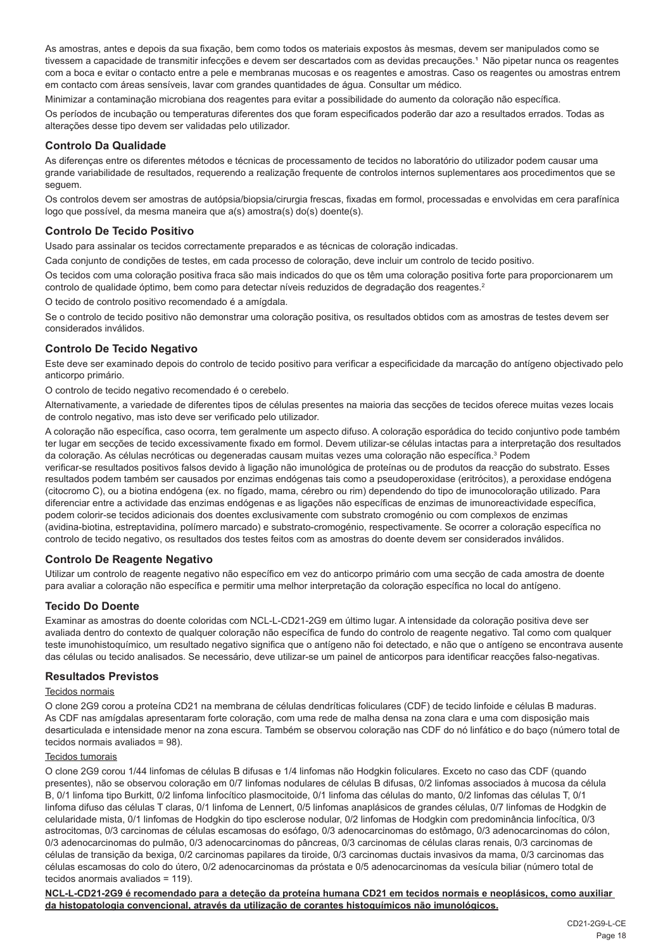As amostras, antes e depois da sua fixação, bem como todos os materiais expostos às mesmas, devem ser manipulados como se tivessem a capacidade de transmitir infecções e devem ser descartados com as devidas precauções.<sup>1</sup> Não pipetar nunca os reagentes com a boca e evitar o contacto entre a pele e membranas mucosas e os reagentes e amostras. Caso os reagentes ou amostras entrem em contacto com áreas sensíveis, lavar com grandes quantidades de água. Consultar um médico.

Minimizar a contaminação microbiana dos reagentes para evitar a possibilidade do aumento da coloração não específica.

Os períodos de incubação ou temperaturas diferentes dos que foram especificados poderão dar azo a resultados errados. Todas as alterações desse tipo devem ser validadas pelo utilizador.

## **Controlo Da Qualidade**

As diferenças entre os diferentes métodos e técnicas de processamento de tecidos no laboratório do utilizador podem causar uma grande variabilidade de resultados, requerendo a realização frequente de controlos internos suplementares aos procedimentos que se seguem.

Os controlos devem ser amostras de autópsia/biopsia/cirurgia frescas, fixadas em formol, processadas e envolvidas em cera parafínica logo que possível, da mesma maneira que a(s) amostra(s) do(s) doente(s).

## **Controlo De Tecido Positivo**

Usado para assinalar os tecidos correctamente preparados e as técnicas de coloração indicadas.

Cada conjunto de condições de testes, em cada processo de coloração, deve incluir um controlo de tecido positivo.

Os tecidos com uma coloração positiva fraca são mais indicados do que os têm uma coloração positiva forte para proporcionarem um controlo de qualidade óptimo, bem como para detectar níveis reduzidos de degradação dos reagentes.<sup>2</sup>

O tecido de controlo positivo recomendado é a amígdala.

Se o controlo de tecido positivo não demonstrar uma coloração positiva, os resultados obtidos com as amostras de testes devem ser considerados inválidos.

## **Controlo De Tecido Negativo**

Este deve ser examinado depois do controlo de tecido positivo para verificar a especificidade da marcação do antígeno objectivado pelo anticorpo primário.

O controlo de tecido negativo recomendado é o cerebelo.

Alternativamente, a variedade de diferentes tipos de células presentes na maioria das secções de tecidos oferece muitas vezes locais de controlo negativo, mas isto deve ser verificado pelo utilizador.

A coloração não específica, caso ocorra, tem geralmente um aspecto difuso. A coloração esporádica do tecido conjuntivo pode também ter lugar em secções de tecido excessivamente fixado em formol. Devem utilizar-se células intactas para a interpretação dos resultados da coloração. As células necróticas ou degeneradas causam muitas vezes uma coloração não específica.<sup>3</sup> Podem

verificar-se resultados positivos falsos devido à ligação não imunológica de proteínas ou de produtos da reacção do substrato. Esses resultados podem também ser causados por enzimas endógenas tais como a pseudoperoxidase (eritrócitos), a peroxidase endógena (citocromo C), ou a biotina endógena (ex. no fígado, mama, cérebro ou rim) dependendo do tipo de imunocoloração utilizado. Para diferenciar entre a actividade das enzimas endógenas e as ligações não específicas de enzimas de imunoreactividade específica, podem colorir-se tecidos adicionais dos doentes exclusivamente com substrato cromogénio ou com complexos de enzimas (avidina-biotina, estreptavidina, polímero marcado) e substrato-cromogénio, respectivamente. Se ocorrer a coloração específica no controlo de tecido negativo, os resultados dos testes feitos com as amostras do doente devem ser considerados inválidos.

## **Controlo De Reagente Negativo**

Utilizar um controlo de reagente negativo não específico em vez do anticorpo primário com uma secção de cada amostra de doente para avaliar a coloração não específica e permitir uma melhor interpretação da coloração específica no local do antígeno.

## **Tecido Do Doente**

Examinar as amostras do doente coloridas com NCL-L-CD21-2G9 em último lugar. A intensidade da coloração positiva deve ser avaliada dentro do contexto de qualquer coloração não específica de fundo do controlo de reagente negativo. Tal como com qualquer teste imunohistoquímico, um resultado negativo significa que o antígeno não foi detectado, e não que o antígeno se encontrava ausente das células ou tecido analisados. Se necessário, deve utilizar-se um painel de anticorpos para identificar reacções falso-negativas.

#### **Resultados Previstos**

## Tecidos normais

O clone 2G9 corou a proteína CD21 na membrana de células dendríticas foliculares (CDF) de tecido linfoide e células B maduras. As CDF nas amígdalas apresentaram forte coloração, com uma rede de malha densa na zona clara e uma com disposição mais desarticulada e intensidade menor na zona escura. Também se observou coloração nas CDF do nó linfático e do baço (número total de tecidos normais avaliados = 98).

## Tecidos tumorais

O clone 2G9 corou 1/44 linfomas de células B difusas e 1/4 linfomas não Hodgkin foliculares. Exceto no caso das CDF (quando presentes), não se observou coloração em 0/7 linfomas nodulares de células B difusas, 0/2 linfomas associados à mucosa da célula B, 0/1 linfoma tipo Burkitt, 0/2 linfoma linfocítico plasmocitoide, 0/1 linfoma das células do manto, 0/2 linfomas das células T, 0/1 linfoma difuso das células T claras, 0/1 linfoma de Lennert, 0/5 linfomas anaplásicos de grandes células, 0/7 linfomas de Hodgkin de celularidade mista, 0/1 linfomas de Hodgkin do tipo esclerose nodular, 0/2 linfomas de Hodgkin com predominância linfocítica, 0/3 astrocitomas, 0/3 carcinomas de células escamosas do esófago, 0/3 adenocarcinomas do estômago, 0/3 adenocarcinomas do cólon, 0/3 adenocarcinomas do pulmão, 0/3 adenocarcinomas do pâncreas, 0/3 carcinomas de células claras renais, 0/3 carcinomas de células de transição da bexiga, 0/2 carcinomas papilares da tiroide, 0/3 carcinomas ductais invasivos da mama, 0/3 carcinomas das células escamosas do colo do útero, 0/2 adenocarcinomas da próstata e 0/5 adenocarcinomas da vesícula biliar (número total de tecidos anormais avaliados = 119).

**NCL-L-CD21-2G9 é recomendado para a deteção da proteína humana CD21 em tecidos normais e neoplásicos, como auxiliar da histopatologia convencional, através da utilização de corantes histoquímicos não imunológicos.**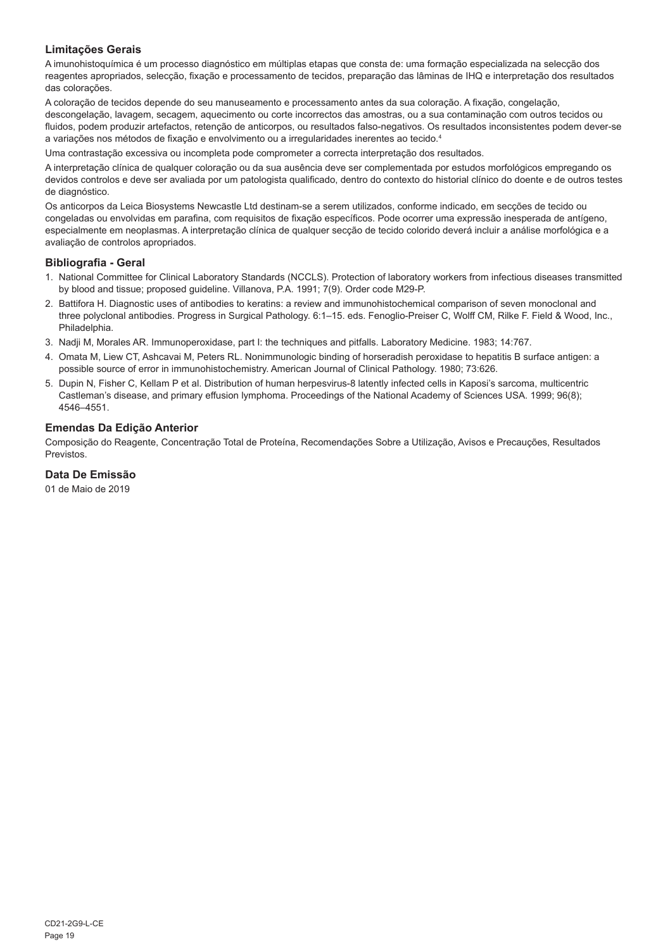## **Limitações Gerais**

A imunohistoquímica é um processo diagnóstico em múltiplas etapas que consta de: uma formação especializada na selecção dos reagentes apropriados, selecção, fixação e processamento de tecidos, preparação das lâminas de IHQ e interpretação dos resultados das colorações.

A coloração de tecidos depende do seu manuseamento e processamento antes da sua coloração. A fixação, congelação, descongelação, lavagem, secagem, aquecimento ou corte incorrectos das amostras, ou a sua contaminação com outros tecidos ou fluidos, podem produzir artefactos, retenção de anticorpos, ou resultados falso-negativos. Os resultados inconsistentes podem dever-se a variações nos métodos de fixação e envolvimento ou a irregularidades inerentes ao tecido.4

Uma contrastação excessiva ou incompleta pode comprometer a correcta interpretação dos resultados.

A interpretação clínica de qualquer coloração ou da sua ausência deve ser complementada por estudos morfológicos empregando os devidos controlos e deve ser avaliada por um patologista qualificado, dentro do contexto do historial clínico do doente e de outros testes de diagnóstico.

Os anticorpos da Leica Biosystems Newcastle Ltd destinam-se a serem utilizados, conforme indicado, em secções de tecido ou congeladas ou envolvidas em parafina, com requisitos de fixação específicos. Pode ocorrer uma expressão inesperada de antígeno, especialmente em neoplasmas. A interpretação clínica de qualquer secção de tecido colorido deverá incluir a análise morfológica e a avaliação de controlos apropriados.

## **Bibliografia - Geral**

- 1. National Committee for Clinical Laboratory Standards (NCCLS). Protection of laboratory workers from infectious diseases transmitted by blood and tissue; proposed guideline. Villanova, P.A. 1991; 7(9). Order code M29-P.
- 2. Battifora H. Diagnostic uses of antibodies to keratins: a review and immunohistochemical comparison of seven monoclonal and three polyclonal antibodies. Progress in Surgical Pathology. 6:1–15. eds. Fenoglio-Preiser C, Wolff CM, Rilke F. Field & Wood, Inc., Philadelphia.
- 3. Nadji M, Morales AR. Immunoperoxidase, part I: the techniques and pitfalls. Laboratory Medicine. 1983; 14:767.
- 4. Omata M, Liew CT, Ashcavai M, Peters RL. Nonimmunologic binding of horseradish peroxidase to hepatitis B surface antigen: a possible source of error in immunohistochemistry. American Journal of Clinical Pathology. 1980; 73:626.
- 5. Dupin N, Fisher C, Kellam P et al. Distribution of human herpesvirus-8 latently infected cells in Kaposi's sarcoma, multicentric Castleman's disease, and primary effusion lymphoma. Proceedings of the National Academy of Sciences USA. 1999; 96(8); 4546–4551.

## **Emendas Da Edição Anterior**

Composição do Reagente, Concentração Total de Proteína, Recomendações Sobre a Utilização, Avisos e Precauções, Resultados **Previstos** 

## **Data De Emissão**

01 de Maio de 2019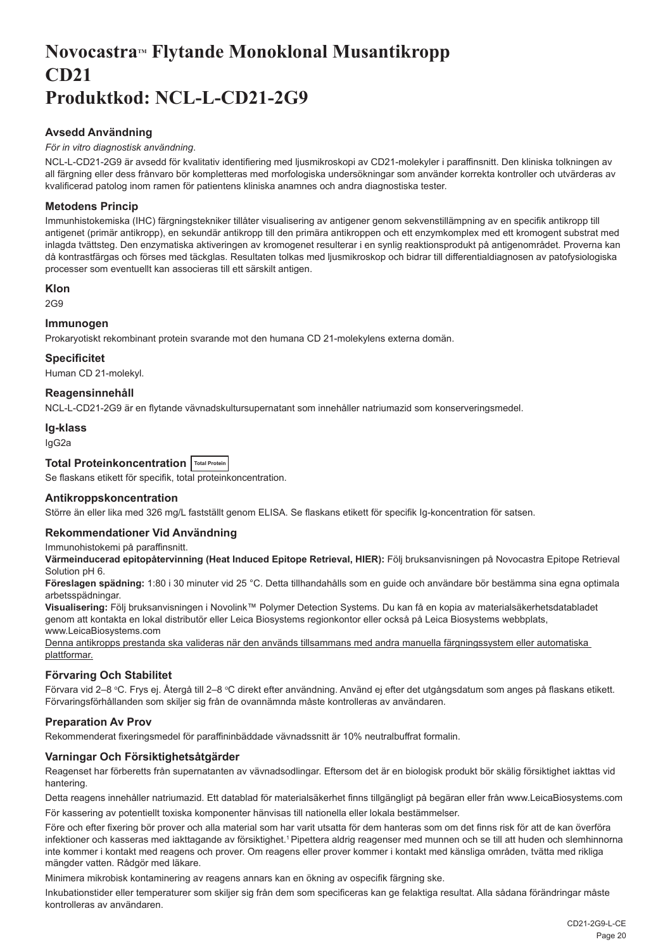## <span id="page-20-0"></span>Novocastra<sup>™</sup> Flytande Monoklonal Musantikropp **CD21 Produktkod: NCL-L-CD21-2G9**

## **Avsedd Användning**

## *För in vitro diagnostisk användning*.

NCL-L-CD21-2G9 är avsedd för kvalitativ identifiering med ljusmikroskopi av CD21-molekyler i paraffinsnitt. Den kliniska tolkningen av all färgning eller dess frånvaro bör kompletteras med morfologiska undersökningar som använder korrekta kontroller och utvärderas av kvalificerad patolog inom ramen för patientens kliniska anamnes och andra diagnostiska tester.

## **Metodens Princip**

Immunhistokemiska (IHC) färgningstekniker tillåter visualisering av antigener genom sekvenstillämpning av en specifik antikropp till antigenet (primär antikropp), en sekundär antikropp till den primära antikroppen och ett enzymkomplex med ett kromogent substrat med inlagda tvättsteg. Den enzymatiska aktiveringen av kromogenet resulterar i en synlig reaktionsprodukt på antigenområdet. Proverna kan då kontrastfärgas och förses med täckglas. Resultaten tolkas med ljusmikroskop och bidrar till differentialdiagnosen av patofysiologiska processer som eventuellt kan associeras till ett särskilt antigen.

## **Klon**

2G9

## **Immunogen**

Prokaryotiskt rekombinant protein svarande mot den humana CD 21-molekylens externa domän.

## **Specificitet**

Human CD 21-molekyl.

## **Reagensinnehåll**

NCL-L-CD21-2G9 är en flytande vävnadskultursupernatant som innehåller natriumazid som konserveringsmedel.

#### **Ig-klass**

IgG2a

## **Total Proteinkoncentration Total Protein**

Se flaskans etikett för specifik, total proteinkoncentration.

## **Antikroppskoncentration**

Större än eller lika med 326 mg/L fastställt genom ELISA. Se flaskans etikett för specifik Ig-koncentration för satsen.

## **Rekommendationer Vid Användning**

Immunohistokemi på paraffinsnitt.

**Värmeinducerad epitopåtervinning (Heat Induced Epitope Retrieval, HIER):** Följ bruksanvisningen på Novocastra Epitope Retrieval Solution pH 6.

**Föreslagen spädning:** 1:80 i 30 minuter vid 25 °C. Detta tillhandahålls som en guide och användare bör bestämma sina egna optimala arbetsspädningar.

**Visualisering:** Följ bruksanvisningen i Novolink™ Polymer Detection Systems. Du kan få en kopia av materialsäkerhetsdatabladet genom att kontakta en lokal distributör eller Leica Biosystems regionkontor eller också på Leica Biosystems webbplats, www.LeicaBiosystems.com

Denna antikropps prestanda ska valideras när den används tillsammans med andra manuella färgningssystem eller automatiska plattformar.

## **Förvaring Och Stabilitet**

Förvara vid 2–8 °C. Frys ej. Atergå till 2–8 °C direkt efter användning. Använd ej efter det utgångsdatum som anges på flaskans etikett. Förvaringsförhållanden som skiljer sig från de ovannämnda måste kontrolleras av användaren.

## **Preparation Av Prov**

Rekommenderat fixeringsmedel för paraffininbäddade vävnadssnitt är 10% neutralbuffrat formalin.

## **Varningar Och Försiktighetsåtgärder**

Reagenset har förberetts från supernatanten av vävnadsodlingar. Eftersom det är en biologisk produkt bör skälig försiktighet iakttas vid hantering.

Detta reagens innehåller natriumazid. Ett datablad för materialsäkerhet finns tillgängligt på begäran eller från www.LeicaBiosystems.com För kassering av potentiellt toxiska komponenter hänvisas till nationella eller lokala bestämmelser.

Före och efter fixering bör prover och alla material som har varit utsatta för dem hanteras som om det finns risk för att de kan överföra infektioner och kasseras med iakttagande av försiktighet.<sup>1</sup> Pipettera aldrig reagenser med munnen och se till att huden och slemhinnorna inte kommer i kontakt med reagens och prover. Om reagens eller prover kommer i kontakt med känsliga områden, tvätta med rikliga mängder vatten. Rådgör med läkare.

Minimera mikrobisk kontaminering av reagens annars kan en ökning av ospecifik färgning ske.

Inkubationstider eller temperaturer som skiljer sig från dem som specificeras kan ge felaktiga resultat. Alla sådana förändringar måste kontrolleras av användaren.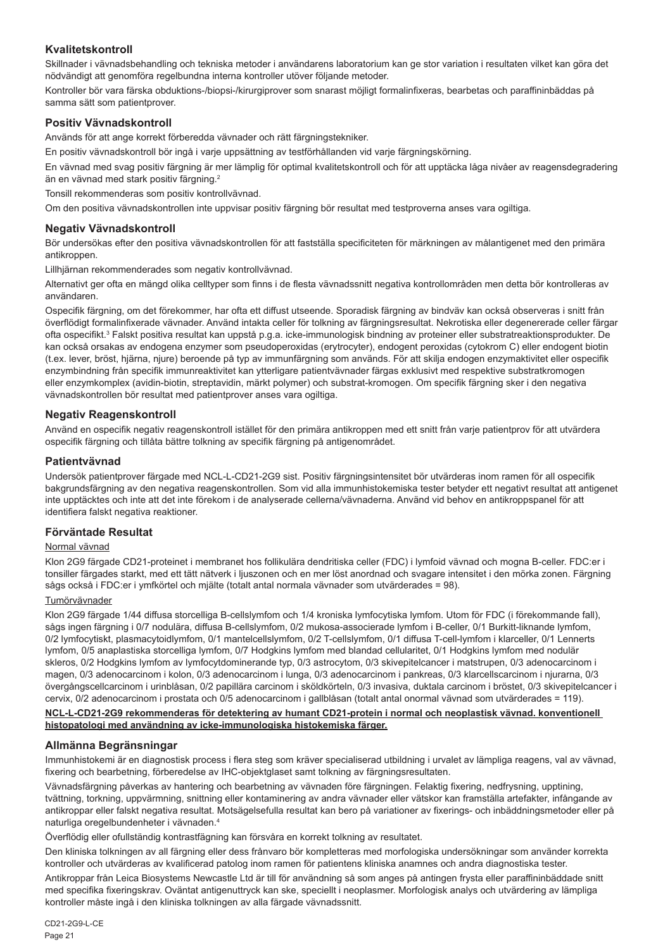## **Kvalitetskontroll**

Skillnader i vävnadsbehandling och tekniska metoder i användarens laboratorium kan ge stor variation i resultaten vilket kan göra det nödvändigt att genomföra regelbundna interna kontroller utöver följande metoder.

Kontroller bör vara färska obduktions-/biopsi-/kirurgiprover som snarast möjligt formalinfixeras, bearbetas och paraffininbäddas på samma sätt som patientprover.

## **Positiv Vävnadskontroll**

Används för att ange korrekt förberedda vävnader och rätt färgningstekniker.

En positiv vävnadskontroll bör ingå i varje uppsättning av testförhållanden vid varje färgningskörning.

En vävnad med svag positiv färgning är mer lämplig för optimal kvalitetskontroll och för att upptäcka låga nivåer av reagensdegradering än en vävnad med stark positiv färgning.<sup>2</sup>

Tonsill rekommenderas som positiv kontrollvävnad.

Om den positiva vävnadskontrollen inte uppvisar positiv färgning bör resultat med testproverna anses vara ogiltiga.

## **Negativ Vävnadskontroll**

Bör undersökas efter den positiva vävnadskontrollen för att fastställa specificiteten för märkningen av målantigenet med den primära antikroppen.

Lillhjärnan rekommenderades som negativ kontrollvävnad.

Alternativt ger ofta en mängd olika celltyper som finns i de flesta vävnadssnitt negativa kontrollområden men detta bör kontrolleras av användaren.

Ospecifik färgning, om det förekommer, har ofta ett diffust utseende. Sporadisk färgning av bindväv kan också observeras i snitt från överflödigt formalinfixerade vävnader. Använd intakta celler för tolkning av färgningsresultat. Nekrotiska eller degenererade celler färgar ofta ospecifikt.<sup>3</sup> Falskt positiva resultat kan uppstå p.g.a. icke-immunologisk bindning av proteiner eller substratreaktionsprodukter. De kan också orsakas av endogena enzymer som pseudoperoxidas (erytrocyter), endogent peroxidas (cytokrom C) eller endogent biotin (t.ex. lever, bröst, hjärna, njure) beroende på typ av immunfärgning som används. För att skilja endogen enzymaktivitet eller ospecifik enzymbindning från specifik immunreaktivitet kan ytterligare patientvävnader färgas exklusivt med respektive substratkromogen eller enzymkomplex (avidin-biotin, streptavidin, märkt polymer) och substrat-kromogen. Om specifik färgning sker i den negativa vävnadskontrollen bör resultat med patientprover anses vara ogiltiga.

## **Negativ Reagenskontroll**

Använd en ospecifik negativ reagenskontroll istället för den primära antikroppen med ett snitt från varje patientprov för att utvärdera ospecifik färgning och tillåta bättre tolkning av specifik färgning på antigenområdet.

## **Patientvävnad**

Undersök patientprover färgade med NCL-L-CD21-2G9 sist. Positiv färgningsintensitet bör utvärderas inom ramen för all ospecifik bakgrundsfärgning av den negativa reagenskontrollen. Som vid alla immunhistokemiska tester betyder ett negativt resultat att antigenet inte upptäcktes och inte att det inte förekom i de analyserade cellerna/vävnaderna. Använd vid behov en antikroppspanel för att identifiera falskt negativa reaktioner.

## **Förväntade Resultat**

## Normal vävnad

Klon 2G9 färgade CD21-proteinet i membranet hos follikulära dendritiska celler (FDC) i lymfoid vävnad och mogna B-celler. FDC:er i tonsiller färgades starkt, med ett tätt nätverk i ljuszonen och en mer löst anordnad och svagare intensitet i den mörka zonen. Färgning sågs också i FDC:er i ymfkörtel och mjälte (totalt antal normala vävnader som utvärderades = 98).

#### Tumörvävnader

Klon 2G9 färgade 1/44 diffusa storcelliga B-cellslymfom och 1/4 kroniska lymfocytiska lymfom. Utom för FDC (i förekommande fall), sågs ingen färgning i 0/7 nodulära, diffusa B-cellslymfom, 0/2 mukosa-associerade lymfom i B-celler, 0/1 Burkitt-liknande lymfom, 0/2 lymfocytiskt, plasmacytoidlymfom, 0/1 mantelcellslymfom, 0/2 T-cellslymfom, 0/1 diffusa T-cell-lymfom i klarceller, 0/1 Lennerts lymfom, 0/5 anaplastiska storcelliga lymfom, 0/7 Hodgkins lymfom med blandad cellularitet, 0/1 Hodgkins lymfom med nodulär skleros, 0/2 Hodgkins lymfom av lymfocytdominerande typ, 0/3 astrocytom, 0/3 skivepitelcancer i matstrupen, 0/3 adenocarcinom i magen, 0/3 adenocarcinom i kolon, 0/3 adenocarcinom i lunga, 0/3 adenocarcinom i pankreas, 0/3 klarcellscarcinom i njurarna, 0/3 övergångscellcarcinom i urinblåsan, 0/2 papillära carcinom i sköldkörteln, 0/3 invasiva, duktala carcinom i bröstet, 0/3 skivepitelcancer i cervix, 0/2 adenocarcinom i prostata och 0/5 adenocarcinom i gallblåsan (totalt antal onormal vävnad som utvärderades = 119).

#### **NCL-L-CD21-2G9 rekommenderas för detektering av humant CD21-protein i normal och neoplastisk vävnad. konventionell histopatologi med användning av icke-immunologiska histokemiska färger.**

## **Allmänna Begränsningar**

Immunhistokemi är en diagnostisk process i flera steg som kräver specialiserad utbildning i urvalet av lämpliga reagens, val av vävnad, fixering och bearbetning, förberedelse av IHC-objektglaset samt tolkning av färgningsresultaten.

Vävnadsfärgning påverkas av hantering och bearbetning av vävnaden före färgningen. Felaktig fixering, nedfrysning, upptining, tvättning, torkning, uppvärmning, snittning eller kontaminering av andra vävnader eller vätskor kan framställa artefakter, infångande av antikroppar eller falskt negativa resultat. Motsägelsefulla resultat kan bero på variationer av fixerings- och inbäddningsmetoder eller på naturliga oregelbundenheter i vävnaden.4

Överflödig eller ofullständig kontrastfägning kan försvåra en korrekt tolkning av resultatet.

Den kliniska tolkningen av all färgning eller dess frånvaro bör kompletteras med morfologiska undersökningar som använder korrekta kontroller och utvärderas av kvalificerad patolog inom ramen för patientens kliniska anamnes och andra diagnostiska tester.

Antikroppar från Leica Biosystems Newcastle Ltd är till för användning så som anges på antingen frysta eller paraffininbäddade snitt med specifika fixeringskrav. Oväntat antigenuttryck kan ske, speciellt i neoplasmer. Morfologisk analys och utvärdering av lämpliga kontroller måste ingå i den kliniska tolkningen av alla färgade vävnadssnitt.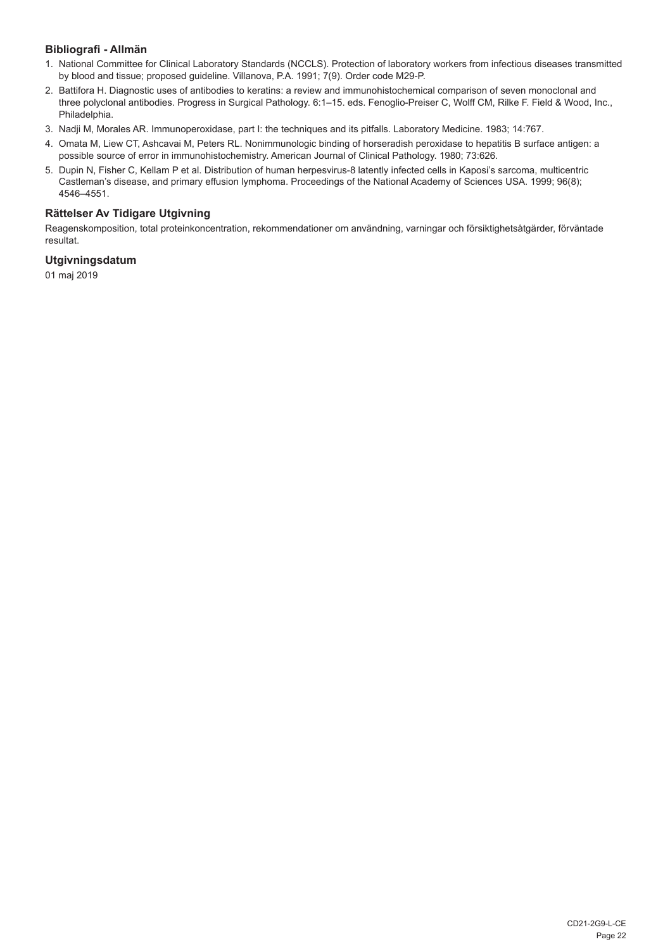## **Bibliografi - Allmän**

- 1. National Committee for Clinical Laboratory Standards (NCCLS). Protection of laboratory workers from infectious diseases transmitted by blood and tissue; proposed guideline. Villanova, P.A. 1991; 7(9). Order code M29-P.
- 2. Battifora H. Diagnostic uses of antibodies to keratins: a review and immunohistochemical comparison of seven monoclonal and three polyclonal antibodies. Progress in Surgical Pathology. 6:1–15. eds. Fenoglio-Preiser C, Wolff CM, Rilke F. Field & Wood, Inc., Philadelphia.
- 3. Nadji M, Morales AR. Immunoperoxidase, part I: the techniques and its pitfalls. Laboratory Medicine. 1983; 14:767.
- 4. Omata M, Liew CT, Ashcavai M, Peters RL. Nonimmunologic binding of horseradish peroxidase to hepatitis B surface antigen: a possible source of error in immunohistochemistry. American Journal of Clinical Pathology. 1980; 73:626.
- 5. Dupin N, Fisher C, Kellam P et al. Distribution of human herpesvirus-8 latently infected cells in Kaposi's sarcoma, multicentric Castleman's disease, and primary effusion lymphoma. Proceedings of the National Academy of Sciences USA. 1999; 96(8); 4546–4551.

## **Rättelser Av Tidigare Utgivning**

Reagenskomposition, total proteinkoncentration, rekommendationer om användning, varningar och försiktighetsåtgärder, förväntade resultat.

## **Utgivningsdatum**

01 maj 2019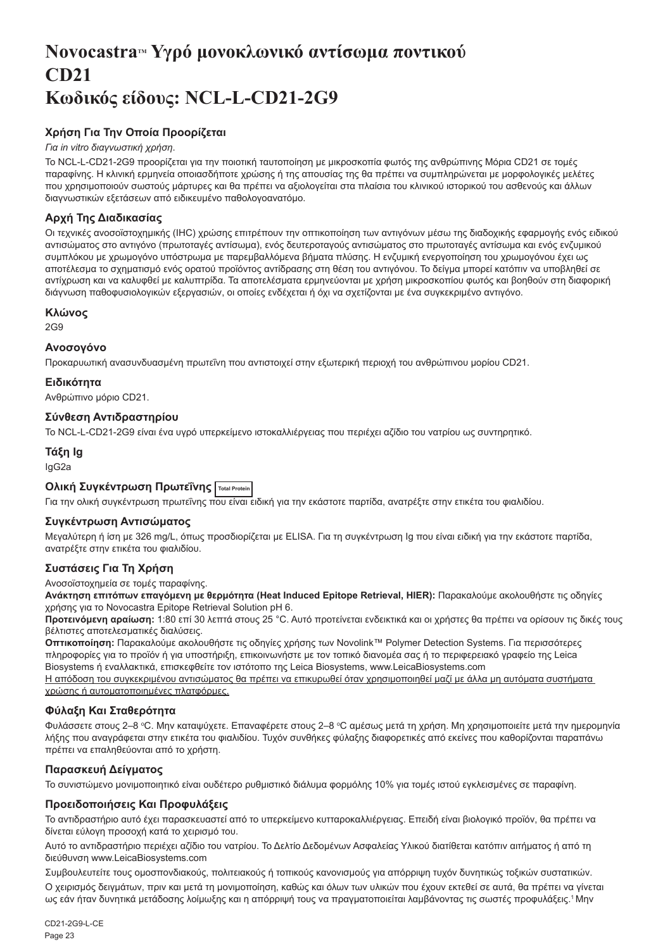# <span id="page-23-0"></span>**NovocastraTM Υγρό μονοκλωνικό αντίσωμα ποντικού CD21 Κωδικός είδους: NCL-L-CD21-2G9**

## **Χρήση Για Την Οποία Προορίζεται**

## *Για in vitro διαγνωστική χρήση*.

Το NCL-L-CD21-2G9 προορίζεται για την ποιοτική ταυτοποίηση με μικροσκοπία φωτός της ανθρώπινης Μόρια CD21 σε τομές παραφίνης. Η κλινική ερμηνεία οποιασδήποτε χρώσης ή της απουσίας της θα πρέπει να συμπληρώνεται με μορφολογικές μελέτες που χρησιμοποιούν σωστούς μάρτυρες και θα πρέπει να αξιολογείται στα πλαίσια του κλινικού ιστορικού του ασθενούς και άλλων διαγνωστικών εξετάσεων από ειδικευμένο παθολογοανατόμο.

## **Αρχή Της Διαδικασίας**

Οι τεχνικές ανοσοϊστοχημικής (IHC) χρώσης επιτρέπουν την οπτικοποίηση των αντιγόνων μέσω της διαδοχικής εφαρμογής ενός ειδικού αντισώματος στο αντιγόνο (πρωτοταγές αντίσωμα), ενός δευτεροταγούς αντισώματος στο πρωτοταγές αντίσωμα και ενός ενζυμικού συμπλόκου με χρωμογόνο υπόστρωμα με παρεμβαλλόμενα βήματα πλύσης. Η ενζυμική ενεργοποίηση του χρωμογόνου έχει ως αποτέλεσμα το σχηματισμό ενός ορατού προϊόντος αντίδρασης στη θέση του αντιγόνου. Το δείγμα μπορεί κατόπιν να υποβληθεί σε αντίχρωση και να καλυφθεί με καλυπτρίδα. Τα αποτελέσματα ερμηνεύονται με χρήση μικροσκοπίου φωτός και βοηθούν στη διαφορική διάγνωση παθοφυσιολογικών εξεργασιών, οι οποίες ενδέχεται ή όχι να σχετίζονται με ένα συγκεκριμένο αντιγόνο.

## **Κλώνος**

 $2C9$ 

## **Ανοσογόνο**

Προκαρυωτική ανασυνδυασμένη πρωτεΐνη που αντιστοιχεί στην εξωτερική περιοχή του ανθρώπινου μορίου CD21.

## **Ειδικότητα**

Ανθρώπινο μόριο CD21.

## **Σύνθεση Αντιδραστηρίου**

Το NCL-L-CD21-2G9 είναι ένα υγρό υπερκείμενο ιστοκαλλιέργειας που περιέχει αζίδιο του νατρίου ως συντηρητικό.

#### **Τάξη Ig** IgG2a

## **Ολική Συγκέντρωση Πρωτεΐνης Total Protein**

Για την ολική συγκέντρωση πρωτεΐνης που είναι ειδική για την εκάστοτε παρτίδα, ανατρέξτε στην ετικέτα του φιαλιδίου.

## **Συγκέντρωση Αντισώματος**

Μεγαλύτερη ή ίση με 326 mg/L, όπως προσδιορίζεται με ELISA. Για τη συγκέντρωση Ig που είναι ειδική για την εκάστοτε παρτίδα, ανατρέξτε στην ετικέτα του φιαλιδίου.

## **Συστάσεις Για Τη Χρήση**

Ανοσοϊστοχημεία σε τομές παραφίνης.

**Ανάκτηση επιτόπων επαγόμενη με θερμότητα (Heat Induced Epitope Retrieval, HIER):** Παρακαλούμε ακολουθήστε τις οδηγίες χρήσης για το Novocastra Epitope Retrieval Solution pH 6.

**Προτεινόμενη αραίωση:** 1:80 επί 30 λεπτά στους 25 °C. Αυτό προτείνεται ενδεικτικά και οι χρήστες θα πρέπει να ορίσουν τις δικές τους βέλτιστες αποτελεσματικές διαλύσεις.

**Οπτικοποίηση:** Παρακαλούμε ακολουθήστε τις οδηγίες χρήσης των Novolink™ Polymer Detection Systems. Για περισσότερες πληροφορίες για το προϊόν ή για υποστήριξη, επικοινωνήστε με τον τοπικό διανομέα σας ή το περιφερειακό γραφείο της Leica Biosystems ή εναλλακτικά, επισκεφθείτε τον ιστότοπο της Leica Biosystems, www.LeicaBiosystems.com Η απόδοση του συγκεκριμένου αντισώματος θα πρέπει να επικυρωθεί όταν χρησιμοποιηθεί μαζί με άλλα μη αυτόματα συστήματα

χρώσης ή αυτοματοποιημένες πλατφόρμες.

## **Φύλαξη Και Σταθερότητα**

Φυλάσσετε στους 2–8 °C. Μην καταψύχετε. Επαναφέρετε στους 2–8 °C αμέσως μετά τη χρήση. Μη χρησιμοποιείτε μετά την ημερομηνία λήξης που αναγράφεται στην ετικέτα του φιαλιδίου. Τυχόν συνθήκες φύλαξης διαφορετικές από εκείνες που καθορίζονται παραπάνω πρέπει να επαληθεύονται από το χρήστη.

## **Παρασκευή Δείγματος**

Το συνιστώμενο μονιμοποιητικό είναι ουδέτερο ρυθμιστικό διάλυμα φορμόλης 10% για τομές ιστού εγκλεισμένες σε παραφίνη.

## **Προειδοποιήσεις Και Προφυλάξεις**

Το αντιδραστήριο αυτό έχει παρασκευαστεί από το υπερκείμενο κυτταροκαλλιέργειας. Επειδή είναι βιολογικό προϊόν, θα πρέπει να δίνεται εύλογη προσοχή κατά το χειρισμό του.

Αυτό το αντιδραστήριο περιέχει αζίδιο του νατρίου. Το Δελτίο Δεδομένων Ασφαλείας Υλικού διατίθεται κατόπιν αιτήματος ή από τη διεύθυνση www.LeicaBiosystems.com

Συμβουλευτείτε τους ομοσπονδιακούς, πολιτειακούς ή τοπικούς κανονισμούς για απόρριψη τυχόν δυνητικώς τοξικών συστατικών. Ο χειρισμός δειγμάτων, πριν και μετά τη μονιμοποίηση, καθώς και όλων των υλικών που έχουν εκτεθεί σε αυτά, θα πρέπει να γίνεται ως εάν ήταν δυνητικά μετάδοσης λοίμωξης και η απόρριψή τους να πραγματοποιείται λαμβάνοντας τις σωστές προφυλάξεις.<sup>1</sup>Μην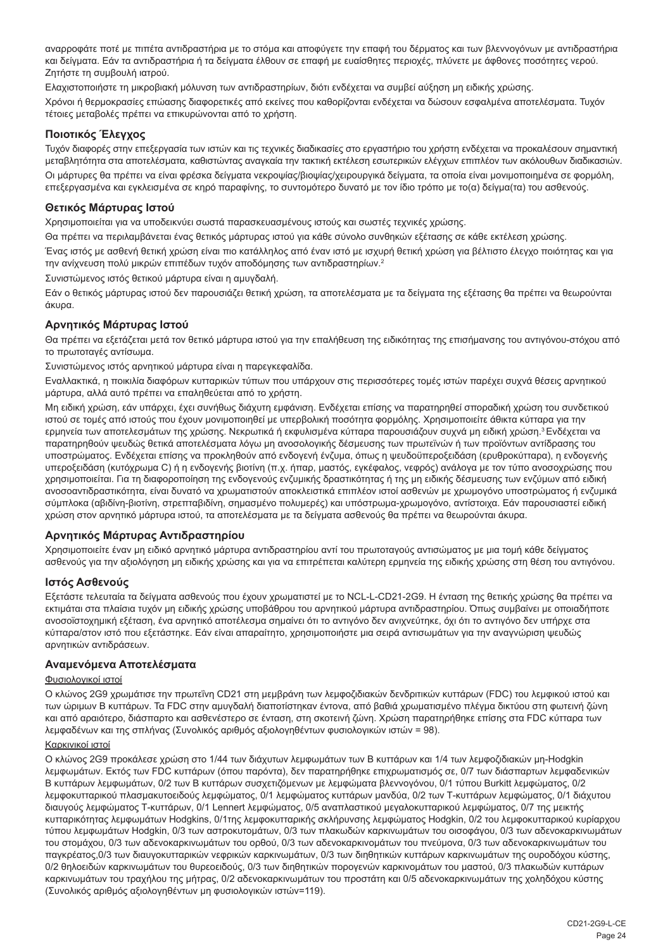αναρροφάτε ποτέ με πιπέτα αντιδραστήρια με το στόμα και αποφύγετε την επαφή του δέρματος και των βλεννογόνων με αντιδραστήρια και δείγματα. Εάν τα αντιδραστήρια ή τα δείγματα έλθουν σε επαφή με ευαίσθητες περιοχές, πλύνετε με άφθονες ποσότητες νερού. Ζητήστε τη συμβουλή ιατρού.

Ελαχιστοποιήστε τη μικροβιακή μόλυνση των αντιδραστηρίων, διότι ενδέχεται να συμβεί αύξηση μη ειδικής χρώσης. Χρόνοι ή θερμοκρασίες επώασης διαφορετικές από εκείνες που καθορίζονται ενδέχεται να δώσουν εσφαλμένα αποτελέσματα. Τυχόν τέτοιες μεταβολές πρέπει να επικυρώνονται από το χρήστη.

## **Ποιοτικός Έλεγχος**

Τυχόν διαφορές στην επεξεργασία των ιστών και τις τεχνικές διαδικασίες στο εργαστήριο του χρήστη ενδέχεται να προκαλέσουν σημαντική μεταβλητότητα στα αποτελέσματα, καθιστώντας αναγκαία την τακτική εκτέλεση εσωτερικών ελέγχων επιπλέον των ακόλουθων διαδικασιών.

Οι μάρτυρες θα πρέπει να είναι φρέσκα δείγματα νεκροψίας/βιοψίας/χειρουργικά δείγματα, τα οποία είναι μονιμοποιημένα σε φορμόλη, επεξεργασμένα και εγκλεισμένα σε κηρό παραφίνης, το συντομότερο δυνατό με τον ίδιο τρόπο με το(α) δείγμα(τα) του ασθενούς.

## **Θετικός Μάρτυρας Ιστού**

Χρησιμοποιείται για να υποδεικνύει σωστά παρασκευασμένους ιστούς και σωστές τεχνικές χρώσης.

Θα πρέπει να περιλαμβάνεται ένας θετικός μάρτυρας ιστού για κάθε σύνολο συνθηκών εξέτασης σε κάθε εκτέλεση χρώσης.

Ένας ιστός με ασθενή θετική χρώση είναι πιο κατάλληλος από έναν ιστό με ισχυρή θετική χρώση για βέλτιστο έλεγχο ποιότητας και για την ανίχνευση πολύ μικρών επιπέδων τυχόν αποδόμησης των αντιδραστηρίων.<sup>2</sup>

Συνιστώμενος ιστός θετικού μάρτυρα είναι η αμυγδαλή.

Εάν ο θετικός μάρτυρας ιστού δεν παρουσιάζει θετική χρώση, τα αποτελέσματα με τα δείγματα της εξέτασης θα πρέπει να θεωρούνται άκυρα.

## **Αρνητικός Μάρτυρας Ιστού**

Θα πρέπει να εξετάζεται μετά τον θετικό μάρτυρα ιστού για την επαλήθευση της ειδικότητας της επισήμανσης του αντιγόνου-στόχου από το πρωτοταγές αντίσωμα.

Συνιστώμενος ιστός αρνητικού μάρτυρα είναι η παρεγκεφαλίδα.

Εναλλακτικά, η ποικιλία διαφόρων κυτταρικών τύπων που υπάρχουν στις περισσότερες τομές ιστών παρέχει συχνά θέσεις αρνητικού μάρτυρα, αλλά αυτό πρέπει να επαληθεύεται από το χρήστη.

Μη ειδική χρώση, εάν υπάρχει, έχει συνήθως διάχυτη εμφάνιση. Ενδέχεται επίσης να παρατηρηθεί σποραδική χρώση του συνδετικού ιστού σε τομές από ιστούς που έχουν μονιμοποιηθεί με υπερβολική ποσότητα φορμόλης. Χρησιμοποιείτε άθικτα κύτταρα για την ερμηνεία των αποτελεσμάτων της χρώσης. Νεκρωτικά ή εκφυλισμένα κύτταρα παρουσιάζουν συχνά μη ειδική χρώση.<sup>3</sup> Ενδέχεται να παρατηρηθούν ψευδώς θετικά αποτελέσματα λόγω μη ανοσολογικής δέσμευσης των πρωτεϊνών ή των προϊόντων αντίδρασης του υποστρώματος. Ενδέχεται επίσης να προκληθούν από ενδογενή ένζυμα, όπως η ψευδοϋπεροξειδάση (ερυθροκύτταρα), η ενδογενής υπεροξειδάση (κυτόχρωμα C) ή η ενδογενής βιοτίνη (π.χ. ήπαρ, μαστός, εγκέφαλος, νεφρός) ανάλογα με τον τύπο ανοσοχρώσης που χρησιμοποιείται. Για τη διαφοροποίηση της ενδογενούς ενζυμικής δραστικότητας ή της μη ειδικής δέσμευσης των ενζύμων από ειδική ανοσοαντιδραστικότητα, είναι δυνατό να χρωματιστούν αποκλειστικά επιπλέον ιστοί ασθενών με χρωμογόνο υποστρώματος ή ενζυμικά σύμπλοκα (αβιδίνη-βιοτίνη, στρεπταβιδίνη, σημασμένο πολυμερές) και υπόστρωμα-χρωμογόνο, αντίστοιχα. Εάν παρουσιαστεί ειδική χρώση στον αρνητικό μάρτυρα ιστού, τα αποτελέσματα με τα δείγματα ασθενούς θα πρέπει να θεωρούνται άκυρα.

## **Αρνητικός Μάρτυρας Αντιδραστηρίου**

Χρησιμοποιείτε έναν μη ειδικό αρνητικό μάρτυρα αντιδραστηρίου αντί του πρωτοταγούς αντισώματος με μια τομή κάθε δείγματος ασθενούς για την αξιολόγηση μη ειδικής χρώσης και για να επιτρέπεται καλύτερη ερμηνεία της ειδικής χρώσης στη θέση του αντιγόνου.

## **Ιστός Ασθενούς**

Εξετάστε τελευταία τα δείγματα ασθενούς που έχουν χρωματιστεί με το NCL-L-CD21-2G9. Η ένταση της θετικής χρώσης θα πρέπει να εκτιμάται στα πλαίσια τυχόν μη ειδικής χρώσης υποβάθρου του αρνητικού μάρτυρα αντιδραστηρίου. Όπως συμβαίνει με οποιαδήποτε ανοσοϊστοχημική εξέταση, ένα αρνητικό αποτέλεσμα σημαίνει ότι το αντιγόνο δεν ανιχνεύτηκε, όχι ότι το αντιγόνο δεν υπήρχε στα κύτταρα/στον ιστό που εξετάστηκε. Εάν είναι απαραίτητο, χρησιμοποιήστε μια σειρά αντισωμάτων για την αναγνώριση ψευδώς αρνητικών αντιδράσεων.

## **Αναμενόμενα Αποτελέσματα**

#### Φυσιολογικοί ιστοί

Ο κλώνος 2G9 χρωμάτισε την πρωτεΐνη CD21 στη μεμβράνη των λεμφοζιδιακών δενδριτικών κυττάρων (FDC) του λεμφικού ιστού και των ώριμων Β κυττάρων. Τα FDC στην αμυγδαλή διαποτίστηκαν έντονα, από βαθιά χρωματισμένο πλέγμα δικτύου στη φωτεινή ζώνη και από αραιότερο, διάσπαρτο και ασθενέστερο σε ένταση, στη σκοτεινή ζώνη. Χρώση παρατηρήθηκε επίσης στα FDC κύτταρα των λεμφαδένων και της σπλήνας (Συνολικός αριθμός αξιολογηθέντων φυσιολογικών ιστών = 98).

## Καρκινικοί ιστοί

Ο κλώνος 2G9 προκάλεσε χρώση στο 1/44 των διάχυτων λεμφωμάτων των Β κυττάρων και 1/4 των λεμφοζιδιακών μη-Hodgkin λεμφωμάτων. Εκτός των FDC κυττάρων (όπου παρόντα), δεν παρατηρήθηκε επιχρωματισμός σε, 0/7 των διάσπαρτων λεμφαδενικών Β κυττάρων λεμφωμάτων, 0/2 των Β κυττάρων συσχετιζόμενων με λεμφώματα βλεννογόνου, 0/1 τύπου Burkitt λεμφώματος, 0/2 λεμφοκυτταρικού πλασμακυτοειδούς λεμφώματος, 0/1 λεμφώματος κυττάρων μανδύα, 0/2 των Τ-κυττάρων λεμφώματος, 0/1 διάχυτου διαυγούς λεμφώματος Τ-κυττάρων, 0/1 Lennert λεμφώματος, 0/5 αναπλαστικού μεγαλοκυτταρικού λεμφώματος, 0/7 της μεικτής κυτταρικότητας λεμφωμάτων Hodgkins, 0/1της λεμφοκυτταρικής σκλήρυνσης λεμφώματος Hodgkin, 0/2 του λεμφοκυτταρικού κυρίαρχου τύπου λεμφωμάτων Hodgkin, 0/3 των αστροκυτομάτων, 0/3 των πλακωδών καρκινωμάτων του οισοφάγου, 0/3 των αδενοκαρκινωμάτων του στομάχου, 0/3 των αδενοκαρκινωμάτων του ορθού, 0/3 των αδενοκαρκινομάτων του πνεύμονα, 0/3 των αδενοκαρκινωμάτων του παγκρέατος,0/3 των διαυγοκυτταρικών νεφρικών καρκινωμάτων, 0/3 των διηθητικών κυττάρων καρκινωμάτων της ουροδόχου κύστης, 0/2 θηλοειδών καρκινωμάτων του θυρεοειδούς, 0/3 των διηθητικών πορογενών καρκινομάτων του μαστού, 0/3 πλακωδών κυττάρων καρκινωμάτων του τραχήλου της μήτρας, 0/2 αδενοκαρκινωμάτων του προστάτη και 0/5 αδενοκαρκινωμάτων της χοληδόχου κύστης (Συνολικός αριθμός αξιολογηθέντων μη φυσιολογικών ιστών=119).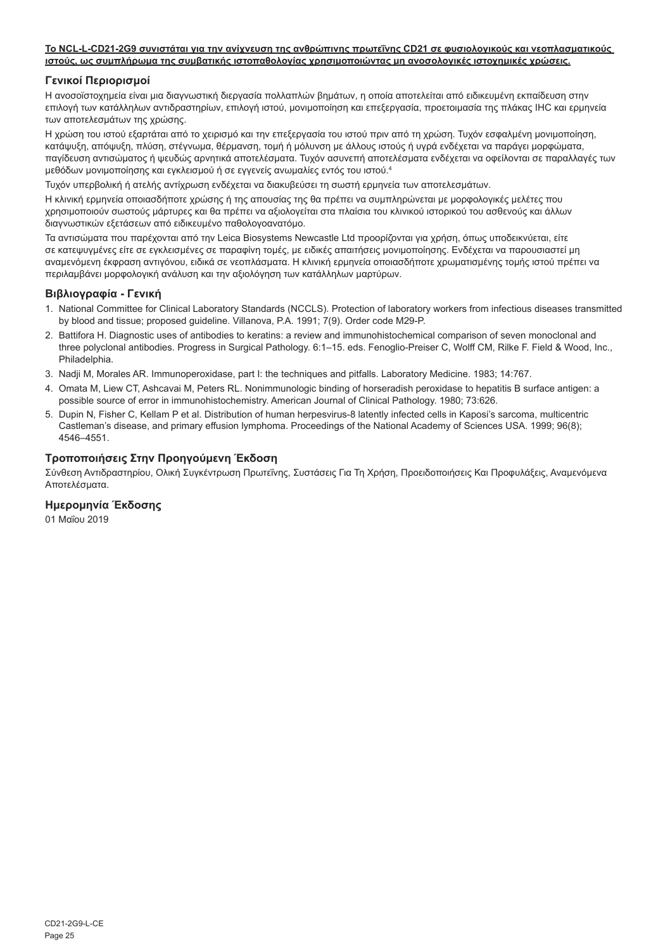#### **Το NCL-L-CD21-2G9 συνιστάται για την ανίχνευση της ανθρώπινης πρωτεΐνης CD21 σε φυσιολογικούς και νεοπλασματικούς ιστούς, ως συμπλήρωμα της συμβατικής ιστοπαθολογίας χρησιμοποιώντας μη ανοσολογικές ιστοχημικές χρώσεις.**

## **Γενικοί Περιορισμοί**

Η ανοσοϊστοχημεία είναι μια διαγνωστική διεργασία πολλαπλών βημάτων, η οποία αποτελείται από ειδικευμένη εκπαίδευση στην επιλογή των κατάλληλων αντιδραστηρίων, επιλογή ιστού, μονιμοποίηση και επεξεργασία, προετοιμασία της πλάκας IHC και ερμηνεία των αποτελεσμάτων της χρώσης.

Η χρώση του ιστού εξαρτάται από το χειρισμό και την επεξεργασία του ιστού πριν από τη χρώση. Τυχόν εσφαλμένη μονιμοποίηση, κατάψυξη, απόψυξη, πλύση, στέγνωμα, θέρμανση, τομή ή μόλυνση με άλλους ιστούς ή υγρά ενδέχεται να παράγει μορφώματα, παγίδευση αντισώματος ή ψευδώς αρνητικά αποτελέσματα. Τυχόν ασυνεπή αποτελέσματα ενδέχεται να οφείλονται σε παραλλαγές των μεθόδων μονιμοποίησης και εγκλεισμού ή σε εγγενείς ανωμαλίες εντός του ιστού.4

Τυχόν υπερβολική ή ατελής αντίχρωση ενδέχεται να διακυβεύσει τη σωστή ερμηνεία των αποτελεσμάτων.

Η κλινική ερμηνεία οποιασδήποτε χρώσης ή της απουσίας της θα πρέπει να συμπληρώνεται με μορφολογικές μελέτες που χρησιμοποιούν σωστούς μάρτυρες και θα πρέπει να αξιολογείται στα πλαίσια του κλινικού ιστορικού του ασθενούς και άλλων διαγνωστικών εξετάσεων από ειδικευμένο παθολογοανατόμο.

Τα αντισώματα που παρέχονται από την Leica Biosystems Newcastle Ltd προορίζονται για χρήση, όπως υποδεικνύεται, είτε σε κατεψυγμένες είτε σε εγκλεισμένες σε παραφίνη τομές, με ειδικές απαιτήσεις μονιμοποίησης. Ενδέχεται να παρουσιαστεί μη αναμενόμενη έκφραση αντιγόνου, ειδικά σε νεοπλάσματα. Η κλινική ερμηνεία οποιασδήποτε χρωματισμένης τομής ιστού πρέπει να περιλαμβάνει μορφολογική ανάλυση και την αξιολόγηση των κατάλληλων μαρτύρων.

## **Βιβλιογραφία - Γενική**

- 1. National Committee for Clinical Laboratory Standards (NCCLS). Protection of laboratory workers from infectious diseases transmitted by blood and tissue; proposed guideline. Villanova, P.A. 1991; 7(9). Order code M29-P.
- 2. Battifora H. Diagnostic uses of antibodies to keratins: a review and immunohistochemical comparison of seven monoclonal and three polyclonal antibodies. Progress in Surgical Pathology. 6:1–15. eds. Fenoglio-Preiser C, Wolff CM, Rilke F. Field & Wood, Inc., Philadelphia.
- 3. Nadji M, Morales AR. Immunoperoxidase, part I: the techniques and pitfalls. Laboratory Medicine. 1983; 14:767.
- 4. Omata M, Liew CT, Ashcavai M, Peters RL. Nonimmunologic binding of horseradish peroxidase to hepatitis B surface antigen: a possible source of error in immunohistochemistry. American Journal of Clinical Pathology. 1980; 73:626.
- 5. Dupin N, Fisher C, Kellam P et al. Distribution of human herpesvirus-8 latently infected cells in Kaposi's sarcoma, multicentric Castleman's disease, and primary effusion lymphoma. Proceedings of the National Academy of Sciences USA. 1999; 96(8); 4546–4551.

## **Τροποποιήσεις Στην Προηγούμενη Έκδοση**

Σύνθεση Αντιδραστηρίου, Ολική Συγκέντρωση Πρωτεΐνης, Συστάσεις Για Τη Χρήση, Προειδοποιήσεις Και Προφυλάξεις, Αναμενόμενα Αποτελέσματα.

## **Ημερομηνία Έκδοσης**

01 Μαΐου 2019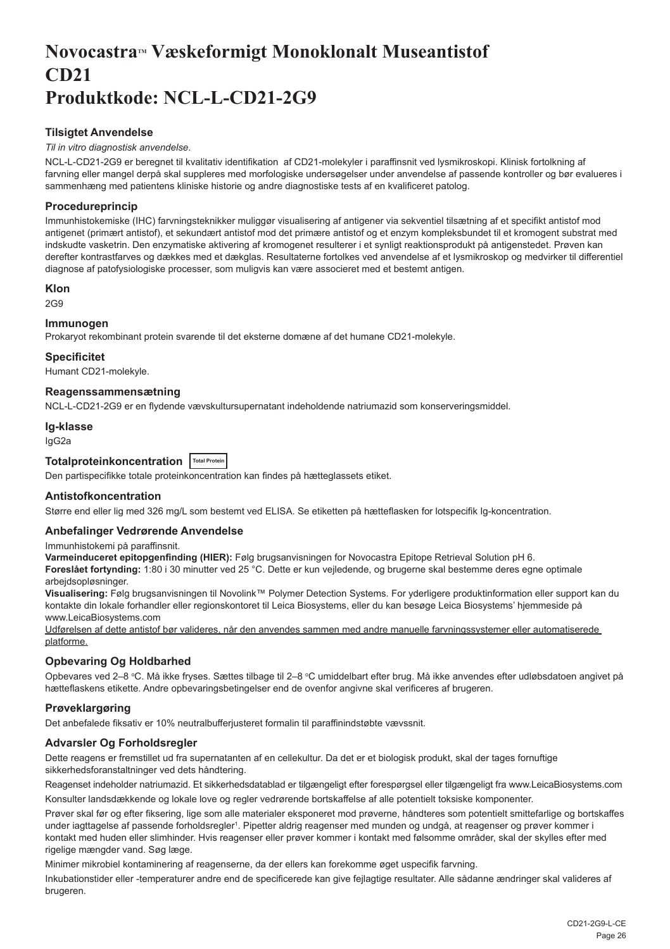## <span id="page-26-0"></span>**NovocastraTM Væskeformigt Monoklonalt Museantistof CD21 Produktkode: NCL-L-CD21-2G9**

## **Tilsigtet Anvendelse**

#### *Til in vitro diagnostisk anvendelse*.

NCL-L-CD21-2G9 er beregnet til kvalitativ identifikation af CD21-molekyler i paraffinsnit ved lysmikroskopi. Klinisk fortolkning af farvning eller mangel derpå skal suppleres med morfologiske undersøgelser under anvendelse af passende kontroller og bør evalueres i sammenhæng med patientens kliniske historie og andre diagnostiske tests af en kvalificeret patolog.

## **Procedureprincip**

Immunhistokemiske (IHC) farvningsteknikker muliggør visualisering af antigener via sekventiel tilsætning af et specifikt antistof mod antigenet (primært antistof), et sekundært antistof mod det primære antistof og et enzym kompleksbundet til et kromogent substrat med indskudte vasketrin. Den enzymatiske aktivering af kromogenet resulterer i et synligt reaktionsprodukt på antigenstedet. Prøven kan derefter kontrastfarves og dækkes med et dækglas. Resultaterne fortolkes ved anvendelse af et lysmikroskop og medvirker til differentiel diagnose af patofysiologiske processer, som muligvis kan være associeret med et bestemt antigen.

## **Klon**

2G9

## **Immunogen**

Prokaryot rekombinant protein svarende til det eksterne domæne af det humane CD21-molekyle.

## **Specificitet**

Humant CD21-molekyle.

## **Reagenssammensætning**

NCL-L-CD21-2G9 er en flydende vævskultursupernatant indeholdende natriumazid som konserveringsmiddel.

#### **Ig-klasse**

IgG2a

## **Totalproteinkoncentration Total Protein**

Den partispecifikke totale proteinkoncentration kan findes på hætteglassets etiket.

## **Antistofkoncentration**

Større end eller lig med 326 mg/L som bestemt ved ELISA. Se etiketten på hætteflasken for lotspecifik Ig-koncentration.

## **Anbefalinger Vedrørende Anvendelse**

Immunhistokemi på paraffinsnit.

**Varmeinduceret epitopgenfinding (HIER):** Følg brugsanvisningen for Novocastra Epitope Retrieval Solution pH 6.

**Foreslået fortynding:** 1:80 i 30 minutter ved 25 °C. Dette er kun vejledende, og brugerne skal bestemme deres egne optimale arbejdsopløsninger.

**Visualisering:** Følg brugsanvisningen til Novolink™ Polymer Detection Systems. For yderligere produktinformation eller support kan du kontakte din lokale forhandler eller regionskontoret til Leica Biosystems, eller du kan besøge Leica Biosystems' hjemmeside på www.LeicaBiosystems.com

Udførelsen af dette antistof bør valideres, når den anvendes sammen med andre manuelle farvningssystemer eller automatiserede platforme.

## **Opbevaring Og Holdbarhed**

Opbevares ved 2–8 °C. Må ikke fryses. Sættes tilbage til 2–8 °C umiddelbart efter brug. Må ikke anvendes efter udløbsdatoen angivet på hætteflaskens etikette. Andre opbevaringsbetingelser end de ovenfor angivne skal verificeres af brugeren.

## **Prøveklargøring**

Det anbefalede fiksativ er 10% neutralbufferjusteret formalin til paraffinindstøbte vævssnit.

## **Advarsler Og Forholdsregler**

Dette reagens er fremstillet ud fra supernatanten af en cellekultur. Da det er et biologisk produkt, skal der tages fornuftige sikkerhedsforanstaltninger ved dets håndtering.

Reagenset indeholder natriumazid. Et sikkerhedsdatablad er tilgængeligt efter forespørgsel eller tilgængeligt fra www.LeicaBiosystems.com Konsulter landsdækkende og lokale love og regler vedrørende bortskaffelse af alle potentielt toksiske komponenter.

Prøver skal før og efter fiksering, lige som alle materialer eksponeret mod prøverne, håndteres som potentielt smittefarlige og bortskaffes under iagttagelse af passende forholdsregler<sup>1</sup>. Pipetter aldrig reagenser med munden og undgå, at reagenser og prøver kommer i kontakt med huden eller slimhinder. Hvis reagenser eller prøver kommer i kontakt med følsomme områder, skal der skylles efter med rigelige mængder vand. Søg læge.

Minimer mikrobiel kontaminering af reagenserne, da der ellers kan forekomme øget uspecifik farvning.

Inkubationstider eller -temperaturer andre end de specificerede kan give fejlagtige resultater. Alle sådanne ændringer skal valideres af brugeren.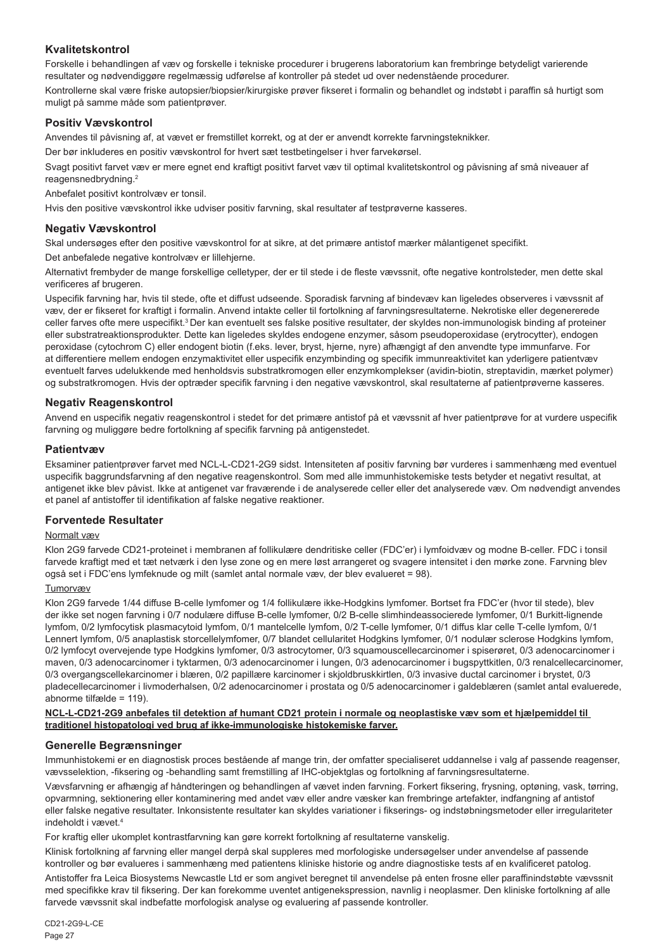## **Kvalitetskontrol**

Forskelle i behandlingen af væv og forskelle i tekniske procedurer i brugerens laboratorium kan frembringe betydeligt varierende resultater og nødvendiggøre regelmæssig udførelse af kontroller på stedet ud over nedenstående procedurer. Kontrollerne skal være friske autopsier/biopsier/kirurgiske prøver fikseret i formalin og behandlet og indstøbt i paraffin så hurtigt som muligt på samme måde som patientprøver.

## **Positiv Vævskontrol**

Anvendes til påvisning af, at vævet er fremstillet korrekt, og at der er anvendt korrekte farvningsteknikker.

Der bør inkluderes en positiv vævskontrol for hvert sæt testbetingelser i hver farvekørsel.

Svagt positivt farvet væv er mere egnet end kraftigt positivt farvet væv til optimal kvalitetskontrol og påvisning af små niveauer af reagensnedbrydning.<sup>2</sup>

Anbefalet positivt kontrolvæv er tonsil.

Hvis den positive vævskontrol ikke udviser positiv farvning, skal resultater af testprøverne kasseres.

## **Negativ Vævskontrol**

Skal undersøges efter den positive vævskontrol for at sikre, at det primære antistof mærker målantigenet specifikt.

Det anbefalede negative kontrolvæv er lillehjerne.

Alternativt frembyder de mange forskellige celletyper, der er til stede i de fleste vævssnit, ofte negative kontrolsteder, men dette skal verificeres af brugeren.

Uspecifik farvning har, hvis til stede, ofte et diffust udseende. Sporadisk farvning af bindevæv kan ligeledes observeres i vævssnit af væv, der er fikseret for kraftigt i formalin. Anvend intakte celler til fortolkning af farvningsresultaterne. Nekrotiske eller degenererede celler farves ofte mere uspecifikt.<sup>3</sup> Der kan eventuelt ses falske positive resultater, der skyldes non-immunologisk binding af proteiner eller substratreaktionsprodukter. Dette kan ligeledes skyldes endogene enzymer, såsom pseudoperoxidase (erytrocytter), endogen peroxidase (cytochrom C) eller endogent biotin (f.eks. lever, bryst, hjerne, nyre) afhængigt af den anvendte type immunfarve. For at differentiere mellem endogen enzymaktivitet eller uspecifik enzymbinding og specifik immunreaktivitet kan yderligere patientvæv eventuelt farves udelukkende med henholdsvis substratkromogen eller enzymkomplekser (avidin-biotin, streptavidin, mærket polymer) og substratkromogen. Hvis der optræder specifik farvning i den negative vævskontrol, skal resultaterne af patientprøverne kasseres.

## **Negativ Reagenskontrol**

Anvend en uspecifik negativ reagenskontrol i stedet for det primære antistof på et vævssnit af hver patientprøve for at vurdere uspecifik farvning og muliggøre bedre fortolkning af specifik farvning på antigenstedet.

## **Patientvæv**

Eksaminer patientprøver farvet med NCL-L-CD21-2G9 sidst. Intensiteten af positiv farvning bør vurderes i sammenhæng med eventuel uspecifik baggrundsfarvning af den negative reagenskontrol. Som med alle immunhistokemiske tests betyder et negativt resultat, at antigenet ikke blev påvist. Ikke at antigenet var fraværende i de analyserede celler eller det analyserede væv. Om nødvendigt anvendes et panel af antistoffer til identifikation af falske negative reaktioner.

## **Forventede Resultater**

## Normalt væv

Klon 2G9 farvede CD21-proteinet i membranen af follikulære dendritiske celler (FDC'er) i lymfoidvæv og modne B-celler. FDC i tonsil farvede kraftigt med et tæt netværk i den lyse zone og en mere løst arrangeret og svagere intensitet i den mørke zone. Farvning blev også set i FDC'ens lymfeknude og milt (samlet antal normale væv, der blev evalueret = 98).

## Tumorvæv

Klon 2G9 farvede 1/44 diffuse B-celle lymfomer og 1/4 follikulære ikke-Hodgkins lymfomer. Bortset fra FDC'er (hvor til stede), blev der ikke set nogen farvning i 0/7 nodulære diffuse B-celle lymfomer, 0/2 B-celle slimhindeassocierede lymfomer, 0/1 Burkitt-lignende lymfom, 0/2 lymfocytisk plasmacytoid lymfom, 0/1 mantelcelle lymfom, 0/2 T-celle lymfomer, 0/1 diffus klar celle T-celle lymfom, 0/1 Lennert lymfom, 0/5 anaplastisk storcellelymfomer, 0/7 blandet cellularitet Hodgkins lymfomer, 0/1 nodulær sclerose Hodgkins lymfom, 0/2 lymfocyt overvejende type Hodgkins lymfomer, 0/3 astrocytomer, 0/3 squamouscellecarcinomer i spiserøret, 0/3 adenocarcinomer i maven, 0/3 adenocarcinomer i tyktarmen, 0/3 adenocarcinomer i lungen, 0/3 adenocarcinomer i bugspyttkitlen, 0/3 renalcellecarcinomer, 0/3 overgangscellekarcinomer i blæren, 0/2 papillære karcinomer i skjoldbruskkirtlen, 0/3 invasive ductal carcinomer i brystet, 0/3 pladecellecarcinomer i livmoderhalsen, 0/2 adenocarcinomer i prostata og 0/5 adenocarcinomer i galdeblæren (samlet antal evaluerede, abnorme tilfælde = 119).

#### **NCL-L-CD21-2G9 anbefales til detektion af humant CD21 protein i normale og neoplastiske væv som et hjælpemiddel til traditionel histopatologi ved brug af ikke-immunologiske histokemiske farver.**

## **Generelle Begrænsninger**

Immunhistokemi er en diagnostisk proces bestående af mange trin, der omfatter specialiseret uddannelse i valg af passende reagenser, vævsselektion, -fiksering og -behandling samt fremstilling af IHC-objektglas og fortolkning af farvningsresultaterne.

Vævsfarvning er afhængig af håndteringen og behandlingen af vævet inden farvning. Forkert fiksering, frysning, optøning, vask, tørring, opvarmning, sektionering eller kontaminering med andet væv eller andre væsker kan frembringe artefakter, indfangning af antistof eller falske negative resultater. Inkonsistente resultater kan skyldes variationer i fikserings- og indstøbningsmetoder eller irregulariteter indeholdt i vævet.

For kraftig eller ukomplet kontrastfarvning kan gøre korrekt fortolkning af resultaterne vanskelig.

Klinisk fortolkning af farvning eller mangel derpå skal suppleres med morfologiske undersøgelser under anvendelse af passende kontroller og bør evalueres i sammenhæng med patientens kliniske historie og andre diagnostiske tests af en kvalificeret patolog. Antistoffer fra Leica Biosystems Newcastle Ltd er som angivet beregnet til anvendelse på enten frosne eller paraffinindstøbte vævssnit med specifikke krav til fiksering. Der kan forekomme uventet antigenekspression, navnlig i neoplasmer. Den kliniske fortolkning af alle farvede vævssnit skal indbefatte morfologisk analyse og evaluering af passende kontroller.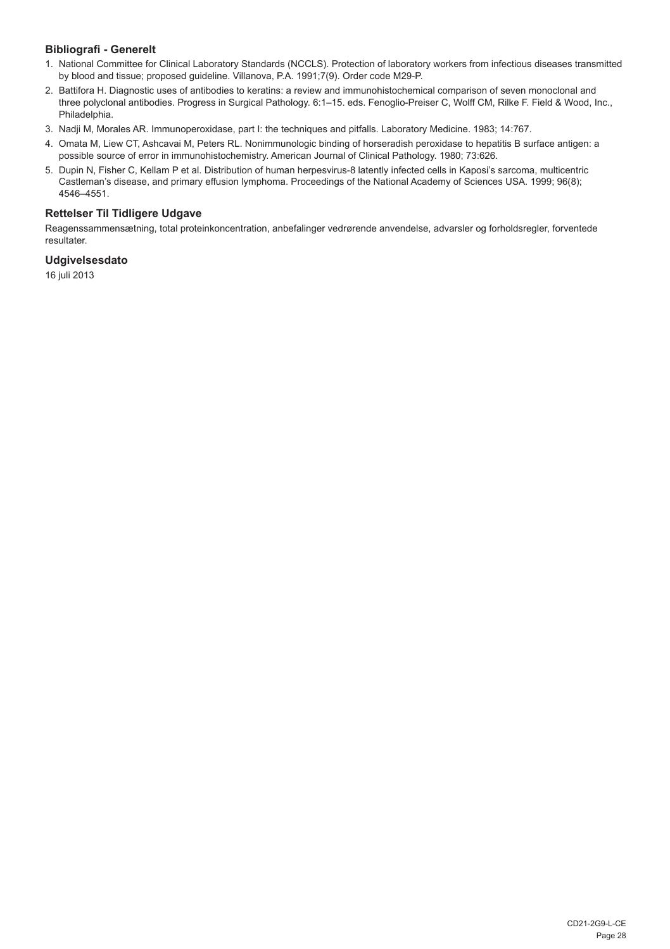## **Bibliografi - Generelt**

- 1. National Committee for Clinical Laboratory Standards (NCCLS). Protection of laboratory workers from infectious diseases transmitted by blood and tissue; proposed guideline. Villanova, P.A. 1991;7(9). Order code M29-P.
- 2. Battifora H. Diagnostic uses of antibodies to keratins: a review and immunohistochemical comparison of seven monoclonal and three polyclonal antibodies. Progress in Surgical Pathology. 6:1–15. eds. Fenoglio-Preiser C, Wolff CM, Rilke F. Field & Wood, Inc., Philadelphia.
- 3. Nadji M, Morales AR. Immunoperoxidase, part I: the techniques and pitfalls. Laboratory Medicine. 1983; 14:767.
- 4. Omata M, Liew CT, Ashcavai M, Peters RL. Nonimmunologic binding of horseradish peroxidase to hepatitis B surface antigen: a possible source of error in immunohistochemistry. American Journal of Clinical Pathology. 1980; 73:626.
- 5. Dupin N, Fisher C, Kellam P et al. Distribution of human herpesvirus-8 latently infected cells in Kaposi's sarcoma, multicentric Castleman's disease, and primary effusion lymphoma. Proceedings of the National Academy of Sciences USA. 1999; 96(8); 4546–4551.

## **Rettelser Til Tidligere Udgave**

Reagenssammensætning, total proteinkoncentration, anbefalinger vedrørende anvendelse, advarsler og forholdsregler, forventede resultater.

## **Udgivelsesdato**

16 juli 2013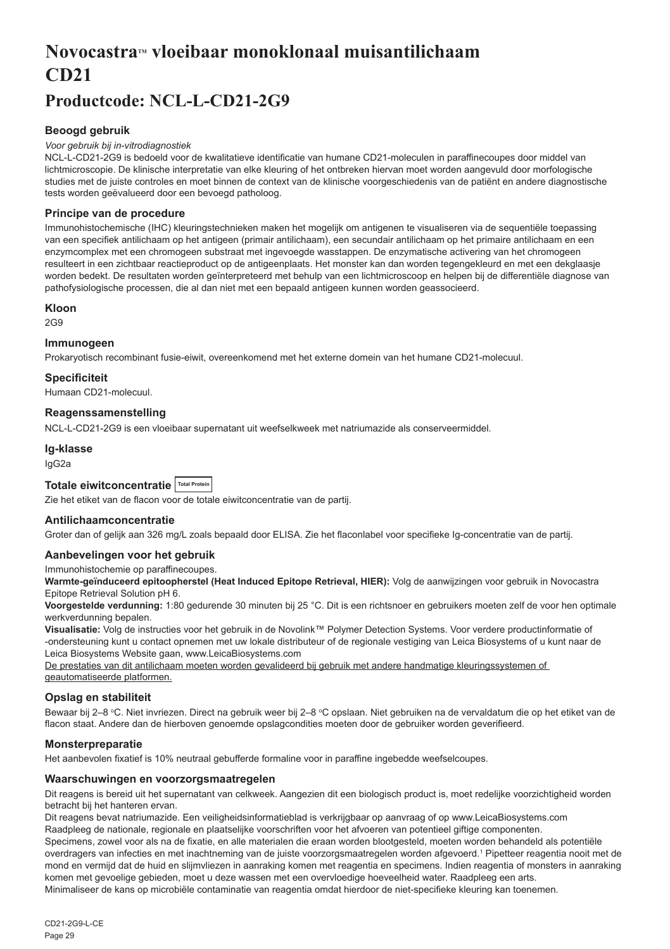# <span id="page-29-0"></span>**NovocastraTM vloeibaar monoklonaal muisantilichaam CD21**

# **Productcode: NCL-L-CD21-2G9**

## **Beoogd gebruik**

## *Voor gebruik bij in-vitrodiagnostiek*

NCL-L-CD21-2G9 is bedoeld voor de kwalitatieve identificatie van humane CD21-moleculen in paraffinecoupes door middel van lichtmicroscopie. De klinische interpretatie van elke kleuring of het ontbreken hiervan moet worden aangevuld door morfologische studies met de juiste controles en moet binnen de context van de klinische voorgeschiedenis van de patiënt en andere diagnostische tests worden geëvalueerd door een bevoegd patholoog.

## **Principe van de procedure**

Immunohistochemische (IHC) kleuringstechnieken maken het mogelijk om antigenen te visualiseren via de sequentiële toepassing van een specifiek antilichaam op het antigeen (primair antilichaam), een secundair antilichaam op het primaire antilichaam en een enzymcomplex met een chromogeen substraat met ingevoegde wasstappen. De enzymatische activering van het chromogeen resulteert in een zichtbaar reactieproduct op de antigeenplaats. Het monster kan dan worden tegengekleurd en met een dekglaasje worden bedekt. De resultaten worden geïnterpreteerd met behulp van een lichtmicroscoop en helpen bij de differentiële diagnose van pathofysiologische processen, die al dan niet met een bepaald antigeen kunnen worden geassocieerd.

## **Kloon**

2G9

## **Immunogeen**

Prokaryotisch recombinant fusie-eiwit, overeenkomend met het externe domein van het humane CD21-molecuul.

## **Specificiteit**

Humaan CD21-molecuul.

## **Reagenssamenstelling**

NCL-L-CD21-2G9 is een vloeibaar supernatant uit weefselkweek met natriumazide als conserveermiddel.

## **Ig-klasse**

IgG2a

## **Totale eiwitconcentratie Total Protein**

Zie het etiket van de flacon voor de totale eiwitconcentratie van de partij.

## **Antilichaamconcentratie**

Groter dan of gelijk aan 326 mg/L zoals bepaald door ELISA. Zie het flaconlabel voor specifieke Ig-concentratie van de partij.

## **Aanbevelingen voor het gebruik**

Immunohistochemie op paraffinecoupes.

**Warmte-geïnduceerd epitoopherstel (Heat Induced Epitope Retrieval, HIER):** Volg de aanwijzingen voor gebruik in Novocastra Epitope Retrieval Solution pH 6.

**Voorgestelde verdunning:** 1:80 gedurende 30 minuten bij 25 °C. Dit is een richtsnoer en gebruikers moeten zelf de voor hen optimale werkverdunning bepalen.

**Visualisatie:** Volg de instructies voor het gebruik in de Novolink™ Polymer Detection Systems. Voor verdere productinformatie of -ondersteuning kunt u contact opnemen met uw lokale distributeur of de regionale vestiging van Leica Biosystems of u kunt naar de Leica Biosystems Website gaan, www.LeicaBiosystems.com

De prestaties van dit antilichaam moeten worden gevalideerd bij gebruik met andere handmatige kleuringssystemen of geautomatiseerde platformen.

## **Opslag en stabiliteit**

Bewaar bij 2–8 °C. Niet invriezen. Direct na gebruik weer bij 2–8 °C opslaan. Niet gebruiken na de vervaldatum die op het etiket van de flacon staat. Andere dan de hierboven genoemde opslagcondities moeten door de gebruiker worden geverifieerd.

## **Monsterpreparatie**

Het aanbevolen fixatief is 10% neutraal gebufferde formaline voor in paraffine ingebedde weefselcoupes.

## **Waarschuwingen en voorzorgsmaatregelen**

Dit reagens is bereid uit het supernatant van celkweek. Aangezien dit een biologisch product is, moet redelijke voorzichtigheid worden betracht bij het hanteren ervan.

Dit reagens bevat natriumazide. Een veiligheidsinformatieblad is verkrijgbaar op aanvraag of op www.LeicaBiosystems.com Raadpleeg de nationale, regionale en plaatselijke voorschriften voor het afvoeren van potentieel giftige componenten.

Specimens, zowel voor als na de fixatie, en alle materialen die eraan worden blootgesteld, moeten worden behandeld als potentiële overdragers van infecties en met inachtneming van de juiste voorzorgsmaatregelen worden afgevoerd.<sup>1</sup> Pipetteer reagentia nooit met de mond en vermijd dat de huid en slijmvliezen in aanraking komen met reagentia en specimens. Indien reagentia of monsters in aanraking komen met gevoelige gebieden, moet u deze wassen met een overvloedige hoeveelheid water. Raadpleeg een arts. Minimaliseer de kans op microbiële contaminatie van reagentia omdat hierdoor de niet-specifieke kleuring kan toenemen.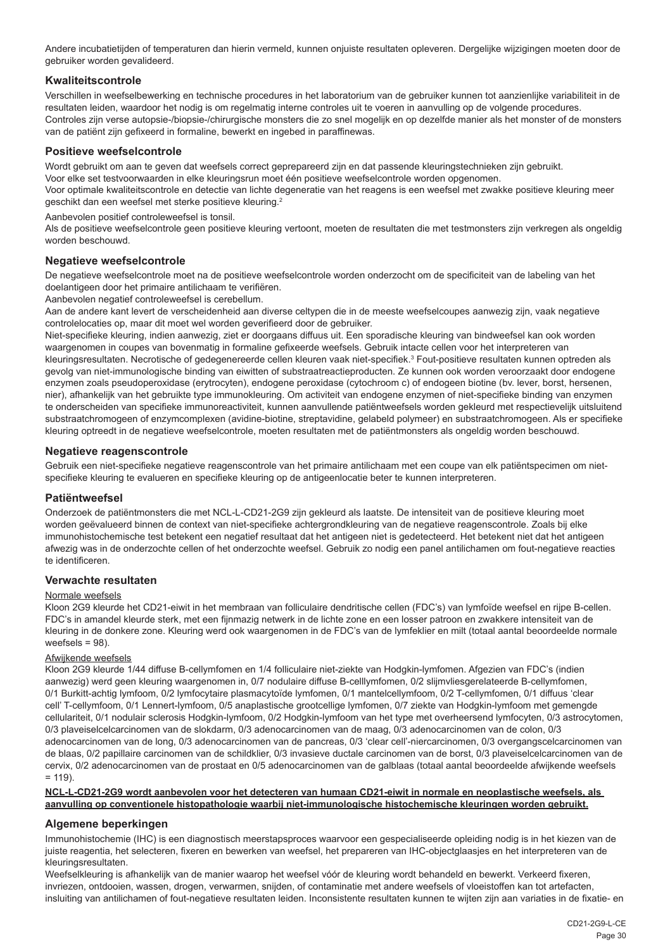Andere incubatietijden of temperaturen dan hierin vermeld, kunnen onjuiste resultaten opleveren. Dergelijke wijzigingen moeten door de gebruiker worden gevalideerd.

## **Kwaliteitscontrole**

Verschillen in weefselbewerking en technische procedures in het laboratorium van de gebruiker kunnen tot aanzienlijke variabiliteit in de resultaten leiden, waardoor het nodig is om regelmatig interne controles uit te voeren in aanvulling op de volgende procedures. Controles zijn verse autopsie-/biopsie-/chirurgische monsters die zo snel mogelijk en op dezelfde manier als het monster of de monsters van de patiënt zijn gefixeerd in formaline, bewerkt en ingebed in paraffinewas.

#### **Positieve weefselcontrole**

Wordt gebruikt om aan te geven dat weefsels correct geprepareerd zijn en dat passende kleuringstechnieken zijn gebruikt. Voor elke set testvoorwaarden in elke kleuringsrun moet één positieve weefselcontrole worden opgenomen.

Voor optimale kwaliteitscontrole en detectie van lichte degeneratie van het reagens is een weefsel met zwakke positieve kleuring meer geschikt dan een weefsel met sterke positieve kleuring.<sup>2</sup>

Aanbevolen positief controleweefsel is tonsil.

Als de positieve weefselcontrole geen positieve kleuring vertoont, moeten de resultaten die met testmonsters zijn verkregen als ongeldig worden beschouwd.

## **Negatieve weefselcontrole**

De negatieve weefselcontrole moet na de positieve weefselcontrole worden onderzocht om de specificiteit van de labeling van het doelantigeen door het primaire antilichaam te verifiëren.

Aanbevolen negatief controleweefsel is cerebellum.

Aan de andere kant levert de verscheidenheid aan diverse celtypen die in de meeste weefselcoupes aanwezig zijn, vaak negatieve controlelocaties op, maar dit moet wel worden geverifieerd door de gebruiker.

Niet-specifieke kleuring, indien aanwezig, ziet er doorgaans diffuus uit. Een sporadische kleuring van bindweefsel kan ook worden waargenomen in coupes van bovenmatig in formaline gefixeerde weefsels. Gebruik intacte cellen voor het interpreteren van kleuringsresultaten. Necrotische of gedegenereerde cellen kleuren vaak niet-specifiek.<sup>3</sup> Fout-positieve resultaten kunnen optreden als gevolg van niet-immunologische binding van eiwitten of substraatreactieproducten. Ze kunnen ook worden veroorzaakt door endogene enzymen zoals pseudoperoxidase (erytrocyten), endogene peroxidase (cytochroom c) of endogeen biotine (bv. lever, borst, hersenen, nier), afhankelijk van het gebruikte type immunokleuring. Om activiteit van endogene enzymen of niet-specifieke binding van enzymen te onderscheiden van specifieke immunoreactiviteit, kunnen aanvullende patiëntweefsels worden gekleurd met respectievelijk uitsluitend substraatchromogeen of enzymcomplexen (avidine-biotine, streptavidine, gelabeld polymeer) en substraatchromogeen. Als er specifieke kleuring optreedt in de negatieve weefselcontrole, moeten resultaten met de patiëntmonsters als ongeldig worden beschouwd.

#### **Negatieve reagenscontrole**

Gebruik een niet-specifieke negatieve reagenscontrole van het primaire antilichaam met een coupe van elk patiëntspecimen om nietspecifieke kleuring te evalueren en specifieke kleuring op de antigeenlocatie beter te kunnen interpreteren.

#### **Patiëntweefsel**

Onderzoek de patiëntmonsters die met NCL-L-CD21-2G9 zijn gekleurd als laatste. De intensiteit van de positieve kleuring moet worden geëvalueerd binnen de context van niet-specifieke achtergrondkleuring van de negatieve reagenscontrole. Zoals bij elke immunohistochemische test betekent een negatief resultaat dat het antigeen niet is gedetecteerd. Het betekent niet dat het antigeen afwezig was in de onderzochte cellen of het onderzochte weefsel. Gebruik zo nodig een panel antilichamen om fout-negatieve reacties te identificeren.

## **Verwachte resultaten**

## Normale weefsels

Kloon 2G9 kleurde het CD21-eiwit in het membraan van folliculaire dendritische cellen (FDC's) van lymfoïde weefsel en rijpe B-cellen. FDC's in amandel kleurde sterk, met een fijnmazig netwerk in de lichte zone en een losser patroon en zwakkere intensiteit van de kleuring in de donkere zone. Kleuring werd ook waargenomen in de FDC's van de lymfeklier en milt (totaal aantal beoordeelde normale  $W^{\alpha}$ efsels = 98)

## Afwijkende weefsels

Kloon 2G9 kleurde 1/44 diffuse B-cellymfomen en 1/4 folliculaire niet-ziekte van Hodgkin-lymfomen. Afgezien van FDC's (indien aanwezig) werd geen kleuring waargenomen in, 0/7 nodulaire diffuse B-celllymfomen, 0/2 slijmvliesgerelateerde B-cellymfomen, 0/1 Burkitt-achtig lymfoom, 0/2 lymfocytaire plasmacytoïde lymfomen, 0/1 mantelcellymfoom, 0/2 T-cellymfomen, 0/1 diffuus 'clear cell' T-cellymfoom, 0/1 Lennert-lymfoom, 0/5 anaplastische grootcellige lymfomen, 0/7 ziekte van Hodgkin-lymfoom met gemengde cellulariteit, 0/1 nodulair sclerosis Hodgkin-lymfoom, 0/2 Hodgkin-lymfoom van het type met overheersend lymfocyten, 0/3 astrocytomen, 0/3 plaveiselcelcarcinomen van de slokdarm, 0/3 adenocarcinomen van de maag, 0/3 adenocarcinomen van de colon, 0/3 adenocarcinomen van de long, 0/3 adenocarcinomen van de pancreas, 0/3 'clear cell'-niercarcinomen, 0/3 overgangscelcarcinomen van de blaas, 0/2 papillaire carcinomen van de schildklier, 0/3 invasieve ductale carcinomen van de borst, 0/3 plaveiselcelcarcinomen van de cervix, 0/2 adenocarcinomen van de prostaat en 0/5 adenocarcinomen van de galblaas (totaal aantal beoordeelde afwijkende weefsels  $= 119$ 

#### **NCL-L-CD21-2G9 wordt aanbevolen voor het detecteren van humaan CD21-eiwit in normale en neoplastische weefsels, als aanvulling op conventionele histopathologie waarbij niet-immunologische histochemische kleuringen worden gebruikt.**

#### **Algemene beperkingen**

Immunohistochemie (IHC) is een diagnostisch meerstapsproces waarvoor een gespecialiseerde opleiding nodig is in het kiezen van de juiste reagentia, het selecteren, fixeren en bewerken van weefsel, het prepareren van IHC-objectglaasjes en het interpreteren van de kleuringsresultaten.

Weefselkleuring is afhankelijk van de manier waarop het weefsel vóór de kleuring wordt behandeld en bewerkt. Verkeerd fixeren, invriezen, ontdooien, wassen, drogen, verwarmen, snijden, of contaminatie met andere weefsels of vloeistoffen kan tot artefacten, insluiting van antilichamen of fout-negatieve resultaten leiden. Inconsistente resultaten kunnen te wijten zijn aan variaties in de fixatie- en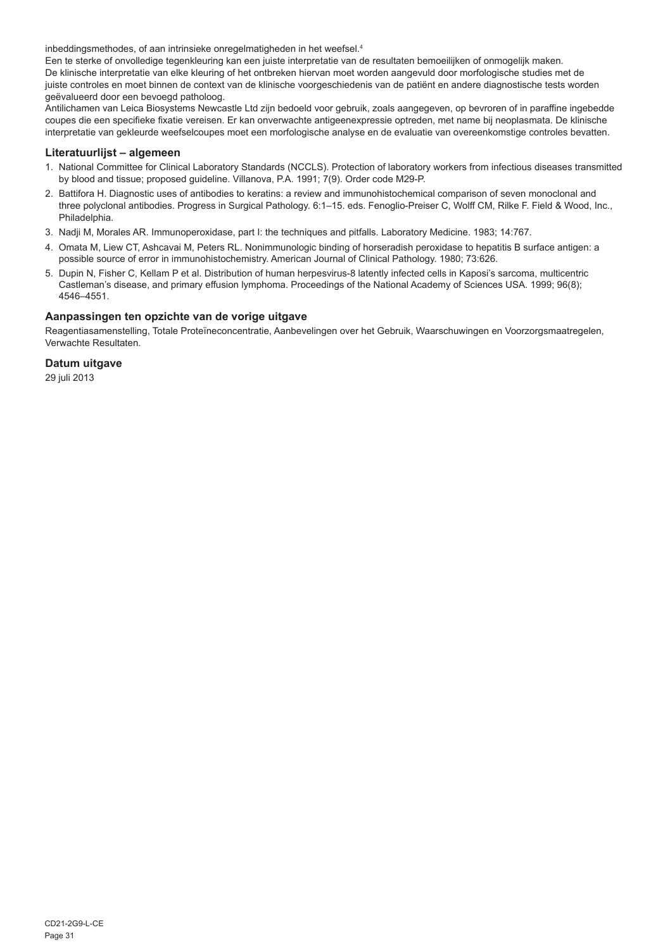inbeddingsmethodes, of aan intrinsieke onregelmatigheden in het weefsel.4

Een te sterke of onvolledige tegenkleuring kan een juiste interpretatie van de resultaten bemoeilijken of onmogelijk maken. De klinische interpretatie van elke kleuring of het ontbreken hiervan moet worden aangevuld door morfologische studies met de juiste controles en moet binnen de context van de klinische voorgeschiedenis van de patiënt en andere diagnostische tests worden geëvalueerd door een bevoegd patholoog.

Antilichamen van Leica Biosystems Newcastle Ltd zijn bedoeld voor gebruik, zoals aangegeven, op bevroren of in paraffine ingebedde coupes die een specifieke fixatie vereisen. Er kan onverwachte antigeenexpressie optreden, met name bij neoplasmata. De klinische interpretatie van gekleurde weefselcoupes moet een morfologische analyse en de evaluatie van overeenkomstige controles bevatten.

## **Literatuurlijst – algemeen**

- 1. National Committee for Clinical Laboratory Standards (NCCLS). Protection of laboratory workers from infectious diseases transmitted by blood and tissue; proposed guideline. Villanova, P.A. 1991; 7(9). Order code M29-P.
- 2. Battifora H. Diagnostic uses of antibodies to keratins: a review and immunohistochemical comparison of seven monoclonal and three polyclonal antibodies. Progress in Surgical Pathology. 6:1–15. eds. Fenoglio-Preiser C, Wolff CM, Rilke F. Field & Wood, Inc., Philadelphia.
- 3. Nadji M, Morales AR. Immunoperoxidase, part I: the techniques and pitfalls. Laboratory Medicine. 1983; 14:767.
- 4. Omata M, Liew CT, Ashcavai M, Peters RL. Nonimmunologic binding of horseradish peroxidase to hepatitis B surface antigen: a possible source of error in immunohistochemistry. American Journal of Clinical Pathology. 1980; 73:626.
- 5. Dupin N, Fisher C, Kellam P et al. Distribution of human herpesvirus-8 latently infected cells in Kaposi's sarcoma, multicentric Castleman's disease, and primary effusion lymphoma. Proceedings of the National Academy of Sciences USA. 1999; 96(8); 4546–4551.

## **Aanpassingen ten opzichte van de vorige uitgave**

Reagentiasamenstelling, Totale Proteïneconcentratie, Aanbevelingen over het Gebruik, Waarschuwingen en Voorzorgsmaatregelen, Verwachte Resultaten.

## **Datum uitgave**

29 juli 2013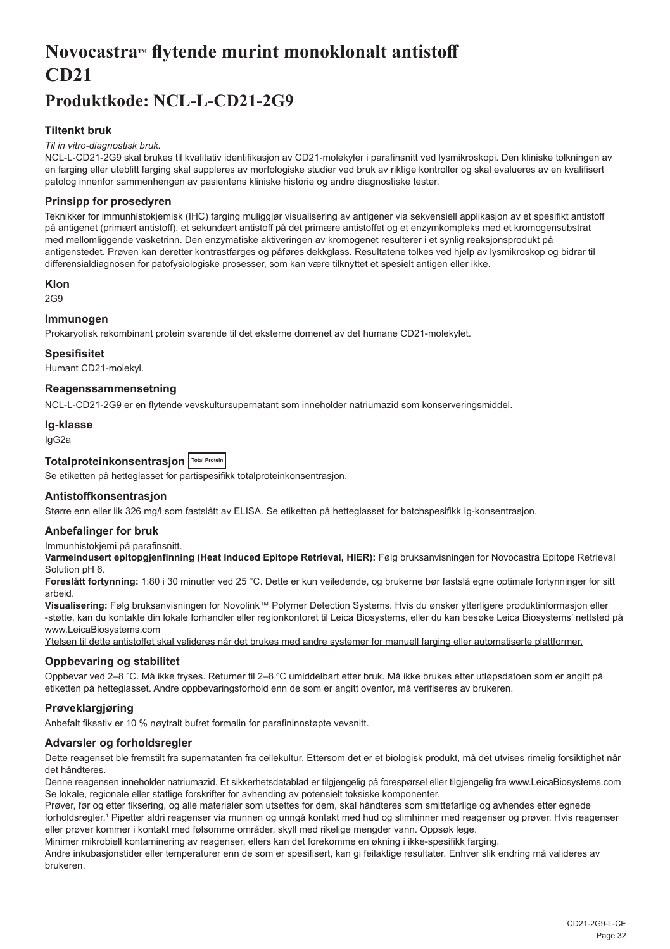# <span id="page-32-0"></span>Novocastra<sup>*M*</sup> flytende murint monoklonalt antistoff **CD21**

## **Produktkode: NCL-L-CD21-2G9**

## **Tiltenkt bruk**

#### *Til in vitro-diagnostisk bruk.*

NCL-L-CD21-2G9 skal brukes til kvalitativ identifikasjon av CD21-molekyler i parafinsnitt ved lysmikroskopi. Den kliniske tolkningen av en farging eller uteblitt farging skal suppleres av morfologiske studier ved bruk av riktige kontroller og skal evalueres av en kvalifisert patolog innenfor sammenhengen av pasientens kliniske historie og andre diagnostiske tester.

## **Prinsipp for prosedyren**

Teknikker for immunhistokjemisk (IHC) farging muliggjør visualisering av antigener via sekvensiell applikasjon av et spesifikt antistoff på antigenet (primært antistoff), et sekundært antistoff på det primære antistoffet og et enzymkompleks med et kromogensubstrat med mellomliggende vasketrinn. Den enzymatiske aktiveringen av kromogenet resulterer i et synlig reaksjonsprodukt på antigenstedet. Prøven kan deretter kontrastfarges og påføres dekkglass. Resultatene tolkes ved hjelp av lysmikroskop og bidrar til differensialdiagnosen for patofysiologiske prosesser, som kan være tilknyttet et spesielt antigen eller ikke.

## **Klon**

2G<sub>9</sub>

## **Immunogen**

Prokaryotisk rekombinant protein svarende til det eksterne domenet av det humane CD21-molekylet.

## **Spesifisitet**

Humant CD21-molekyl.

## **Reagenssammensetning**

NCL-L-CD21-2G9 er en flytende vevskultursupernatant som inneholder natriumazid som konserveringsmiddel.

## **Ig-klasse**

IgG2a

## **Totalproteinkonsentrasjon Total Protein**

Se etiketten på hetteglasset for partispesifikk totalproteinkonsentrasjon.

## **Antistoffkonsentrasjon**

Større enn eller lik 326 mg/l som fastslått av ELISA. Se etiketten på hetteglasset for batchspesifikk Ig-konsentrasjon.

## **Anbefalinger for bruk**

Immunhistokjemi på parafinsnitt.

**Varmeindusert epitopgjenfinning (Heat Induced Epitope Retrieval, HIER):** Følg bruksanvisningen for Novocastra Epitope Retrieval Solution pH 6.

**Foreslått fortynning:** 1:80 i 30 minutter ved 25 °C. Dette er kun veiledende, og brukerne bør fastslå egne optimale fortynninger for sitt arbeid.

**Visualisering:** Følg bruksanvisningen for Novolink™ Polymer Detection Systems. Hvis du ønsker ytterligere produktinformasjon eller -støtte, kan du kontakte din lokale forhandler eller regionkontoret til Leica Biosystems, eller du kan besøke Leica Biosystems' nettsted på www.LeicaBiosystems.com

Ytelsen til dette antistoffet skal valideres når det brukes med andre systemer for manuell farging eller automatiserte plattformer.

## **Oppbevaring og stabilitet**

Oppbevar ved 2–8 °C. Må ikke fryses. Returner til 2–8 °C umiddelbart etter bruk. Må ikke brukes etter utløpsdatoen som er angitt på etiketten på hetteglasset. Andre oppbevaringsforhold enn de som er angitt ovenfor, må verifiseres av brukeren.

## **Prøveklargjøring**

Anbefalt fiksativ er 10 % nøytralt bufret formalin for parafininnstøpte vevsnitt.

## **Advarsler og forholdsregler**

Dette reagenset ble fremstilt fra supernatanten fra cellekultur. Ettersom det er et biologisk produkt, må det utvises rimelig forsiktighet når det håndteres.

Denne reagensen inneholder natriumazid. Et sikkerhetsdatablad er tilgjengelig på forespørsel eller tilgjengelig fra www.LeicaBiosystems.com Se lokale, regionale eller statlige forskrifter for avhending av potensielt toksiske komponenter.

Prøver, før og etter fiksering, og alle materialer som utsettes for dem, skal håndteres som smittefarlige og avhendes etter egnede forholdsregler.<sup>1</sup> Pipetter aldri reagenser via munnen og unngå kontakt med hud og slimhinner med reagenser og prøver. Hvis reagenser eller prøver kommer i kontakt med følsomme områder, skyll med rikelige mengder vann. Oppsøk lege.

Minimer mikrobiell kontaminering av reagenser, ellers kan det forekomme en økning i ikke-spesifikk farging.

Andre inkubasjonstider eller temperaturer enn de som er spesifisert, kan gi feilaktige resultater. Enhver slik endring må valideres av brukeren.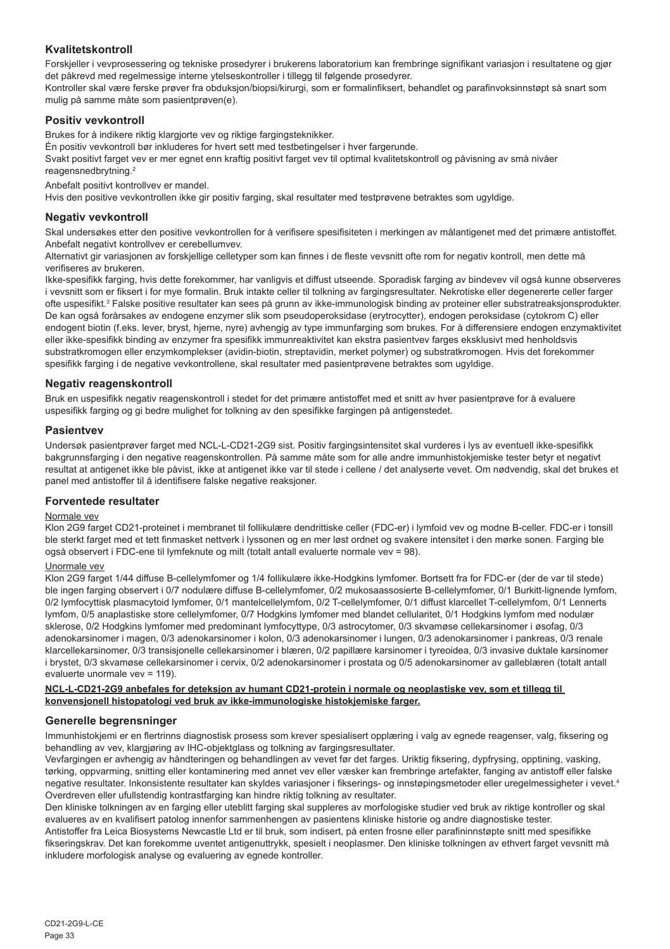## **Kvalitetskontroll**

Forskjeller i vevprosessering og tekniske prosedyrer i brukerens laboratorium kan frembringe signifikant variasjon i resultatene og gjør det påkrevd med regelmessige interne ytelseskontroller i tillegg til følgende prosedyrer.

Kontroller skal være ferske prøver fra obduksjon/biopsi/kirurgi, som er formalinfiksert, behandlet og parafinvoksinnstøpt så snart som mulig på samme måte som pasientprøven(e).

## **Positiv vevkontroll**

Brukes for å indikere riktig klargjorte vev og riktige fargingsteknikker.

Én positiv vevkontroll bør inkluderes for hvert sett med testbetingelser i hver fargerunde.

Svakt positivt farget vev er mer egnet enn kraftig positivt farget vev til optimal kvalitetskontroll og påvisning av små nivåer reagensnedbrytning.<sup>2</sup>

Anbefalt positivt kontrollvev er mandel.

Hvis den positive vevkontrollen ikke gir positiv farging, skal resultater med testprøvene betraktes som ugyldige.

## **Negativ vevkontroll**

Skal undersøkes etter den positive vevkontrollen for å verifisere spesifisiteten i merkingen av målantigenet med det primære antistoffet. Anbefalt negativt kontrollvev er cerebellumvev.

Alternativt gir variasjonen av forskjellige celletyper som kan finnes i de fleste vevsnitt ofte rom for negativ kontroll, men dette må verifiseres av brukeren.

Ikke-spesifikk farging, hvis dette forekommer, har vanligvis et diffust utseende. Sporadisk farging av bindevev vil også kunne observeres i vevsnitt som er fiksert i for mye formalin. Bruk intakte celler til tolkning av fargingsresultater. Nekrotiske eller degenererte celler farger ofte uspesifikt.<sup>3</sup> Falske positive resultater kan sees på grunn av ikke-immunologisk binding av proteiner eller substratreaksjonsprodukter. De kan også forårsakes av endogene enzymer slik som pseudoperoksidase (erytrocytter), endogen peroksidase (cytokrom C) eller endogent biotin (f.eks. lever, bryst, hjerne, nyre) avhengig av type immunfarging som brukes. For å differensiere endogen enzymaktivitet eller ikke-spesifikk binding av enzymer fra spesifikk immunreaktivitet kan ekstra pasientvev farges eksklusivt med henholdsvis substratkromogen eller enzymkomplekser (avidin-biotin, streptavidin, merket polymer) og substratkromogen. Hvis det forekommer spesifikk farging i de negative vevkontrollene, skal resultater med pasientprøvene betraktes som ugyldige.

## **Negativ reagenskontroll**

Bruk en uspesifikk negativ reagenskontroll i stedet for det primære antistoffet med et snitt av hver pasientprøve for å evaluere uspesifikk farging og gi bedre mulighet for tolkning av den spesifikke fargingen på antigenstedet.

## **Pasientvev**

Undersøk pasientprøver farget med NCL-L-CD21-2G9 sist. Positiv fargingsintensitet skal vurderes i lys av eventuell ikke-spesifikk bakgrunnsfarging i den negative reagenskontrollen. På samme måte som for alle andre immunhistokjemiske tester betyr et negativt resultat at antigenet ikke ble påvist, ikke at antigenet ikke var til stede i cellene / det analyserte vevet. Om nødvendig, skal det brukes et panel med antistoffer til å identifisere falske negative reaksjoner.

#### **Forventede resultater**

#### Normale vev

Klon 2G9 farget CD21-proteinet i membranet til follikulære dendrittiske celler (FDC-er) i lymfoid vev og modne B-celler. FDC-er i tonsill ble sterkt farget med et tett finmasket nettverk i lyssonen og en mer løst ordnet og svakere intensitet i den mørke sonen. Farging ble også observert i FDC-ene til lymfeknute og milt (totalt antall evaluerte normale vev = 98).

## Unormale vev

Klon 2G9 farget 1/44 diffuse B-cellelymfomer og 1/4 follikulære ikke-Hodgkins lymfomer. Bortsett fra for FDC-er (der de var til stede) ble ingen farging observert i 0/7 nodulære diffuse B-cellelymfomer, 0/2 mukosaassosierte B-cellelymfomer, 0/1 Burkitt-lignende lymfom, 0/2 lymfocyttisk plasmacytoid lymfomer, 0/1 mantelcellelymfom, 0/2 T-cellelymfomer, 0/1 diffust klarcellet T-cellelymfom, 0/1 Lennerts lymfom, 0/5 anaplastiske store cellelymfomer, 0/7 Hodgkins lymfomer med blandet cellularitet, 0/1 Hodgkins lymfom med nodulær sklerose, 0/2 Hodgkins lymfomer med predominant lymfocyttype, 0/3 astrocytomer, 0/3 skvamøse cellekarsinomer i øsofag, 0/3 adenokarsinomer i magen, 0/3 adenokarsinomer i kolon, 0/3 adenokarsinomer i lungen, 0/3 adenokarsinomer i pankreas, 0/3 renale klarcellekarsinomer, 0/3 transisjonelle cellekarsinomer i blæren, 0/2 papillære karsinomer i tyreoidea, 0/3 invasive duktale karsinomer i brystet, 0/3 skvamøse cellekarsinomer i cervix, 0/2 adenokarsinomer i prostata og 0/5 adenokarsinomer av galleblæren (totalt antall evaluerte unormale vev = 119).

#### **NCL-L-CD21-2G9 anbefales for deteksjon av humant CD21-protein i normale og neoplastiske vev, som et tillegg til konvensjonell histopatologi ved bruk av ikke-immunologiske histokjemiske farger.**

#### **Generelle begrensninger**

Immunhistokjemi er en flertrinns diagnostisk prosess som krever spesialisert opplæring i valg av egnede reagenser, valg, fiksering og behandling av vev, klargjøring av IHC-objektglass og tolkning av fargingsresultater.

Vevfargingen er avhengig av håndteringen og behandlingen av vevet før det farges. Uriktig fiksering, dypfrysing, opptining, vasking, tørking, oppvarming, snitting eller kontaminering med annet vev eller væsker kan frembringe artefakter, fanging av antistoff eller falske negative resultater. Inkonsistente resultater kan skyldes variasjoner i fikserings- og innstøpingsmetoder eller uregelmessigheter i vevet.4 Overdreven eller ufullstendig kontrastfarging kan hindre riktig tolkning av resultater.

Den kliniske tolkningen av en farging eller uteblitt farging skal suppleres av morfologiske studier ved bruk av riktige kontroller og skal evalueres av en kvalifisert patolog innenfor sammenhengen av pasientens kliniske historie og andre diagnostiske tester.

Antistoffer fra Leica Biosystems Newcastle Ltd er til bruk, som indisert, på enten frosne eller parafininnstøpte snitt med spesifikke fikseringskrav. Det kan forekomme uventet antigenuttrykk, spesielt i neoplasmer. Den kliniske tolkningen av ethvert farget vevsnitt må inkludere morfologisk analyse og evaluering av egnede kontroller.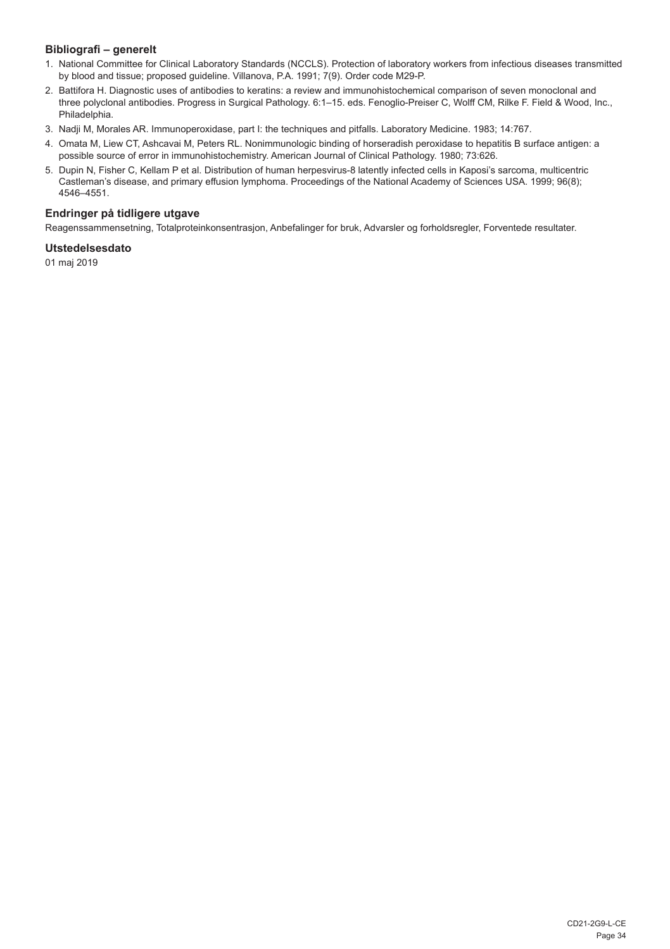## **Bibliografi – generelt**

- 1. National Committee for Clinical Laboratory Standards (NCCLS). Protection of laboratory workers from infectious diseases transmitted by blood and tissue; proposed guideline. Villanova, P.A. 1991; 7(9). Order code M29-P.
- 2. Battifora H. Diagnostic uses of antibodies to keratins: a review and immunohistochemical comparison of seven monoclonal and three polyclonal antibodies. Progress in Surgical Pathology. 6:1–15. eds. Fenoglio-Preiser C, Wolff CM, Rilke F. Field & Wood, Inc., Philadelphia.
- 3. Nadji M, Morales AR. Immunoperoxidase, part I: the techniques and pitfalls. Laboratory Medicine. 1983; 14:767.
- 4. Omata M, Liew CT, Ashcavai M, Peters RL. Nonimmunologic binding of horseradish peroxidase to hepatitis B surface antigen: a possible source of error in immunohistochemistry. American Journal of Clinical Pathology. 1980; 73:626.
- 5. Dupin N, Fisher C, Kellam P et al. Distribution of human herpesvirus-8 latently infected cells in Kaposi's sarcoma, multicentric Castleman's disease, and primary effusion lymphoma. Proceedings of the National Academy of Sciences USA. 1999; 96(8); 4546–4551.

## **Endringer på tidligere utgave**

Reagenssammensetning, Totalproteinkonsentrasjon, Anbefalinger for bruk, Advarsler og forholdsregler, Forventede resultater.

## **Utstedelsesdato**

01 maj 2019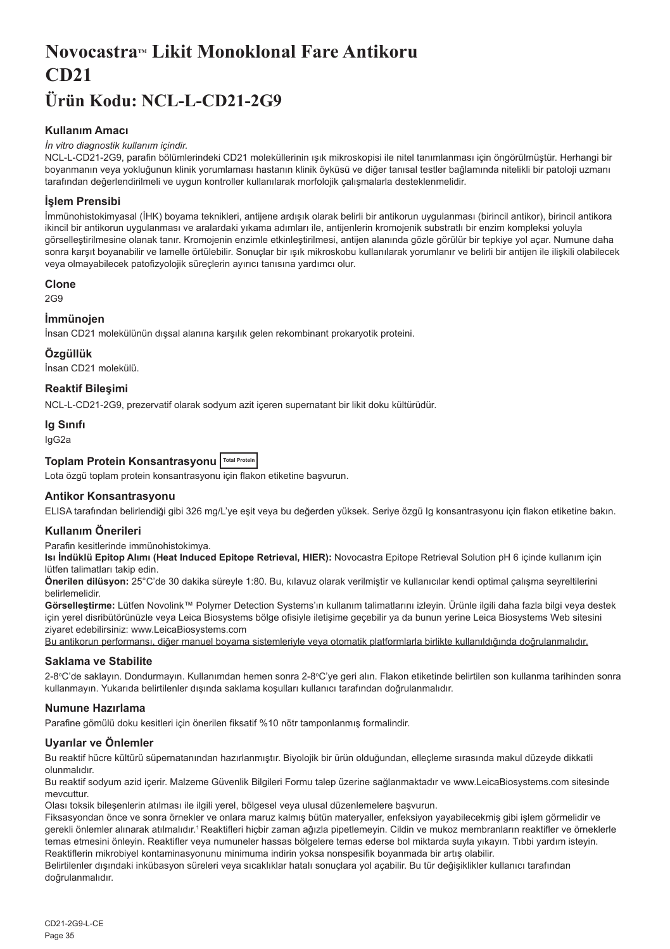# <span id="page-35-0"></span>**NovocastraTM Likit Monoklonal Fare Antikoru CD21 Ürün Kodu: NCL-L-CD21-2G9**

## **Kullanım Amacı**

#### *İn vitro diagnostik kullanım içindir.*

NCL-L-CD21-2G9, parafin bölümlerindeki CD21 moleküllerinin ışık mikroskopisi ile nitel tanımlanması için öngörülmüştür. Herhangi bir boyanmanın veya yokluğunun klinik yorumlaması hastanın klinik öyküsü ve diğer tanısal testler bağlamında nitelikli bir patoloji uzmanı tarafından değerlendirilmeli ve uygun kontroller kullanılarak morfolojik çalışmalarla desteklenmelidir.

## **İşlem Prensibi**

İmmünohistokimyasal (İHK) boyama teknikleri, antijene ardışık olarak belirli bir antikorun uygulanması (birincil antikor), birincil antikora ikincil bir antikorun uygulanması ve aralardaki yıkama adımları ile, antijenlerin kromojenik substratlı bir enzim kompleksi yoluyla görselleştirilmesine olanak tanır. Kromojenin enzimle etkinleştirilmesi, antijen alanında gözle görülür bir tepkiye yol açar. Numune daha sonra karşıt boyanabilir ve lamelle örtülebilir. Sonuçlar bir ışık mikroskobu kullanılarak yorumlanır ve belirli bir antijen ile ilişkili olabilecek veya olmayabilecek patofizyolojik süreçlerin ayırıcı tanısına yardımcı olur.

## **Clone**

 $2G9$ 

## **İmmünojen**

İnsan CD21 molekülünün dışsal alanına karşılık gelen rekombinant prokaryotik proteini.

#### **Özgüllük**

İnsan CD21 molekülü.

## **Reaktif Bileşimi**

NCL-L-CD21-2G9, prezervatif olarak sodyum azit içeren supernatant bir likit doku kültürüdür.

## **Ig Sınıfı**

IgG2a

## **Toplam Protein Konsantrasyonu Total Protein**

Lota özgü toplam protein konsantrasyonu için flakon etiketine başvurun.

## **Antikor Konsantrasyonu**

ELISA tarafından belirlendiği gibi 326 mg/L'ye eşit veya bu değerden yüksek. Seriye özgü Ig konsantrasyonu için flakon etiketine bakın.

## **Kullanım Önerileri**

Parafin kesitlerinde immünohistokimya.

**Isı İndüklü Epitop Alımı (Heat Induced Epitope Retrieval, HIER):** Novocastra Epitope Retrieval Solution pH 6 içinde kullanım için lütfen talimatları takip edin.

**Önerilen dilüsyon:** 25°C'de 30 dakika süreyle 1:80. Bu, kılavuz olarak verilmiştir ve kullanıcılar kendi optimal çalışma seyreltilerini belirlemelidir.

**Görselleştirme:** Lütfen Novolink™ Polymer Detection Systems'ın kullanım talimatlarını izleyin. Ürünle ilgili daha fazla bilgi veya destek için yerel disribütörünüzle veya Leica Biosystems bölge ofisiyle iletişime geçebilir ya da bunun yerine Leica Biosystems Web sitesini ziyaret edebilirsiniz: www.LeicaBiosystems.com

Bu antikorun performansı, diğer manuel boyama sistemleriyle veya otomatik platformlarla birlikte kullanıldığında doğrulanmalıdır.

## **Saklama ve Stabilite**

2-8ºC'de saklayın. Dondurmayın. Kullanımdan hemen sonra 2-8ºC'ye geri alın. Flakon etiketinde belirtilen son kullanma tarihinden sonra kullanmayın. Yukarıda belirtilenler dışında saklama koşulları kullanıcı tarafından doğrulanmalıdır.

## **Numune Hazırlama**

Parafine gömülü doku kesitleri için önerilen fiksatif %10 nötr tamponlanmış formalindir.

## **Uyarılar ve Önlemler**

Bu reaktif hücre kültürü süpernatanından hazırlanmıştır. Biyolojik bir ürün olduğundan, elleçleme sırasında makul düzeyde dikkatli olunmalıdır.

Bu reaktif sodyum azid içerir. Malzeme Güvenlik Bilgileri Formu talep üzerine sağlanmaktadır ve www.LeicaBiosystems.com sitesinde mevcuttur.

Olası toksik bileşenlerin atılması ile ilgili yerel, bölgesel veya ulusal düzenlemelere başvurun.

Fiksasyondan önce ve sonra örnekler ve onlara maruz kalmış bütün materyaller, enfeksiyon yayabilecekmiş gibi işlem görmelidir ve gerekli önlemler alınarak atılmalıdır.<sup>1</sup>Reaktifleri hiçbir zaman ağızla pipetlemeyin. Cildin ve mukoz membranların reaktifler ve örneklerle temas etmesini önleyin. Reaktifler veya numuneler hassas bölgelere temas ederse bol miktarda suyla yıkayın. Tıbbi yardım isteyin. Reaktiflerin mikrobiyel kontaminasyonunu minimuma indirin yoksa nonspesifik boyanmada bir artış olabilir.

Belirtilenler dışındaki inkübasyon süreleri veya sıcaklıklar hatalı sonuçlara yol açabilir. Bu tür değişiklikler kullanıcı tarafından doğrulanmalıdır.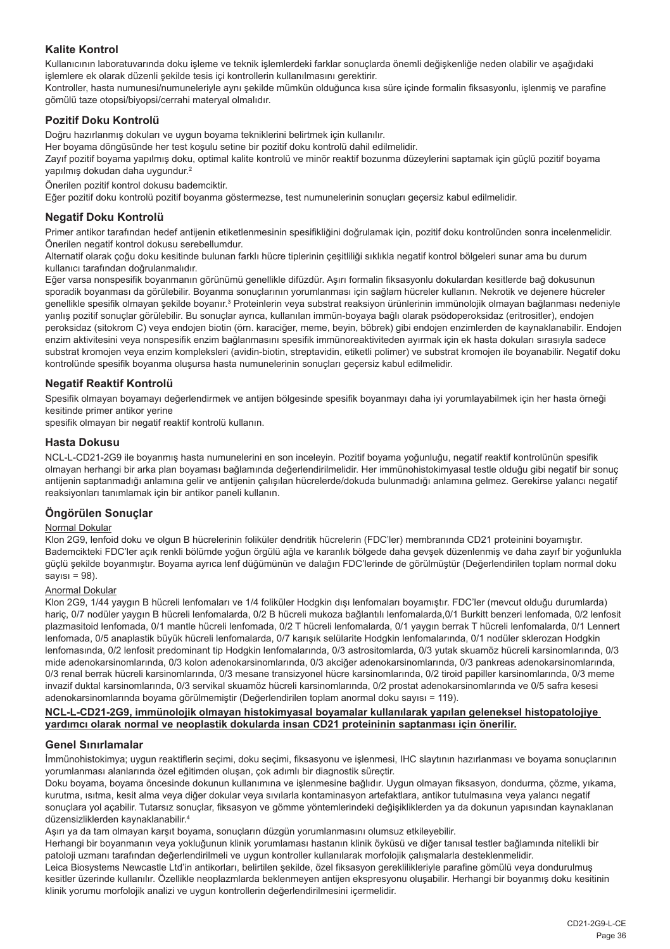## **Kalite Kontrol**

Kullanıcının laboratuvarında doku işleme ve teknik işlemlerdeki farklar sonuçlarda önemli değişkenliğe neden olabilir ve aşağıdaki işlemlere ek olarak düzenli şekilde tesis içi kontrollerin kullanılmasını gerektirir.

Kontroller, hasta numunesi/numuneleriyle aynı şekilde mümkün olduğunca kısa süre içinde formalin fiksasyonlu, işlenmiş ve parafine gömülü taze otopsi/biyopsi/cerrahi materyal olmalıdır.

## **Pozitif Doku Kontrolü**

Doğru hazırlanmış dokuları ve uygun boyama tekniklerini belirtmek için kullanılır.

Her boyama döngüsünde her test koşulu setine bir pozitif doku kontrolü dahil edilmelidir.

Zayıf pozitif boyama yapılmış doku, optimal kalite kontrolü ve minör reaktif bozunma düzeylerini saptamak için güçlü pozitif boyama yapılmış dokudan daha uygundur.<sup>2</sup>

Önerilen pozitif kontrol dokusu bademciktir.

Eğer pozitif doku kontrolü pozitif boyanma göstermezse, test numunelerinin sonuçları geçersiz kabul edilmelidir.

## **Negatif Doku Kontrolü**

Primer antikor tarafından hedef antijenin etiketlenmesinin spesifikliğini doğrulamak için, pozitif doku kontrolünden sonra incelenmelidir. Önerilen negatif kontrol dokusu serebellumdur.

Alternatif olarak çoğu doku kesitinde bulunan farklı hücre tiplerinin çeşitliliği sıklıkla negatif kontrol bölgeleri sunar ama bu durum kullanıcı tarafından doğrulanmalıdır.

Eğer varsa nonspesifik boyanmanın görünümü genellikle difüzdür. Aşırı formalin fiksasyonlu dokulardan kesitlerde bağ dokusunun sporadik boyanması da görülebilir. Boyanma sonuçlarının yorumlanması için sağlam hücreler kullanın. Nekrotik ve dejenere hücreler genellikle spesifik olmayan şekilde boyanır.<sup>3</sup> Proteinlerin veya substrat reaksiyon ürünlerinin immünolojik olmayan bağlanması nedeniyle yanlış pozitif sonuçlar görülebilir. Bu sonuçlar ayrıca, kullanılan immün-boyaya bağlı olarak psödoperoksidaz (eritrositler), endojen peroksidaz (sitokrom C) veya endojen biotin (örn. karaciğer, meme, beyin, böbrek) gibi endojen enzimlerden de kaynaklanabilir. Endojen enzim aktivitesini veya nonspesifik enzim bağlanmasını spesifik immünoreaktiviteden ayırmak için ek hasta dokuları sırasıyla sadece substrat kromojen veya enzim kompleksleri (avidin-biotin, streptavidin, etiketli polimer) ve substrat kromojen ile boyanabilir. Negatif doku kontrolünde spesifik boyanma oluşursa hasta numunelerinin sonuçları geçersiz kabul edilmelidir.

## **Negatif Reaktif Kontrolü**

Spesifik olmayan boyamayı değerlendirmek ve antijen bölgesinde spesifik boyanmayı daha iyi yorumlayabilmek için her hasta örneği kesitinde primer antikor yerine

spesifik olmayan bir negatif reaktif kontrolü kullanın.

## **Hasta Dokusu**

NCL-L-CD21-2G9 ile boyanmış hasta numunelerini en son inceleyin. Pozitif boyama yoğunluğu, negatif reaktif kontrolünün spesifik olmayan herhangi bir arka plan boyaması bağlamında değerlendirilmelidir. Her immünohistokimyasal testle olduğu gibi negatif bir sonuç antijenin saptanmadığı anlamına gelir ve antijenin çalışılan hücrelerde/dokuda bulunmadığı anlamına gelmez. Gerekirse yalancı negatif reaksiyonları tanımlamak için bir antikor paneli kullanın.

#### **Öngörülen Sonuçlar**

#### Normal Dokular

Klon 2G9, lenfoid doku ve olgun B hücrelerinin foliküler dendritik hücrelerin (FDC'ler) membranında CD21 proteinini boyamıştır. Bademcikteki FDC'ler açık renkli bölümde yoğun örgülü ağla ve karanlık bölgede daha gevşek düzenlenmiş ve daha zayıf bir yoğunlukla güçlü şekilde boyanmıştır. Boyama ayrıca lenf düğümünün ve dalağın FDC'lerinde de görülmüştür (Değerlendirilen toplam normal doku  $savisi = 98$ ).

#### Anormal Dokular

Klon 2G9, 1/44 yaygın B hücreli lenfomaları ve 1/4 foliküler Hodgkin dışı lenfomaları boyamıştır. FDC'ler (mevcut olduğu durumlarda) hariç, 0/7 nodüler yaygın B hücreli lenfomalarda, 0/2 B hücreli mukoza bağlantılı lenfomalarda,0/1 Burkitt benzeri lenfomada, 0/2 lenfosit plazmasitoid lenfomada, 0/1 mantle hücreli lenfomada, 0/2 T hücreli lenfomalarda, 0/1 yaygın berrak T hücreli lenfomalarda, 0/1 Lennert lenfomada, 0/5 anaplastik büyük hücreli lenfomalarda, 0/7 karışık selülarite Hodgkin lenfomalarında, 0/1 nodüler sklerozan Hodgkin lenfomasında, 0/2 lenfosit predominant tip Hodgkin lenfomalarında, 0/3 astrositomlarda, 0/3 yutak skuamöz hücreli karsinomlarında, 0/3 mide adenokarsinomlarında, 0/3 kolon adenokarsinomlarında, 0/3 akciğer adenokarsinomlarında, 0/3 pankreas adenokarsinomlarında, 0/3 renal berrak hücreli karsinomlarında, 0/3 mesane transizyonel hücre karsinomlarında, 0/2 tiroid papiller karsinomlarında, 0/3 meme invazif duktal karsinomlarında, 0/3 servikal skuamöz hücreli karsinomlarında, 0/2 prostat adenokarsinomlarında ve 0/5 safra kesesi adenokarsinomlarında boyama görülmemiştir (Değerlendirilen toplam anormal doku sayısı = 119).

## **NCL-L-CD21-2G9, immünolojik olmayan histokimyasal boyamalar kullanılarak yapılan geleneksel histopatolojiye yardımcı olarak normal ve neoplastik dokularda insan CD21 proteininin saptanması için önerilir.**

#### **Genel Sınırlamalar**

İmmünohistokimya; uygun reaktiflerin seçimi, doku seçimi, fiksasyonu ve işlenmesi, IHC slaytının hazırlanması ve boyama sonuçlarının yorumlanması alanlarında özel eğitimden oluşan, çok adımlı bir diagnostik süreçtir.

Doku boyama, boyama öncesinde dokunun kullanımına ve işlenmesine bağlıdır. Uygun olmayan fiksasyon, dondurma, çözme, yıkama, kurutma, ısıtma, kesit alma veya diğer dokular veya sıvılarla kontaminasyon artefaktlara, antikor tutulmasına veya yalancı negatif sonuçlara yol açabilir. Tutarsız sonuçlar, fiksasyon ve gömme yöntemlerindeki değişikliklerden ya da dokunun yapısından kaynaklanan düzensizliklerden kaynaklanabilir.4

Aşırı ya da tam olmayan karşıt boyama, sonuçların düzgün yorumlanmasını olumsuz etkileyebilir.

Herhangi bir boyanmanın veya yokluğunun klinik yorumlaması hastanın klinik öyküsü ve diğer tanısal testler bağlamında nitelikli bir patoloji uzmanı tarafından değerlendirilmeli ve uygun kontroller kullanılarak morfolojik çalışmalarla desteklenmelidir.

Leica Biosystems Newcastle Ltd'in antikorları, belirtilen şekilde, özel fiksasyon gereklilikleriyle parafine gömülü veya dondurulmuş kesitler üzerinde kullanılır. Özellikle neoplazmlarda beklenmeyen antijen ekspresyonu oluşabilir. Herhangi bir boyanmış doku kesitinin klinik yorumu morfolojik analizi ve uygun kontrollerin değerlendirilmesini içermelidir.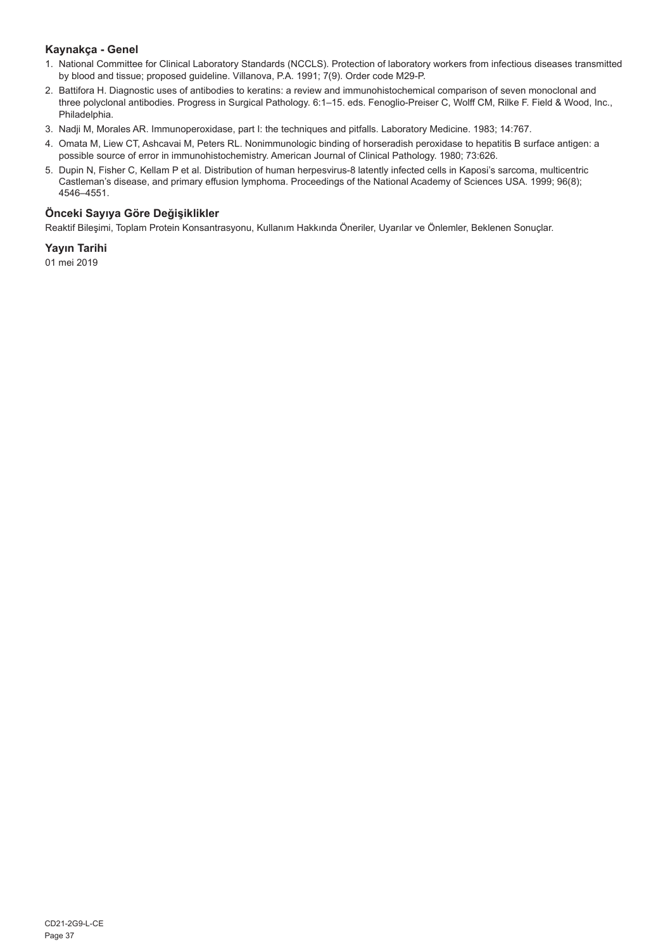## **Kaynakça - Genel**

- 1. National Committee for Clinical Laboratory Standards (NCCLS). Protection of laboratory workers from infectious diseases transmitted by blood and tissue; proposed guideline. Villanova, P.A. 1991; 7(9). Order code M29-P.
- 2. Battifora H. Diagnostic uses of antibodies to keratins: a review and immunohistochemical comparison of seven monoclonal and three polyclonal antibodies. Progress in Surgical Pathology. 6:1–15. eds. Fenoglio-Preiser C, Wolff CM, Rilke F. Field & Wood, Inc., Philadelphia.
- 3. Nadji M, Morales AR. Immunoperoxidase, part I: the techniques and pitfalls. Laboratory Medicine. 1983; 14:767.
- 4. Omata M, Liew CT, Ashcavai M, Peters RL. Nonimmunologic binding of horseradish peroxidase to hepatitis B surface antigen: a possible source of error in immunohistochemistry. American Journal of Clinical Pathology. 1980; 73:626.
- 5. Dupin N, Fisher C, Kellam P et al. Distribution of human herpesvirus-8 latently infected cells in Kaposi's sarcoma, multicentric Castleman's disease, and primary effusion lymphoma. Proceedings of the National Academy of Sciences USA. 1999; 96(8); 4546–4551.

## **Önceki Sayıya Göre Değişiklikler**

Reaktif Bileşimi, Toplam Protein Konsantrasyonu, Kullanım Hakkında Öneriler, Uyarılar ve Önlemler, Beklenen Sonuçlar.

## **Yayın Tarihi**

01 mei 2019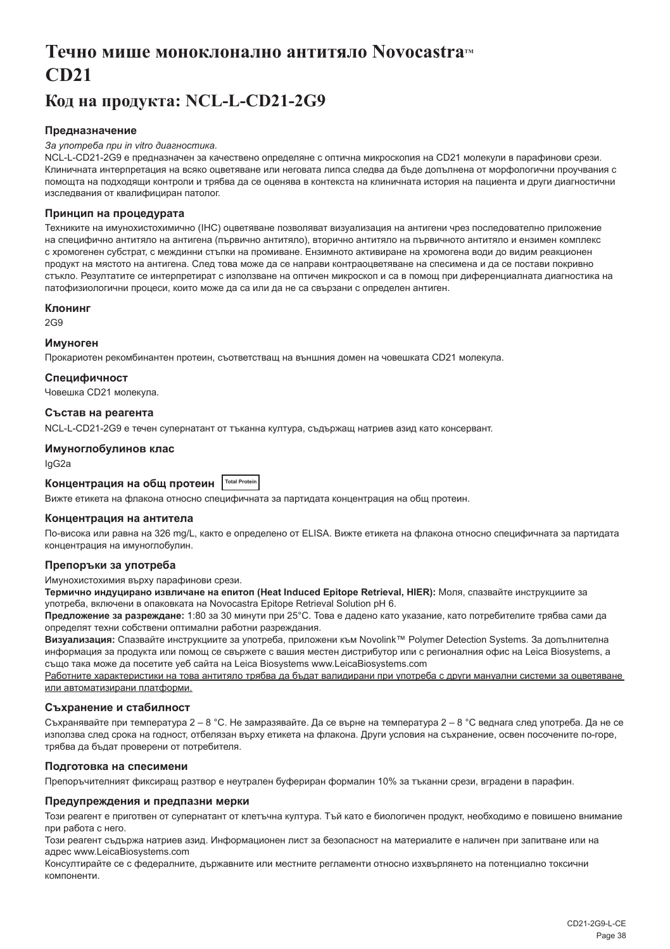# <span id="page-38-0"></span>**Течно мише моноклонално антитяло Novocastra**™ **CD21**

## **Код на продукта: NCL-L-CD21-2G9**

## **Предназначение**

#### *За употреба при in vitro диагностика.*

NCL-L-CD21-2G9 е предназначен за качествено определяне с оптична микроскопия на CD21 молекули в парафинови срези. Клиничната интерпретация на всяко оцветяване или неговата липса следва да бъде допълнена от морфологични проучвания с помощта на подходящи контроли и трябва да се оценява в контекста на клиничната история на пациента и други диагностични изследвания от квалифициран патолог.

## **Принцип на процедурата**

Техниките на имунохистохимично (IHC) оцветяване позволяват визуализация на антигени чрез последователно приложение на специфично антитяло на антигена (първично антитяло), вторично антитяло на първичното антитяло и ензимен комплекс с хромогенен субстрат, с междинни стъпки на промиване. Ензимното активиране на хромогена води до видим реакционен продукт на мястото на антигена. След това може да се направи контраоцветяване на спесимена и да се постави покривно стъкло. Резултатите се интерпретират с използване на оптичен микроскоп и са в помощ при диференциалната диагностика на патофизиологични процеси, които може да са или да не са свързани с определен антиген.

## **Клонинг**

2G9

## **Имуноген**

Прокариотен рекомбинантен протеин, съответстващ на външния домен на човешката CD21 молекула.

## **Специфичност**

Човешка CD21 молекула.

#### **Състав на реагента**

NCL-L-CD21-2G9 е течен супернатант от тъканна култура, съдържащ натриев азид като консервант.

## **Имуноглобулинов клас**

IgG2a

## **Концентрация на общ протеин Total Protein**

Вижте етикета на флакона относно специфичната за партидата концентрация на общ протеин.

#### **Концентрация на антитела**

По-висока или равна на 326 mg/L, както е определено от ELISA. Вижте етикета на флакона относно специфичната за партидата концентрация на имуноглобулин.

## **Препоръки за употреба**

Имунохистохимия върху парафинови срези.

**Термично индуцирано извличане на епитоп (Heat Induced Epitope Retrieval, HIER):** Моля, спазвайте инструкциите за употреба, включени в опаковката на Novocastra Epitope Retrieval Solution pH 6.

**Предложение за разреждане:** 1:80 за 30 минути при 25°C. Това е дадено като указание, като потребителите трябва сами да определят техни собствени оптимални работни разреждания.

**Визуализация:** Спазвайте инструкциите за употреба, приложени към Novolink™ Polymer Detection Systems. За допълнителна информация за продукта или помощ се свържете с вашия местен дистрибутор или с регионалния офис на Leica Biosystems, а също така може да посетите уеб сайта на Leica Biosystems www.LeicaBiosystems.com

Работните характеристики на това антитяло трябва да бъдат валидирани при употреба с други мануални системи за оцветяване или автоматизирани платформи.

## **Съхранение и стабилност**

Съхранявайте при температура 2 – 8 °С. Не замразявайте. Да се върне на температура 2 – 8 °С веднага след употреба. Да не се използва след срока на годност, отбелязан върху етикета на флакона. Други условия на съхранение, освен посочените по-горе, трябва да бъдат проверени от потребителя.

#### **Подготовка на спесимени**

Препоръчителният фиксиращ разтвор е неутрален буфериран формалин 10% за тъканни срези, вградени в парафин.

#### **Предупреждения и предпазни мерки**

Този реагент е приготвен от супернатант от клетъчна култура. Тъй като е биологичен продукт, необходимо е повишено внимание при работа с него.

Този реагент съдържа натриев азид. Информационен лист за безопасност на материалите е наличен при запитване или на адрес www.LeicaBiosystems.com

Консултирайте се с федералните, държавните или местните регламенти относно изхвърлянето на потенциално токсични компоненти.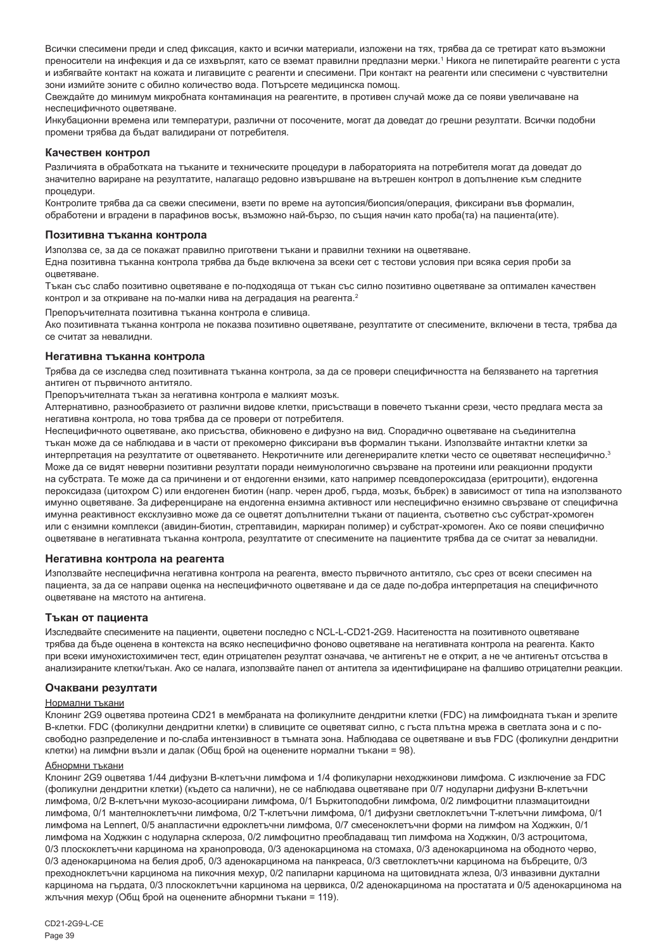Всички спесимени преди и след фиксация, както и всички материали, изложени на тях, трябва да се третират като възможни преносители на инфекция и да се изхвърлят, като се вземат правилни предпазни мерки.' Никога не пипетирайте реагенти с уста и избягвайте контакт на кожата и лигавиците с реагенти и спесимени. При контакт на реагенти или спесимени с чувствителни зони измийте зоните с обилно количество вода. Потърсете медицинска помощ.

Свеждайте до минимум микробната контаминация на реагентите, в противен случай може да се появи увеличаване на неспецифичното оцветяване.

Инкубационни времена или температури, различни от посочените, могат да доведат до грешни резултати. Всички подобни промени трябва да бъдат валидирани от потребителя.

#### **Качествен контрол**

Различията в обработката на тъканите и техническите процедури в лабораторията на потребителя могат да доведат до значително вариране на резултатите, налагащо редовно извършване на вътрешен контрол в допълнение към следните процедури.

Контролите трябва да са свежи спесимени, взети по време на аутопсия/биопсия/операция, фиксирани във формалин, обработени и вградени в парафинов восък, възможно най-бързо, по същия начин като проба(та) на пациента(ите).

#### **Позитивна тъканна контрола**

Използва се, за да се покажат правилно приготвени тъкани и правилни техники на оцветяване.

Една позитивна тъканна контрола трябва да бъде включена за всеки сет с тестови условия при всяка серия проби за оцветяване.

Тъкан със слабо позитивно оцветяване е по-подходяща от тъкан със силно позитивно оцветяване за оптимален качествен контрол и за откриване на по-малки нива на деградация на реагента.<sup>2</sup>

Препоръчителната позитивна тъканна контрола е сливица.

Ако позитивната тъканна контрола не показва позитивно оцветяване, резултатите от спесимените, включени в теста, трябва да се считат за невалидни.

#### **Негативна тъканна контрола**

Трябва да се изследва след позитивната тъканна контрола, за да се провери специфичността на белязването на таргетния антиген от първичното антитяло.

Препоръчителната тъкан за негативна контрола е малкият мозък.

Алтернативно, разнообразието от различни видове клетки, присъстващи в повечето тъканни срези, често предлага места за негативна контрола, но това трябва да се провери от потребителя.

Неспецифичното оцветяване, ако присъства, обикновено е дифузно на вид. Спорадично оцветяване на съединителна тъкан може да се наблюдава и в части от прекомерно фиксирани във формалин тъкани. Използвайте интактни клетки за интерпретация на резултатите от оцветяването. Некротичните или дегенериралите клетки често се оцветяват неспецифично.<sup>3</sup> Може да се видят неверни позитивни резултати поради неимунологично свързване на протеини или реакционни продукти на субстрата. Те може да са причинени и от ендогенни ензими, като например псевдопероксидаза (еритроцити), ендогенна пероксидаза (цитохром C) или ендогенен биотин (напр. черен дроб, гърда, мозък, бъбрек) в зависимост от типа на използваното имунно оцветяване. За диференциране на ендогенна ензимна активност или неспецифично ензимно свързване от специфична имунна реактивност ексклузивно може да се оцветят допълнителни тъкани от пациента, съответно със субстрат-хромоген или с ензимни комплекси (авидин-биотин, стрептавидин, маркиран полимер) и субстрат-хромоген. Ако се появи специфично оцветяване в негативната тъканна контрола, резултатите от спесимените на пациентите трябва да се считат за невалидни.

#### **Негативна контрола на реагента**

Използвайте неспецифична негативна контрола на реагента, вместо първичното антитяло, със срез от всеки спесимен на пациента, за да се направи оценка на неспецифичното оцветяване и да се даде по-добра интерпретация на специфичното оцветяване на мястото на антигена.

#### **Тъкан от пациента**

Изследвайте спесимените на пациенти, оцветени последно с NCL-L-CD21-2G9. Наситеността на позитивното оцветяване трябва да бъде оценена в контекста на всяко неспецифично фоново оцветяване на негативната контрола на реагента. Както при всеки имунохистохимичен тест, един отрицателен резултат означава, че антигенът не е открит, а не че антигенът отсъства в анализираните клетки/тъкан. Ако се налага, използвайте панел от антитела за идентифициране на фалшиво отрицателни реакции.

#### **Очаквани резултати**

## Нормални тъкани

Клонинг 2G9 оцветява протеина CD21 в мембраната на фоликулните дендритни клетки (FDC) на лимфоидната тъкан и зрелите B-клетки. FDC (фоликулни дендритни клетки) в сливиците се оцветяват силно, с гъста плътна мрежа в светлата зона и с посвободно разпределение и по-слаба интензивност в тъмната зона. Наблюдава се оцветяване и във FDC (фоликулни дендритни клетки) на лимфни възли и далак (Общ брой на оценените нормални тъкани = 98).

#### Абнормни тъкани

Клонинг 2G9 оцветява 1/44 дифузни B-клетъчни лимфома и 1/4 фоликуларни неходжкинови лимфома. С изключение за FDC (фоликулни дендритни клетки) (където са налични), не се наблюдава оцветяване при 0/7 нодуларни дифузни B-клетъчни лимфома, 0/2 В-клетъчни мукозо-асоциирани лимфома, 0/1 Бъркитоподобни лимфома, 0/2 лимфоцитни плазмацитоидни лимфома, 0/1 мантелноклетъчни лимфома, 0/2 T-клетъчни лимфома, 0/1 дифузни светлоклетъчни T-клетъчни лимфома, 0/1 лимфома на Lennert, 0/5 анапластични едроклетъчни лимфома, 0/7 смесеноклетъчни форми на лимфом на Ходжкин, 0/1 лимфома на Ходжкин с нодуларна склероза, 0/2 лимфоцитно преобладаващ тип лимфома на Ходжкин, 0/3 астроцитома, 0/3 плоскоклетъчни карцинома на хранопровода, 0/3 аденокарцинома на стомаха, 0/3 аденокарцинома на ободното черво, 0/3 аденокарцинома на белия дроб, 0/3 аденокарцинома на панкреаса, 0/3 светлоклетъчни карцинома на бъбреците, 0/3 преходноклетъчни карцинома на пикочния мехур, 0/2 папиларни карцинома на щитовидната жлеза, 0/3 инвазивни дуктални карцинома на гърдата, 0/3 плоскоклетъчни карцинома на цервикса, 0/2 аденокарцинома на простатата и 0/5 аденокарцинома на жлъчния мехур (Общ брой на оценените абнормни тъкани = 119).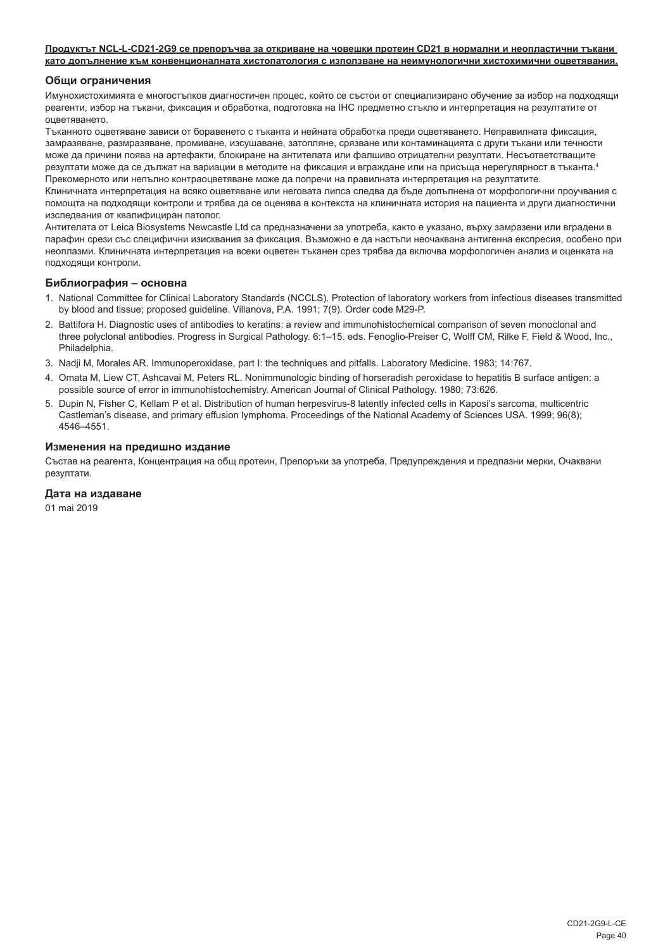#### **Продуктът NCL-L-CD21-2G9 се препоръчва за откриване на човешки протеин CD21 в нормални и неопластични тъкани като допълнение към конвенционалната хистопатология с използване на неимунологични хистохимични оцветявания.**

#### **Общи ограничения**

Имунохистохимията е многостъпков диагностичен процес, който се състои от специализирано обучение за избор на подходящи реагенти, избор на тъкани, фиксация и обработка, подготовка на IHC предметно стъкло и интерпретация на резултатите от оцветяването.

Тъканното оцветяване зависи от боравенето с тъканта и нейната обработка преди оцветяването. Неправилната фиксация, замразяване, размразяване, промиване, изсушаване, затопляне, срязване или контаминацията с други тъкани или течности може да причини поява на артефакти, блокиране на антителата или фалшиво отрицателни резултати. Несъответстващите резултати може да се дължат на вариации в методите на фиксация и вграждане или на присъща нерегулярност в тъканта.<sup>4</sup> Прекомерното или непълно контраоцветяване може да попречи на правилната интерпретация на резултатите.

Клиничната интерпретация на всяко оцветяване или неговата липса следва да бъде допълнена от морфологични проучвания с помощта на подходящи контроли и трябва да се оценява в контекста на клиничната история на пациента и други диагностични изследвания от квалифициран патолог.

Антителата от Leica Biosystems Newcastle Ltd са предназначени за употреба, както е указано, върху замразени или вградени в парафин срези със специфични изисквания за фиксация. Възможно е да настъпи неочаквана антигенна експресия, особено при неоплазми. Клиничната интерпретация на всеки оцветен тъканен срез трябва да включва морфологичен анализ и оценката на подходящи контроли.

#### **Библиография – основна**

- 1. National Committee for Clinical Laboratory Standards (NCCLS). Protection of laboratory workers from infectious diseases transmitted by blood and tissue; proposed guideline. Villanova, P.A. 1991; 7(9). Order code M29-P.
- 2. Battifora H. Diagnostic uses of antibodies to keratins: a review and immunohistochemical comparison of seven monoclonal and three polyclonal antibodies. Progress in Surgical Pathology. 6:1–15. eds. Fenoglio-Preiser C, Wolff CM, Rilke F. Field & Wood, Inc., Philadelphia.
- 3. Nadji M, Morales AR. Immunoperoxidase, part I: the techniques and pitfalls. Laboratory Medicine. 1983; 14:767.
- 4. Omata M, Liew CT, Ashcavai M, Peters RL. Nonimmunologic binding of horseradish peroxidase to hepatitis B surface antigen: a possible source of error in immunohistochemistry. American Journal of Clinical Pathology. 1980; 73:626.
- 5. Dupin N, Fisher C, Kellam P et al. Distribution of human herpesvirus-8 latently infected cells in Kaposi's sarcoma, multicentric Castleman's disease, and primary effusion lymphoma. Proceedings of the National Academy of Sciences USA. 1999; 96(8); 4546–4551.

#### **Изменения на предишно издание**

Състав на реагента, Концентрация на общ протеин, Препоръки за употреба, Предупреждения и предпазни мерки, Очаквани резултати.

#### **Дата на издаване**

01 mai 2019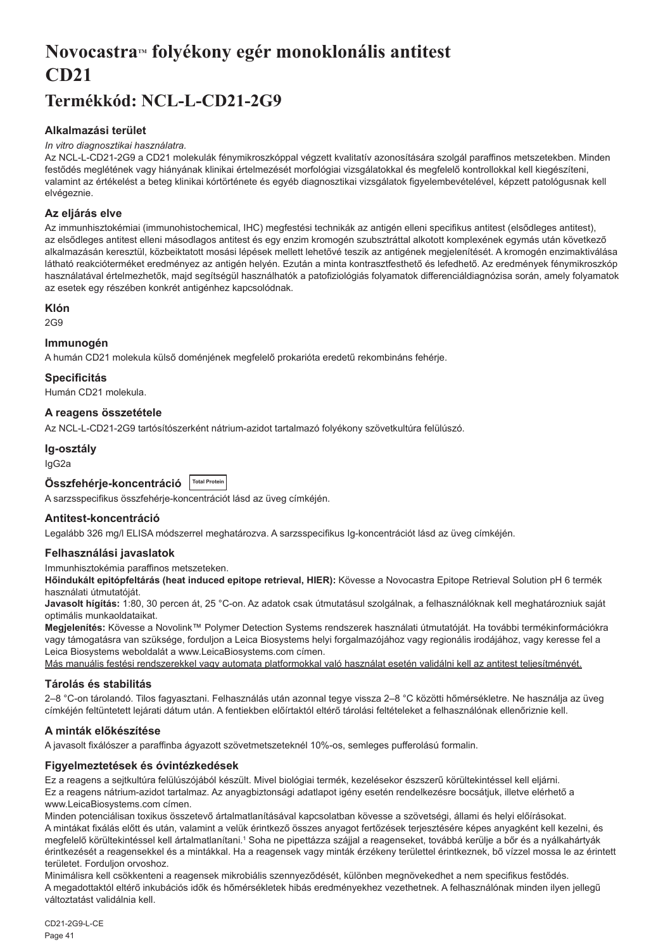# <span id="page-41-0"></span>Novocastra™ folyékony egér monoklonális antitest **CD21**

## **Termékkód: NCL-L-CD21-2G9**

## **Alkalmazási terület**

## *In vitro diagnosztikai használatra.*

Az NCL-L-CD21-2G9 a CD21 molekulák fénymikroszkóppal végzett kvalitatív azonosítására szolgál paraffinos metszetekben. Minden festődés meglétének vagy hiányának klinikai értelmezését morfológiai vizsgálatokkal és megfelelő kontrollokkal kell kiegészíteni, valamint az értékelést a beteg klinikai kórtörténete és egyéb diagnosztikai vizsgálatok figyelembevételével, képzett patológusnak kell elvégeznie.

## **Az eljárás elve**

Az immunhisztokémiai (immunohistochemical, IHC) megfestési technikák az antigén elleni specifikus antitest (elsődleges antitest), az elsődleges antitest elleni másodlagos antitest és egy enzim kromogén szubsztráttal alkotott komplexének egymás után következő alkalmazásán keresztül, közbeiktatott mosási lépések mellett lehetővé teszik az antigének megjelenítését. A kromogén enzimaktiválása látható reakcióterméket eredményez az antigén helyén. Ezután a minta kontrasztfesthető és lefedhető. Az eredmények fénymikroszkóp használatával értelmezhetők, majd segítségül használhatók a patofiziológiás folyamatok differenciáldiagnózisa során, amely folyamatok az esetek egy részében konkrét antigénhez kapcsolódnak.

## **Klón**

2G<sub>9</sub>

## **Immunogén**

A humán CD21 molekula külső doménjének megfelelő prokarióta eredetű rekombináns fehérje.

## **Specificitás**

Humán CD21 molekula.

## **A reagens összetétele**

Az NCL-L-CD21-2G9 tartósítószerként nátrium-azidot tartalmazó folyékony szövetkultúra felülúszó.

## **Ig-osztály**

IgG2a

| Összfehérje-koncentráció  Total Protein |  |
|-----------------------------------------|--|
|-----------------------------------------|--|

A sarzsspecifikus összfehérje-koncentrációt lásd az üveg címkéjén.

## **Antitest-koncentráció**

Legalább 326 mg/l ELISA módszerrel meghatározva. A sarzsspecifikus Ig-koncentrációt lásd az üveg címkéjén.

## **Felhasználási javaslatok**

Immunhisztokémia paraffinos metszeteken.

**Hőindukált epitópfeltárás (heat induced epitope retrieval, HIER):** Kövesse a Novocastra Epitope Retrieval Solution pH 6 termék használati útmutatóját.

**Javasolt hígítás:** 1:80, 30 percen át, 25 °C-on. Az adatok csak útmutatásul szolgálnak, a felhasználóknak kell meghatározniuk saját optimális munkaoldataikat.

**Megjelenítés:** Kövesse a Novolink™ Polymer Detection Systems rendszerek használati útmutatóját. Ha további termékinformációkra vagy támogatásra van szüksége, forduljon a Leica Biosystems helyi forgalmazójához vagy regionális irodájához, vagy keresse fel a Leica Biosystems weboldalát a www.LeicaBiosystems.com címen.

Más manuális festési rendszerekkel vagy automata platformokkal való használat esetén validálni kell az antitest teljesítményét.

## **Tárolás és stabilitás**

2–8 °C-on tárolandó. Tilos fagyasztani. Felhasználás után azonnal tegye vissza 2–8 °C közötti hőmérsékletre. Ne használja az üveg címkéjén feltüntetett lejárati dátum után. A fentiekben előírtaktól eltérő tárolási feltételeket a felhasználónak ellenőriznie kell.

## **A minták előkészítése**

A javasolt fixálószer a paraffinba ágyazott szövetmetszeteknél 10%-os, semleges pufferolású formalin.

## **Figyelmeztetések és óvintézkedések**

Ez a reagens a sejtkultúra felülúszójából készült. Mivel biológiai termék, kezelésekor észszerű körültekintéssel kell eljárni. Ez a reagens nátrium-azidot tartalmaz. Az anyagbiztonsági adatlapot igény esetén rendelkezésre bocsátjuk, illetve elérhető a www.LeicaBiosystems.com címen.

Minden potenciálisan toxikus összetevő ártalmatlanításával kapcsolatban kövesse a szövetségi, állami és helyi előírásokat. A mintákat fixálás előtt és után, valamint a velük érintkező összes anyagot fertőzések terjesztésére képes anyagként kell kezelni, és megfelelő körültekintéssel kell ártalmatlanítani.1 Soha ne pipettázza szájjal a reagenseket, továbbá kerülje a bőr és a nyálkahártyák érintkezését a reagensekkel és a mintákkal. Ha a reagensek vagy minták érzékeny területtel érintkeznek, bő vízzel mossa le az érintett területet. Forduljon orvoshoz.

Minimálisra kell csökkenteni a reagensek mikrobiális szennyeződését, különben megnövekedhet a nem specifikus festődés. A megadottaktól eltérő inkubációs idők és hőmérsékletek hibás eredményekhez vezethetnek. A felhasználónak minden ilyen jellegű változtatást validálnia kell.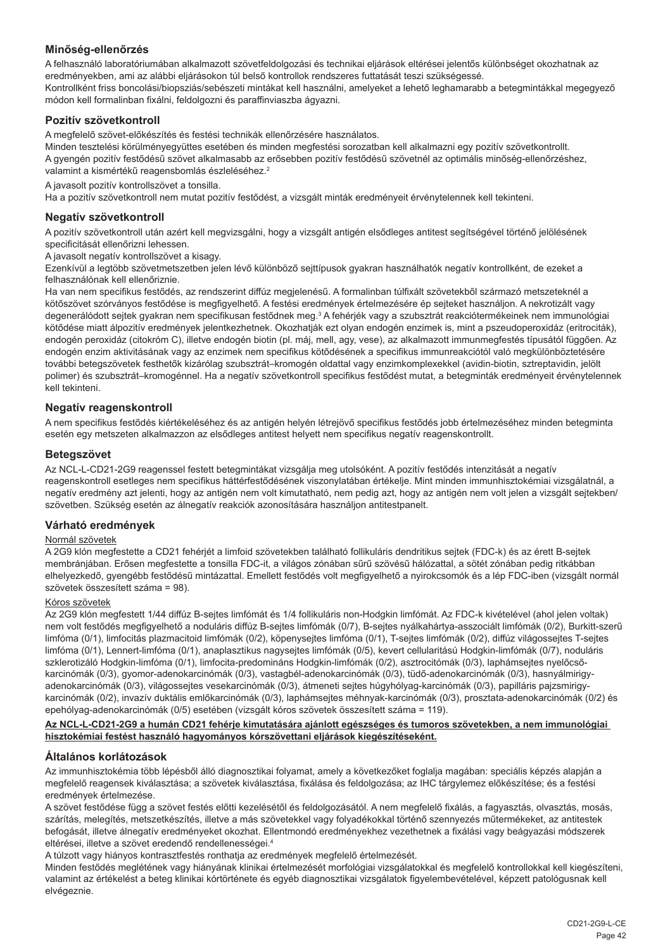## **Minőség-ellenőrzés**

A felhasználó laboratóriumában alkalmazott szövetfeldolgozási és technikai eljárások eltérései jelentős különbséget okozhatnak az eredményekben, ami az alábbi eljárásokon túl belső kontrollok rendszeres futtatását teszi szükségessé. Kontrollként friss boncolási/biopsziás/sebészeti mintákat kell használni, amelyeket a lehető leghamarabb a betegmintákkal megegyező módon kell formalinban fixálni, feldolgozni és paraffinviaszba ágyazni.

## **Pozitív szövetkontroll**

A megfelelő szövet-előkészítés és festési technikák ellenőrzésére használatos.

Minden tesztelési körülményegyüttes esetében és minden megfestési sorozatban kell alkalmazni egy pozitív szövetkontrollt. A gyengén pozitív festődésű szövet alkalmasabb az erősebben pozitív festődésű szövetnél az optimális minőség-ellenőrzéshez, valamint a kismértékű reagensbomlás észleléséhez.<sup>2</sup>

A javasolt pozitív kontrollszövet a tonsilla.

Ha a pozitív szövetkontroll nem mutat pozitív festődést, a vizsgált minták eredményeit érvénytelennek kell tekinteni.

## **Negatív szövetkontroll**

A pozitív szövetkontroll után azért kell megvizsgálni, hogy a vizsgált antigén elsődleges antitest segítségével történő jelölésének specificitását ellenőrizni lehessen.

A javasolt negatív kontrollszövet a kisagy.

Ezenkívül a legtöbb szövetmetszetben jelen lévő különböző sejttípusok gyakran használhatók negatív kontrollként, de ezeket a felhasználónak kell ellenőriznie.

Ha van nem specifikus festődés, az rendszerint diffúz megjelenésű. A formalinban túlfixált szövetekből származó metszeteknél a kötőszövet szórványos festődése is megfigyelhető. A festési eredmények értelmezésére ép sejteket használjon. A nekrotizált vagy degenerálódott sejtek gyakran nem specifikusan festődnek meg.<sup>3</sup> A fehérjék vagy a szubsztrát reakciótermékeinek nem immunológiai kötődése miatt álpozitív eredmények jelentkezhetnek. Okozhatják ezt olyan endogén enzimek is, mint a pszeudoperoxidáz (eritrociták), endogén peroxidáz (citokróm C), illetve endogén biotin (pl. máj, mell, agy, vese), az alkalmazott immunmegfestés típusától függően. Az endogén enzim aktivitásának vagy az enzimek nem specifikus kötődésének a specifikus immunreakciótól való megkülönböztetésére további betegszövetek festhetők kizárólag szubsztrát–kromogén oldattal vagy enzimkomplexekkel (avidin-biotin, sztreptavidin, jelölt polimer) és szubsztrát–kromogénnel. Ha a negatív szövetkontroll specifikus festődést mutat, a betegminták eredményeit érvénytelennek kell tekinteni.

## **Negatív reagenskontroll**

A nem specifikus festődés kiértékeléséhez és az antigén helyén létrejövő specifikus festődés jobb értelmezéséhez minden betegminta esetén egy metszeten alkalmazzon az elsődleges antitest helyett nem specifikus negatív reagenskontrollt.

## **Betegszövet**

Az NCL-L-CD21-2G9 reagenssel festett betegmintákat vizsgálja meg utolsóként. A pozitív festődés intenzitását a negatív reagenskontroll esetleges nem specifikus háttérfestődésének viszonylatában értékelje. Mint minden immunhisztokémiai vizsgálatnál, a negatív eredmény azt jelenti, hogy az antigén nem volt kimutatható, nem pedig azt, hogy az antigén nem volt jelen a vizsgált sejtekben/ szövetben. Szükség esetén az álnegatív reakciók azonosítására használjon antitestpanelt.

## **Várható eredmények**

## Normál szövetek

A 2G9 klón megfestette a CD21 fehérjét a limfoid szövetekben található follikuláris dendritikus sejtek (FDC-k) és az érett B-sejtek membránjában. Erősen megfestette a tonsilla FDC-it, a világos zónában sűrű szövésű hálózattal, a sötét zónában pedig ritkábban elhelyezkedő, gyengébb festődésű mintázattal. Emellett festődés volt megfigyelhető a nyirokcsomók és a lép FDC-iben (vizsgált normál szövetek összesített száma = 98).

## Kóros szövetek

Az 2G9 klón megfestett 1/44 diffúz B-sejtes limfómát és 1/4 follikuláris non-Hodgkin limfómát. Az FDC-k kivételével (ahol jelen voltak) nem volt festődés megfigyelhető a noduláris diffúz B-sejtes limfómák (0/7), B-sejtes nyálkahártya-asszociált limfómák (0/2), Burkitt-szerű limfóma (0/1), limfocitás plazmacitoid limfómák (0/2), köpenysejtes limfóma (0/1), T-sejtes limfómák (0/2), diffúz világossejtes T-sejtes limfóma (0/1), Lennert-limfóma (0/1), anaplasztikus nagysejtes limfómák (0/5), kevert cellularitású Hodgkin-limfómák (0/7), noduláris szklerotizáló Hodgkin-limfóma (0/1), limfocita-predomináns Hodgkin-limfómák (0/2), asztrocitómák (0/3), laphámsejtes nyelőcsőkarcinómák (0/3), gyomor-adenokarcinómák (0/3), vastagbél-adenokarcinómák (0/3), tüdő-adenokarcinómák (0/3), hasnyálmirigyadenokarcinómák (0/3), világossejtes vesekarcinómák (0/3), átmeneti sejtes húgyhólyag-karcinómák (0/3), papilláris pajzsmirigykarcinómák (0/2), invazív duktális emlőkarcinómák (0/3), laphámsejtes méhnyak-karcinómák (0/3), prosztata-adenokarcinómák (0/2) és epehólyag-adenokarcinómák (0/5) esetében (vizsgált kóros szövetek összesített száma = 119).

## **Az NCL-L-CD21-2G9 a humán CD21 fehérje kimutatására ajánlott egészséges és tumoros szövetekben, a nem immunológiai hisztokémiai festést használó hagyományos kórszövettani eljárások kiegészítéseként.**

## **Általános korlátozások**

Az immunhisztokémia több lépésből álló diagnosztikai folyamat, amely a következőket foglalja magában: speciális képzés alapján a megfelelő reagensek kiválasztása; a szövetek kiválasztása, fixálása és feldolgozása; az IHC tárgylemez előkészítése; és a festési eredmények értelmezése.

A szövet festődése függ a szövet festés előtti kezelésétől és feldolgozásától. A nem megfelelő fixálás, a fagyasztás, olvasztás, mosás, szárítás, melegítés, metszetkészítés, illetve a más szövetekkel vagy folyadékokkal történő szennyezés műtermékeket, az antitestek befogását, illetve álnegatív eredményeket okozhat. Ellentmondó eredményekhez vezethetnek a fixálási vagy beágyazási módszerek eltérései, illetve a szövet eredendő rendellenességei.4

A túlzott vagy hiányos kontrasztfestés ronthatja az eredmények megfelelő értelmezését.

Minden festődés meglétének vagy hiányának klinikai értelmezését morfológiai vizsgálatokkal és megfelelő kontrollokkal kell kiegészíteni, valamint az értékelést a beteg klinikai kórtörténete és egyéb diagnosztikai vizsgálatok figyelembevételével, képzett patológusnak kell elvégeznie.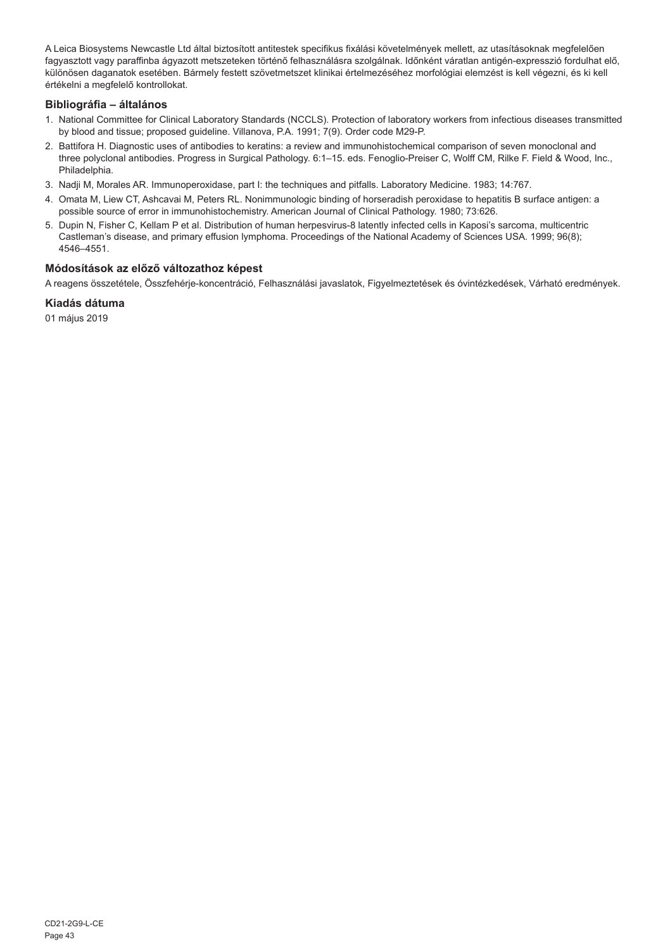A Leica Biosystems Newcastle Ltd által biztosított antitestek specifikus fixálási követelmények mellett, az utasításoknak megfelelően fagyasztott vagy paraffinba ágyazott metszeteken történő felhasználásra szolgálnak. Időnként váratlan antigén-expresszió fordulhat elő, különösen daganatok esetében. Bármely festett szövetmetszet klinikai értelmezéséhez morfológiai elemzést is kell végezni, és ki kell értékelni a megfelelő kontrollokat.

## **Bibliográfia – általános**

- 1. National Committee for Clinical Laboratory Standards (NCCLS). Protection of laboratory workers from infectious diseases transmitted by blood and tissue; proposed guideline. Villanova, P.A. 1991; 7(9). Order code M29-P.
- 2. Battifora H. Diagnostic uses of antibodies to keratins: a review and immunohistochemical comparison of seven monoclonal and three polyclonal antibodies. Progress in Surgical Pathology. 6:1–15. eds. Fenoglio-Preiser C, Wolff CM, Rilke F. Field & Wood, Inc., Philadelphia.
- 3. Nadji M, Morales AR. Immunoperoxidase, part I: the techniques and pitfalls. Laboratory Medicine. 1983; 14:767.
- 4. Omata M, Liew CT, Ashcavai M, Peters RL. Nonimmunologic binding of horseradish peroxidase to hepatitis B surface antigen: a possible source of error in immunohistochemistry. American Journal of Clinical Pathology. 1980; 73:626.
- 5. Dupin N, Fisher C, Kellam P et al. Distribution of human herpesvirus-8 latently infected cells in Kaposi's sarcoma, multicentric Castleman's disease, and primary effusion lymphoma. Proceedings of the National Academy of Sciences USA. 1999; 96(8); 4546–4551.

## **Módosítások az előző változathoz képest**

A reagens összetétele, Összfehérje-koncentráció, Felhasználási javaslatok, Figyelmeztetések és óvintézkedések, Várható eredmények.

## **Kiadás dátuma**

01 május 2019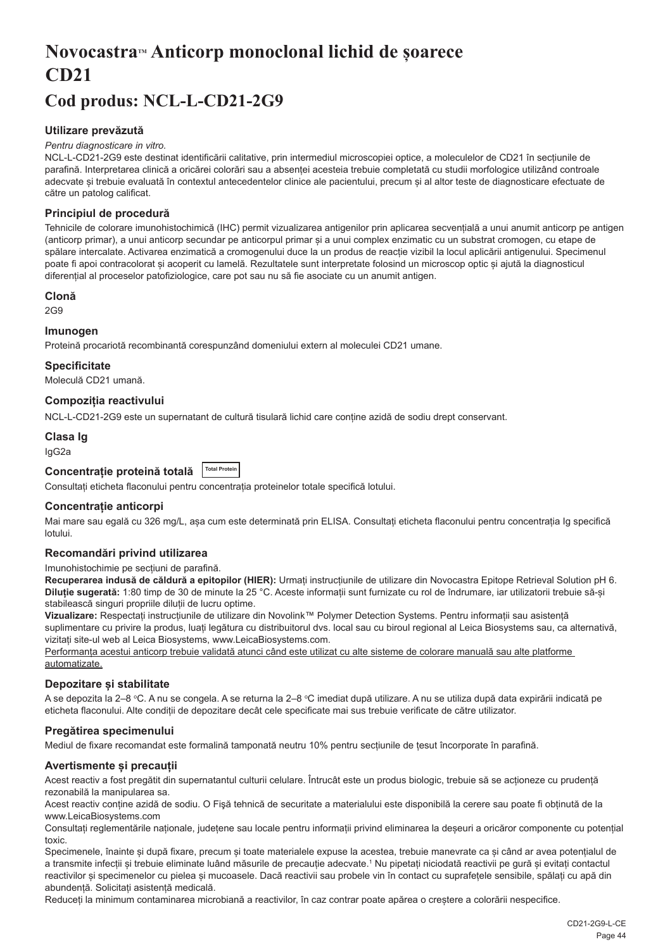# <span id="page-44-0"></span>**NovocastraTM Anticorp monoclonal lichid de șoarece CD21**

## **Cod produs: NCL-L-CD21-2G9**

## **Utilizare prevăzută**

#### *Pentru diagnosticare in vitro.*

NCL-L-CD21-2G9 este destinat identificării calitative, prin intermediul microscopiei optice, a moleculelor de CD21 în secțiunile de parafină. Interpretarea clinică a oricărei colorări sau a absenței acesteia trebuie completată cu studii morfologice utilizând controale adecvate și trebuie evaluată în contextul antecedentelor clinice ale pacientului, precum și al altor teste de diagnosticare efectuate de către un patolog calificat.

## **Principiul de procedură**

Tehnicile de colorare imunohistochimică (IHC) permit vizualizarea antigenilor prin aplicarea secvențială a unui anumit anticorp pe antigen (anticorp primar), a unui anticorp secundar pe anticorpul primar și a unui complex enzimatic cu un substrat cromogen, cu etape de spălare intercalate. Activarea enzimatică a cromogenului duce la un produs de reacție vizibil la locul aplicării antigenului. Specimenul poate fi apoi contracolorat și acoperit cu lamelă. Rezultatele sunt interpretate folosind un microscop optic și ajută la diagnosticul diferențial al proceselor patofiziologice, care pot sau nu să fie asociate cu un anumit antigen.

## **Clonă**

2G9

## **Imunogen**

Proteină procariotă recombinantă corespunzând domeniului extern al moleculei CD21 umane.

## **Specificitate**

Moleculă CD21 umană.

## **Compoziția reactivului**

NCL-L-CD21-2G9 este un supernatant de cultură tisulară lichid care conține azidă de sodiu drept conservant.

## **Clasa Ig**

IgG2a

## **Concentrație proteină totală Total Protein**

Consultați eticheta flaconului pentru concentrația proteinelor totale specifică lotului.

## **Concentrație anticorpi**

Mai mare sau egală cu 326 mg/L, asa cum este determinată prin ELISA. Consultati eticheta flaconului pentru concentratia Ig specifică lotului.

## **Recomandări privind utilizarea**

#### Imunohistochimie pe secțiuni de parafină.

**Recuperarea indusă de căldură a epitopilor (HIER):** Urmați instrucțiunile de utilizare din Novocastra Epitope Retrieval Solution pH 6. **Diluție sugerată:** 1:80 timp de 30 de minute la 25 °C. Aceste informații sunt furnizate cu rol de îndrumare, iar utilizatorii trebuie să-și stabilească singuri propriile diluții de lucru optime.

**Vizualizare:** Respectați instrucțiunile de utilizare din Novolink™ Polymer Detection Systems. Pentru informații sau asistență suplimentare cu privire la produs, luați legătura cu distribuitorul dvs. local sau cu biroul regional al Leica Biosystems sau, ca alternativă, vizitați site-ul web al Leica Biosystems, www.LeicaBiosystems.com.

Performanța acestui anticorp trebuie validată atunci când este utilizat cu alte sisteme de colorare manuală sau alte platforme automatizate.

## **Depozitare și stabilitate**

A se depozita la 2–8 °C. A nu se congela. A se returna la 2–8 °C imediat după utilizare. A nu se utiliza după data expirării indicată pe eticheta flaconului. Alte condiții de depozitare decât cele specificate mai sus trebuie verificate de către utilizator.

## **Pregătirea specimenului**

Mediul de fixare recomandat este formalină tamponată neutru 10% pentru secțiunile de țesut încorporate în parafină.

## **Avertismente și precauții**

Acest reactiv a fost pregătit din supernatantul culturii celulare. Întrucât este un produs biologic, trebuie să se acționeze cu prudență rezonabilă la manipularea sa.

Acest reactiv conține azidă de sodiu. O Fişă tehnică de securitate a materialului este disponibilă la cerere sau poate fi obținută de la www.LeicaBiosystems.com

Consultați reglementările naționale, județene sau locale pentru informații privind eliminarea la deșeuri a oricăror componente cu potențial toxic.

Specimenele, înainte și după fixare, precum și toate materialele expuse la acestea, trebuie manevrate ca și când ar avea potențialul de a transmite infecții și trebuie eliminate luând măsurile de precauție adecvate.1 Nu pipetați niciodată reactivii pe gură și evitați contactul reactivilor și specimenelor cu pielea și mucoasele. Dacă reactivii sau probele vin în contact cu suprafețele sensibile, spălați cu apă din abundență. Solicitați asistență medicală.

Reduceți la minimum contaminarea microbiană a reactivilor, în caz contrar poate apărea o creștere a colorării nespecifice.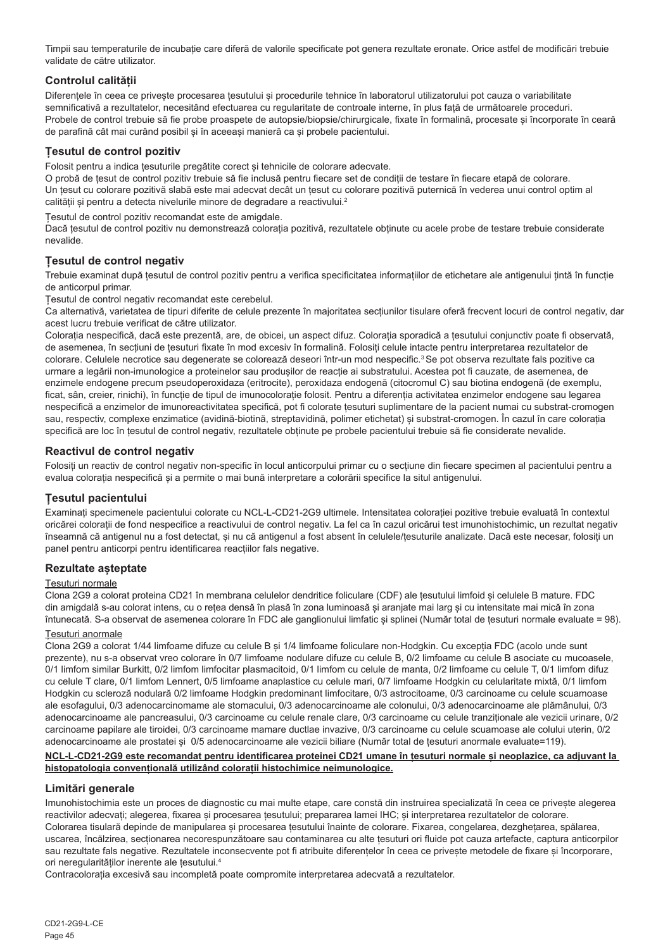Timpii sau temperaturile de incubație care diferă de valorile specificate pot genera rezultate eronate. Orice astfel de modificări trebuie validate de către utilizator.

## **Controlul calității**

Diferențele în ceea ce privește procesarea țesutului și procedurile tehnice în laboratorul utilizatorului pot cauza o variabilitate semnificativă a rezultatelor, necesitând efectuarea cu regularitate de controale interne, în plus față de următoarele proceduri. Probele de control trebuie să fie probe proaspete de autopsie/biopsie/chirurgicale, fixate în formalină, procesate și încorporate în ceară de parafină cât mai curând posibil și în aceeași manieră ca și probele pacientului.

## **Țesutul de control pozitiv**

Folosit pentru a indica țesuturile pregătite corect și tehnicile de colorare adecvate.

O probă de țesut de control pozitiv trebuie să fie inclusă pentru fiecare set de condiții de testare în fiecare etapă de colorare. Un țesut cu colorare pozitivă slabă este mai adecvat decât un țesut cu colorare pozitivă puternică în vederea unui control optim al calității și pentru a detecta nivelurile minore de degradare a reactivului.<sup>2</sup>

Țesutul de control pozitiv recomandat este de amigdale.

Dacă țesutul de control pozitiv nu demonstrează colorația pozitivă, rezultatele obținute cu acele probe de testare trebuie considerate nevalide.

## **Țesutul de control negativ**

Trebuie examinat după țesutul de control pozitiv pentru a verifica specificitatea informațiilor de etichetare ale antigenului țintă în funcție de anticorpul primar.

Țesutul de control negativ recomandat este cerebelul.

Ca alternativă, varietatea de tipuri diferite de celule prezente în majoritatea secțiunilor tisulare oferă frecvent locuri de control negativ, dar acest lucru trebuie verificat de către utilizator.

Colorația nespecifică, dacă este prezentă, are, de obicei, un aspect difuz. Colorația sporadică a țesutului conjunctiv poate fi observată, de asemenea, în secțiuni de țesuturi fixate în mod excesiv în formalină. Folosiți celule intacte pentru interpretarea rezultatelor de colorare. Celulele necrotice sau degenerate se colorează deseori într-un mod nespecific.<sup>3</sup> Se pot observa rezultate fals pozitive ca urmare a legării non-imunologice a proteinelor sau produșilor de reacție ai substratului. Acestea pot fi cauzate, de asemenea, de enzimele endogene precum pseudoperoxidaza (eritrocite), peroxidaza endogenă (citocromul C) sau biotina endogenă (de exemplu, ficat, sân, creier, rinichi), în funcție de tipul de imunocolorație folosit. Pentru a diferenția activitatea enzimelor endogene sau legarea nespecifică a enzimelor de imunoreactivitatea specifică, pot fi colorate țesuturi suplimentare de la pacient numai cu substrat-cromogen sau, respectiv, complexe enzimatice (avidină-biotină, streptavidină, polimer etichetat) și substrat-cromogen. În cazul în care colorația specifică are loc în țesutul de control negativ, rezultatele obținute pe probele pacientului trebuie să fie considerate nevalide.

## **Reactivul de control negativ**

Folosiți un reactiv de control negativ non-specific în locul anticorpului primar cu o secțiune din fiecare specimen al pacientului pentru a evalua colorația nespecifică și a permite o mai bună interpretare a colorării specifice la situl antigenului.

## **Țesutul pacientului**

Examinați specimenele pacientului colorate cu NCL-L-CD21-2G9 ultimele. Intensitatea colorației pozitive trebuie evaluată în contextul oricărei colorații de fond nespecifice a reactivului de control negativ. La fel ca în cazul oricărui test imunohistochimic, un rezultat negativ înseamnă că antigenul nu a fost detectat, și nu că antigenul a fost absent în celulele/țesuturile analizate. Dacă este necesar, folosiți un panel pentru anticorpi pentru identificarea reacțiilor fals negative.

## **Rezultate așteptate**

## Țesuturi normale

Clona 2G9 a colorat proteina CD21 în membrana celulelor dendritice foliculare (CDF) ale țesutului limfoid și celulele B mature. FDC din amigdală s-au colorat intens, cu o retea densă în plasă în zona luminoasă și aranjate mai larg și cu intensitate mai mică în zona întunecată. S-a observat de asemenea colorare în FDC ale ganglionului limfatic și splinei (Număr total de țesuturi normale evaluate = 98).

## Țesuturi anormale

Clona 2G9 a colorat 1/44 limfoame difuze cu celule B și 1/4 limfoame foliculare non-Hodgkin. Cu excepția FDC (acolo unde sunt prezente), nu s-a observat vreo colorare în 0/7 limfoame nodulare difuze cu celule B, 0/2 limfoame cu celule B asociate cu mucoasele, 0/1 limfom similar Burkitt, 0/2 limfom limfocitar plasmacitoid, 0/1 limfom cu celule de manta, 0/2 limfoame cu celule T, 0/1 limfom difuz cu celule T clare, 0/1 limfom Lennert, 0/5 limfoame anaplastice cu celule mari, 0/7 limfoame Hodgkin cu celularitate mixtă, 0/1 limfom Hodgkin cu scleroză nodulară 0/2 limfoame Hodgkin predominant limfocitare, 0/3 astrocitoame, 0/3 carcinoame cu celule scuamoase ale esofagului, 0/3 adenocarcinomame ale stomacului, 0/3 adenocarcinoame ale colonului, 0/3 adenocarcinoame ale plămânului, 0/3 adenocarcinoame ale pancreasului, 0/3 carcinoame cu celule renale clare, 0/3 carcinoame cu celule tranziționale ale vezicii urinare, 0/2 carcinoame papilare ale tiroidei, 0/3 carcinoame mamare ductlae invazive, 0/3 carcinoame cu celule scuamoase ale colului uterin, 0/2 adenocarcinoame ale prostatei și 0/5 adenocarcinoame ale vezicii biliare (Număr total de țesuturi anormale evaluate=119).

## **NCL-L-CD21-2G9 este recomandat pentru identificarea proteinei CD21 umane în țesuturi normale și neoplazice, ca adjuvant la histopatologia convențională utilizând colorații histochimice neimunologice.**

## **Limitări generale**

Imunohistochimia este un proces de diagnostic cu mai multe etape, care constă din instruirea specializată în ceea ce privește alegerea reactivilor adecvați; alegerea, fixarea și procesarea țesutului; prepararea lamei IHC; și interpretarea rezultatelor de colorare. Colorarea tisulară depinde de manipularea și procesarea țesutului înainte de colorare. Fixarea, congelarea, dezghețarea, spălarea, uscarea, încălzirea, secționarea necorespunzătoare sau contaminarea cu alte țesuturi ori fluide pot cauza artefacte, captura anticorpilor sau rezultate fals negative. Rezultatele inconsecvente pot fi atribuite diferențelor în ceea ce privește metodele de fixare și încorporare, ori neregularităților inerente ale țesutului.4

Contracolorația excesivă sau incompletă poate compromite interpretarea adecvată a rezultatelor.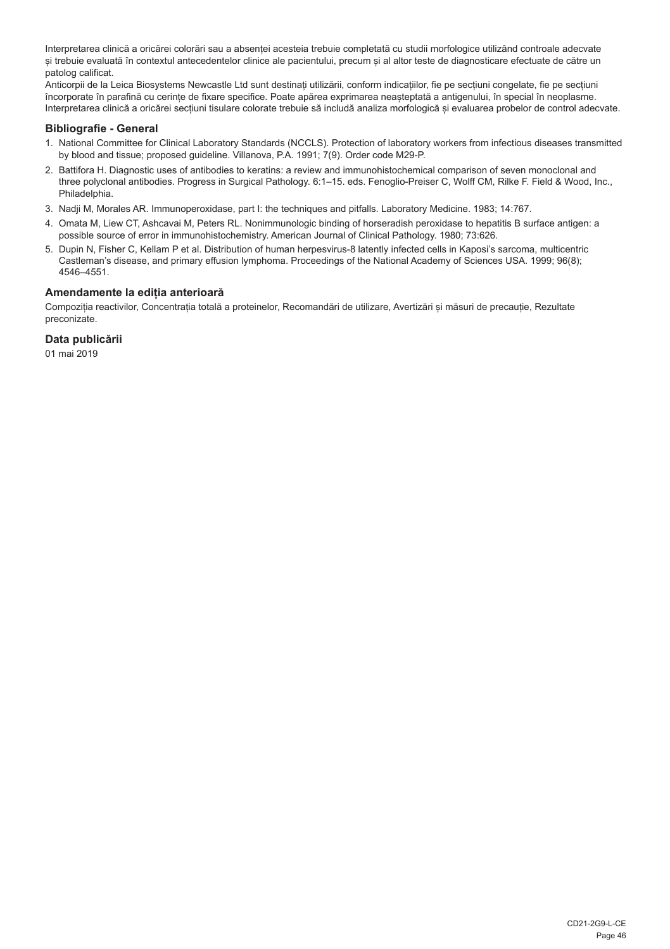Interpretarea clinică a oricărei colorări sau a absenței acesteia trebuie completată cu studii morfologice utilizând controale adecvate și trebuie evaluată în contextul antecedentelor clinice ale pacientului, precum și al altor teste de diagnosticare efectuate de către un patolog calificat.

Anticorpii de la Leica Biosystems Newcastle Ltd sunt destinați utilizării, conform indicațiilor, fie pe secțiuni congelate, fie pe secțiuni încorporate în parafină cu cerințe de fixare specifice. Poate apărea exprimarea neașteptată a antigenului, în special în neoplasme. Interpretarea clinică a oricărei secțiuni tisulare colorate trebuie să includă analiza morfologică și evaluarea probelor de control adecvate.

## **Bibliografie - General**

- 1. National Committee for Clinical Laboratory Standards (NCCLS). Protection of laboratory workers from infectious diseases transmitted by blood and tissue; proposed guideline. Villanova, P.A. 1991; 7(9). Order code M29-P.
- 2. Battifora H. Diagnostic uses of antibodies to keratins: a review and immunohistochemical comparison of seven monoclonal and three polyclonal antibodies. Progress in Surgical Pathology. 6:1–15. eds. Fenoglio-Preiser C, Wolff CM, Rilke F. Field & Wood, Inc., Philadelphia.
- 3. Nadji M, Morales AR. Immunoperoxidase, part I: the techniques and pitfalls. Laboratory Medicine. 1983; 14:767.
- 4. Omata M, Liew CT, Ashcavai M, Peters RL. Nonimmunologic binding of horseradish peroxidase to hepatitis B surface antigen: a possible source of error in immunohistochemistry. American Journal of Clinical Pathology. 1980; 73:626.
- 5. Dupin N, Fisher C, Kellam P et al. Distribution of human herpesvirus-8 latently infected cells in Kaposi's sarcoma, multicentric Castleman's disease, and primary effusion lymphoma. Proceedings of the National Academy of Sciences USA. 1999; 96(8); 4546–4551.

## **Amendamente la ediția anterioară**

Compoziția reactivilor, Concentrația totală a proteinelor, Recomandări de utilizare, Avertizări și măsuri de precauție, Rezultate preconizate.

## **Data publicării**

01 mai 2019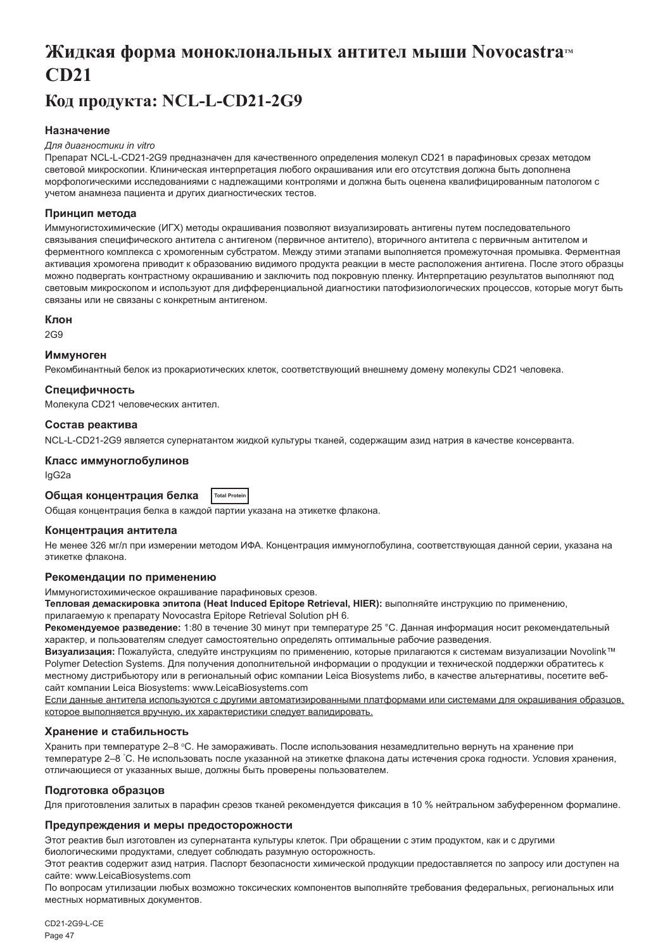# <span id="page-47-0"></span>**Жидкая форма моноклональных антител мыши Novocastra CD21**

# **Код продукта: NCL-L-CD21-2G9**

## **Назначение**

#### *Для диагностики in vitro*

Препарат NCL-L-CD21-2G9 предназначен для качественного определения молекул CD21 в парафиновых срезах методом световой микроскопии. Клиническая интерпретация любого окрашивания или его отсутствия должна быть дополнена морфологическими исследованиями с надлежащими контролями и должна быть оценена квалифицированным патологом с учетом анамнеза пациента и других диагностических тестов.

## **Принцип метода**

Иммуногистохимические (ИГХ) методы окрашивания позволяют визуализировать антигены путем последовательного связывания специфического антитела с антигеном (первичное антитело), вторичного антитела с первичным антителом и ферментного комплекса с хромогенным субстратом. Между этими этапами выполняется промежуточная промывка. Ферментная активация хромогена приводит к образованию видимого продукта реакции в месте расположения антигена. После этого образцы можно подвергать контрастному окрашиванию и заключить под покровную пленку. Интерпретацию результатов выполняют под световым микроскопом и используют для дифференциальной диагностики патофизиологических процессов, которые могут быть связаны или не связаны с конкретным антигеном.

## **Клон**

 $2G9$ 

## **Иммуноген**

Рекомбинантный белок из прокариотических клеток, соответствующий внешнему домену молекулы CD21 человека.

## **Специфичность**

Молекула CD21 человеческих антител.

## **Состав реактива**

NCL-L-CD21-2G9 является супернатантом жидкой культуры тканей, содержащим азид натрия в качестве консерванта.

## **Класс иммуноглобулинов**

IgG2a

#### **Общая концентрация белка Total Protein**

Общая концентрация белка в каждой партии указана на этикетке флакона.

#### **Концентрация антитела**

Не менее 326 мг/л при измерении методом ИФА. Концентрация иммуноглобулина, соответствующая данной серии, указана на этикетке флакона.

#### **Рекомендации по применению**

Иммуногистохимическое окрашивание парафиновых срезов.

**Тепловая демаскировка эпитопа (Heat Induced Epitope Retrieval, HIER):** выполняйте инструкцию по применению,

прилагаемую к препарату Novocastra Epitope Retrieval Solution pH 6. **Рекомендуемое разведение:** 1:80 в течение 30 минут при температуре 25 °C. Данная информация носит рекомендательный характер, и пользователям следует самостоятельно определять оптимальные рабочие разведения.

**Визуализация:** Пожалуйста, следуйте инструкциям по применению, которые прилагаются к системам визуализации Novolink™ Polymer Detection Systems. Для получения дополнительной информации о продукции и технической поддержки обратитесь к местному дистрибьютору или в региональный офис компании Leica Biosystems либо, в качестве альтернативы, посетите вебсайт компании Leica Biosystems: www.LeicaBiosystems.com

Если данные антитела используются с другими автоматизированными платформами или системами для окрашивания образцов, которое выполняется вручную, их характеристики следует валидировать.

#### **Хранение и стабильность**

Хранить при температуре 2–8 °C. Не замораживать. После использования незамедлительно вернуть на хранение при температуре 2–8 ° C. Не использовать после указанной на этикетке флакона даты истечения срока годности. Условия хранения, отличающиеся от указанных выше, должны быть проверены пользователем.

## **Подготовка образцов**

Для приготовления залитых в парафин срезов тканей рекомендуется фиксация в 10 % нейтральном забуференном формалине.

#### **Предупреждения и меры предосторожности**

Этот реактив был изготовлен из супернатанта культуры клеток. При обращении с этим продуктом, как и с другими биологическими продуктами, следует соблюдать разумную осторожность.

Этот реактив содержит азид натрия. Паспорт безопасности химической продукции предоставляется по запросу или доступен на сайте: www.LeicaBiosystems.com

По вопросам утилизации любых возможно токсических компонентов выполняйте требования федеральных, региональных или местных нормативных документов.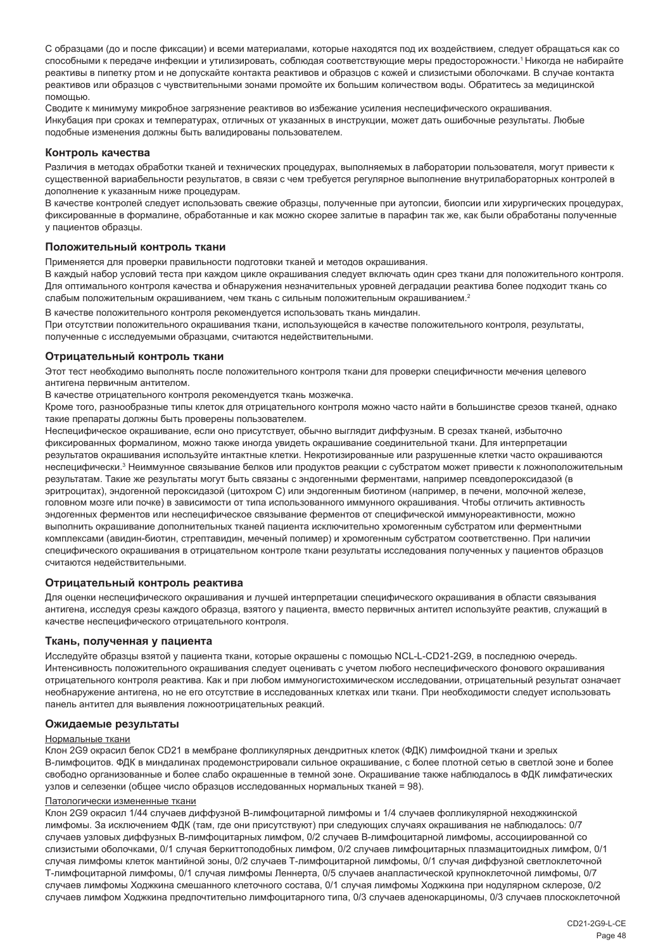С образцами (до и после фиксации) и всеми материалами, которые находятся под их воздействием, следует обращаться как со способными к передаче инфекции и утилизировать, соблюдая соответствующие меры предосторожности.<sup>1</sup>Никогда не набирайте реактивы в пипетку ртом и не допускайте контакта реактивов и образцов с кожей и слизистыми оболочками. В случае контакта реактивов или образцов с чувствительными зонами промойте их большим количеством воды. Обратитесь за медицинской помощью.

Сводите к минимуму микробное загрязнение реактивов во избежание усиления неспецифического окрашивания. Инкубация при сроках и температурах, отличных от указанных в инструкции, может дать ошибочные результаты. Любые подобные изменения должны быть валидированы пользователем.

#### **Контроль качества**

Различия в методах обработки тканей и технических процедурах, выполняемых в лаборатории пользователя, могут привести к существенной вариабельности результатов, в связи с чем требуется регулярное выполнение внутрилабораторных контролей в дополнение к указанным ниже процедурам.

В качестве контролей следует использовать свежие образцы, полученные при аутопсии, биопсии или хирургических процедурах, фиксированные в формалине, обработанные и как можно скорее залитые в парафин так же, как были обработаны полученные у пациентов образцы.

#### **Положительный контроль ткани**

Применяется для проверки правильности подготовки тканей и методов окрашивания.

В каждый набор условий теста при каждом цикле окрашивания следует включать один срез ткани для положительного контроля. Для оптимального контроля качества и обнаружения незначительных уровней деградации реактива более подходит ткань со слабым положительным окрашиванием, чем ткань с сильным положительным окрашиванием.<sup>2</sup>

В качестве положительного контроля рекомендуется использовать ткань миндалин.

При отсутствии положительного окрашивания ткани, использующейся в качестве положительного контроля, результаты, полученные с исследуемыми образцами, считаются недействительными.

#### **Отрицательный контроль ткани**

Этот тест необходимо выполнять после положительного контроля ткани для проверки специфичности мечения целевого антигена первичным антителом.

В качестве отрицательного контроля рекомендуется ткань мозжечка.

Кроме того, разнообразные типы клеток для отрицательного контроля можно часто найти в большинстве срезов тканей, однако такие препараты должны быть проверены пользователем.

Неспецифическое окрашивание, если оно присутствует, обычно выглядит диффузным. В срезах тканей, избыточно фиксированных формалином, можно также иногда увидеть окрашивание соединительной ткани. Для интерпретации результатов окрашивания используйте интактные клетки. Некротизированные или разрушенные клетки часто окрашиваются неспецифически.<sup>з</sup> Неиммунное связывание белков или продуктов реакции с субстратом может привести к ложноположительным результатам. Такие же результаты могут быть связаны с эндогенными ферментами, например псевдопероксидазой (в эритроцитах), эндогенной пероксидазой (цитохром C) или эндогенным биотином (например, в печени, молочной железе, головном мозге или почке) в зависимости от типа использованного иммунного окрашивания. Чтобы отличить активность эндогенных ферментов или неспецифическое связывание ферментов от специфической иммунореактивности, можно выполнить окрашивание дополнительных тканей пациента исключительно хромогенным субстратом или ферментными комплексами (авидин-биотин, стрептавидин, меченый полимер) и хромогенным субстратом соответственно. При наличии специфического окрашивания в отрицательном контроле ткани результаты исследования полученных у пациентов образцов считаются недействительными.

#### **Отрицательный контроль реактива**

Для оценки неспецифического окрашивания и лучшей интерпретации специфического окрашивания в области связывания антигена, исследуя срезы каждого образца, взятого у пациента, вместо первичных антител используйте реактив, служащий в качестве неспецифического отрицательного контроля.

## **Ткань, полученная у пациента**

Исследуйте образцы взятой у пациента ткани, которые окрашены с помощью NCL-L-CD21-2G9, в последнюю очередь. Интенсивность положительного окрашивания следует оценивать с учетом любого неспецифического фонового окрашивания отрицательного контроля реактива. Как и при любом иммуногистохимическом исследовании, отрицательный результат означает необнаружение антигена, но не его отсутствие в исследованных клетках или ткани. При необходимости следует использовать панель антител для выявления ложноотрицательных реакций.

#### **Ожидаемые результаты**

#### Нормальные ткани

Клон 2G9 окрасил белок CD21 в мембране фолликулярных дендритных клеток (ФДК) лимфоидной ткани и зрелых B-лимфоцитов. ФДК в миндалинах продемонстрировали сильное окрашивание, с более плотной сетью в светлой зоне и более свободно организованные и более слабо окрашенные в темной зоне. Окрашивание также наблюдалось в ФДК лимфатических узлов и селезенки (общее число образцов исследованных нормальных тканей = 98).

#### Патологически измененные ткани

Клон 2G9 окрасил 1/44 случаев диффузной В-лимфоцитарной лимфомы и 1/4 случаев фолликулярной неходжкинской лимфомы. За исключением ФДК (там, где они присутствуют) при следующих случаях окрашивания не наблюдалось: 0/7 случаев узловых диффузных В-лимфоцитарных лимфом, 0/2 случаев В-лимфоцитарной лимфомы, ассоциированной со слизистыми оболочками, 0/1 случая беркиттоподобных лимфом, 0/2 случаев лимфоцитарных плазмацитоидных лимфом, 0/1 случая лимфомы клеток мантийной зоны, 0/2 случаев Т-лимфоцитарной лимфомы, 0/1 случая диффузной светлоклеточной Т-лимфоцитарной лимфомы, 0/1 случая лимфомы Леннерта, 0/5 случаев анапластической крупноклеточной лимфомы, 0/7 случаев лимфомы Ходжкина смешанного клеточного состава, 0/1 случая лимфомы Ходжкина при нодулярном склерозе, 0/2 случаев лимфом Ходжкина предпочтительно лимфоцитарного типа, 0/3 случаев аденокарциномы, 0/3 случаев плоскоклеточной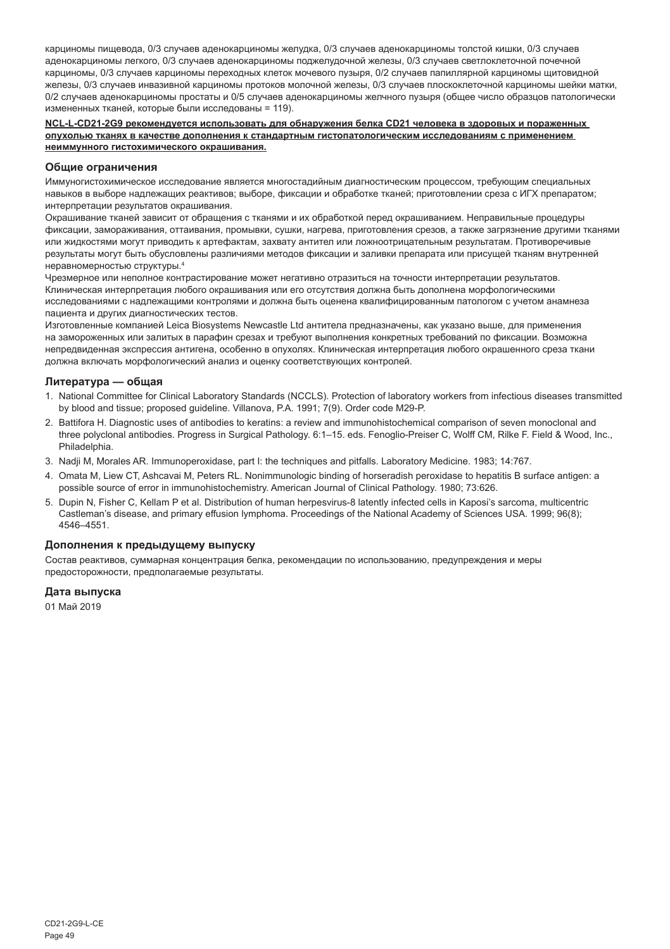карциномы пищевода, 0/3 случаев аденокарциномы желудка, 0/3 случаев аденокарциномы толстой кишки, 0/3 случаев аденокарциномы легкого, 0/3 случаев аденокарциномы поджелудочной железы, 0/3 случаев светлоклеточной почечной карциномы, 0/3 случаев карциномы переходных клеток мочевого пузыря, 0/2 случаев папиллярной карциномы щитовидной железы, 0/3 случаев инвазивной карциномы протоков молочной железы, 0/3 случаев плоскоклеточной карциномы шейки матки, 0/2 случаев аденокарциномы простаты и 0/5 случаев аденокарциномы желчного пузыря (общее число образцов патологически измененных тканей, которые были исследованы = 119).

#### **NCL-L-CD21-2G9 рекомендуется использовать для обнаружения белка CD21 человека в здоровых и пораженных опухолью тканях в качестве дополнения к стандартным гистопатологическим исследованиям с применением неиммунного гистохимического окрашивания.**

#### **Общие ограничения**

Иммуногистохимическое исследование является многостадийным диагностическим процессом, требующим специальных навыков в выборе надлежащих реактивов; выборе, фиксации и обработке тканей; приготовлении среза с ИГХ препаратом; интерпретации результатов окрашивания.

Окрашивание тканей зависит от обращения с тканями и их обработкой перед окрашиванием. Неправильные процедуры фиксации, замораживания, оттаивания, промывки, сушки, нагрева, приготовления срезов, а также загрязнение другими тканями или жидкостями могут приводить к артефактам, захвату антител или ложноотрицательным результатам. Противоречивые результаты могут быть обусловлены различиями методов фиксации и заливки препарата или присущей тканям внутренней неравномерностью структуры.4

Чрезмерное или неполное контрастирование может негативно отразиться на точности интерпретации результатов. Клиническая интерпретация любого окрашивания или его отсутствия должна быть дополнена морфологическими исследованиями с надлежащими контролями и должна быть оценена квалифицированным патологом с учетом анамнеза пациента и других диагностических тестов.

Изготовленные компанией Leica Biosystems Newcastle Ltd антитела предназначены, как указано выше, для применения на замороженных или залитых в парафин срезах и требуют выполнения конкретных требований по фиксации. Возможна непредвиденная экспрессия антигена, особенно в опухолях. Клиническая интерпретация любого окрашенного среза ткани должна включать морфологический анализ и оценку соответствующих контролей.

## **Литература — общая**

- 1. National Committee for Clinical Laboratory Standards (NCCLS). Protection of laboratory workers from infectious diseases transmitted by blood and tissue; proposed guideline. Villanova, P.A. 1991; 7(9). Order code M29-P.
- 2. Battifora H. Diagnostic uses of antibodies to keratins: a review and immunohistochemical comparison of seven monoclonal and three polyclonal antibodies. Progress in Surgical Pathology. 6:1–15. eds. Fenoglio-Preiser C, Wolff CM, Rilke F. Field & Wood, Inc., Philadelphia.
- 3. Nadji M, Morales AR. Immunoperoxidase, part I: the techniques and pitfalls. Laboratory Medicine. 1983; 14:767.
- 4. Omata M, Liew CT, Ashcavai M, Peters RL. Nonimmunologic binding of horseradish peroxidase to hepatitis B surface antigen: a possible source of error in immunohistochemistry. American Journal of Clinical Pathology. 1980; 73:626.
- 5. Dupin N, Fisher C, Kellam P et al. Distribution of human herpesvirus-8 latently infected cells in Kaposi's sarcoma, multicentric Castleman's disease, and primary effusion lymphoma. Proceedings of the National Academy of Sciences USA. 1999; 96(8); 4546–4551.

## **Дополнения к предыдущему выпуску**

Состав реактивов, суммарная концентрация белка, рекомендации по использованию, предупреждения и меры предосторожности, предполагаемые результаты.

#### **Дата выпуска**

01 Май 2019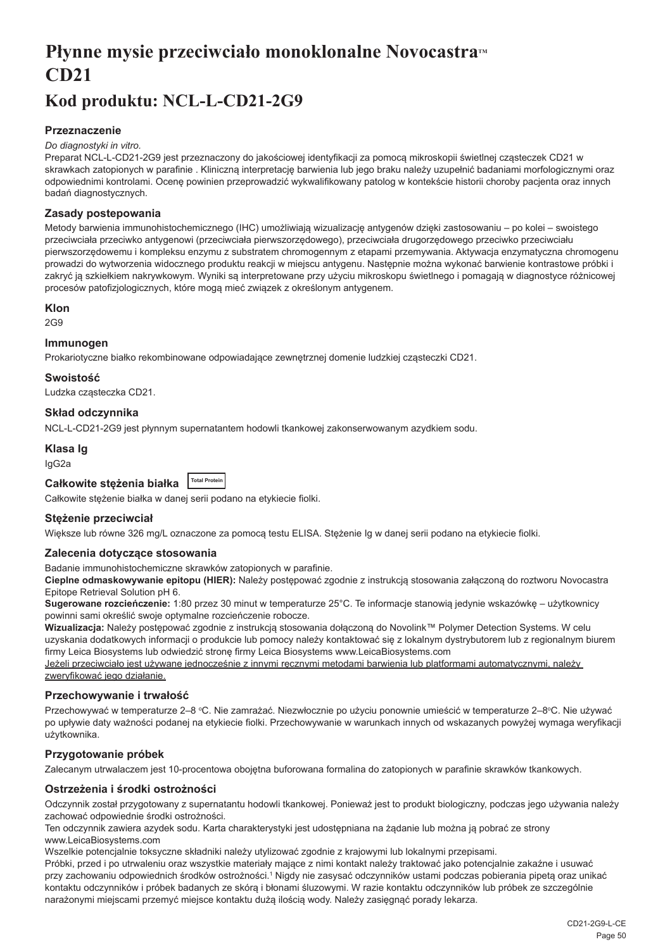# <span id="page-50-0"></span>**Płynne mysie przeciwciało monoklonalne Novocastram CD21**

# **Kod produktu: NCL-L-CD21-2G9**

## **Przeznaczenie**

#### *Do diagnostyki in vitro.*

Preparat NCL-L-CD21-2G9 jest przeznaczony do jakościowej identyfikacji za pomocą mikroskopii świetlnej cząsteczek CD21 w skrawkach zatopionych w parafinie . Kliniczną interpretację barwienia lub jego braku należy uzupełnić badaniami morfologicznymi oraz odpowiednimi kontrolami. Ocenę powinien przeprowadzić wykwalifikowany patolog w kontekście historii choroby pacjenta oraz innych badań diagnostycznych.

## **Zasady postepowania**

Metody barwienia immunohistochemicznego (IHC) umożliwiają wizualizację antygenów dzięki zastosowaniu – po kolei – swoistego przeciwciała przeciwko antygenowi (przeciwciała pierwszorzędowego), przeciwciała drugorzędowego przeciwko przeciwciału pierwszorzędowemu i kompleksu enzymu z substratem chromogennym z etapami przemywania. Aktywacja enzymatyczna chromogenu prowadzi do wytworzenia widocznego produktu reakcji w miejscu antygenu. Następnie można wykonać barwienie kontrastowe próbki i zakryć ją szkiełkiem nakrywkowym. Wyniki są interpretowane przy użyciu mikroskopu świetlnego i pomagają w diagnostyce różnicowej procesów patofizjologicznych, które mogą mieć związek z określonym antygenem.

## **Klon**

2G9

## **Immunogen**

Prokariotyczne białko rekombinowane odpowiadające zewnętrznej domenie ludzkiej cząsteczki CD21.

## **Swoistość**

Ludzka cząsteczka CD21.

## **Skład odczynnika**

NCL-L-CD21-2G9 jest płynnym supernatantem hodowli tkankowej zakonserwowanym azydkiem sodu.

## **Klasa Ig**

IgG2a

| Całkowite stężenia białka | <b>Total Protein</b> |
|---------------------------|----------------------|
|---------------------------|----------------------|

Całkowite stężenie białka w danej serii podano na etykiecie fiolki.

## **Stężenie przeciwciał**

Większe lub równe 326 mg/L oznaczone za pomocą testu ELISA. Stężenie Ig w danej serii podano na etykiecie fiolki.

#### **Zalecenia dotyczące stosowania**

Badanie immunohistochemiczne skrawków zatopionych w parafinie.

**Cieplne odmaskowywanie epitopu (HIER):** Należy postępować zgodnie z instrukcją stosowania załączoną do roztworu Novocastra Epitope Retrieval Solution pH 6.

**Sugerowane rozcieńczenie:** 1:80 przez 30 minut w temperaturze 25°C. Te informacje stanowią jedynie wskazówkę – użytkownicy powinni sami określić swoje optymalne rozcieńczenie robocze.

**Wizualizacja:** Należy postępować zgodnie z instrukcją stosowania dołączoną do Novolink™ Polymer Detection Systems. W celu uzyskania dodatkowych informacji o produkcie lub pomocy należy kontaktować się z lokalnym dystrybutorem lub z regionalnym biurem firmy Leica Biosystems lub odwiedzić stronę firmy Leica Biosystems www.LeicaBiosystems.com

Jeżeli przeciwciało jest używane jednocześnie z innymi ręcznymi metodami barwienia lub platformami automatycznymi, należy zweryfikować jego działanie.

## **Przechowywanie i trwałość**

Przechowywać w temperaturze 2–8 °C. Nie zamrażać. Niezwłocznie po użyciu ponownie umieścić w temperaturze 2–8°C. Nie używać po upływie daty ważności podanej na etykiecie fiolki. Przechowywanie w warunkach innych od wskazanych powyżej wymaga weryfikacji użytkownika.

## **Przygotowanie próbek**

Zalecanym utrwalaczem jest 10-procentowa obojetna buforowana formalina do zatopionych w parafinie skrawków tkankowych.

## **Ostrzeżenia i środki ostrożności**

Odczynnik został przygotowany z supernatantu hodowli tkankowej. Ponieważ jest to produkt biologiczny, podczas jego używania należy zachować odpowiednie środki ostrożności.

Ten odczynnik zawiera azydek sodu. Karta charakterystyki jest udostępniana na żądanie lub można ją pobrać ze strony www.LeicaBiosystems.com

Wszelkie potencjalnie toksyczne składniki należy utylizować zgodnie z krajowymi lub lokalnymi przepisami.

Próbki, przed i po utrwaleniu oraz wszystkie materiały mające z nimi kontakt należy traktować jako potencjalnie zakaźne i usuwać przy zachowaniu odpowiednich środków ostrożności.1 Nigdy nie zasysać odczynników ustami podczas pobierania pipetą oraz unikać kontaktu odczynników i próbek badanych ze skórą i błonami śluzowymi. W razie kontaktu odczynników lub próbek ze szczególnie narażonymi miejscami przemyć miejsce kontaktu dużą ilością wody. Należy zasięgnąć porady lekarza.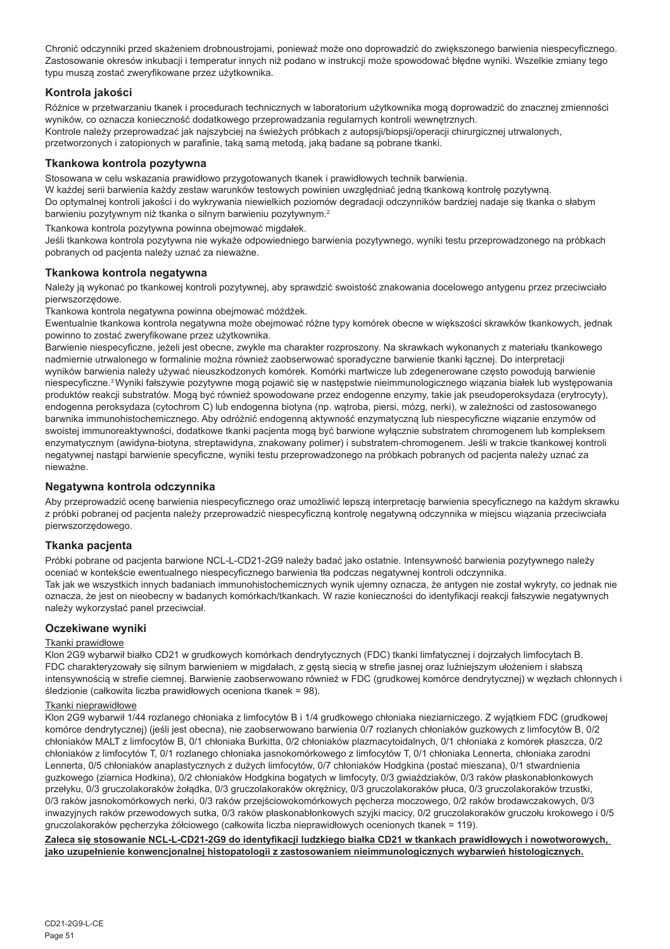Chronić odczynniki przed skażeniem drobnoustrojami, ponieważ może ono doprowadzić do zwiększonego barwienia niespecyficznego. Zastosowanie okresów inkubacji i temperatur innych niż podano w instrukcji może spowodować błędne wyniki. Wszelkie zmiany tego typu muszą zostać zweryfikowane przez użytkownika.

## **Kontrola jakości**

Różnice w przetwarzaniu tkanek i procedurach technicznych w laboratorium użytkownika mogą doprowadzić do znacznej zmienności wyników, co oznacza konieczność dodatkowego przeprowadzania regularnych kontroli wewnętrznych. Kontrole należy przeprowadzać jak najszybciej na świeżych próbkach z autopsji/biopsji/operacji chirurgicznej utrwalonych, przetworzonych i zatopionych w parafinie, taką samą metodą, jaką badane są pobrane tkanki.

## **Tkankowa kontrola pozytywna**

Stosowana w celu wskazania prawidłowo przygotowanych tkanek i prawidłowych technik barwienia.

W każdej serii barwienia każdy zestaw warunków testowych powinien uwzględniać jedną tkankową kontrolę pozytywną. Do optymalnej kontroli jakości i do wykrywania niewielkich poziomów degradacji odczynników bardziej nadaje się tkanka o słabym barwieniu pozytywnym niż tkanka o silnym barwieniu pozytywnym.<sup>2</sup>

Tkankowa kontrola pozytywna powinna obejmować migdałek.

Jeśli tkankowa kontrola pozytywna nie wykaże odpowiedniego barwienia pozytywnego, wyniki testu przeprowadzonego na próbkach pobranych od pacjenta należy uznać za nieważne.

## **Tkankowa kontrola negatywna**

Należy ją wykonać po tkankowej kontroli pozytywnej, aby sprawdzić swoistość znakowania docelowego antygenu przez przeciwciało pierwszorzędowe.

Tkankowa kontrola negatywna powinna obejmować móżdżek.

Ewentualnie tkankowa kontrola negatywna może obejmować różne typy komórek obecne w większości skrawków tkankowych, jednak powinno to zostać zweryfikowane przez użytkownika.

Barwienie niespecyficzne, jeżeli jest obecne, zwykle ma charakter rozproszony. Na skrawkach wykonanych z materiału tkankowego nadmiernie utrwalonego w formalinie można również zaobserwować sporadyczne barwienie tkanki łącznej. Do interpretacji wyników barwienia należy używać nieuszkodzonych komórek. Komórki martwicze lub zdegenerowane często powodują barwienie niespecyficzne.<sup>3</sup>Wyniki fałszywie pozytywne mogą pojawić się w następstwie nieimmunologicznego wiązania białek lub występowania produktów reakcji substratów. Mogą być również spowodowane przez endogenne enzymy, takie jak pseudoperoksydaza (erytrocyty), endogenna peroksydaza (cytochrom C) lub endogenna biotyna (np. wątroba, piersi, mózg, nerki), w zależności od zastosowanego barwnika immunohistochemicznego. Aby odróżnić endogenną aktywność enzymatyczną lub niespecyficzne wiązanie enzymów od swoistej immunoreaktywności, dodatkowe tkanki pacjenta mogą być barwione wyłącznie substratem chromogenem lub kompleksem enzymatycznym (awidyna-biotyna, streptawidyna, znakowany polimer) i substratem-chromogenem. Jeśli w trakcie tkankowej kontroli negatywnej nastąpi barwienie specyficzne, wyniki testu przeprowadzonego na próbkach pobranych od pacjenta należy uznać za nieważne.

## **Negatywna kontrola odczynnika**

Aby przeprowadzić ocenę barwienia niespecyficznego oraz umożliwić lepszą interpretację barwienia specyficznego na każdym skrawku z próbki pobranej od pacjenta należy przeprowadzić niespecyficzną kontrolę negatywną odczynnika w miejscu wiązania przeciwciała pierwszorzędowego.

## **Tkanka pacjenta**

Próbki pobrane od pacjenta barwione NCL-L-CD21-2G9 należy badać jako ostatnie. Intensywność barwienia pozytywnego należy oceniać w kontekście ewentualnego niespecyficznego barwienia tła podczas negatywnej kontroli odczynnika. Tak jak we wszystkich innych badaniach immunohistochemicznych wynik ujemny oznacza, że antygen nie został wykryty, co jednak nie oznacza, że jest on nieobecny w badanych komórkach/tkankach. W razie konieczności do identyfikacji reakcji fałszywie negatywnych należy wykorzystać panel przeciwciał.

## **Oczekiwane wyniki**

## Tkanki prawidłowe

Klon 2G9 wybarwił białko CD21 w grudkowych komórkach dendrytycznych (FDC) tkanki limfatycznej i dojrzałych limfocytach B. FDC charakteryzowały się silnym barwieniem w migdałach, z gęstą siecią w strefie jasnej oraz luźniejszym ułożeniem i słabszą intensywnością w strefie ciemnej. Barwienie zaobserwowano również w FDC (grudkowej komórce dendrytycznej) w węzłach chłonnych i śledzionie (całkowita liczba prawidłowych oceniona tkanek = 98).

## Tkanki nieprawidłowe

Klon 2G9 wybarwił 1/44 rozlanego chłoniaka z limfocytów B i 1/4 grudkowego chłoniaka nieziarniczego. Z wyjątkiem FDC (grudkowej komórce dendrytycznej) (jeśli jest obecna), nie zaobserwowano barwienia 0/7 rozlanych chłoniaków guzkowych z limfocytów B, 0/2 chłoniaków MALT z limfocytów B, 0/1 chłoniaka Burkitta, 0/2 chłoniaków plazmacytoidalnych, 0/1 chłoniaka z komórek płaszcza, 0/2 chłoniaków z limfocytów T, 0/1 rozlanego chłoniaka jasnokomórkowego z limfocytów T, 0/1 chłoniaka Lennerta, chłoniaka zarodni Lennerta, 0/5 chłoniaków anaplastycznych z dużych limfocytów, 0/7 chłoniaków Hodgkina (postać mieszana), 0/1 stwardnienia guzkowego (ziarnica Hodkina), 0/2 chłoniaków Hodgkina bogatych w limfocyty, 0/3 gwiaździaków, 0/3 raków płaskonabłonkowych przełyku, 0/3 gruczolakoraków żołądka, 0/3 gruczolakoraków okrężnicy, 0/3 gruczolakoraków płuca, 0/3 gruczolakoraków trzustki, 0/3 raków jasnokomórkowych nerki, 0/3 raków przejściowokomórkowych pęcherza moczowego, 0/2 raków brodawczakowych, 0/3 inwazyjnych raków przewodowych sutka, 0/3 raków płaskonabłonkowych szyjki macicy, 0/2 gruczolakoraków gruczołu krokowego i 0/5 gruczolakoraków pęcherzyka żółciowego (całkowita liczba nieprawidłowych ocenionych tkanek = 119).

**Zaleca się stosowanie NCL-L-CD21-2G9 do identyfikacji ludzkiego białka CD21 w tkankach prawidłowych i nowotworowych, jako uzupełnienie konwencjonalnej histopatologii z zastosowaniem nieimmunologicznych wybarwień histologicznych.**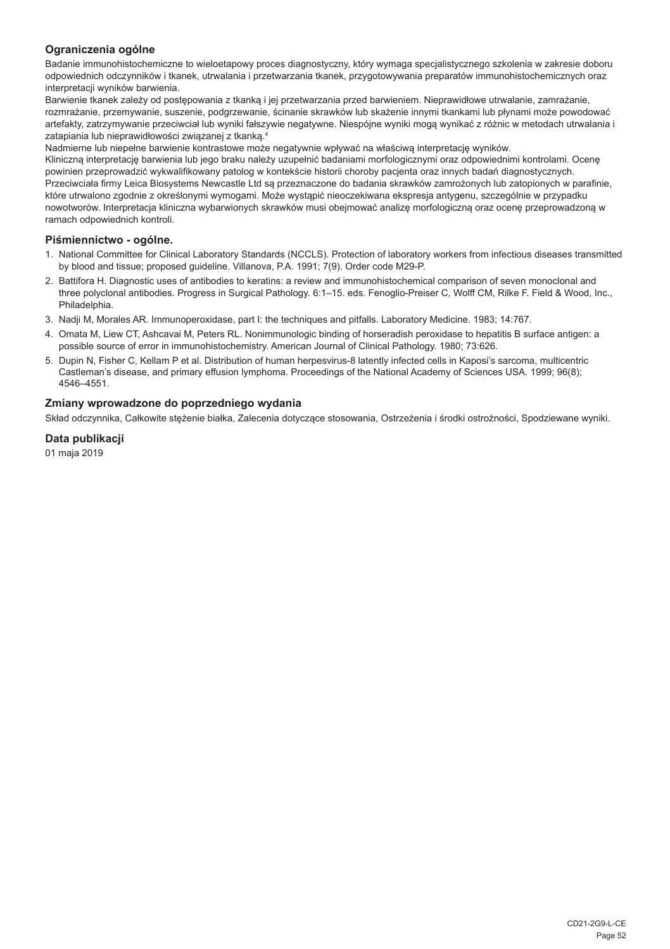## **Ograniczenia ogólne**

Badanie immunohistochemiczne to wieloetapowy proces diagnostyczny, który wymaga specjalistycznego szkolenia w zakresie doboru odpowiednich odczynników i tkanek, utrwalania i przetwarzania tkanek, przygotowywania preparatów immunohistochemicznych oraz interpretacji wyników barwienia.

Barwienie tkanek zależy od postępowania z tkanką i jej przetwarzania przed barwieniem. Nieprawidłowe utrwalanie, zamrażanie, rozmrażanie, przemywanie, suszenie, podgrzewanie, ścinanie skrawków lub skażenie innymi tkankami lub płynami może powodować artefakty, zatrzymywanie przeciwciał lub wyniki fałszywie negatywne. Niespójne wyniki mogą wynikać z różnic w metodach utrwalania i zatapiania lub nieprawidłowości związanej z tkanką.4

Nadmierne lub niepełne barwienie kontrastowe może negatywnie wpływać na właściwą interpretację wyników.

Kliniczną interpretację barwienia lub jego braku należy uzupełnić badaniami morfologicznymi oraz odpowiednimi kontrolami. Ocenę powinien przeprowadzić wykwalifikowany patolog w kontekście historii choroby pacjenta oraz innych badań diagnostycznych. Przeciwciała firmy Leica Biosystems Newcastle Ltd są przeznaczone do badania skrawków zamrożonych lub zatopionych w parafinie, które utrwalono zgodnie z określonymi wymogami. Może wystąpić nieoczekiwana ekspresja antygenu, szczególnie w przypadku nowotworów. Interpretacja kliniczna wybarwionych skrawków musi obejmować analizę morfologiczną oraz ocenę przeprowadzoną w ramach odpowiednich kontroli.

## **Piśmiennictwo - ogólne.**

- 1. National Committee for Clinical Laboratory Standards (NCCLS). Protection of laboratory workers from infectious diseases transmitted by blood and tissue; proposed guideline. Villanova, P.A. 1991; 7(9). Order code M29-P.
- 2. Battifora H. Diagnostic uses of antibodies to keratins: a review and immunohistochemical comparison of seven monoclonal and three polyclonal antibodies. Progress in Surgical Pathology. 6:1–15. eds. Fenoglio-Preiser C, Wolff CM, Rilke F. Field & Wood, Inc., Philadelphia.
- 3. Nadji M, Morales AR. Immunoperoxidase, part I: the techniques and pitfalls. Laboratory Medicine. 1983; 14:767.
- 4. Omata M, Liew CT, Ashcavai M, Peters RL. Nonimmunologic binding of horseradish peroxidase to hepatitis B surface antigen: a possible source of error in immunohistochemistry. American Journal of Clinical Pathology. 1980; 73:626.
- 5. Dupin N, Fisher C, Kellam P et al. Distribution of human herpesvirus-8 latently infected cells in Kaposi's sarcoma, multicentric Castleman's disease, and primary effusion lymphoma. Proceedings of the National Academy of Sciences USA. 1999; 96(8); 4546–4551.

## **Zmiany wprowadzone do poprzedniego wydania**

Skład odczynnika, Całkowite stężenie białka, Zalecenia dotyczące stosowania, Ostrzeżenia i środki ostrożności, Spodziewane wyniki.

## **Data publikacji**

01 maja 2019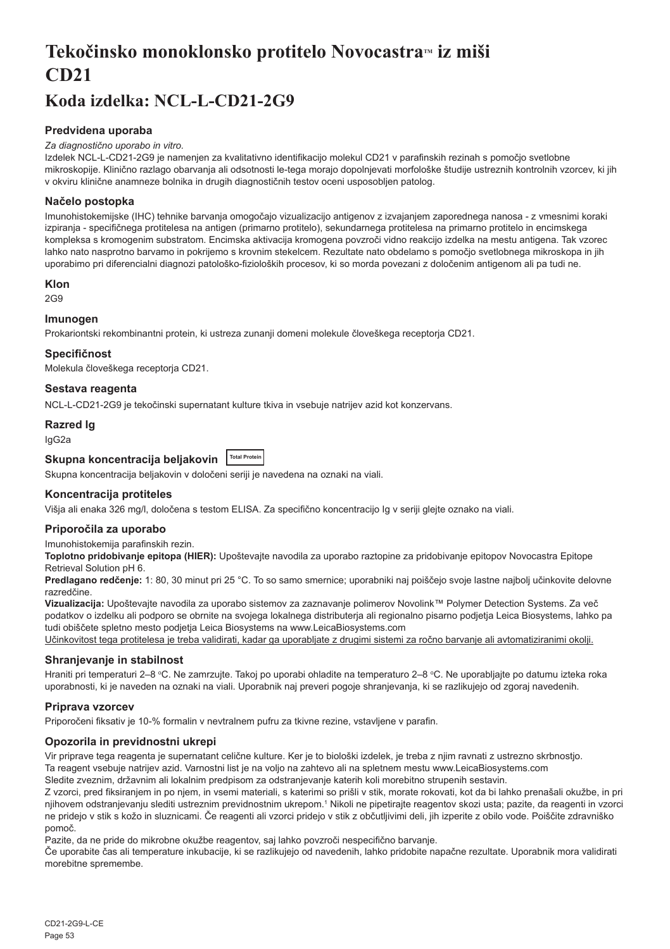# <span id="page-53-0"></span>Tekočinsko monoklonsko protitelo Novocastra™ iz miši **CD21**

# **Koda izdelka: NCL-L-CD21-2G9**

## **Predvidena uporaba**

#### *Za diagnostično uporabo in vitro.*

Izdelek NCL-L-CD21-2G9 je namenjen za kvalitativno identifikacijo molekul CD21 v parafinskih rezinah s pomočjo svetlobne mikroskopije. Klinično razlago obarvanja ali odsotnosti le-tega morajo dopolnjevati morfološke študije ustreznih kontrolnih vzorcev, ki jih v okviru klinične anamneze bolnika in drugih diagnostičnih testov oceni usposobljen patolog.

## **Načelo postopka**

Imunohistokemijske (IHC) tehnike barvanja omogočajo vizualizacijo antigenov z izvajanjem zaporednega nanosa - z vmesnimi koraki izpiranja - specifičnega protitelesa na antigen (primarno protitelo), sekundarnega protitelesa na primarno protitelo in encimskega kompleksa s kromogenim substratom. Encimska aktivacija kromogena povzroči vidno reakcijo izdelka na mestu antigena. Tak vzorec lahko nato nasprotno barvamo in pokrijemo s krovnim stekelcem. Rezultate nato obdelamo s pomočjo svetlobnega mikroskopa in jih uporabimo pri diferencialni diagnozi patološko-fizioloških procesov, ki so morda povezani z določenim antigenom ali pa tudi ne.

## **Klon**

2G<sub>9</sub>

## **Imunogen**

Prokariontski rekombinantni protein, ki ustreza zunanji domeni molekule človeškega receptorja CD21.

## **Specifičnost**

Molekula človeškega receptorja CD21.

## **Sestava reagenta**

NCL-L-CD21-2G9 je tekočinski supernatant kulture tkiva in vsebuje natrijev azid kot konzervans.

## **Razred Ig**

IgG2a

## **Skupna koncentracija beljakovin Total Protein**

Skupna koncentracija beljakovin v določeni seriji je navedena na oznaki na viali.

## **Koncentracija protiteles**

Višja ali enaka 326 mg/l, določena s testom ELISA. Za specifično koncentracijo Ig v seriji glejte oznako na viali.

#### **Priporočila za uporabo**

Imunohistokemija parafinskih rezin.

**Toplotno pridobivanje epitopa (HIER):** Upoštevajte navodila za uporabo raztopine za pridobivanje epitopov Novocastra Epitope Retrieval Solution pH 6.

**Predlagano redčenje:** 1: 80, 30 minut pri 25 °C. To so samo smernice; uporabniki naj poiščejo svoje lastne najbolj učinkovite delovne razredčine.

**Vizualizacija:** Upoštevajte navodila za uporabo sistemov za zaznavanje polimerov Novolink™ Polymer Detection Systems. Za več podatkov o izdelku ali podporo se obrnite na svojega lokalnega distributerja ali regionalno pisarno podjetja Leica Biosystems, lahko pa tudi obiščete spletno mesto podjetja Leica Biosystems na www.LeicaBiosystems.com Učinkovitost tega protitelesa je treba validirati, kadar ga uporabljate z drugimi sistemi za ročno barvanje ali avtomatiziranimi okolji.

## **Shranjevanje in stabilnost**

Hraniti pri temperaturi 2–8 °C. Ne zamrzujte. Takoj po uporabi ohladite na temperaturo 2–8 °C. Ne uporabljajte po datumu izteka roka uporabnosti, ki je naveden na oznaki na viali. Uporabnik naj preveri pogoje shranjevanja, ki se razlikujejo od zgoraj navedenih.

## **Priprava vzorcev**

Priporočeni fiksativ je 10-% formalin v nevtralnem pufru za tkivne rezine, vstavljene v parafin.

## **Opozorila in previdnostni ukrepi**

Vir priprave tega reagenta je supernatant celične kulture. Ker je to biološki izdelek, je treba z njim ravnati z ustrezno skrbnostjo. Ta reagent vsebuje natrijev azid. Varnostni list je na voljo na zahtevo ali na spletnem mestu www.LeicaBiosystems.com

Sledite zveznim, državnim ali lokalnim predpisom za odstranjevanje katerih koli morebitno strupenih sestavin.

Z vzorci, pred fiksiranjem in po njem, in vsemi materiali, s katerimi so prišli v stik, morate rokovati, kot da bi lahko prenašali okužbe, in pri njihovem odstranjevanju slediti ustreznim previdnostnim ukrepom.<sup>1</sup> Nikoli ne pipetirajte reagentov skozi usta; pazite, da reagenti in vzorci ne pridejo v stik s kožo in sluznicami. Če reagenti ali vzorci pridejo v stik z občutljivimi deli, jih izperite z obilo vode. Poiščite zdravniško pomoč.

Pazite, da ne pride do mikrobne okužbe reagentov, saj lahko povzroči nespecifično barvanje.

Če uporabite čas ali temperature inkubacije, ki se razlikujejo od navedenih, lahko pridobite napačne rezultate. Uporabnik mora validirati morebitne spremembe.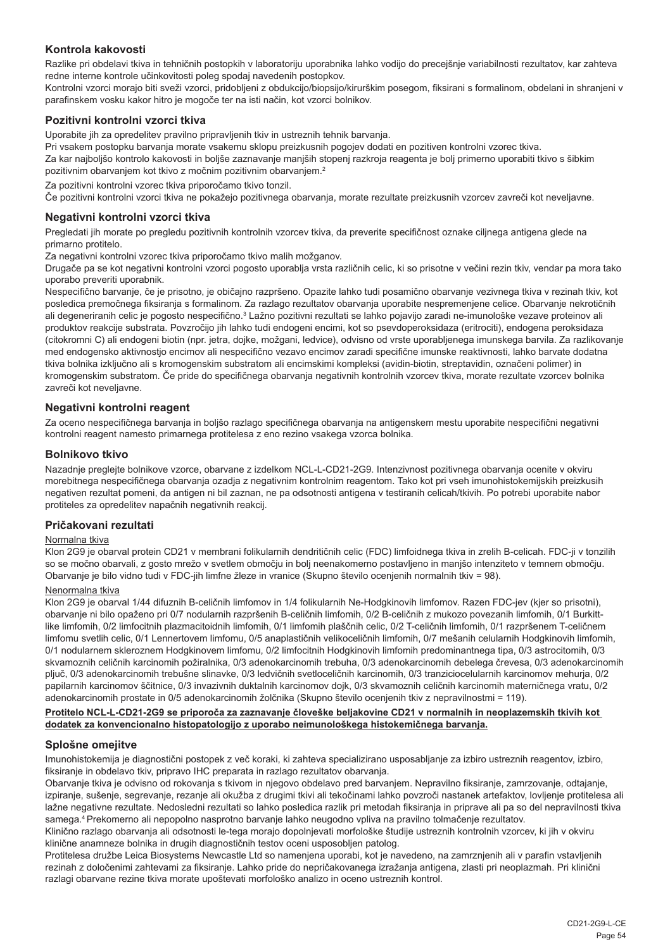## **Kontrola kakovosti**

Razlike pri obdelavi tkiva in tehničnih postopkih v laboratoriju uporabnika lahko vodijo do precejšnje variabilnosti rezultatov, kar zahteva redne interne kontrole učinkovitosti poleg spodaj navedenih postopkov.

Kontrolni vzorci morajo biti sveži vzorci, pridobljeni z obdukcijo/biopsijo/kirurškim posegom, fiksirani s formalinom, obdelani in shranjeni v parafinskem vosku kakor hitro je mogoče ter na isti način, kot vzorci bolnikov.

## **Pozitivni kontrolni vzorci tkiva**

Uporabite jih za opredelitev pravilno pripravljenih tkiv in ustreznih tehnik barvanja.

Pri vsakem postopku barvanja morate vsakemu sklopu preizkusnih pogojev dodati en pozitiven kontrolni vzorec tkiva. Za kar najboljšo kontrolo kakovosti in boljše zaznavanje manjših stopenj razkroja reagenta je bolj primerno uporabiti tkivo s šibkim pozitivnim obarvanjem kot tkivo z močnim pozitivnim obarvanjem.<sup>2</sup>

Za pozitivni kontrolni vzorec tkiva priporočamo tkivo tonzil.

Če pozitivni kontrolni vzorci tkiva ne pokažejo pozitivnega obarvanja, morate rezultate preizkusnih vzorcev zavreči kot neveljavne.

## **Negativni kontrolni vzorci tkiva**

Pregledati jih morate po pregledu pozitivnih kontrolnih vzorcev tkiva, da preverite specifičnost oznake ciljnega antigena glede na primarno protitelo.

Za negativni kontrolni vzorec tkiva priporočamo tkivo malih možganov.

Drugače pa se kot negativni kontrolni vzorci pogosto uporablja vrsta različnih celic, ki so prisotne v večini rezin tkiv, vendar pa mora tako uporabo preveriti uporabnik.

Nespecifično barvanje, če je prisotno, je običajno razpršeno. Opazite lahko tudi posamično obarvanje vezivnega tkiva v rezinah tkiv, kot posledica premočnega fiksiranja s formalinom. Za razlago rezultatov obarvanja uporabite nespremenjene celice. Obarvanje nekrotičnih ali degeneriranih celic je pogosto nespecifično.<sup>3</sup> Lažno pozitivni rezultati se lahko pojavijo zaradi ne-imunološke vezave proteinov ali produktov reakcije substrata. Povzročijo jih lahko tudi endogeni encimi, kot so psevdoperoksidaza (eritrociti), endogena peroksidaza (citokromni C) ali endogeni biotin (npr. jetra, dojke, možgani, ledvice), odvisno od vrste uporabljenega imunskega barvila. Za razlikovanje med endogensko aktivnostjo encimov ali nespecifično vezavo encimov zaradi specifične imunske reaktivnosti, lahko barvate dodatna tkiva bolnika izključno ali s kromogenskim substratom ali encimskimi kompleksi (avidin-biotin, streptavidin, označeni polimer) in kromogenskim substratom. Če pride do specifičnega obarvanja negativnih kontrolnih vzorcev tkiva, morate rezultate vzorcev bolnika zavreči kot neveljavne.

## **Negativni kontrolni reagent**

Za oceno nespecifičnega barvanja in boljšo razlago specifičnega obarvanja na antigenskem mestu uporabite nespecifični negativni kontrolni reagent namesto primarnega protitelesa z eno rezino vsakega vzorca bolnika.

## **Bolnikovo tkivo**

Nazadnje preglejte bolnikove vzorce, obarvane z izdelkom NCL-L-CD21-2G9. Intenzivnost pozitivnega obarvanja ocenite v okviru morebitnega nespecifičnega obarvanja ozadja z negativnim kontrolnim reagentom. Tako kot pri vseh imunohistokemijskih preizkusih negativen rezultat pomeni, da antigen ni bil zaznan, ne pa odsotnosti antigena v testiranih celicah/tkivih. Po potrebi uporabite nabor protiteles za opredelitev napačnih negativnih reakcij.

#### **Pričakovani rezultati**

#### Normalna tkiva

Klon 2G9 je obarval protein CD21 v membrani folikularnih dendritičnih celic (FDC) limfoidnega tkiva in zrelih B-celicah. FDC-ji v tonzilih so se močno obarvali, z gosto mrežo v svetlem območju in bolj neenakomerno postavljeno in manjšo intenziteto v temnem območju. Obarvanje je bilo vidno tudi v FDC-jih limfne žleze in vranice (Skupno število ocenjenih normalnih tkiv = 98).

## Nenormalna tkiva

Klon 2G9 je obarval 1/44 difuznih B-celičnih limfomov in 1/4 folikularnih Ne-Hodgkinovih limfomov. Razen FDC-jev (kjer so prisotni), obarvanje ni bilo opaženo pri 0/7 nodularnih razpršenih B-celičnih limfomih, 0/2 B-celičnih z mukozo povezanih limfomih, 0/1 Burkittlike limfomih, 0/2 limfocitnih plazmacitoidnih limfomih, 0/1 limfomih plaščnih celic, 0/2 T-celičnih limfomih, 0/1 razpršenem T-celičnem limfomu svetlih celic, 0/1 Lennertovem limfomu, 0/5 anaplastičnih velikoceličnih limfomih, 0/7 mešanih celularnih Hodgkinovih limfomih, 0/1 nodularnem skleroznem Hodgkinovem limfomu, 0/2 limfocitnih Hodgkinovih limfomih predominantnega tipa, 0/3 astrocitomih, 0/3 skvamoznih celičnih karcinomih požiralnika, 0/3 adenokarcinomih trebuha, 0/3 adenokarcinomih debelega črevesa, 0/3 adenokarcinomih pljuč, 0/3 adenokarcinomih trebušne slinavke, 0/3 ledvičnih svetloceličnih karcinomih, 0/3 tranziciocelularnih karcinomov mehurja, 0/2 papilarnih karcinomov ščitnice, 0/3 invazivnih duktalnih karcinomov dojk, 0/3 skvamoznih celičnih karcinomih materničnega vratu, 0/2 adenokarcinomih prostate in 0/5 adenokarcinomih žolčnika (Skupno število ocenjenih tkiv z nepravilnostmi = 119).

#### **Protitelo NCL-L-CD21-2G9 se priporoča za zaznavanje človeške beljakovine CD21 v normalnih in neoplazemskih tkivih kot dodatek za konvencionalno histopatologijo z uporabo neimunološkega histokemičnega barvanja.**

## **Splošne omejitve**

Imunohistokemija je diagnostični postopek z več koraki, ki zahteva specializirano usposabljanje za izbiro ustreznih reagentov, izbiro, fiksiranje in obdelavo tkiv, pripravo IHC preparata in razlago rezultatov obarvanja.

Obarvanje tkiva je odvisno od rokovanja s tkivom in njegovo obdelavo pred barvanjem. Nepravilno fiksiranje, zamrzovanje, odtajanje, izpiranje, sušenje, segrevanje, rezanje ali okužba z drugimi tkivi ali tekočinami lahko povzroči nastanek artefaktov, lovljenje protitelesa ali lažne negativne rezultate. Nedosledni rezultati so lahko posledica razlik pri metodah fiksiranja in priprave ali pa so del nepravilnosti tkiva samega.4 Prekomerno ali nepopolno nasprotno barvanje lahko neugodno vpliva na pravilno tolmačenje rezultatov.

Klinično razlago obarvanja ali odsotnosti le-tega morajo dopolnjevati morfološke študije ustreznih kontrolnih vzorcev, ki jih v okviru klinične anamneze bolnika in drugih diagnostičnih testov oceni usposobljen patolog.

Protitelesa družbe Leica Biosystems Newcastle Ltd so namenjena uporabi, kot je navedeno, na zamrznjenih ali v parafin vstavljenih rezinah z določenimi zahtevami za fiksiranje. Lahko pride do nepričakovanega izražanja antigena, zlasti pri neoplazmah. Pri klinični razlagi obarvane rezine tkiva morate upoštevati morfološko analizo in oceno ustreznih kontrol.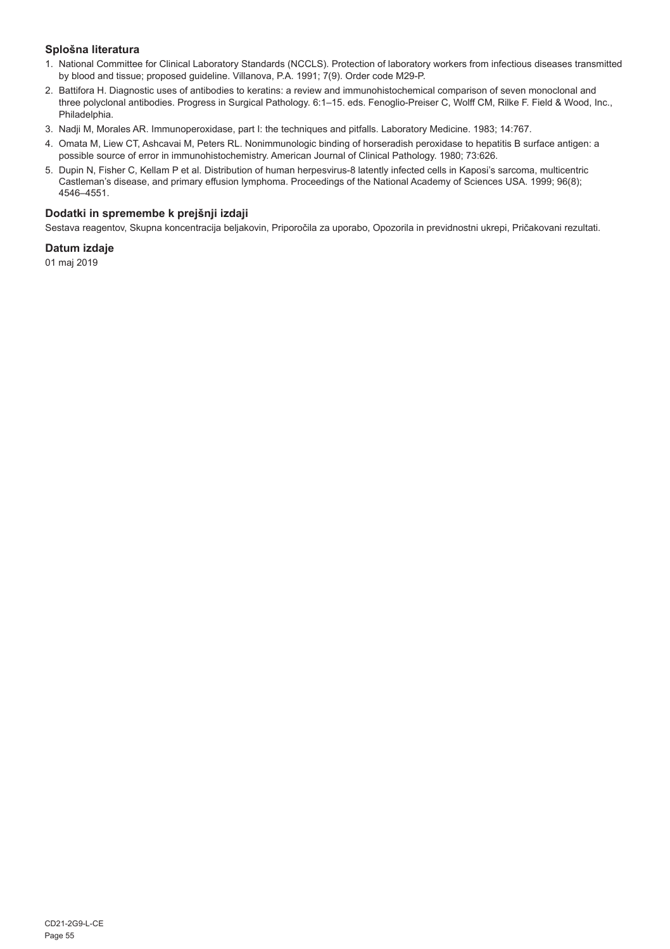## **Splošna literatura**

- 1. National Committee for Clinical Laboratory Standards (NCCLS). Protection of laboratory workers from infectious diseases transmitted by blood and tissue; proposed guideline. Villanova, P.A. 1991; 7(9). Order code M29-P.
- 2. Battifora H. Diagnostic uses of antibodies to keratins: a review and immunohistochemical comparison of seven monoclonal and three polyclonal antibodies. Progress in Surgical Pathology. 6:1–15. eds. Fenoglio-Preiser C, Wolff CM, Rilke F. Field & Wood, Inc., Philadelphia.
- 3. Nadji M, Morales AR. Immunoperoxidase, part I: the techniques and pitfalls. Laboratory Medicine. 1983; 14:767.
- 4. Omata M, Liew CT, Ashcavai M, Peters RL. Nonimmunologic binding of horseradish peroxidase to hepatitis B surface antigen: a possible source of error in immunohistochemistry. American Journal of Clinical Pathology. 1980; 73:626.
- 5. Dupin N, Fisher C, Kellam P et al. Distribution of human herpesvirus-8 latently infected cells in Kaposi's sarcoma, multicentric Castleman's disease, and primary effusion lymphoma. Proceedings of the National Academy of Sciences USA. 1999; 96(8); 4546–4551.

## **Dodatki in spremembe k prejšnji izdaji**

Sestava reagentov, Skupna koncentracija beljakovin, Priporočila za uporabo, Opozorila in previdnostni ukrepi, Pričakovani rezultati.

## **Datum izdaje**

01 maj 2019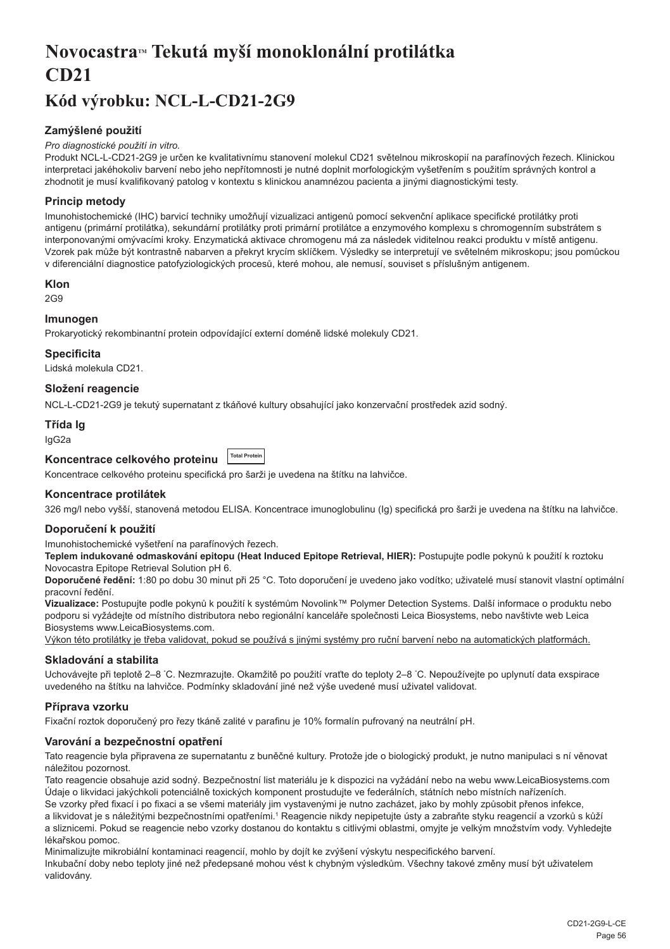# <span id="page-56-0"></span>**NovocastraTM Tekutá myší monoklonální protilátka CD21**

## **Kód výrobku: NCL-L-CD21-2G9**

## **Zamýšlené použití**

## *Pro diagnostické použití in vitro.*

Produkt NCL-L-CD21-2G9 je určen ke kvalitativnímu stanovení molekul CD21 světelnou mikroskopií na parafínových řezech. Klinickou interpretaci jakéhokoliv barvení nebo jeho nepřítomnosti je nutné doplnit morfologickým vyšetřením s použitím správných kontrol a zhodnotit je musí kvalifikovaný patolog v kontextu s klinickou anamnézou pacienta a jinými diagnostickými testy.

## **Princip metody**

Imunohistochemické (IHC) barvicí techniky umožňují vizualizaci antigenů pomocí sekvenční aplikace specifické protilátky proti antigenu (primární protilátka), sekundární protilátky proti primární protilátce a enzymového komplexu s chromogenním substrátem s interponovanými omývacími kroky. Enzymatická aktivace chromogenu má za následek viditelnou reakci produktu v místě antigenu. Vzorek pak může být kontrastně nabarven a překryt krycím sklíčkem. Výsledky se interpretují ve světelném mikroskopu; jsou pomůckou v diferenciální diagnostice patofyziologických procesů, které mohou, ale nemusí, souviset s příslušným antigenem.

## **Klon**

2G<sub>9</sub>

## **Imunogen**

Prokaryotický rekombinantní protein odpovídající externí doméně lidské molekuly CD21.

## **Specificita**

Lidská molekula CD21.

## **Složení reagencie**

NCL-L-CD21-2G9 je tekutý supernatant z tkáňové kultury obsahující jako konzervační prostředek azid sodný.

## **Třída Ig**

IgG2a

## **Koncentrace celkového proteinu Total Protein**

Koncentrace celkového proteinu specifická pro šarži je uvedena na štítku na lahvičce.

## **Koncentrace protilátek**

326 mg/l nebo vyšší, stanovená metodou ELISA. Koncentrace imunoglobulinu (Ig) specifická pro šarži je uvedena na štítku na lahvičce.

#### **Doporučení k použití**

Imunohistochemické vyšetření na parafínových řezech.

**Teplem indukované odmaskování epitopu (Heat Induced Epitope Retrieval, HIER):** Postupujte podle pokynů k použití k roztoku Novocastra Epitope Retrieval Solution pH 6.

**Doporučené ředění:** 1:80 po dobu 30 minut při 25 °C. Toto doporučení je uvedeno jako vodítko; uživatelé musí stanovit vlastní optimální pracovní ředění.

**Vizualizace:** Postupujte podle pokynů k použití k systémům Novolink™ Polymer Detection Systems. Další informace o produktu nebo podporu si vyžádejte od místního distributora nebo regionální kanceláře společnosti Leica Biosystems, nebo navštivte web Leica Biosystems www.LeicaBiosystems.com.

Výkon této protilátky je třeba validovat, pokud se používá s jinými systémy pro ruční barvení nebo na automatických platformách.

## **Skladování a stabilita**

Uchovávejte při teplotě 2–8 ˚C. Nezmrazujte. Okamžitě po použití vraťte do teploty 2–8 ˚C. Nepoužívejte po uplynutí data exspirace uvedeného na štítku na lahvičce. Podmínky skladování jiné než výše uvedené musí uživatel validovat.

## **Příprava vzorku**

Fixační roztok doporučený pro řezy tkáně zalité v parafinu je 10% formalín pufrovaný na neutrální pH.

## **Varování a bezpečnostní opatření**

Tato reagencie byla připravena ze supernatantu z buněčné kultury. Protože jde o biologický produkt, je nutno manipulaci s ní věnovat náležitou pozornost.

Tato reagencie obsahuje azid sodný. Bezpečnostní list materiálu je k dispozici na vyžádání nebo na webu www.LeicaBiosystems.com Údaje o likvidaci jakýchkoli potenciálně toxických komponent prostudujte ve federálních, státních nebo místních nařízeních.

Se vzorky před fixací i po fixaci a se všemi materiály jim vystavenými je nutno zacházet, jako by mohly způsobit přenos infekce, a likvidovat je s náležitými bezpečnostními opatřeními.1 Reagencie nikdy nepipetujte ústy a zabraňte styku reagencií a vzorků s kůží a sliznicemi. Pokud se reagencie nebo vzorky dostanou do kontaktu s citlivými oblastmi, omyjte je velkým množstvím vody. Vyhledejte lékařskou pomoc.

Minimalizujte mikrobiální kontaminaci reagencií, mohlo by dojít ke zvýšení výskytu nespecifického barvení.

Inkubační doby nebo teploty jiné než předepsané mohou vést k chybným výsledkům. Všechny takové změny musí být uživatelem validovány.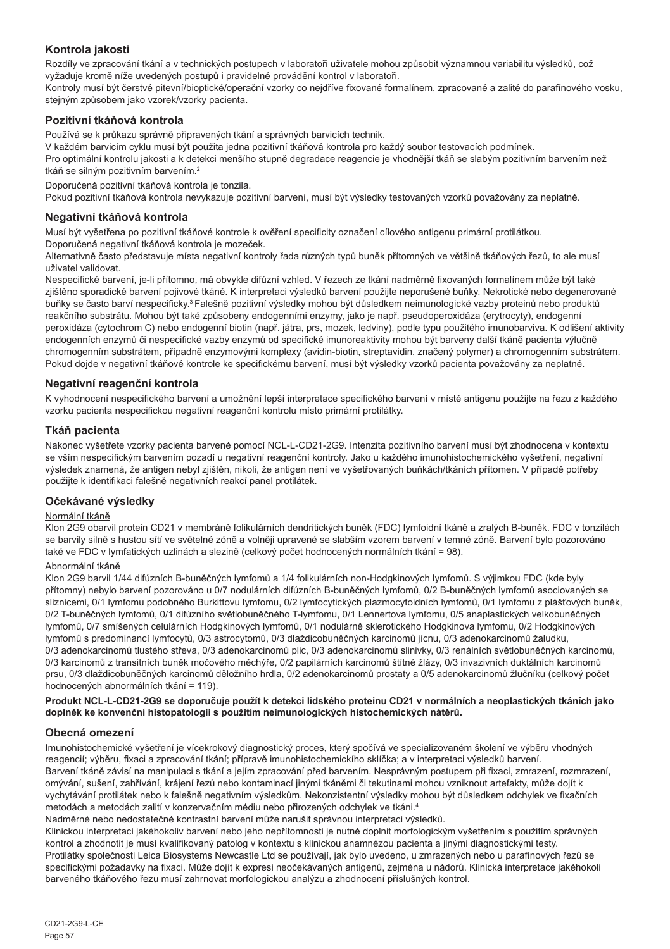## **Kontrola jakosti**

Rozdíly ve zpracování tkání a v technických postupech v laboratoři uživatele mohou způsobit významnou variabilitu výsledků, což vyžaduje kromě níže uvedených postupů i pravidelné provádění kontrol v laboratoři.

Kontroly musí být čerstvé pitevní/bioptické/operační vzorky co nejdříve fixované formalínem, zpracované a zalité do parafínového vosku, stejným způsobem jako vzorek/vzorky pacienta.

## **Pozitivní tkáňová kontrola**

Používá se k průkazu správně připravených tkání a správných barvicích technik.

V každém barvicím cyklu musí být použita jedna pozitivní tkáňová kontrola pro každý soubor testovacích podmínek.

Pro optimální kontrolu jakosti a k detekci menšího stupně degradace reagencie je vhodnější tkáň se slabým pozitivním barvením než tkáň se silným pozitivním barvením.<sup>2</sup>

Doporučená pozitivní tkáňová kontrola je tonzila.

Pokud pozitivní tkáňová kontrola nevykazuje pozitivní barvení, musí být výsledky testovaných vzorků považovány za neplatné.

## **Negativní tkáňová kontrola**

Musí být vyšetřena po pozitivní tkáňové kontrole k ověření specificity označení cílového antigenu primární protilátkou. Doporučená negativní tkáňová kontrola je mozeček.

Alternativně často představuje místa negativní kontroly řada různých typů buněk přítomných ve většině tkáňových řezů, to ale musí uživatel validovat.

Nespecifické barvení, je-li přítomno, má obvykle difúzní vzhled. V řezech ze tkání nadměrně fixovaných formalínem může být také zjištěno sporadické barvení pojivové tkáně. K interpretaci výsledků barvení použijte neporušené buňky. Nekrotické nebo degenerované buňky se často barví nespecificky.<sup>3</sup>Falešně pozitivní výsledky mohou být důsledkem neimunologické vazby proteinů nebo produktů reakčního substrátu. Mohou být také způsobeny endogenními enzymy, jako je např. pseudoperoxidáza (erytrocyty), endogenní peroxidáza (cytochrom C) nebo endogenní biotin (např. játra, prs, mozek, ledviny), podle typu použitého imunobarviva. K odlišení aktivity endogenních enzymů či nespecifické vazby enzymů od specifické imunoreaktivity mohou být barveny další tkáně pacienta výlučně chromogenním substrátem, případně enzymovými komplexy (avidin-biotin, streptavidin, značený polymer) a chromogenním substrátem. Pokud dojde v negativní tkáňové kontrole ke specifickému barvení, musí být výsledky vzorků pacienta považovány za neplatné.

## **Negativní reagenční kontrola**

K vyhodnocení nespecifického barvení a umožnění lepší interpretace specifického barvení v místě antigenu použijte na řezu z každého vzorku pacienta nespecifickou negativní reagenční kontrolu místo primární protilátky.

## **Tkáň pacienta**

Nakonec vyšetřete vzorky pacienta barvené pomocí NCL-L-CD21-2G9. Intenzita pozitivního barvení musí být zhodnocena v kontextu se vším nespecifickým barvením pozadí u negativní reagenční kontroly. Jako u každého imunohistochemického vyšetření, negativní výsledek znamená, že antigen nebyl zjištěn, nikoli, že antigen není ve vyšetřovaných buňkách/tkáních přítomen. V případě potřeby použijte k identifikaci falešně negativních reakcí panel protilátek.

## **Očekávané výsledky**

## Normální tkáně

Klon 2G9 obarvil protein CD21 v membráně folikulárních dendritických buněk (FDC) lymfoidní tkáně a zralých B-buněk. FDC v tonzilách se barvily silně s hustou sítí ve světelné zóně a volněji upravené se slabším vzorem barvení v temné zóně. Barvení bylo pozorováno také ve FDC v lymfatických uzlinách a slezině (celkový počet hodnocených normálních tkání = 98).

## Abnormální tkáně

Klon 2G9 barvil 1/44 difúzních B-buněčných lymfomů a 1/4 folikulárních non-Hodgkinových lymfomů. S výjimkou FDC (kde byly přítomny) nebylo barvení pozorováno u 0/7 nodulárních difúzních B-buněčných lymfomů, 0/2 B-buněčných lymfomů asociovaných se sliznicemi, 0/1 lymfomu podobného Burkittovu lymfomu, 0/2 lymfocytických plazmocytoidních lymfomů, 0/1 lymfomu z plášťových buněk, 0/2 T-buněčných lymfomů, 0/1 difúzního světlobuněčného T-lymfomu, 0/1 Lennertova lymfomu, 0/5 anaplastických velkobuněčných lymfomů, 0/7 smíšených celulárních Hodgkinových lymfomů, 0/1 nodulárně sklerotického Hodgkinova lymfomu, 0/2 Hodgkinových lymfomů s predominancí lymfocytů, 0/3 astrocytomů, 0/3 dlaždicobuněčných karcinomů jícnu, 0/3 adenokarcinomů žaludku, 0/3 adenokarcinomů tlustého střeva, 0/3 adenokarcinomů plic, 0/3 adenokarcinomů slinivky, 0/3 renálních světlobuněčných karcinomů, 0/3 karcinomů z transitních buněk močového měchýře, 0/2 papilárních karcinomů štítné žlázy, 0/3 invazivních duktálních karcinomů prsu, 0/3 dlaždicobuněčných karcinomů děložního hrdla, 0/2 adenokarcinomů prostaty a 0/5 adenokarcinomů žlučníku (celkový počet hodnocených abnormálních tkání = 119).

#### **Produkt NCL-L-CD21-2G9 se doporučuje použít k detekci lidského proteinu CD21 v normálních a neoplastických tkáních jako doplněk ke konvenční histopatologii s použitím neimunologických histochemických nátěrů.**

## **Obecná omezení**

Imunohistochemické vyšetření je vícekrokový diagnostický proces, který spočívá ve specializovaném školení ve výběru vhodných reagencií; výběru, fixaci a zpracování tkání; přípravě imunohistochemickího sklíčka; a v interpretaci výsledků barvení. Barvení tkáně závisí na manipulaci s tkání a jejím zpracování před barvením. Nesprávným postupem při fixaci, zmrazení, rozmrazení, omývání, sušení, zahřívání, krájení řezů nebo kontaminací jinými tkáněmi či tekutinami mohou vzniknout artefakty, může dojít k vychytávání protilátek nebo k falešně negativním výsledkům. Nekonzistentní výsledky mohou být důsledkem odchylek ve fixačních metodách a metodách zalití v konzervačním médiu nebo přirozených odchylek ve tkáni.4

Nadměrné nebo nedostatečné kontrastní barvení může narušit správnou interpretaci výsledků.

Klinickou interpretaci jakéhokoliv barvení nebo jeho nepřítomnosti je nutné doplnit morfologickým vyšetřením s použitím správných kontrol a zhodnotit je musí kvalifikovaný patolog v kontextu s klinickou anamnézou pacienta a jinými diagnostickými testy. Protilátky společnosti Leica Biosystems Newcastle Ltd se používají, jak bylo uvedeno, u zmrazených nebo u parafínových řezů se specifickými požadavky na fixaci. Může dojít k expresi neočekávaných antigenů, zejména u nádorů. Klinická interpretace jakéhokoli barveného tkáňového řezu musí zahrnovat morfologickou analýzu a zhodnocení příslušných kontrol.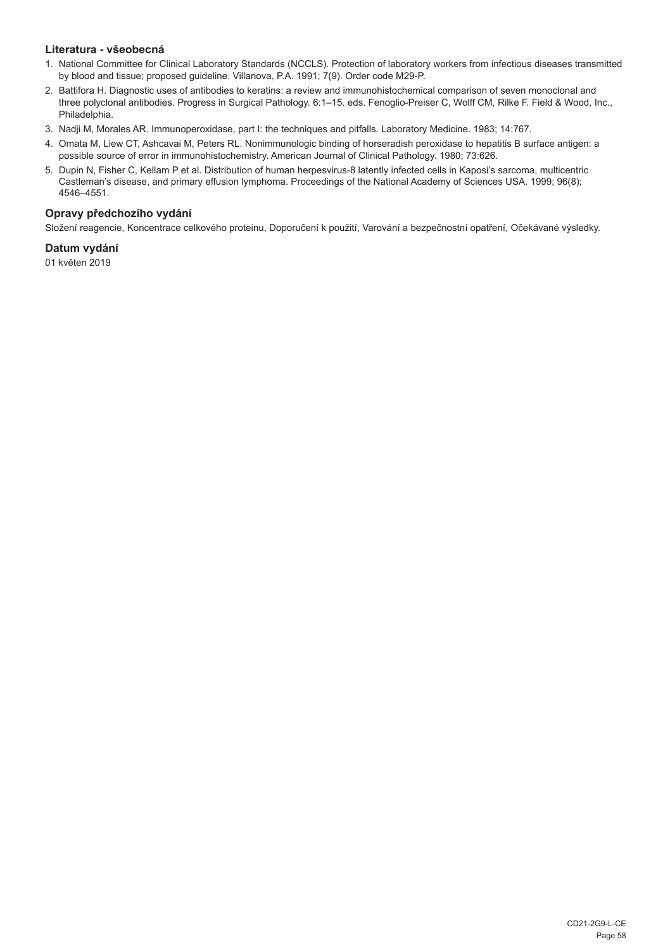## **Literatura - všeobecná**

- 1. National Committee for Clinical Laboratory Standards (NCCLS). Protection of laboratory workers from infectious diseases transmitted by blood and tissue; proposed guideline. Villanova, P.A. 1991; 7(9). Order code M29-P.
- 2. Battifora H. Diagnostic uses of antibodies to keratins: a review and immunohistochemical comparison of seven monoclonal and three polyclonal antibodies. Progress in Surgical Pathology. 6:1–15. eds. Fenoglio-Preiser C, Wolff CM, Rilke F. Field & Wood, Inc., Philadelphia.
- 3. Nadji M, Morales AR. Immunoperoxidase, part I: the techniques and pitfalls. Laboratory Medicine. 1983; 14:767.
- 4. Omata M, Liew CT, Ashcavai M, Peters RL. Nonimmunologic binding of horseradish peroxidase to hepatitis B surface antigen: a possible source of error in immunohistochemistry. American Journal of Clinical Pathology. 1980; 73:626.
- 5. Dupin N, Fisher C, Kellam P et al. Distribution of human herpesvirus-8 latently infected cells in Kaposi's sarcoma, multicentric Castleman's disease, and primary effusion lymphoma. Proceedings of the National Academy of Sciences USA. 1999; 96(8); 4546–4551.

## **Opravy předchozího vydání**

Složení reagencie, Koncentrace celkového proteinu, Doporučení k použití, Varování a bezpečnostní opatření, Očekávané výsledky.

## **Datum vydání**

01 květen 2019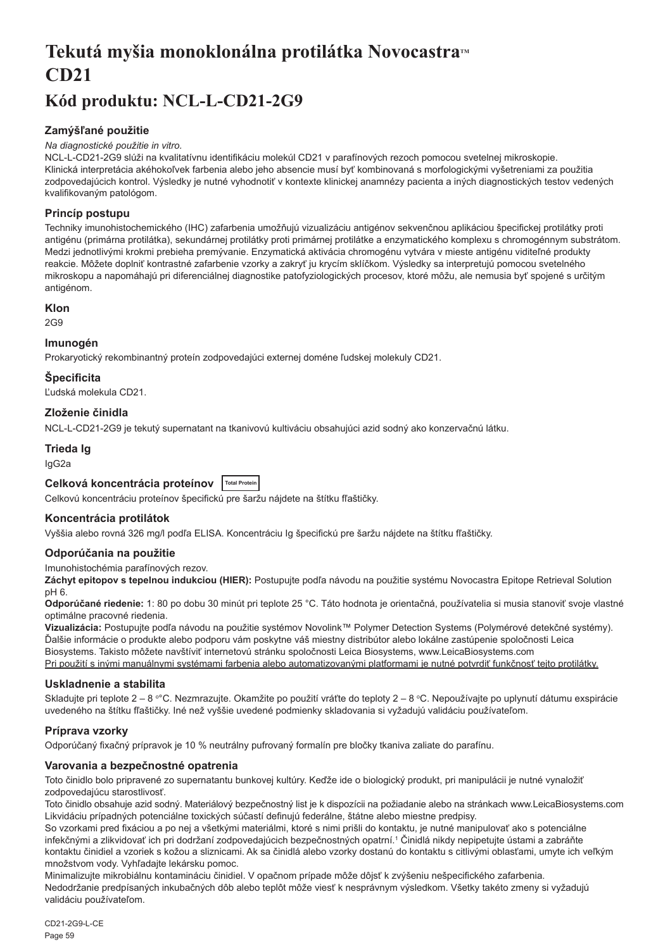# <span id="page-59-0"></span>**Tekutá myšia monoklonálna protilátka NovocastraTM CD21**

# **Kód produktu: NCL-L-CD21-2G9**

## **Zamýšľané použitie**

## *Na diagnostické použitie in vitro.*

NCL-L-CD21-2G9 slúži na kvalitatívnu identifikáciu molekúl CD21 v parafínových rezoch pomocou svetelnej mikroskopie. Klinická interpretácia akéhokoľvek farbenia alebo jeho absencie musí byť kombinovaná s morfologickými vyšetreniami za použitia zodpovedajúcich kontrol. Výsledky je nutné vyhodnotiť v kontexte klinickej anamnézy pacienta a iných diagnostických testov vedených kvalifikovaným patológom.

## **Princíp postupu**

Techniky imunohistochemického (IHC) zafarbenia umožňujú vizualizáciu antigénov sekvenčnou aplikáciou špecifickej protilátky proti antigénu (primárna protilátka), sekundárnej protilátky proti primárnej protilátke a enzymatického komplexu s chromogénnym substrátom. Medzi jednotlivými krokmi prebieha premývanie. Enzymatická aktivácia chromogénu vytvára v mieste antigénu viditeľné produkty reakcie. Môžete doplniť kontrastné zafarbenie vzorky a zakryť ju krycím sklíčkom. Výsledky sa interpretujú pomocou svetelného mikroskopu a napomáhajú pri diferenciálnej diagnostike patofyziologických procesov, ktoré môžu, ale nemusia byť spojené s určitým antigénom.

## **Klon**

2G<sub>9</sub>

## **Imunogén**

Prokaryotický rekombinantný proteín zodpovedajúci externej doméne ľudskej molekuly CD21.

## **Špecificita**

Ľudská molekula CD21.

## **Zloženie činidla**

NCL-L-CD21-2G9 je tekutý supernatant na tkanivovú kultiváciu obsahujúci azid sodný ako konzervačnú látku.

## **Trieda Ig**

IgG2a

## **Celková koncentrácia proteínov Total Protein**

Celkovú koncentráciu proteínov špecifickú pre šaržu nájdete na štítku fľaštičky.

## **Koncentrácia protilátok**

Vyššia alebo rovná 326 mg/l podľa ELISA. Koncentráciu Ig špecifickú pre šaržu nájdete na štítku fľaštičky.

## **Odporúčania na použitie**

Imunohistochémia parafínových rezov.

**Záchyt epitopov s tepelnou indukciou (HIER):** Postupujte podľa návodu na použitie systému Novocastra Epitope Retrieval Solution pH 6.

**Odporúčané riedenie:** 1: 80 po dobu 30 minút pri teplote 25 °C. Táto hodnota je orientačná, používatelia si musia stanoviť svoje vlastné optimálne pracovné riedenia.

**Vizualizácia:** Postupujte podľa návodu na použitie systémov Novolink™ Polymer Detection Systems (Polymérové detekčné systémy). Ďalšie informácie o produkte alebo podporu vám poskytne váš miestny distribútor alebo lokálne zastúpenie spoločnosti Leica Biosystems. Takisto môžete navštíviť internetovú stránku spoločnosti Leica Biosystems, www.LeicaBiosystems.com Pri použití s inými manuálnymi systémami farbenia alebo automatizovanými platformami je nutné potvrdiť funkčnosť tejto protilátky.

## **Uskladnenie a stabilita**

Skladujte pri teplote 2 – 8 °°C. Nezmrazujte. Okamžite po použití vráťte do teploty 2 – 8 °C. Nepoužívajte po uplynutí dátumu exspirácie uvedeného na štítku fľaštičky. Iné než vyššie uvedené podmienky skladovania si vyžadujú validáciu používateľom.

## **Príprava vzorky**

Odporúčaný fixačný prípravok je 10 % neutrálny pufrovaný formalín pre bločky tkaniva zaliate do parafínu.

## **Varovania a bezpečnostné opatrenia**

Toto činidlo bolo pripravené zo supernatantu bunkovej kultúry. Keďže ide o biologický produkt, pri manipulácii je nutné vynaložiť zodpovedajúcu starostlivosť.

Toto činidlo obsahuje azid sodný. Materiálový bezpečnostný list je k dispozícii na požiadanie alebo na stránkach www.LeicaBiosystems.com Likvidáciu prípadných potenciálne toxických súčastí definujú federálne, štátne alebo miestne predpisy.

So vzorkami pred fixáciou a po nej a všetkými materiálmi, ktoré s nimi prišli do kontaktu, je nutné manipulovať ako s potenciálne infekčnými a zlikvidovať ich pri dodržaní zodpovedajúcich bezpečnostných opatrní.<sup>1</sup> Činidlá nikdy nepipetujte ústami a zabráňte kontaktu činidiel a vzoriek s kožou a sliznicami. Ak sa činidlá alebo vzorky dostanú do kontaktu s citlivými oblasťami, umyte ich veľkým množstvom vody. Vyhľadajte lekársku pomoc.

Minimalizujte mikrobiálnu kontamináciu činidiel. V opačnom prípade môže dôjsť k zvýšeniu nešpecifického zafarbenia. Nedodržanie predpísaných inkubačných dôb alebo teplôt môže viesť k nesprávnym výsledkom. Všetky takéto zmeny si vyžadujú validáciu používateľom.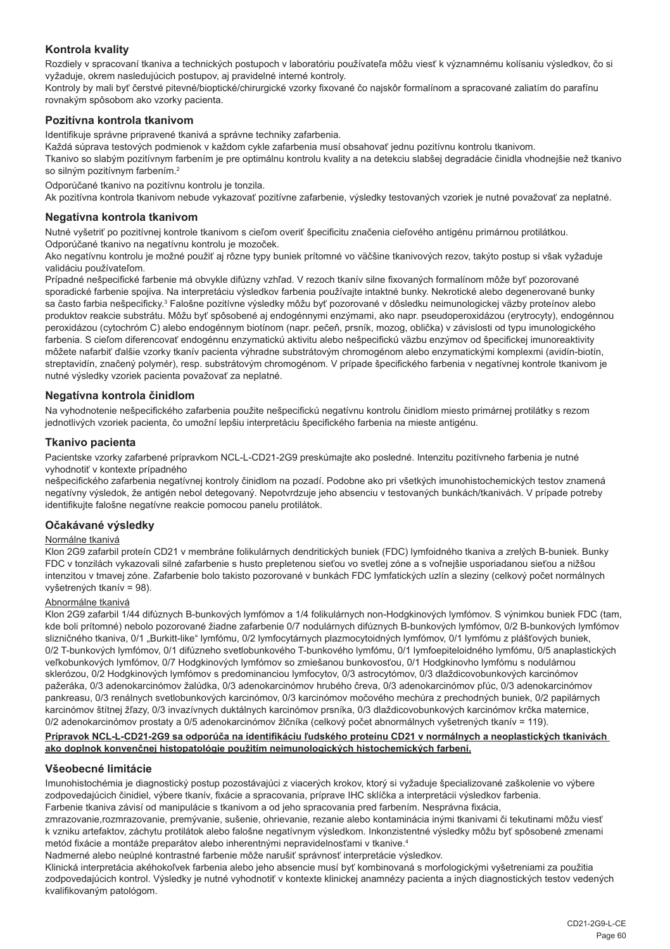## **Kontrola kvality**

Rozdiely v spracovaní tkaniva a technických postupoch v laboratóriu používateľa môžu viesť k významnému kolísaniu výsledkov, čo si vyžaduje, okrem nasledujúcich postupov, aj pravidelné interné kontroly.

Kontroly by mali byť čerstvé pitevné/bioptické/chirurgické vzorky fixované čo najskôr formalínom a spracované zaliatím do parafínu rovnakým spôsobom ako vzorky pacienta.

## **Pozitívna kontrola tkanivom**

Identifikuje správne pripravené tkanivá a správne techniky zafarbenia.

Každá súprava testových podmienok v každom cykle zafarbenia musí obsahovať jednu pozitívnu kontrolu tkanivom.

Tkanivo so slabým pozitívnym farbením je pre optimálnu kontrolu kvality a na detekciu slabšej degradácie činidla vhodnejšie než tkanivo so silným pozitívnym farbením.<sup>2</sup>

Odporúčané tkanivo na pozitívnu kontrolu je tonzila.

Ak pozitívna kontrola tkanivom nebude vykazovať pozitívne zafarbenie, výsledky testovaných vzoriek je nutné považovať za neplatné.

#### **Negatívna kontrola tkanivom**

Nutné vyšetriť po pozitívnej kontrole tkanivom s cieľom overiť špecificitu značenia cieľového antigénu primárnou protilátkou. Odporúčané tkanivo na negatívnu kontrolu je mozoček.

Ako negatívnu kontrolu je možné použiť aj rôzne typy buniek prítomné vo väčšine tkanivových rezov, takýto postup si však vyžaduje validáciu používateľom.

Prípadné nešpecifické farbenie má obvykle difúzny vzhľad. V rezoch tkanív silne fixovaných formalínom môže byť pozorované sporadické farbenie spojiva. Na interpretáciu výsledkov farbenia používajte intaktné bunky. Nekrotické alebo degenerované bunky sa často farbia nešpecificky.<sup>3</sup> Falošne pozitívne výsledky môžu byť pozorované v dôsledku neimunologickej väzby proteínov alebo produktov reakcie substrátu. Môžu byť spôsobené aj endogénnymi enzýmami, ako napr. pseudoperoxidázou (erytrocyty), endogénnou peroxidázou (cytochróm C) alebo endogénnym biotínom (napr. pečeň, prsník, mozog, oblička) v závislosti od typu imunologického farbenia. S cieľom diferencovať endogénnu enzymatickú aktivitu alebo nešpecifickú väzbu enzýmov od špecifickej imunoreaktivity môžete nafarbiť ďalšie vzorky tkanív pacienta výhradne substrátovým chromogénom alebo enzymatickými komplexmi (avidín-biotín, streptavidín, značený polymér), resp. substrátovým chromogénom. V prípade špecifického farbenia v negatívnej kontrole tkanivom je nutné výsledky vzoriek pacienta považovať za neplatné.

## **Negatívna kontrola činidlom**

Na vyhodnotenie nešpecifického zafarbenia použite nešpecifickú negatívnu kontrolu činidlom miesto primárnej protilátky s rezom jednotlivých vzoriek pacienta, čo umožní lepšiu interpretáciu špecifického farbenia na mieste antigénu.

## **Tkanivo pacienta**

Pacientske vzorky zafarbené prípravkom NCL-L-CD21-2G9 preskúmajte ako posledné. Intenzitu pozitívneho farbenia je nutné vyhodnotiť v kontexte prípadného

nešpecifického zafarbenia negatívnej kontroly činidlom na pozadí. Podobne ako pri všetkých imunohistochemických testov znamená negatívny výsledok, že antigén nebol detegovaný. Nepotvrdzuje jeho absenciu v testovaných bunkách/tkanivách. V prípade potreby identifikujte falošne negatívne reakcie pomocou panelu protilátok.

## **Očakávané výsledky**

## Normálne tkanivá

Klon 2G9 zafarbil proteín CD21 v membráne folikulárnych dendritických buniek (FDC) lymfoidného tkaniva a zrelých B-buniek. Bunky FDC v tonzilách vykazovali silné zafarbenie s husto prepletenou sieťou vo svetlej zóne a s voľnejšie usporiadanou sieťou a nižšou intenzitou v tmavej zóne. Zafarbenie bolo takisto pozorované v bunkách FDC lymfatických uzlín a sleziny (celkový počet normálnych vyšetrených tkanív = 98).

#### Abnormálne tkanivá

Klon 2G9 zafarbil 1/44 difúznych B-bunkových lymfómov a 1/4 folikulárnych non-Hodgkinových lymfómov. S výnimkou buniek FDC (tam, kde boli prítomné) nebolo pozorované žiadne zafarbenie 0/7 nodulárnych difúznych B-bunkových lymfómov, 0/2 B-bunkových lymfómov slizničného tkaniva, 0/1 "Burkitt-like" lymfómu, 0/2 lymfocytárnych plazmocytoidných lymfómov, 0/1 lymfómu z plášťových buniek, 0/2 T-bunkových lymfómov, 0/1 difúzneho svetlobunkového T-bunkového lymfómu, 0/1 lymfoepiteloidného lymfómu, 0/5 anaplastických veľkobunkových lymfómov, 0/7 Hodgkinových lymfómov so zmiešanou bunkovosťou, 0/1 Hodgkinovho lymfómu s nodulárnou sklerózou, 0/2 Hodgkinových lymfómov s predominanciou lymfocytov, 0/3 astrocytómov, 0/3 dlaždicovobunkových karcinómov pažeráka, 0/3 adenokarcinómov žalúdka, 0/3 adenokarcinómov hrubého čreva, 0/3 adenokarcinómov pľúc, 0/3 adenokarcinómov pankreasu, 0/3 renálnych svetlobunkových karcinómov, 0/3 karcinómov močového mechúra z prechodných buniek, 0/2 papilárnych karcinómov štítnej žľazy, 0/3 invazívnych duktálnych karcinómov prsníka, 0/3 dlaždicovobunkových karcinómov krčka maternice, 0/2 adenokarcinómov prostaty a 0/5 adenokarcinómov žlčníka (celkový počet abnormálnych vyšetrených tkanív = 119).

#### **Prípravok NCL-L-CD21-2G9 sa odporúča na identifikáciu ľudského proteínu CD21 v normálnych a neoplastických tkanivách ako doplnok konvenčnej histopatológie použitím neimunologických histochemických farbení.**

#### **Všeobecné limitácie**

Imunohistochémia je diagnostický postup pozostávajúci z viacerých krokov, ktorý si vyžaduje špecializované zaškolenie vo výbere zodpovedajúcich činidiel, výbere tkanív, fixácie a spracovania, príprave IHC sklíčka a interpretácii výsledkov farbenia. Farbenie tkaniva závisí od manipulácie s tkanivom a od jeho spracovania pred farbením. Nesprávna fixácia,

zmrazovanie,rozmrazovanie, premývanie, sušenie, ohrievanie, rezanie alebo kontaminácia inými tkanivami či tekutinami môžu viesť k vzniku artefaktov, záchytu protilátok alebo falošne negatívnym výsledkom. Inkonzistentné výsledky môžu byť spôsobené zmenami metód fixácie a montáže preparátov alebo inherentnými nepravidelnosťami v tkanive.4

Nadmerné alebo neúplné kontrastné farbenie môže narušiť správnosť interpretácie výsledkov.

Klinická interpretácia akéhokoľvek farbenia alebo jeho absencie musí byť kombinovaná s morfologickými vyšetreniami za použitia zodpovedajúcich kontrol. Výsledky je nutné vyhodnotiť v kontexte klinickej anamnézy pacienta a iných diagnostických testov vedených kvalifikovaným patológom.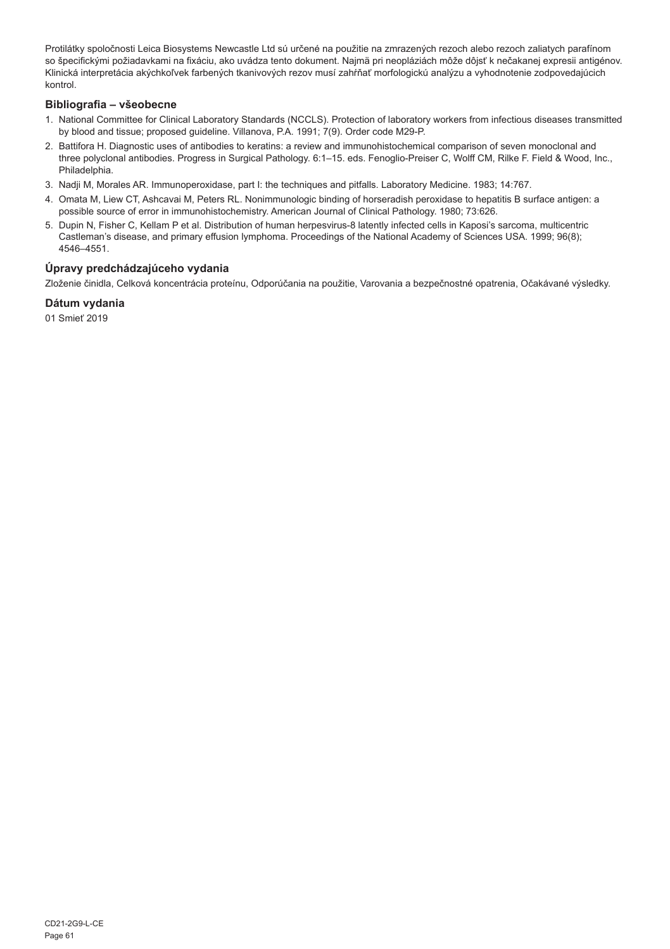Protilátky spoločnosti Leica Biosystems Newcastle Ltd sú určené na použitie na zmrazených rezoch alebo rezoch zaliatych parafínom so špecifickými požiadavkami na fixáciu, ako uvádza tento dokument. Najmä pri neopláziách môže dôjsť k nečakanej expresii antigénov. Klinická interpretácia akýchkoľvek farbených tkanivových rezov musí zahŕňať morfologickú analýzu a vyhodnotenie zodpovedajúcich kontrol.

## **Bibliografia – všeobecne**

- 1. National Committee for Clinical Laboratory Standards (NCCLS). Protection of laboratory workers from infectious diseases transmitted by blood and tissue; proposed guideline. Villanova, P.A. 1991; 7(9). Order code M29-P.
- 2. Battifora H. Diagnostic uses of antibodies to keratins: a review and immunohistochemical comparison of seven monoclonal and three polyclonal antibodies. Progress in Surgical Pathology. 6:1–15. eds. Fenoglio-Preiser C, Wolff CM, Rilke F. Field & Wood, Inc., Philadelphia.
- 3. Nadji M, Morales AR. Immunoperoxidase, part I: the techniques and pitfalls. Laboratory Medicine. 1983; 14:767.
- 4. Omata M, Liew CT, Ashcavai M, Peters RL. Nonimmunologic binding of horseradish peroxidase to hepatitis B surface antigen: a possible source of error in immunohistochemistry. American Journal of Clinical Pathology. 1980; 73:626.
- 5. Dupin N, Fisher C, Kellam P et al. Distribution of human herpesvirus-8 latently infected cells in Kaposi's sarcoma, multicentric Castleman's disease, and primary effusion lymphoma. Proceedings of the National Academy of Sciences USA. 1999; 96(8); 4546–4551.

## **Úpravy predchádzajúceho vydania**

Zloženie činidla, Celková koncentrácia proteínu, Odporúčania na použitie, Varovania a bezpečnostné opatrenia, Očakávané výsledky.

## **Dátum vydania**

01 Smieť 2019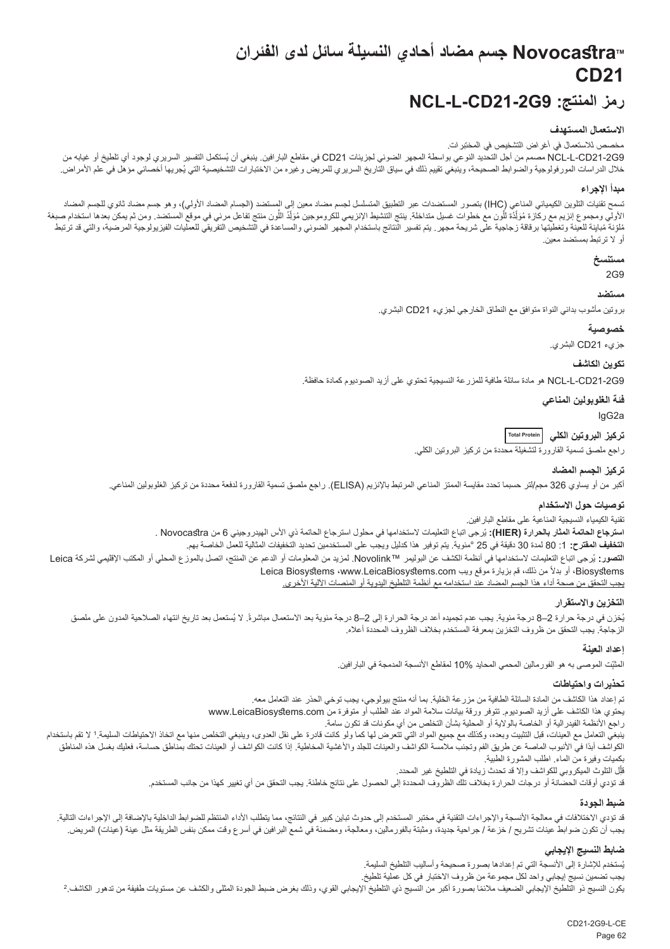# **NovocastraTM جسم مضاد أحادي النسيلة سائل لدى الفئران CD21**

# **NCL-L-CD21-2G9 :المنتج رمز**

## **االستعمال المستهدف**

مخصص لالستعمال في أغراض التشخيص في المختبرات.

<span id="page-62-0"></span>NCL-L-CD21-2G9 مصمم من أجل التحديد النوعي بواسطة المجهر الضوئي لجزيئات CD21 في مقاطع البار أفين. ينبغي أن يُستكمل التّضير السريري لوجود أي تلطيخ أو غيابه من خلال الدراسات المورفولوجية والضوابط الصحيحة، وينبغي تقييم ذلك في سياق التاريخ المريري للمريض و الاختبارات التشخيصية التي يُجريها لخصائي مؤهل في علم الأمر اض.

#### **مبدأ اإلجراء**

تسمح تقنيات التلوين اليماعي (IHC) بتصور المستضدات عبر التطبيق المتسلسل لجسم مضداد معين إلى المستضد (الجسام المضاد الأولي)، وهو جسم مضاد ثانوي للجسم المضاد الأولي ومجموع إنزيم مع ركازة مُؤلِّدة للّون مع خطوات غسل منتشرة التفسير المستودة التفسير التواسم المستخد ومن المستضد ومن ثم يمكن بعدا استخدام صبغة<br>مُلْوِنة مُبلينة وتغطيتها برقاقة زجاجية على شريحة مرير التقاسم المستخدم ال <u>ן</u> َّ֧֖֖֖֖֖֧֚֚֚֚֚֚֚֡֡֬֓֝֬<u>֓</u> أو ال ترتبط بمستضد معين.

## **مستنسخ**

2G9

## **مستضد**

بروتين مأشوب بدائي النواة متوافق مع النطاق الخارجي لجزيء 21CD البشري.

#### **خصوصية**

جزيء 21CD البشري.

## **تكوين الكاشف**

9G21-2CD-L-NCL هو مادة سائلة طافية للمزرعة النسيجية تحتوي على أزيد الصوديوم كمادة حافظة.

**فئة الغلوبولين المناعي**

IgG2a

## **تركيز البروتين الكلي Total Protein**

راجع ملصق تسمية القارورة لتشغيلة محددة من تركيز البروتين الكلي.

#### **تركيز الجسم المضاد**

أكبر من أو يساوي 326 مجم/لتر حسبما تحدد مقايسة الممتز المناعي المرتبط باإلنزيم )ELISA). راجع ملصق تسمية القارورة لدفعة محددة من تركيز الغلوبولين المناعي.

#### **توصيات حول االستخدام**

تقنية الكيمياء النسيجية المناعية على مقاطع البارافين.

ا**سترجاع الحاتمة المثار بالحرارة (HIER):** يُرجى اتباع التعليمات لاستخدامها في محلول استرجاع الحاتمة ذي الاس الهيدروجيني 6 من Novocastra . **التخفيف المقترح:** :1 80 لمدة 30 دقيقة في 25 °مئوية. يتم توفير هذا كدليل ويجب على المستخدمين تحديد التخفيفات المثالية للعمل الخاصة بهم. ا**لتصور**: يُرجى اتباع التعليمات لاستخدامها في انظمة الكشف عن البوليمر ™Novolink. لمزيد من المعلومات أو المكتب المعلومات المحلي أو المكتب الإقليمي لشركة Leica Biosystems، أو بدلاً من ذلك، قم بزيارة موقع ويب Leica Biosystems ،www.LeicaBiosystems.com يجب التحقق من صحة أداء هذا الجسم المضاد عند استخدامه مع أنظمة التلطيخ اليدوية أو المنصات اآللية األخرى.

#### **التخزين واالستقرار**

بُخزن في درجة حرارة 2–8 درجة مئوية. يجب عدم تجميده أعد درجة الحرارة إلى 2–8 درجة مئوية بعد الاستعمال ملتب الشعاء الصلاحية المدون على ملصق الزجاجة. يجب التحقق من ظروف التخزين بمعرفة المستخدم بخالف الظروف المحددة أعاله.

#### **إعداد العينة**

المثَّبِّت الموصى به هو الفور مالين المحمي المحايد 10% لمقاطع الانسجة المدمجة في البار افين.

#### **تحذيرات واحتياطات**

تم إعداد هذا الكاشف من المادة السائلة الطافية من مزرعة الخلية. بما أنه منتج بيولوجي، يجب توخي الحذر عند التعامل معه. يحتوي هذا الكاشف على أزيد الصوديوم. تتوفر ورقة بيانات سالمة المواد عند الطلب أو متوفرة من com.LeicaBiosystems.www راجع الأنظمة الفيدرالية أو الخاصة بالولاية أو المحلية بشأن التخلص من أي مكونات قد تكون سامة. بنبغي التعامل مع العينات، قبل التثبيت وبعده، وكذلك مع جميع المواد التي تعلى نقل تعالى التو على والنه والمن كان التي التي التي التاسليمة.1 لا تقم باستخدام الكواشف أبدًا في الأنبوب الماصة عن طريق الفم وتجنب ملامسة الكواسف الجلوب الماحلية. إذا كانت الكواشف أو العينات تحتك بمناطق حساسة، فعليك بغسل هذه المناطق بكميات وفيرة من الماء. اطلب المشورة الطبية. ِل التلوث الميكروبي للكواشف وإال قد تحدث زيادة في التلطيخ غير المحدد. قل j

قد تؤدي أوقات الحضانة أو درجات الحرارة بخالف تلك الظروف المحددة إلى الحصول على نتائج خاطئة. يجب التحقق من أي تغيير كهذا من جانب المستخدم.

## **ضبط الجودة**

قد تزدي الاختلافات في معالجة الأنسجة والإجراءات التقنية في مختبر المستخدم إلى حدوث تباين كبير في النتائج، مما يتطلب الناشر الماستان المنافة بالإضافة إلى الإجراءات التالية. يجب أن تكون ضوابط عينات تشريح / خزعة / جراحية جديدة، ومثبتة بالفورمالين، ومعالجة، ومضمنة في شمع البرافين في أسرع وقت ممكن بنفس الطريقة مثل عينة (عينات) المريض.

## **ضابط النسيج اإليجابي**

بُستخدم للإشارة إلى الانسجة التي تم إعدادها بصورة صحيحة واساليب التلطيخ السليمة. بجب تضمين نسيج إيجابي واحد لكل مجموعة من ظروف الاختبار في كل عملية تلطيخ.<br>يكون النسيج ذو التلطيخ الإيجابي الضعيف ملائمًا بصورة أكبر من النسيج ذي التلمية التلمية التحاسف المعلمي المستقل المتلف والملائف بالمستقل المستقل الم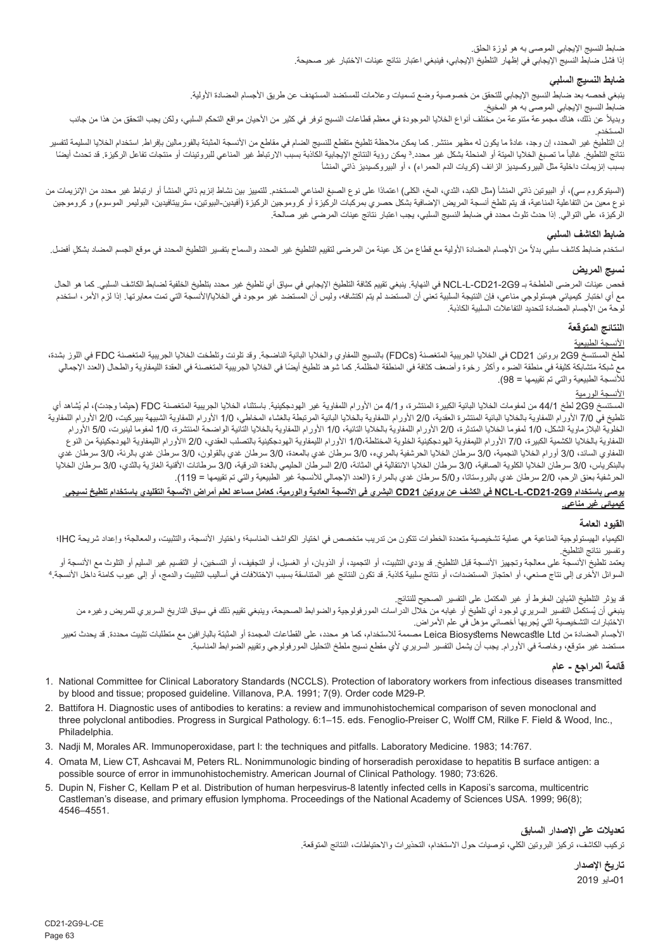ضابط النسيج اإليجابي الموصى به هو لوزة الحلق. إذا فشل ضابط النسيج اإليجابي في إظهار التلطيخ اإليجابي، فينبغي اعتبار نتائج عينات االختبار غير صحيحة.

## **ضابط النسيج السلبي**

ينبغي فحصه بعد ضابط النسيج اإليجابي للتحقق من خصوصية وضع تسميات وعالمات للمستضد المستهدف عن طريق األجسام المضادة األولية. ضابط النسيج اإليجابي الموصى به هو المخيخ.

ربديلاً عن ذلك، هنك مجموعة متنوعة من مختلف أنواع الخلايا الموجودة في متاعة السيج توفر في كثير من الأحيان مواقع التحكم السلبي، ولكن يجب التحقق من هذا من جانب المستخدم.

إن التلطيخ غير المحدد، إن وجد، عادة ما يكون له مظهر منتشر . كما يمكن منتظم من المنطق المثلج النساس المالي بالمر مالين بإفراط. استخدام الخلايا السليمة لتفسير نتائج التلطيخ. غالبا من الخلايا الميتة أو المنحلة بشكل غير محدد. ْ يمكن رؤية النتائج الإبجلية الكانبة بسبب الارتباط غير المناعي للبروتينات أو منتجات تفاعل الركيزة. قد تحدث أيضًا بسبب إنزيمات داخلية مثل البير وكسيديز الزائف (كريات الدم الحمراء) ، أو البيروكسيديز ذاتي المنشأ

(السيتوكروم سي)، أو البيوتين ذاتي المنشأ (مثل الكبد، الثدي، المخ، المناعي المستخدم الكلميز بين نشاط إنزيم ذاتي المنشأ أو ارتباط غير محدد من الإنزيمات من نوع معين من التفاعلية المناعية، قد يتم تلطخ أنسجة المريض الإصافية بشكل حصري بمركبات الركيزة الركيزة (أفيدين-البيوتين، ستريبتافيدين، البوليمر الموسوم) و كروموجين الركيزة، على التوالي. إذا حدث تلوث محدد في ضابط النسيج السلبي، يجب اعتبار نتائج عينات المرضى غير صالحة.

#### **ضابط الكاشف السلبي**

استخدم ضابط كاشف سلبي بدلأ من الأجسام المضادة الأولية مع قطاع من كل المحل التحاريخ غير المحدد والسماح بتفسير التلطيخ المحدد في موقع الجسم المضاد بشكلٍ أفضل.

## **نسيج المريض**

فحص عينات المرضى الملطخة بـ 9G21-2CD-L-NCL في النهاية. ينبغي تقييم كثافة التلطيخ اإليجابي في سياق أي تلطيخ غير محدد بتلطيخ الخلفية لضابط الكاشف السلبي. كما هو الحال مع أي اختبار كيميائي هيستولوجي مناعي، فإن النتيجة السلبية تعني أن المستضد عن المستضد غير موجود في الخلايا/الأنسجة التي تمت معايرتها. إذا لزم الأمر، استخدم .<br>لوحة من الأجسام المضادة لتحديد التفاعلات السلبية الكاذبة

#### **النتائج المتوقعة**

## األنسجة الطبيعية

لطخ المستنسخ 9G2 بروتين 21CD في الخاليا الجريبية المتغصنة )FDCs )بالنسيج اللمفاوي والخاليا البائية الناضجة. وقد تلونت وتلطخت الخاليا الجريبية المتغصنة FDC في اللوز بشدة، س سبكة متشابكة كثيفة في منطقة الضوء وأكثر رخوة وأضعف كثافة في المنطقة. كما شوهد تلطيخ أيضًا في الخزيلية المتخصنة في العقدة الليمفاوية والطحال (العدد الإجمالي لألنسجة الطبيعية والتي تم تقييمها = 98(.

#### الأنسجة الورمية

المستنسخ 2G9 لطخ 44/1 من لمفومات الخلايا البائية الكبيرة المنتشرة، و1/1 من الأورام اللمفاوية غير الهودجكينية. باستثناء الخلايا الجريبية المتغصنة FDC (حيثما وجدت)، لم يُشاهد اي تلطيخ في 7/0 الأورام اللمفاوية بالخلايا البانية المنتشرة العقدية، الكارم المناطليا الملائلية الملائلياء المخاطي، 10 الأورام اللمفاوية الشبيهة ببيركيت، 2/0 الأورام اللمفاوية الشبيهة ببيركيت، 2/0 الأورام اللمفاوية الشبيهة بب الخلوية البلازماوية الشكل، 1/0 لمفوما الخلايا المتنثرة، 2/0 الأورام المفاوية بالخاليا التائية، التائية الواضحة المنتشرة، 1/0 لمفوما لينيرت، 5/0 الأورام اللمفاوية بالخلايا الكشمية الكبيرة، 7/0 الأورام الليمفاوية الهودجكينية الخارام الليمفاوية الهودجكينية بالتصلب العقدي، 2/0 االأورام الليمفاوية الهودجكينية من النوع اللمفاوي الساند، 3/0 أورام الخلايا النجمية، 3/0 سرطان الخلايا الحرشفية بالموي ، 3/0 سرطان غدي بالقولون، 3/0 سرطان غدي بالرئة، 3/0 سرطان غدي بالمعد بالبنكرياس، 3/0 سرطان الخلايا الكلوية الصافية، 3/0 سرطان الخلالية في المثانة، 2/0 السرطان الحليمي بالغدة الذرقية، 2/0 سرطان الأقنية الغازية بالثدي، 3/0 سرطان الخلايا الحرشفية بعنق الرحم، 2/0 سرطان غدي بالبروستاتا، و5/0 سرطان غدي بالمرارة (العدد الإجمالي للأنسجة غير الطبيعية والتي تم تقييمها = 119).

## **يوصى باستخدام 9G21-2CD-L-NCL في الكشف عن بروتين 21CD البشري في األنسجة العادية والورمية، كعامل مساعد لعلم أمراض األنسجة التقليدي باستخدام تلطيخ نسيجي كيميائي غير مناعي.**

#### **القيود العامة**

الكيمياء الهيستولوجية المناعية هي عملية تشخيصية متعددة الخطوات تتكون من تدريب متخصص في اختيار الكواشف المناسبة؛ واختيار األنسجة، والتثبيت، والمعالجة؛ وإعداد شريحة IHC؛ وتفسير نتائج التلطيخ.

يعتمد تلطيخ الأنسجة على معالجة وتجهيز الأنسجة قبل التلطيخ. قد يؤدي التجميد، أو التجان، أو التجفيف، أو التصويه التقسيم غير السليم أو التلوث مع الأنسجة أو السوائل الأخرى إلى نتاج صنعي، أو احتجاز المستضدات، أو نتائج ملائبة قد تكون النتاسقة قد النسبب الأختلافات في اساليب التثبيت والدمج، أو إلى عيوب كامنة داخل الانسجة.

قد يؤثر التلطيخ المُباين المفرط او غير المكتمل على التفسير الصحيح للنتائج.

بنغي ان يُستكمل التفسير السريري لوجود اي تلطيخ او غيابه من خلال الدراسات المورفولوجية والضوابط الصحيحة، وينبغي تقييم ذلك في سياق التاريخ السريري للمريض وغيره من الأختبار ات التشخيصية التي يُجريها اخصـائي مؤهل في علم الأمر اض.

األجسام المضادة من Ltd Newcastle Biosystems Leica مصممة لالستخدام، كما هو محدد، على القطاعات المجمدة أو المثبتة بالبارافين مع متطلبات تثبيت محددة. قد يحدث تعبير مستضد غير متوقع، وخاصة في األورام. يجب أن يشمل التفسير السريري ألي مقطع نسيج ملطخ التحليل المورفولوجي وتقييم الضوابط المناسبة.

## **قائمة المراجع - عام**

- 1. National Committee for Clinical Laboratory Standards (NCCLS). Protection of laboratory workers from infectious diseases transmitted by blood and tissue; proposed guideline. Villanova, P.A. 1991; 7(9). Order code M29-P.
- 2. Battifora H. Diagnostic uses of antibodies to keratins: a review and immunohistochemical comparison of seven monoclonal and three polyclonal antibodies. Progress in Surgical Pathology. 6:1–15. eds. Fenoglio-Preiser C, Wolff CM, Rilke F. Field & Wood, Inc., Philadelphia.
- 3. Nadji M, Morales AR. Immunoperoxidase, part I: the techniques and pitfalls. Laboratory Medicine. 1983; 14:767.
- 4. Omata M, Liew CT, Ashcavai M, Peters RL. Nonimmunologic binding of horseradish peroxidase to hepatitis B surface antigen: a possible source of error in immunohistochemistry. American Journal of Clinical Pathology. 1980; 73:626.
- 5. Dupin N, Fisher C, Kellam P et al. Distribution of human herpesvirus-8 latently infected cells in Kaposi's sarcoma, multicentric Castleman's disease, and primary effusion lymphoma. Proceedings of the National Academy of Sciences USA. 1999; 96(8); 4546–4551.

**تعديالت على اإلصدار السابق** تركيب الكاشف، تركيز البروتين الكلي، توصيات حول االستخدام، التحذيرات واالحتياطات، النتائج المتوقعة.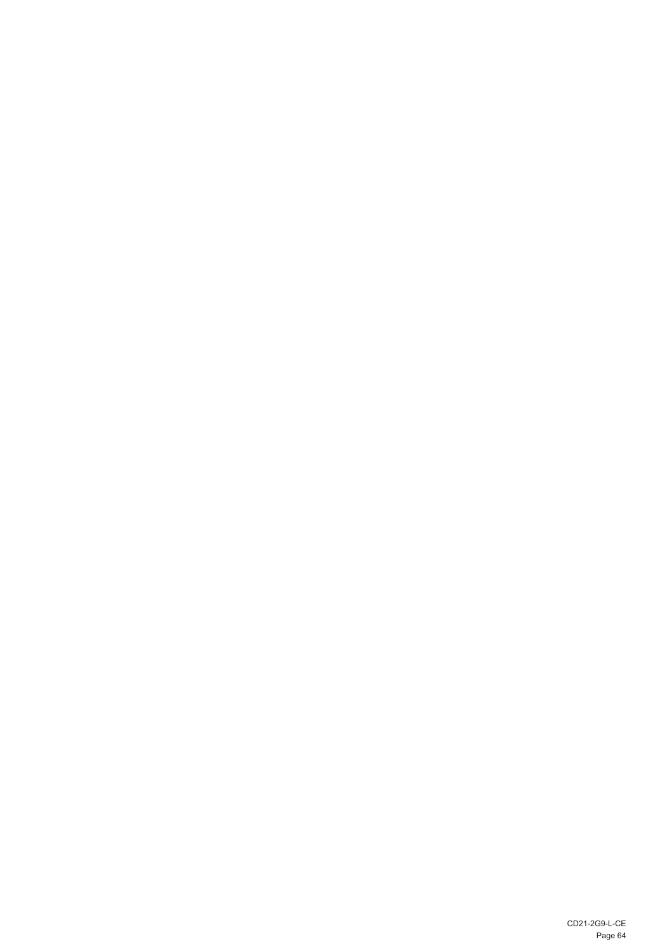CD21-2G9-L-CE Page 64